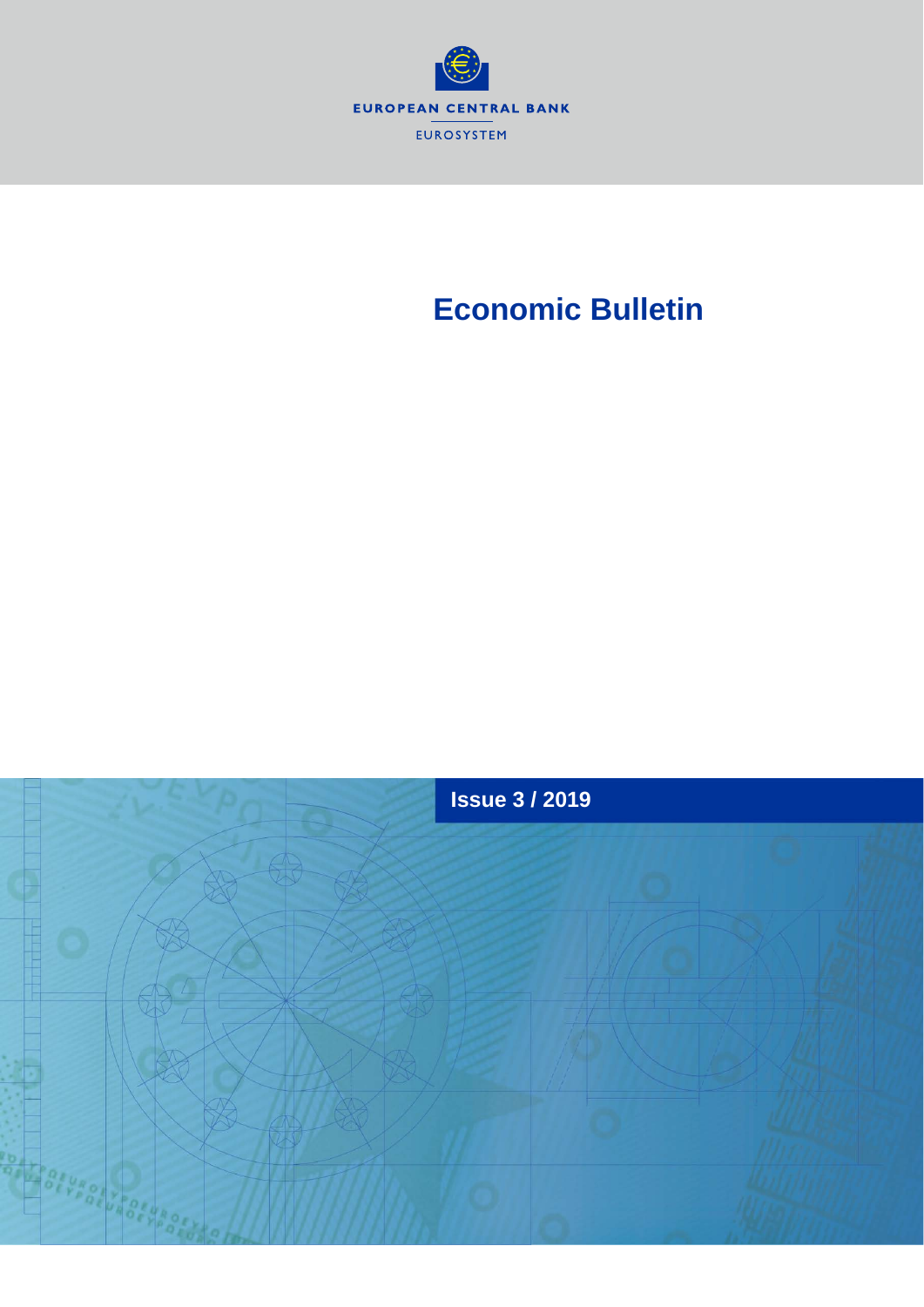

# **Economic Bulletin**

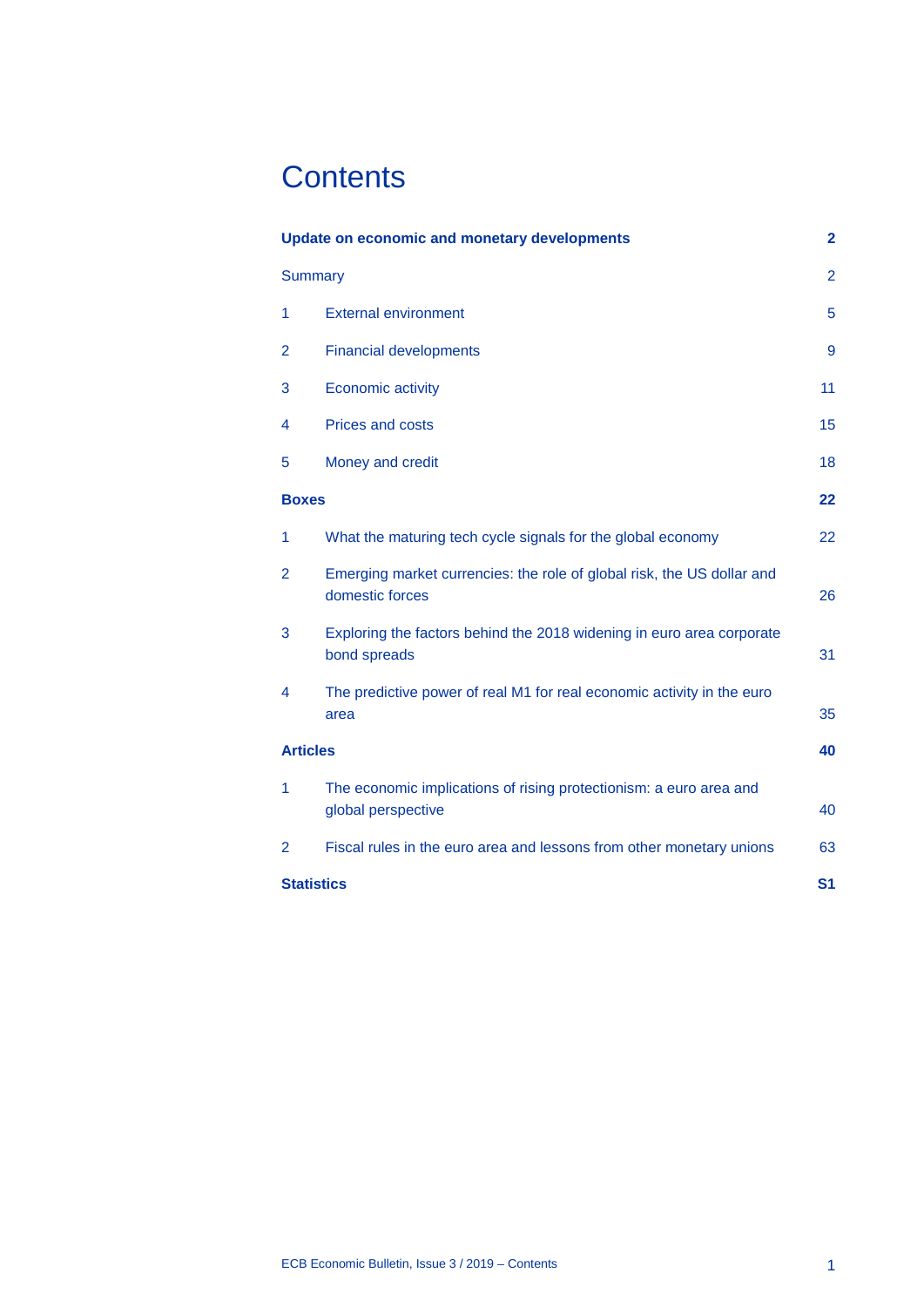# **Contents**

| <b>Update on economic and monetary developments</b> |                                                                                           | $\overline{2}$ |
|-----------------------------------------------------|-------------------------------------------------------------------------------------------|----------------|
| <b>Summary</b>                                      |                                                                                           | $\overline{2}$ |
| 1                                                   | <b>External environment</b>                                                               | 5              |
| 2                                                   | <b>Financial developments</b>                                                             | 9              |
| 3                                                   | <b>Economic activity</b>                                                                  | 11             |
| 4                                                   | <b>Prices and costs</b>                                                                   | 15             |
| 5                                                   | Money and credit                                                                          | 18             |
| <b>Boxes</b>                                        |                                                                                           | 22             |
| 1                                                   | What the maturing tech cycle signals for the global economy                               | 22             |
| $\overline{2}$                                      | Emerging market currencies: the role of global risk, the US dollar and<br>domestic forces | 26             |
| 3                                                   | Exploring the factors behind the 2018 widening in euro area corporate<br>bond spreads     | 31             |
| 4                                                   | The predictive power of real M1 for real economic activity in the euro<br>area            | 35             |
| <b>Articles</b>                                     |                                                                                           | 40             |
| 1                                                   | The economic implications of rising protectionism: a euro area and<br>global perspective  | 40             |
| 2                                                   | Fiscal rules in the euro area and lessons from other monetary unions                      | 63             |
| <b>Statistics</b>                                   |                                                                                           | S <sub>1</sub> |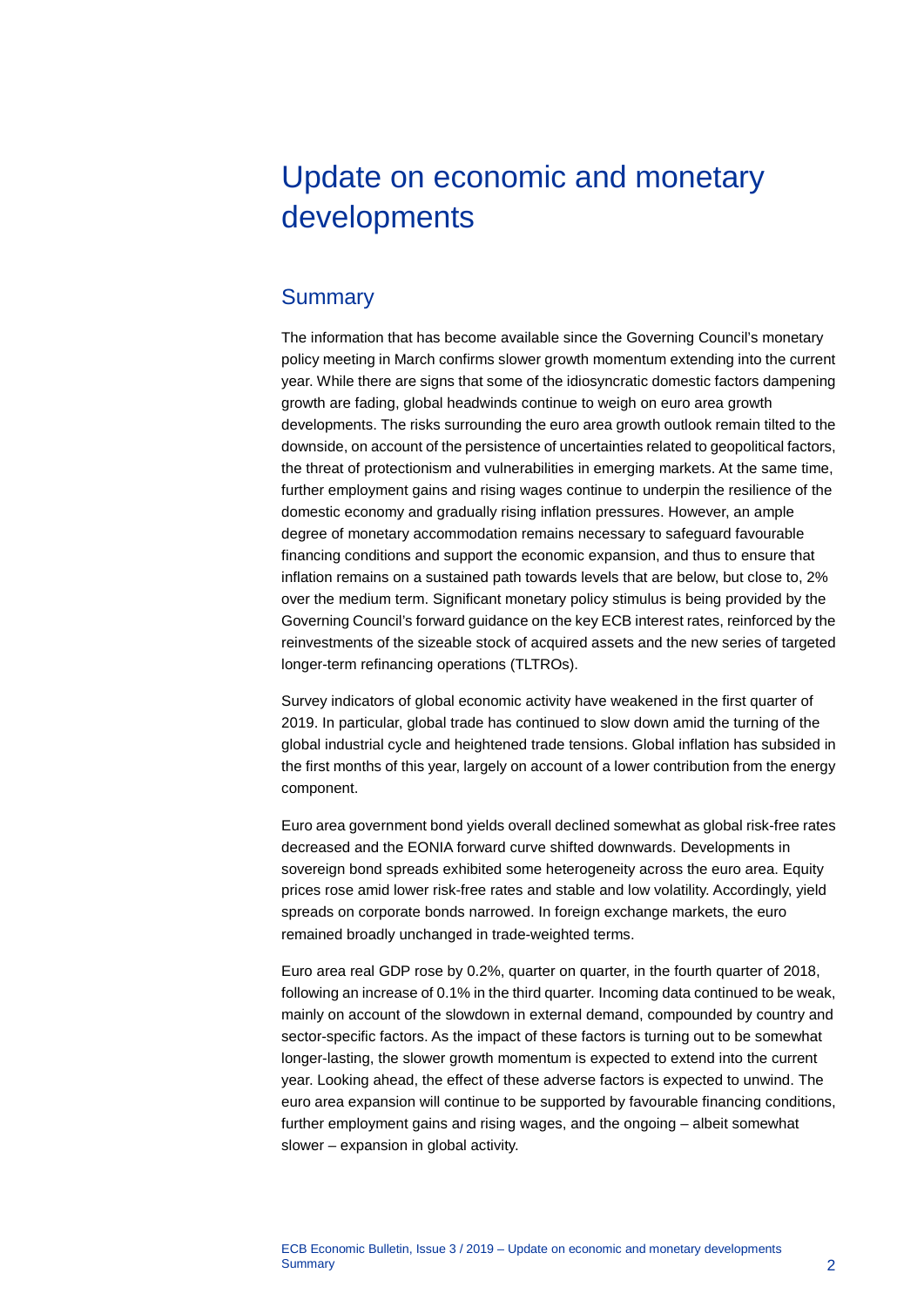# <span id="page-2-0"></span>Update on economic and monetary developments

# <span id="page-2-1"></span>**Summary**

The information that has become available since the Governing Council's monetary policy meeting in March confirms slower growth momentum extending into the current year. While there are signs that some of the idiosyncratic domestic factors dampening growth are fading, global headwinds continue to weigh on euro area growth developments. The risks surrounding the euro area growth outlook remain tilted to the downside, on account of the persistence of uncertainties related to geopolitical factors, the threat of protectionism and vulnerabilities in emerging markets. At the same time, further employment gains and rising wages continue to underpin the resilience of the domestic economy and gradually rising inflation pressures. However, an ample degree of monetary accommodation remains necessary to safeguard favourable financing conditions and support the economic expansion, and thus to ensure that inflation remains on a sustained path towards levels that are below, but close to, 2% over the medium term. Significant monetary policy stimulus is being provided by the Governing Council's forward guidance on the key ECB interest rates, reinforced by the reinvestments of the sizeable stock of acquired assets and the new series of targeted longer-term refinancing operations (TLTROs).

Survey indicators of global economic activity have weakened in the first quarter of 2019. In particular, global trade has continued to slow down amid the turning of the global industrial cycle and heightened trade tensions. Global inflation has subsided in the first months of this year, largely on account of a lower contribution from the energy component.

Euro area government bond yields overall declined somewhat as global risk-free rates decreased and the EONIA forward curve shifted downwards. Developments in sovereign bond spreads exhibited some heterogeneity across the euro area. Equity prices rose amid lower risk-free rates and stable and low volatility. Accordingly, yield spreads on corporate bonds narrowed. In foreign exchange markets, the euro remained broadly unchanged in trade-weighted terms.

Euro area real GDP rose by 0.2%, quarter on quarter, in the fourth quarter of 2018, following an increase of 0.1% in the third quarter*.* Incoming data continued to be weak, mainly on account of the slowdown in external demand, compounded by country and sector-specific factors. As the impact of these factors is turning out to be somewhat longer-lasting, the slower growth momentum is expected to extend into the current year. Looking ahead, the effect of these adverse factors is expected to unwind. The euro area expansion will continue to be supported by favourable financing conditions, further employment gains and rising wages, and the ongoing – albeit somewhat slower – expansion in global activity.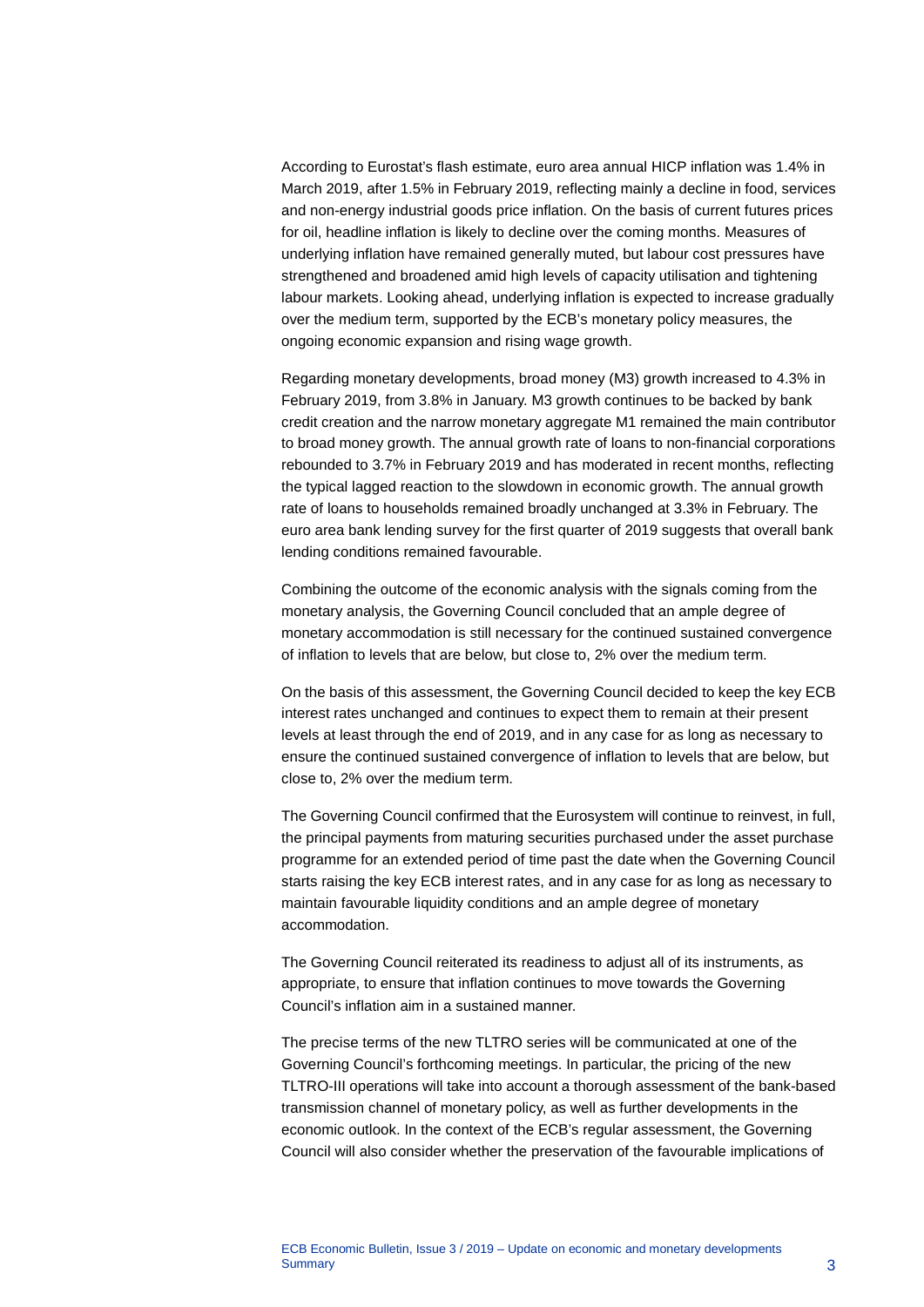According to Eurostat's flash estimate, euro area annual HICP inflation was 1.4% in March 2019, after 1.5% in February 2019, reflecting mainly a decline in food, services and non-energy industrial goods price inflation. On the basis of current futures prices for oil, headline inflation is likely to decline over the coming months. Measures of underlying inflation have remained generally muted, but labour cost pressures have strengthened and broadened amid high levels of capacity utilisation and tightening labour markets. Looking ahead, underlying inflation is expected to increase gradually over the medium term, supported by the ECB's monetary policy measures, the ongoing economic expansion and rising wage growth.

Regarding monetary developments, broad money (M3) growth increased to 4.3% in February 2019, from 3.8% in January. M3 growth continues to be backed by bank credit creation and the narrow monetary aggregate M1 remained the main contributor to broad money growth. The annual growth rate of loans to non-financial corporations rebounded to 3.7% in February 2019 and has moderated in recent months, reflecting the typical lagged reaction to the slowdown in economic growth. The annual growth rate of loans to households remained broadly unchanged at 3.3% in February. The euro area bank lending survey for the first quarter of 2019 suggests that overall bank lending conditions remained favourable.

Combining the outcome of the economic analysis with the signals coming from the monetary analysis, the Governing Council concluded that an ample degree of monetary accommodation is still necessary for the continued sustained convergence of inflation to levels that are below, but close to, 2% over the medium term.

On the basis of this assessment, the Governing Council decided to keep the key ECB interest rates unchanged and continues to expect them to remain at their present levels at least through the end of 2019, and in any case for as long as necessary to ensure the continued sustained convergence of inflation to levels that are below, but close to, 2% over the medium term.

The Governing Council confirmed that the Eurosystem will continue to reinvest, in full, the principal payments from maturing securities purchased under the asset purchase programme for an extended period of time past the date when the Governing Council starts raising the key ECB interest rates, and in any case for as long as necessary to maintain favourable liquidity conditions and an ample degree of monetary accommodation.

The Governing Council reiterated its readiness to adjust all of its instruments, as appropriate, to ensure that inflation continues to move towards the Governing Council's inflation aim in a sustained manner.

The precise terms of the new TLTRO series will be communicated at one of the Governing Council's forthcoming meetings. In particular, the pricing of the new TLTRO-III operations will take into account a thorough assessment of the bank-based transmission channel of monetary policy, as well as further developments in the economic outlook. In the context of the ECB's regular assessment, the Governing Council will also consider whether the preservation of the favourable implications of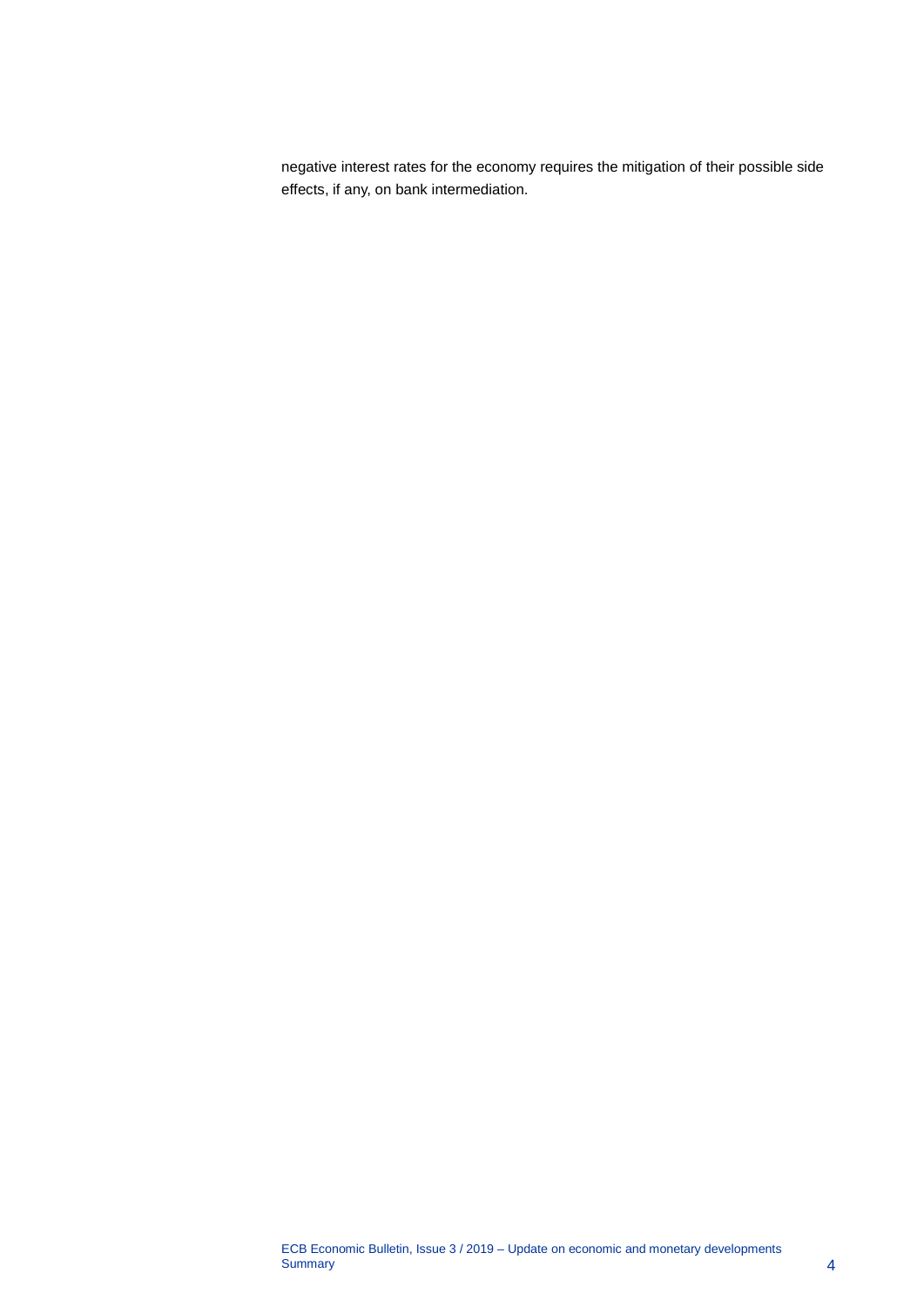negative interest rates for the economy requires the mitigation of their possible side effects, if any, on bank intermediation.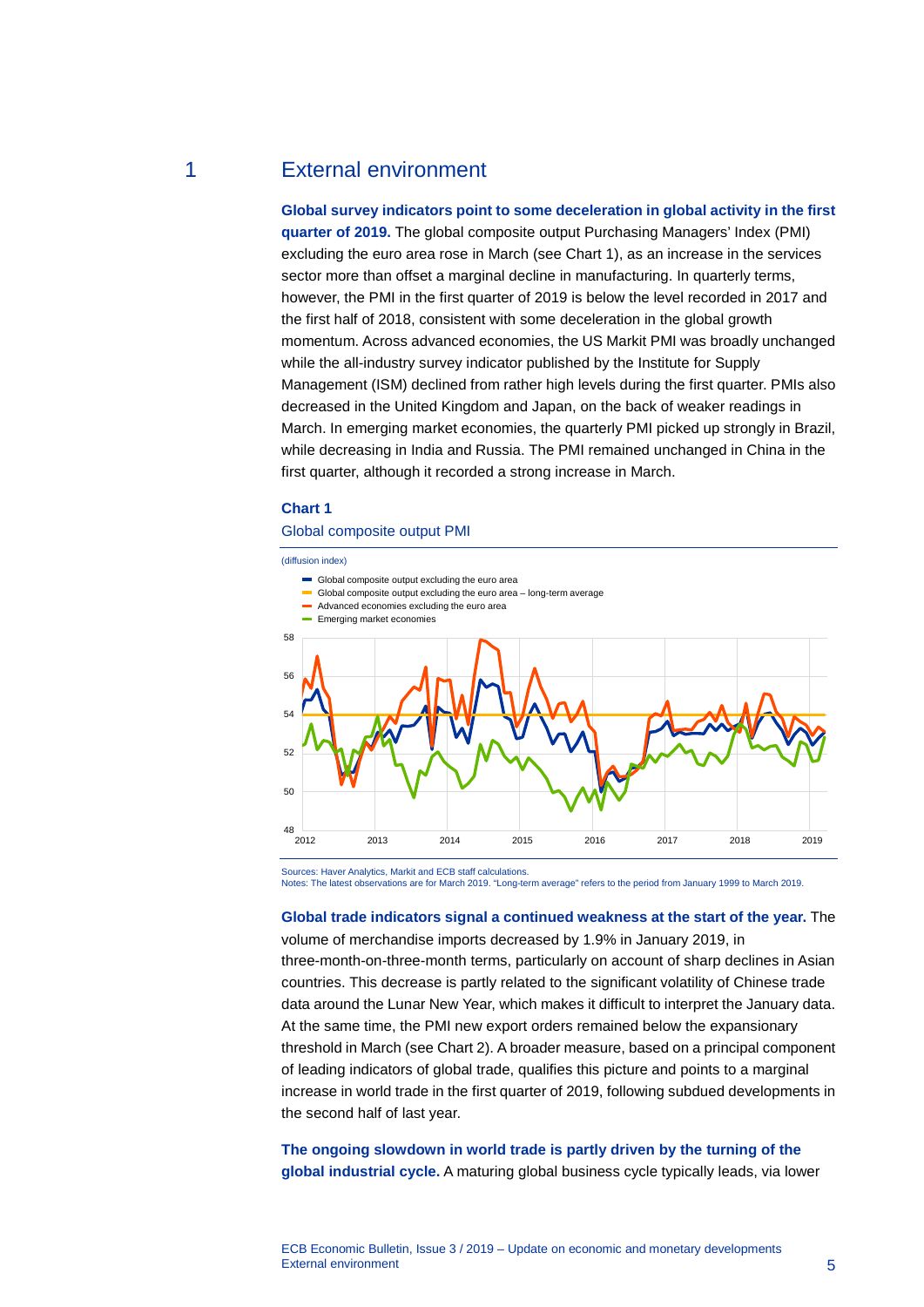# 1 External environment

<span id="page-5-0"></span>**Global survey indicators point to some deceleration in global activity in the first quarter of 2019.** The global composite output Purchasing Managers' Index (PMI) excluding the euro area rose in March (see Chart 1), as an increase in the services sector more than offset a marginal decline in manufacturing. In quarterly terms, however, the PMI in the first quarter of 2019 is below the level recorded in 2017 and the first half of 2018, consistent with some deceleration in the global growth momentum. Across advanced economies, the US Markit PMI was broadly unchanged while the all-industry survey indicator published by the Institute for Supply Management (ISM) declined from rather high levels during the first quarter. PMIs also decreased in the United Kingdom and Japan, on the back of weaker readings in March. In emerging market economies, the quarterly PMI picked up strongly in Brazil, while decreasing in India and Russia. The PMI remained unchanged in China in the first quarter, although it recorded a strong increase in March.

#### **Chart 1**

#### Global composite output PMI

(diffusion index)



Sources: Haver Analytics, Markit and ECB staff calculations. Notes: The latest observations are for March 2019. "Long-term average" refers to the period from January 1999 to March 2019.

**Global trade indicators signal a continued weakness at the start of the year.** The volume of merchandise imports decreased by 1.9% in January 2019, in three-month-on-three-month terms, particularly on account of sharp declines in Asian countries. This decrease is partly related to the significant volatility of Chinese trade data around the Lunar New Year, which makes it difficult to interpret the January data. At the same time, the PMI new export orders remained below the expansionary threshold in March (see Chart 2). A broader measure, based on a principal component of leading indicators of global trade, qualifies this picture and points to a marginal increase in world trade in the first quarter of 2019, following subdued developments in the second half of last year.

### **The ongoing slowdown in world trade is partly driven by the turning of the global industrial cycle.** A maturing global business cycle typically leads, via lower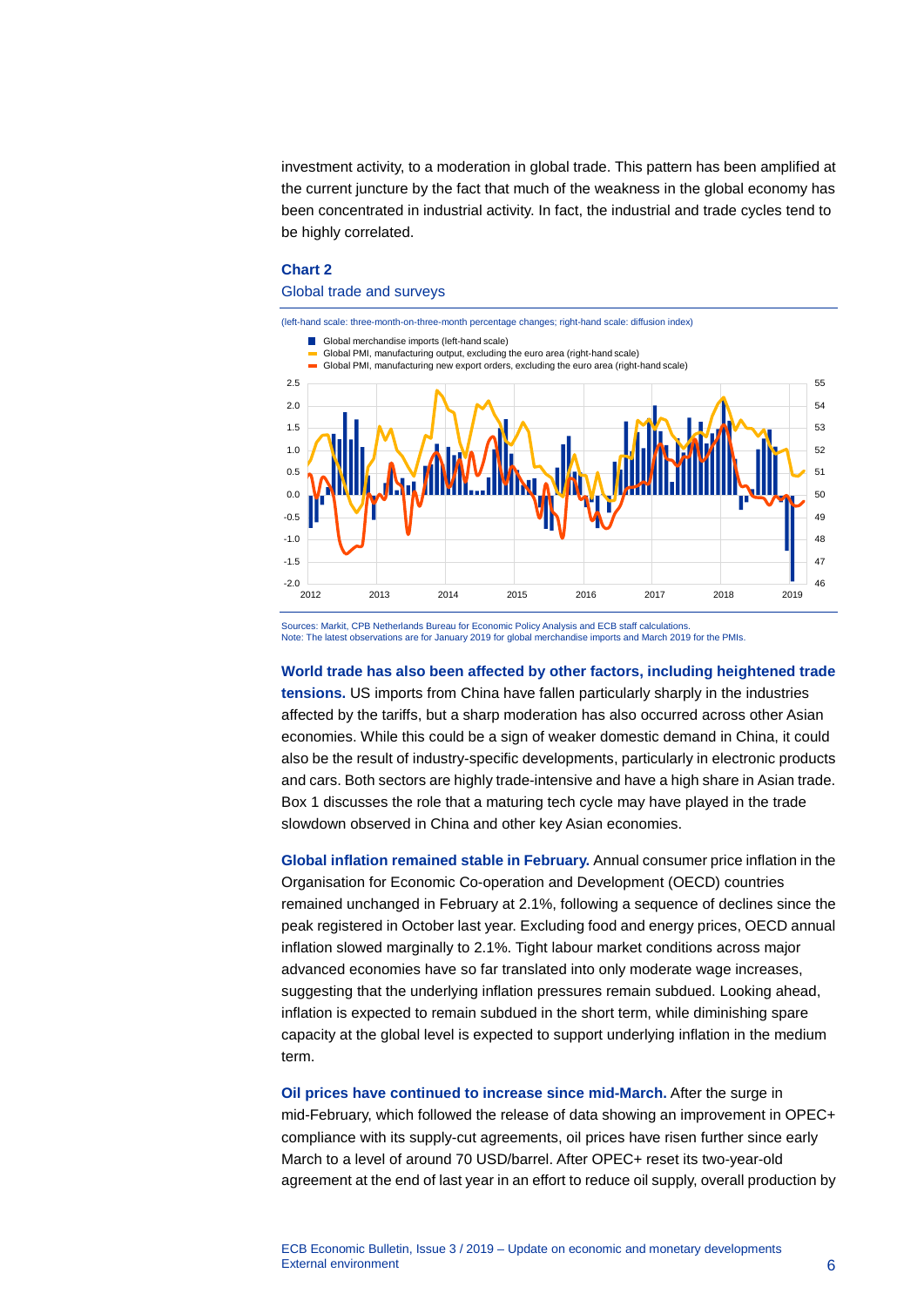investment activity, to a moderation in global trade. This pattern has been amplified at the current juncture by the fact that much of the weakness in the global economy has been concentrated in industrial activity. In fact, the industrial and trade cycles tend to be highly correlated.

#### **Chart 2**

#### Global trade and surveys



Sources: Markit, CPB Netherlands Bureau for Economic Policy Analysis and ECB staff calculations. Note: The latest observations are for January 2019 for global merchandise imports and March 2019 for the PMIs.

**World trade has also been affected by other factors, including heightened trade tensions.** US imports from China have fallen particularly sharply in the industries affected by the tariffs, but a sharp moderation has also occurred across other Asian economies. While this could be a sign of weaker domestic demand in China, it could also be the result of industry-specific developments, particularly in electronic products and cars. Both sectors are highly trade-intensive and have a high share in Asian trade. Box 1 discusses the role that a maturing tech cycle may have played in the trade slowdown observed in China and other key Asian economies.

**Global inflation remained stable in February.** Annual consumer price inflation in the Organisation for Economic Co-operation and Development (OECD) countries remained unchanged in February at 2.1%, following a sequence of declines since the peak registered in October last year. Excluding food and energy prices, OECD annual inflation slowed marginally to 2.1%. Tight labour market conditions across major advanced economies have so far translated into only moderate wage increases, suggesting that the underlying inflation pressures remain subdued. Looking ahead, inflation is expected to remain subdued in the short term, while diminishing spare capacity at the global level is expected to support underlying inflation in the medium term.

**Oil prices have continued to increase since mid-March.** After the surge in mid-February, which followed the release of data showing an improvement in OPEC+ compliance with its supply-cut agreements, oil prices have risen further since early March to a level of around 70 USD/barrel. After OPEC+ reset its two-year-old agreement at the end of last year in an effort to reduce oil supply, overall production by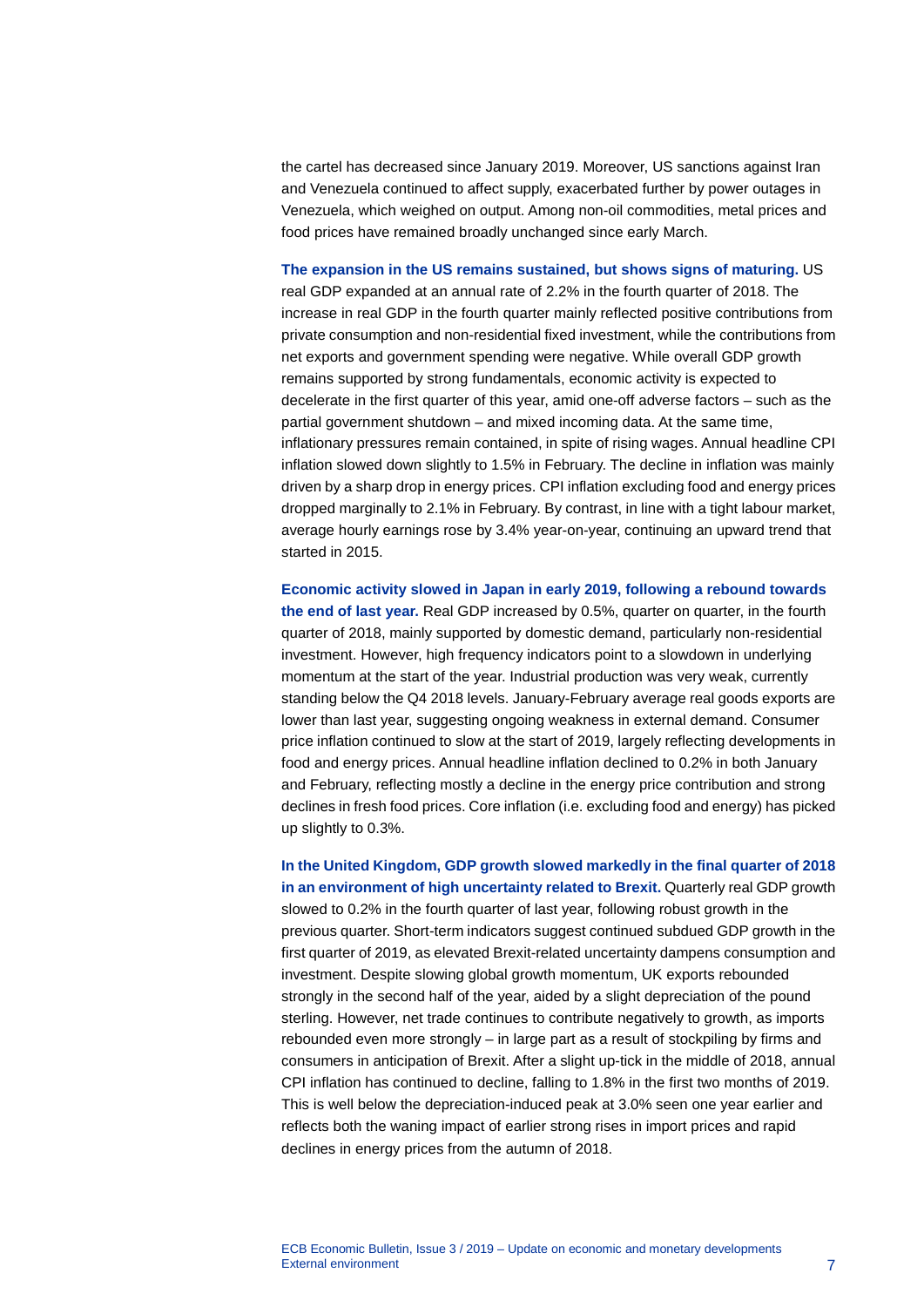the cartel has decreased since January 2019. Moreover, US sanctions against Iran and Venezuela continued to affect supply, exacerbated further by power outages in Venezuela, which weighed on output. Among non-oil commodities, metal prices and food prices have remained broadly unchanged since early March.

**The expansion in the US remains sustained, but shows signs of maturing.** US real GDP expanded at an annual rate of 2.2% in the fourth quarter of 2018. The increase in real GDP in the fourth quarter mainly reflected positive contributions from private consumption and non-residential fixed investment, while the contributions from net exports and government spending were negative. While overall GDP growth remains supported by strong fundamentals, economic activity is expected to decelerate in the first quarter of this year, amid one-off adverse factors – such as the partial government shutdown – and mixed incoming data. At the same time, inflationary pressures remain contained, in spite of rising wages. Annual headline CPI inflation slowed down slightly to 1.5% in February. The decline in inflation was mainly driven by a sharp drop in energy prices. CPI inflation excluding food and energy prices dropped marginally to 2.1% in February. By contrast, in line with a tight labour market, average hourly earnings rose by 3.4% year-on-year, continuing an upward trend that started in 2015.

**Economic activity slowed in Japan in early 2019, following a rebound towards the end of last year.** Real GDP increased by 0.5%, quarter on quarter, in the fourth quarter of 2018, mainly supported by domestic demand, particularly non-residential investment. However, high frequency indicators point to a slowdown in underlying momentum at the start of the year. Industrial production was very weak, currently standing below the Q4 2018 levels. January-February average real goods exports are lower than last year, suggesting ongoing weakness in external demand. Consumer price inflation continued to slow at the start of 2019, largely reflecting developments in food and energy prices. Annual headline inflation declined to 0.2% in both January and February, reflecting mostly a decline in the energy price contribution and strong declines in fresh food prices. Core inflation (i.e. excluding food and energy) has picked up slightly to 0.3%.

**In the United Kingdom, GDP growth slowed markedly in the final quarter of 2018 in an environment of high uncertainty related to Brexit.** Quarterly real GDP growth slowed to 0.2% in the fourth quarter of last year, following robust growth in the previous quarter. Short-term indicators suggest continued subdued GDP growth in the first quarter of 2019, as elevated Brexit-related uncertainty dampens consumption and investment. Despite slowing global growth momentum, UK exports rebounded strongly in the second half of the year, aided by a slight depreciation of the pound sterling. However, net trade continues to contribute negatively to growth, as imports rebounded even more strongly – in large part as a result of stockpiling by firms and consumers in anticipation of Brexit. After a slight up-tick in the middle of 2018, annual CPI inflation has continued to decline, falling to 1.8% in the first two months of 2019. This is well below the depreciation-induced peak at 3.0% seen one year earlier and reflects both the waning impact of earlier strong rises in import prices and rapid declines in energy prices from the autumn of 2018.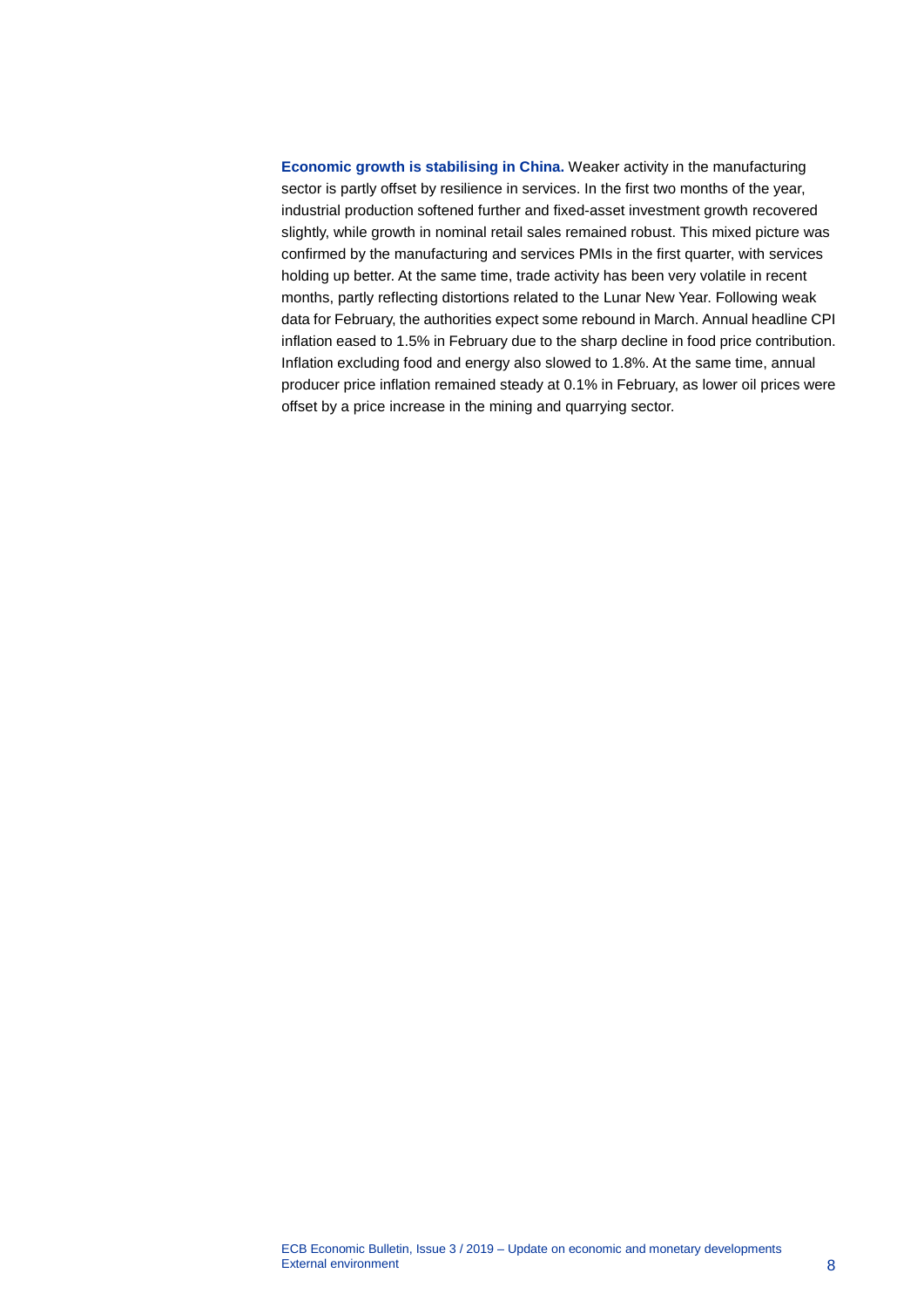**Economic growth is stabilising in China.** Weaker activity in the manufacturing sector is partly offset by resilience in services. In the first two months of the year, industrial production softened further and fixed-asset investment growth recovered slightly, while growth in nominal retail sales remained robust. This mixed picture was confirmed by the manufacturing and services PMIs in the first quarter, with services holding up better. At the same time, trade activity has been very volatile in recent months, partly reflecting distortions related to the Lunar New Year. Following weak data for February, the authorities expect some rebound in March. Annual headline CPI inflation eased to 1.5% in February due to the sharp decline in food price contribution. Inflation excluding food and energy also slowed to 1.8%. At the same time, annual producer price inflation remained steady at 0.1% in February, as lower oil prices were offset by a price increase in the mining and quarrying sector.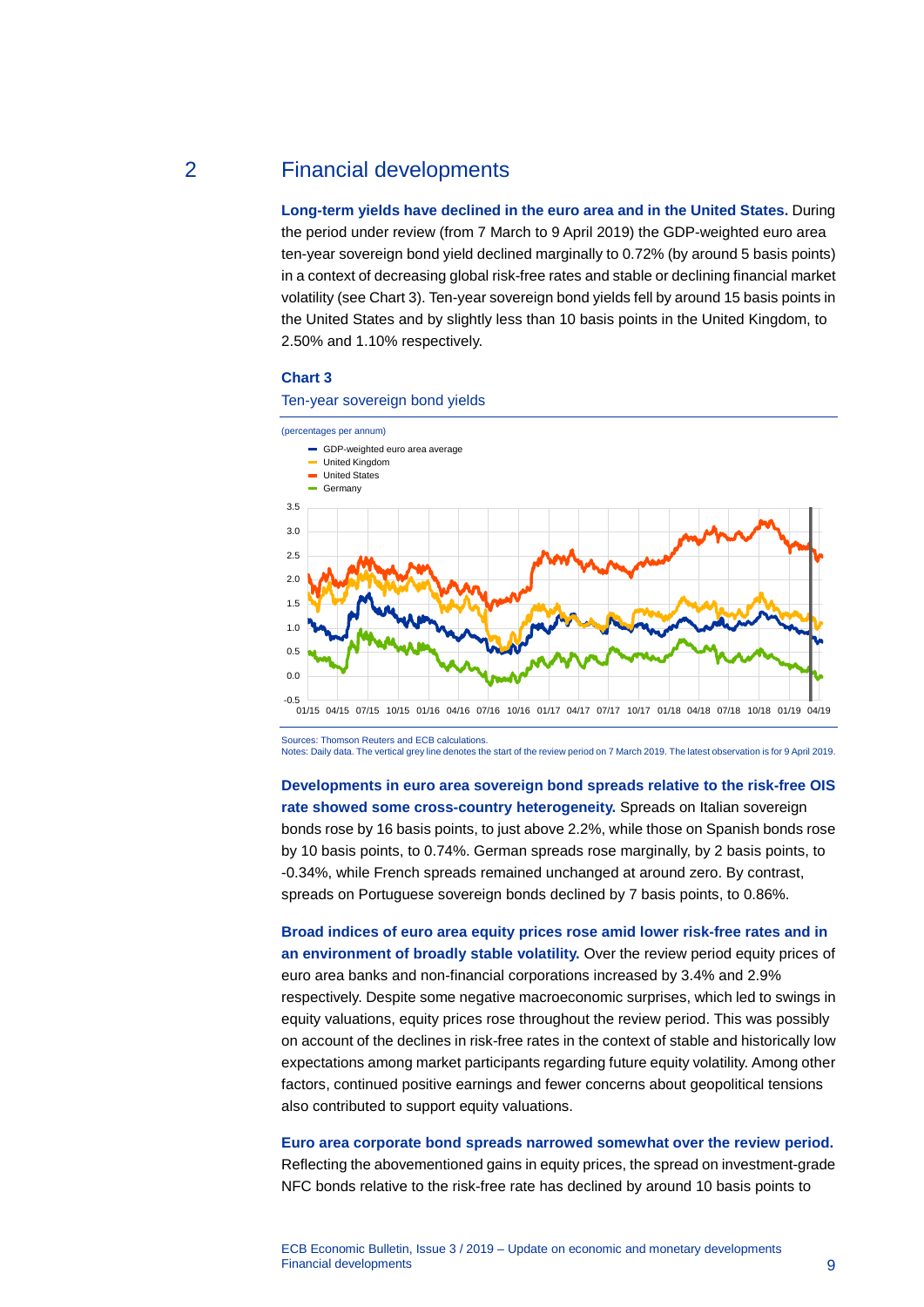## 2 Financial developments

<span id="page-9-0"></span>**Long-term yields have declined in the euro area and in the United States.** During the period under review (from 7 March to 9 April 2019) the GDP-weighted euro area ten-year sovereign bond yield declined marginally to 0.72% (by around 5 basis points) in a context of decreasing global risk-free rates and stable or declining financial market volatility (see Chart 3). Ten-year sovereign bond yields fell by around 15 basis points in the United States and by slightly less than 10 basis points in the United Kingdom, to 2.50% and 1.10% respectively.

#### **Chart 3**

Ten-year sovereign bond yields



Sources: Thomson Reuters and ECB calculations.

Notes: Daily data. The vertical grey line denotes the start of the review period on 7 March 2019. The latest observation is for 9 April 2019.

**Developments in euro area sovereign bond spreads relative to the risk-free OIS rate showed some cross-country heterogeneity.** Spreads on Italian sovereign bonds rose by 16 basis points, to just above 2.2%, while those on Spanish bonds rose by 10 basis points, to 0.74%. German spreads rose marginally, by 2 basis points, to -0.34%, while French spreads remained unchanged at around zero. By contrast, spreads on Portuguese sovereign bonds declined by 7 basis points, to 0.86%.

**Broad indices of euro area equity prices rose amid lower risk-free rates and in an environment of broadly stable volatility.** Over the review period equity prices of euro area banks and non-financial corporations increased by 3.4% and 2.9% respectively. Despite some negative macroeconomic surprises, which led to swings in equity valuations, equity prices rose throughout the review period. This was possibly on account of the declines in risk-free rates in the context of stable and historically low expectations among market participants regarding future equity volatility. Among other factors, continued positive earnings and fewer concerns about geopolitical tensions also contributed to support equity valuations.

**Euro area corporate bond spreads narrowed somewhat over the review period.** Reflecting the abovementioned gains in equity prices, the spread on investment-grade NFC bonds relative to the risk-free rate has declined by around 10 basis points to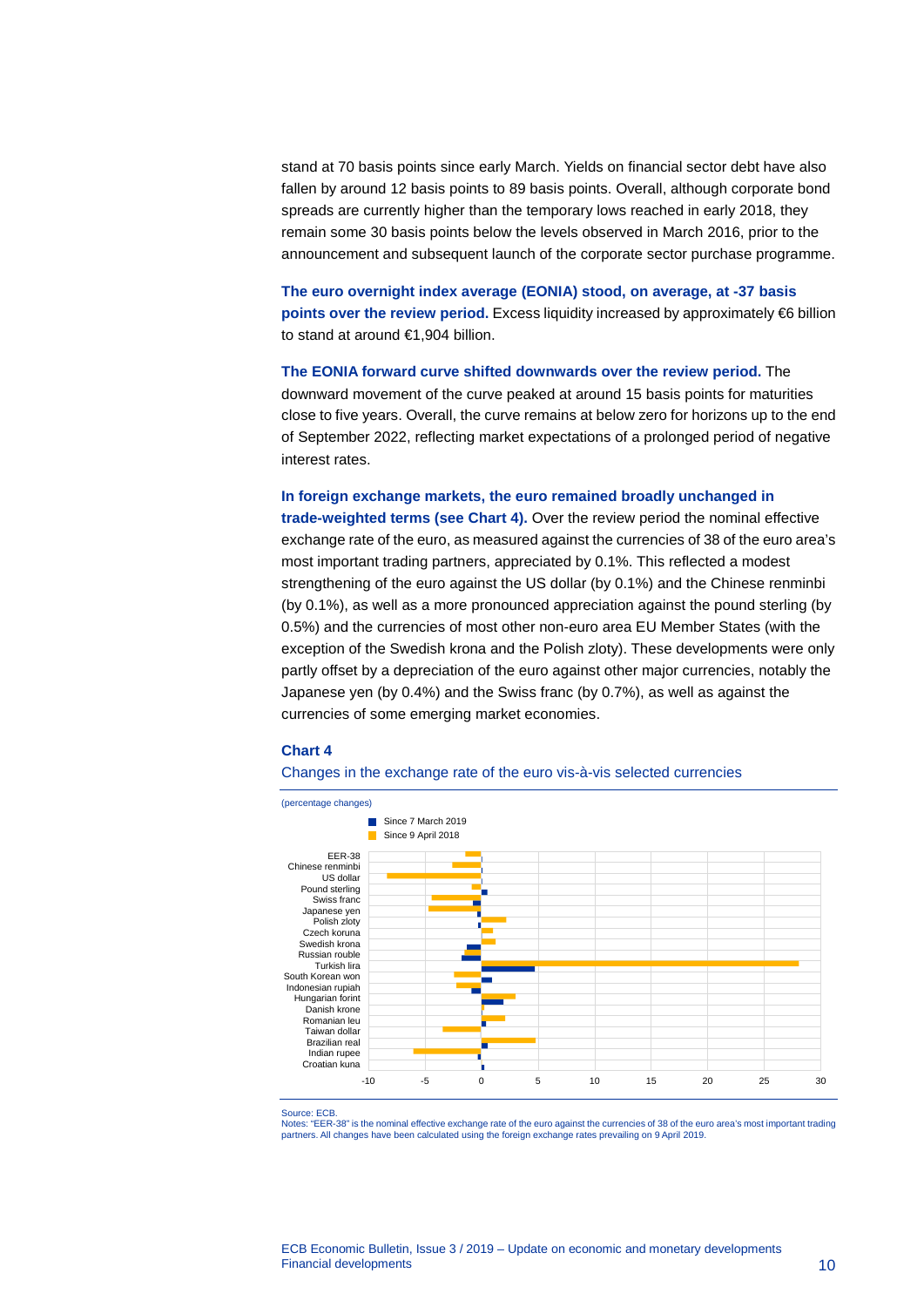stand at 70 basis points since early March. Yields on financial sector debt have also fallen by around 12 basis points to 89 basis points. Overall, although corporate bond spreads are currently higher than the temporary lows reached in early 2018, they remain some 30 basis points below the levels observed in March 2016, prior to the announcement and subsequent launch of the corporate sector purchase programme.

**The euro overnight index average (EONIA) stood, on average, at -37 basis points over the review period.** Excess liquidity increased by approximately €6 billion to stand at around €1,904 billion.

**The EONIA forward curve shifted downwards over the review period.** The downward movement of the curve peaked at around 15 basis points for maturities close to five years. Overall, the curve remains at below zero for horizons up to the end of September 2022, reflecting market expectations of a prolonged period of negative interest rates.

## **In foreign exchange markets, the euro remained broadly unchanged in trade-weighted terms (see Chart 4).** Over the review period the nominal effective exchange rate of the euro, as measured against the currencies of 38 of the euro area's most important trading partners, appreciated by 0.1%. This reflected a modest strengthening of the euro against the US dollar (by 0.1%) and the Chinese renminbi (by 0.1%), as well as a more pronounced appreciation against the pound sterling (by 0.5%) and the currencies of most other non-euro area EU Member States (with the exception of the Swedish krona and the Polish zloty). These developments were only partly offset by a depreciation of the euro against other major currencies, notably the Japanese yen (by 0.4%) and the Swiss franc (by 0.7%), as well as against the currencies of some emerging market economies.

#### **Chart 4**





Source: ECB.

Notes: "EER-38" is the nominal effective exchange rate of the euro against the currencies of 38 of the euro area's most important trading partners. All changes have been calculated using the foreign exchange rates prevailing on 9 April 2019.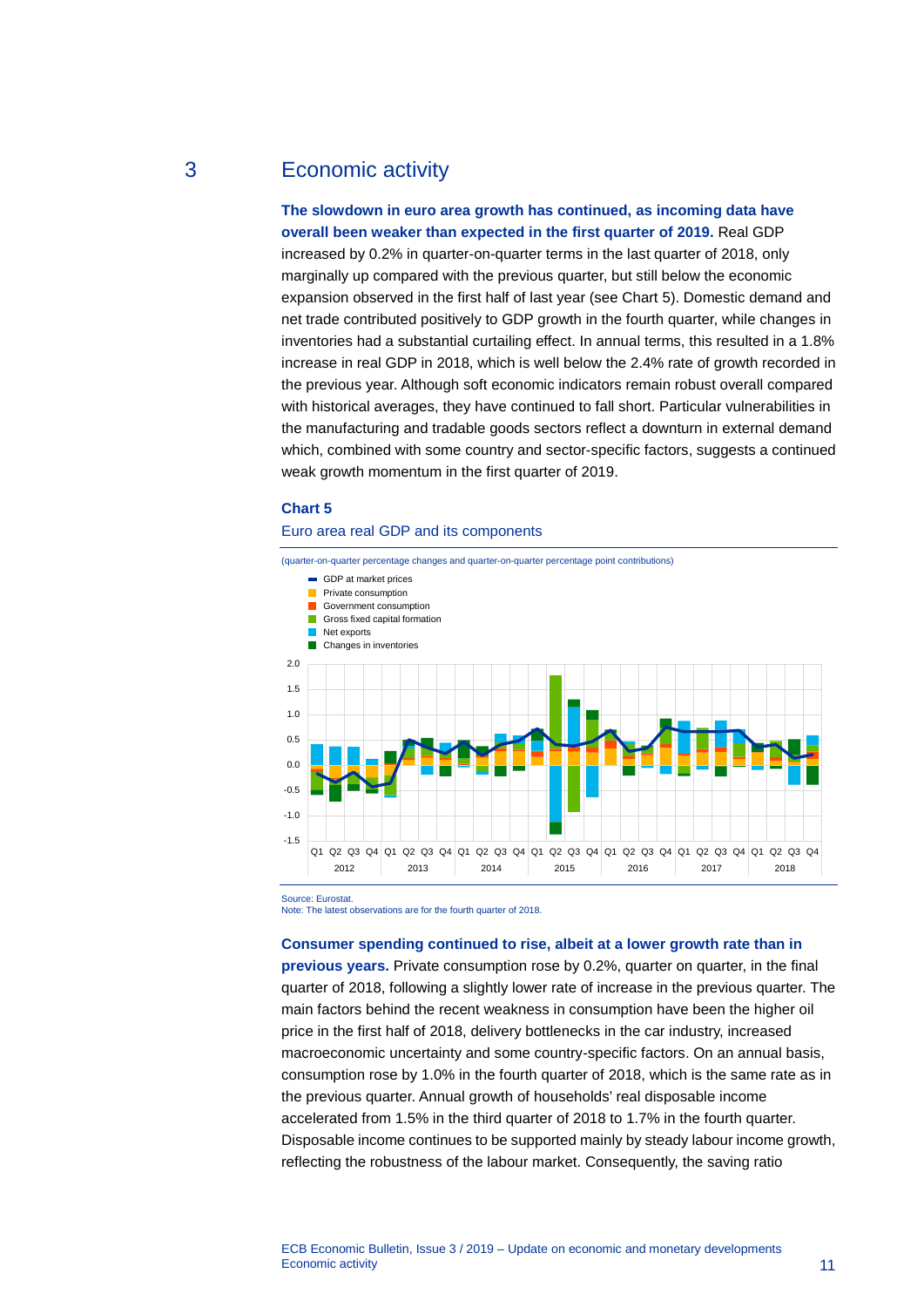# 3 Economic activity

### <span id="page-11-0"></span>**The slowdown in euro area growth has continued, as incoming data have overall been weaker than expected in the first quarter of 2019.** Real GDP

increased by 0.2% in quarter-on-quarter terms in the last quarter of 2018, only marginally up compared with the previous quarter, but still below the economic expansion observed in the first half of last year (see Chart 5). Domestic demand and net trade contributed positively to GDP growth in the fourth quarter, while changes in inventories had a substantial curtailing effect. In annual terms, this resulted in a 1.8% increase in real GDP in 2018, which is well below the 2.4% rate of growth recorded in the previous year. Although soft economic indicators remain robust overall compared with historical averages, they have continued to fall short. Particular vulnerabilities in the manufacturing and tradable goods sectors reflect a downturn in external demand which, combined with some country and sector-specific factors, suggests a continued weak growth momentum in the first quarter of 2019.

#### **Chart 5**

#### Euro area real GDP and its components



Source: Eurostat.

Note: The latest observations are for the fourth quarter of 2018.

#### **Consumer spending continued to rise, albeit at a lower growth rate than in**

**previous years.** Private consumption rose by 0.2%, quarter on quarter, in the final quarter of 2018, following a slightly lower rate of increase in the previous quarter. The main factors behind the recent weakness in consumption have been the higher oil price in the first half of 2018, delivery bottlenecks in the car industry, increased macroeconomic uncertainty and some country-specific factors. On an annual basis, consumption rose by 1.0% in the fourth quarter of 2018, which is the same rate as in the previous quarter. Annual growth of households' real disposable income accelerated from 1.5% in the third quarter of 2018 to 1.7% in the fourth quarter. Disposable income continues to be supported mainly by steady labour income growth, reflecting the robustness of the labour market. Consequently, the saving ratio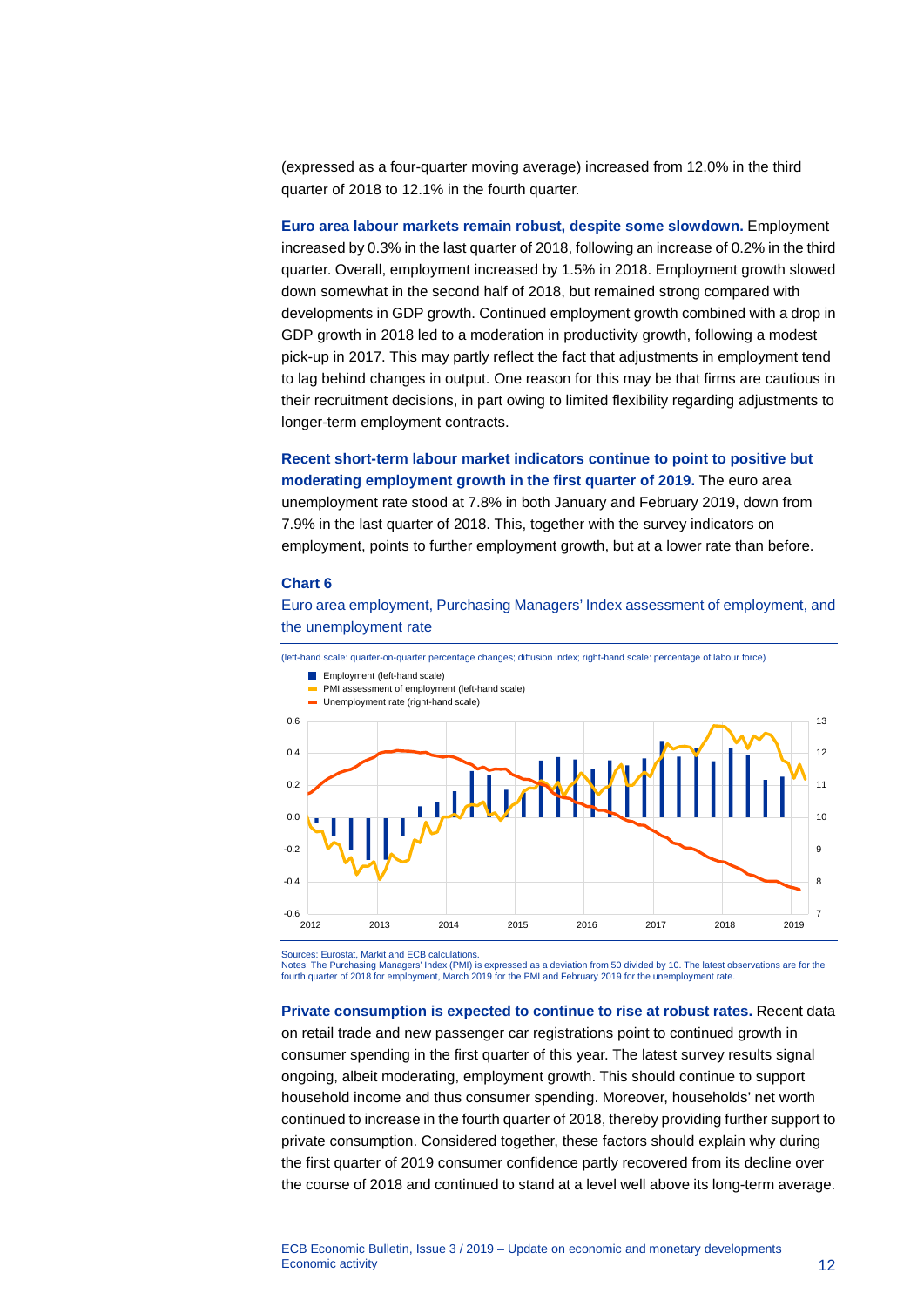(expressed as a four-quarter moving average) increased from 12.0% in the third quarter of 2018 to 12.1% in the fourth quarter.

**Euro area labour markets remain robust, despite some slowdown.** Employment increased by 0.3% in the last quarter of 2018, following an increase of 0.2% in the third quarter. Overall, employment increased by 1.5% in 2018. Employment growth slowed down somewhat in the second half of 2018, but remained strong compared with developments in GDP growth. Continued employment growth combined with a drop in GDP growth in 2018 led to a moderation in productivity growth, following a modest pick-up in 2017. This may partly reflect the fact that adjustments in employment tend to lag behind changes in output. One reason for this may be that firms are cautious in their recruitment decisions, in part owing to limited flexibility regarding adjustments to longer-term employment contracts.

**Recent short-term labour market indicators continue to point to positive but moderating employment growth in the first quarter of 2019.** The euro area unemployment rate stood at 7.8% in both January and February 2019, down from 7.9% in the last quarter of 2018. This, together with the survey indicators on employment, points to further employment growth, but at a lower rate than before.

#### **Chart 6**

Euro area employment, Purchasing Managers' Index assessment of employment, and the unemployment rate

(left-hand scale: quarter-on-quarter percentage changes; diffusion index; right-hand scale: percentage of labour force)



Sources: Eurostat, Markit and ECB calculations. Notes: The Purchasing Managers' Index (PMI) is expressed as a deviation from 50 divided by 10. The latest observations are for the fourth quarter of 2018 for employment, March 2019 for the PMI and February 2019 for the unemployment rate.

**Private consumption is expected to continue to rise at robust rates.** Recent data on retail trade and new passenger car registrations point to continued growth in consumer spending in the first quarter of this year. The latest survey results signal ongoing, albeit moderating, employment growth. This should continue to support household income and thus consumer spending. Moreover, households' net worth continued to increase in the fourth quarter of 2018, thereby providing further support to private consumption. Considered together, these factors should explain why during the first quarter of 2019 consumer confidence partly recovered from its decline over the course of 2018 and continued to stand at a level well above its long-term average.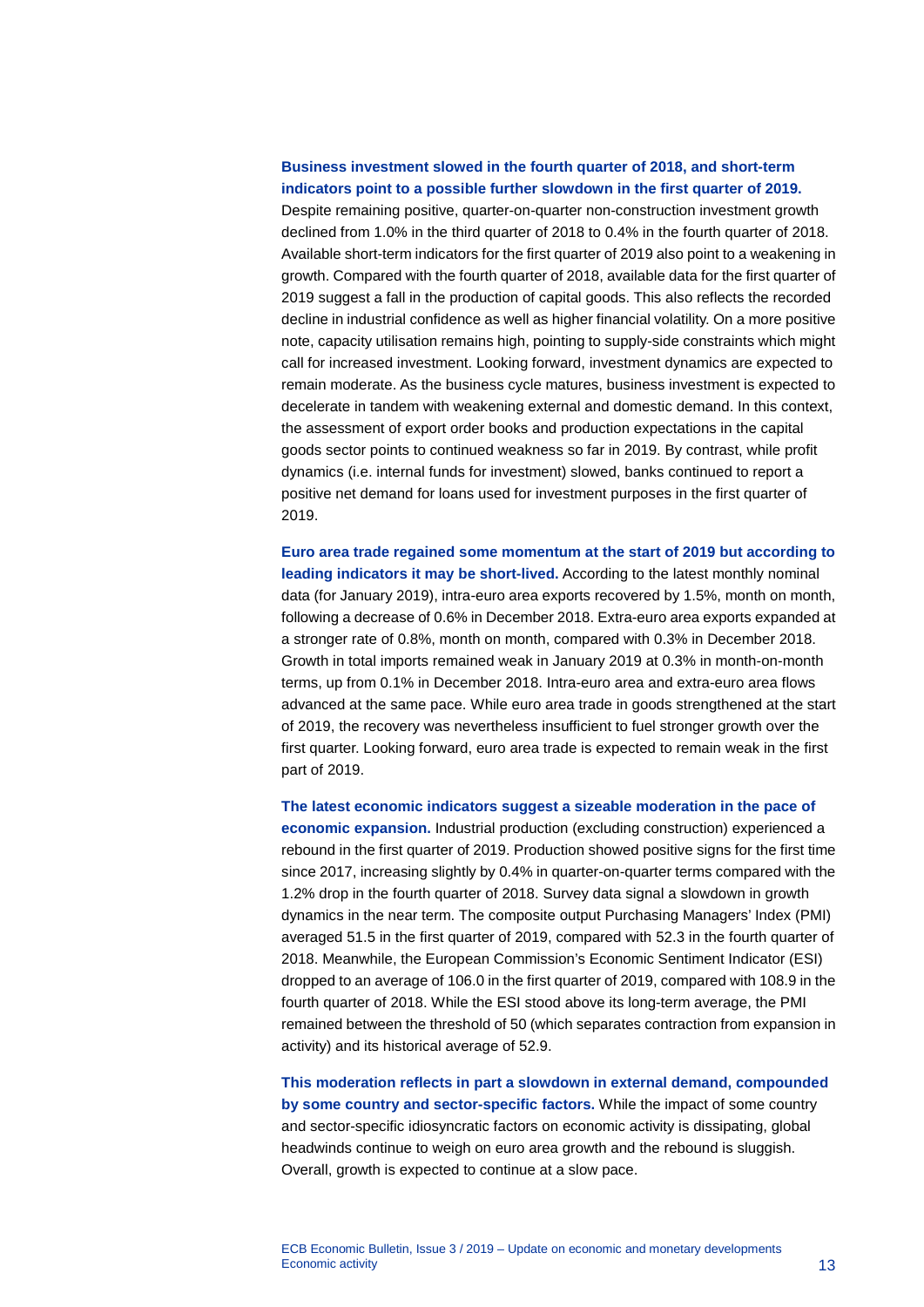### **Business investment slowed in the fourth quarter of 2018, and short-term indicators point to a possible further slowdown in the first quarter of 2019.**

Despite remaining positive, quarter-on-quarter non-construction investment growth declined from 1.0% in the third quarter of 2018 to 0.4% in the fourth quarter of 2018. Available short-term indicators for the first quarter of 2019 also point to a weakening in growth. Compared with the fourth quarter of 2018, available data for the first quarter of 2019 suggest a fall in the production of capital goods. This also reflects the recorded decline in industrial confidence as well as higher financial volatility. On a more positive note, capacity utilisation remains high, pointing to supply-side constraints which might call for increased investment. Looking forward, investment dynamics are expected to remain moderate. As the business cycle matures, business investment is expected to decelerate in tandem with weakening external and domestic demand. In this context, the assessment of export order books and production expectations in the capital goods sector points to continued weakness so far in 2019. By contrast, while profit dynamics (i.e. internal funds for investment) slowed, banks continued to report a positive net demand for loans used for investment purposes in the first quarter of 2019.

**Euro area trade regained some momentum at the start of 2019 but according to leading indicators it may be short-lived.** According to the latest monthly nominal data (for January 2019), intra-euro area exports recovered by 1.5%, month on month, following a decrease of 0.6% in December 2018. Extra-euro area exports expanded at a stronger rate of 0.8%, month on month, compared with 0.3% in December 2018. Growth in total imports remained weak in January 2019 at 0.3% in month-on-month terms, up from 0.1% in December 2018. Intra-euro area and extra-euro area flows advanced at the same pace. While euro area trade in goods strengthened at the start of 2019, the recovery was nevertheless insufficient to fuel stronger growth over the first quarter. Looking forward, euro area trade is expected to remain weak in the first part of 2019.

**The latest economic indicators suggest a sizeable moderation in the pace of economic expansion.** Industrial production (excluding construction) experienced a rebound in the first quarter of 2019. Production showed positive signs for the first time since 2017, increasing slightly by 0.4% in quarter-on-quarter terms compared with the 1.2% drop in the fourth quarter of 2018. Survey data signal a slowdown in growth dynamics in the near term. The composite output Purchasing Managers' Index (PMI) averaged 51.5 in the first quarter of 2019, compared with 52.3 in the fourth quarter of 2018. Meanwhile, the European Commission's Economic Sentiment Indicator (ESI) dropped to an average of 106.0 in the first quarter of 2019, compared with 108.9 in the fourth quarter of 2018. While the ESI stood above its long-term average, the PMI remained between the threshold of 50 (which separates contraction from expansion in activity) and its historical average of 52.9.

**This moderation reflects in part a slowdown in external demand, compounded by some country and sector-specific factors.** While the impact of some country and sector-specific idiosyncratic factors on economic activity is dissipating, global headwinds continue to weigh on euro area growth and the rebound is sluggish. Overall, growth is expected to continue at a slow pace.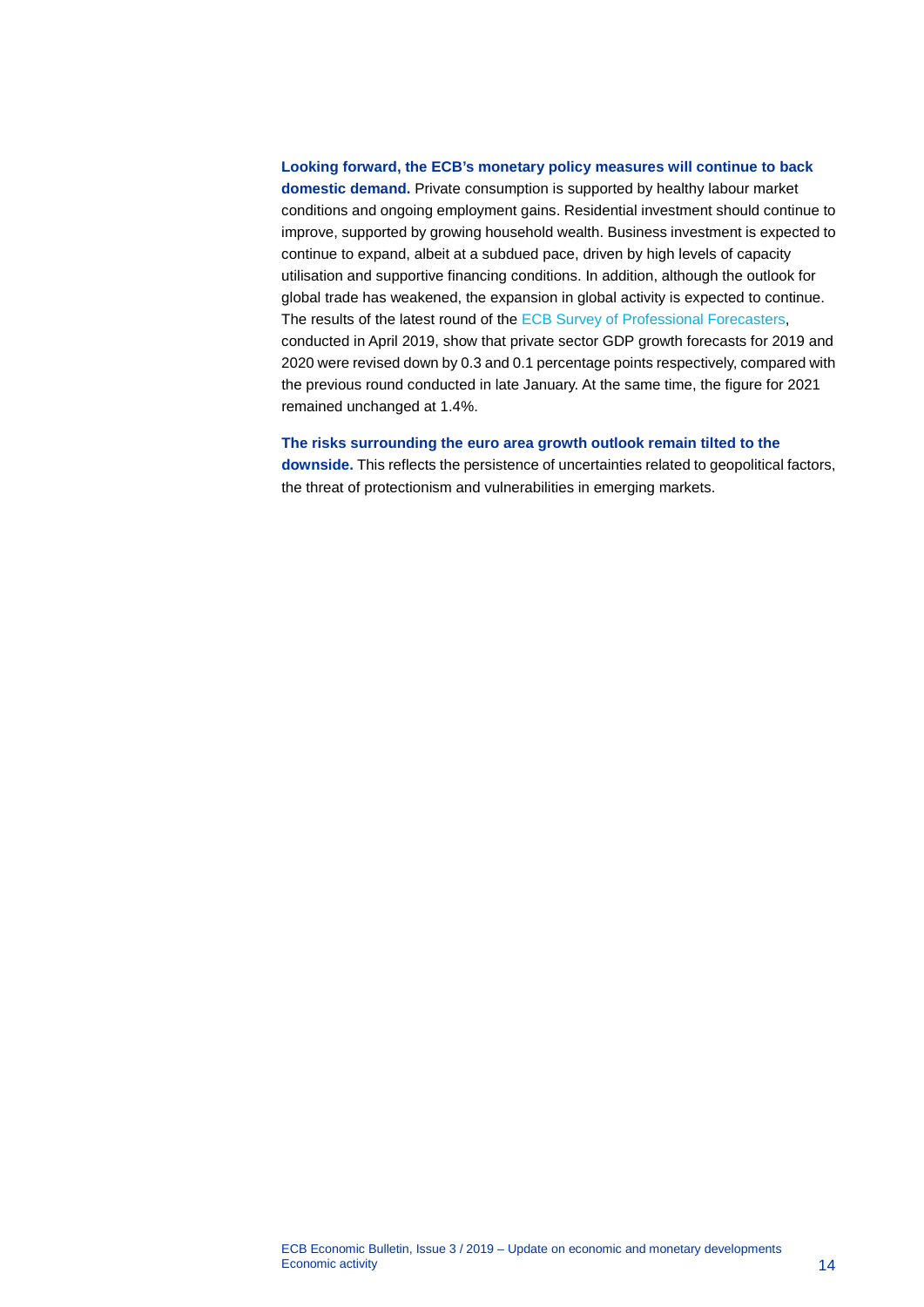#### **Looking forward, the ECB's monetary policy measures will continue to back**

**domestic demand.** Private consumption is supported by healthy labour market conditions and ongoing employment gains. Residential investment should continue to improve, supported by growing household wealth. Business investment is expected to continue to expand, albeit at a subdued pace, driven by high levels of capacity utilisation and supportive financing conditions. In addition, although the outlook for global trade has weakened, the expansion in global activity is expected to continue. The results of the latest round of the [ECB Survey of Professional Forecasters,](http://www.ecb.europa.eu/stats/prices/indic/forecast/html/index.en.html) conducted in April 2019, show that private sector GDP growth forecasts for 2019 and 2020 were revised down by 0.3 and 0.1 percentage points respectively, compared with the previous round conducted in late January. At the same time, the figure for 2021 remained unchanged at 1.4%.

#### **The risks surrounding the euro area growth outlook remain tilted to the**

**downside.** This reflects the persistence of uncertainties related to geopolitical factors, the threat of protectionism and vulnerabilities in emerging markets.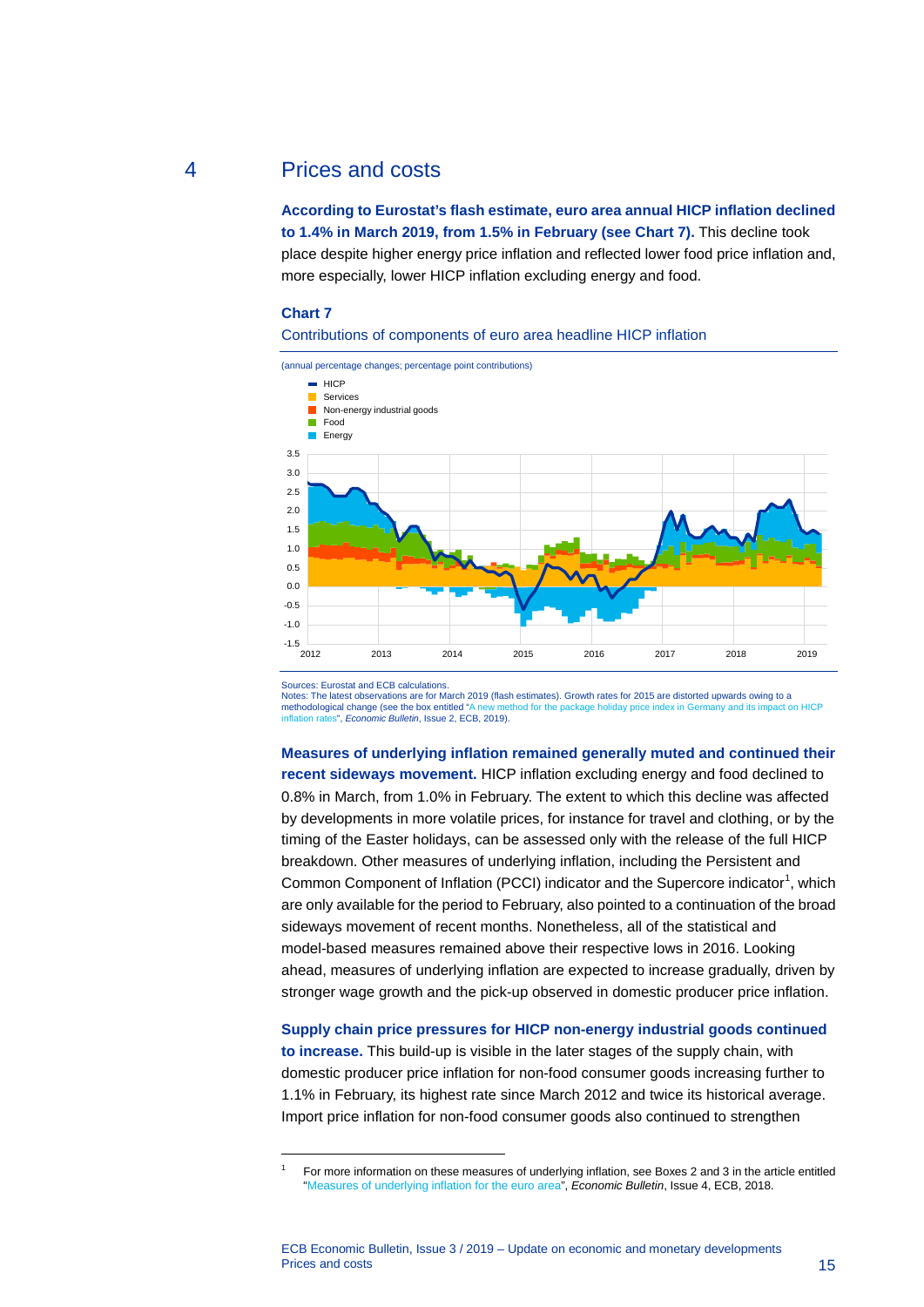### 4 Prices and costs

<span id="page-15-0"></span>**According to Eurostat's flash estimate, euro area annual HICP inflation declined to 1.4% in March 2019, from 1.5% in February (see Chart 7).** This decline took place despite higher energy price inflation and reflected lower food price inflation and, more especially, lower HICP inflation excluding energy and food.

#### **Chart 7**





Sources: Eurostat and ECB calculations.

<span id="page-15-1"></span>-

Notes: The latest observations are for March 2019 (flash estimates). Growth rates for 2015 are distorted upwards owing to a methodological change (see the box entitled "A new method for the package holiday price index in G nod for the package holiday price index in Germany and its in s", *Economic Bulletin*, Issue 2, ECB, 2019).

**Measures of underlying inflation remained generally muted and continued their recent sideways movement.** HICP inflation excluding energy and food declined to 0.8% in March, from 1.0% in February. The extent to which this decline was affected by developments in more volatile prices, for instance for travel and clothing, or by the timing of the Easter holidays, can be assessed only with the release of the full HICP breakdown. Other measures of underlying inflation, including the Persistent and Common Component of Inflation (PCCI) indicator and the Supercore indicator<sup>[1](#page-15-1)</sup>, which are only available for the period to February, also pointed to a continuation of the broad sideways movement of recent months. Nonetheless, all of the statistical and model-based measures remained above their respective lows in 2016. Looking ahead, measures of underlying inflation are expected to increase gradually, driven by stronger wage growth and the pick-up observed in domestic producer price inflation.

**Supply chain price pressures for HICP non-energy industrial goods continued to increase.** This build-up is visible in the later stages of the supply chain, with domestic producer price inflation for non-food consumer goods increasing further to 1.1% in February, its highest rate since March 2012 and twice its historical average. Import price inflation for non-food consumer goods also continued to strengthen

<sup>1</sup> For more information on these measures of underlying inflation, see Boxes 2 and 3 in the article entitled ["Measures of underlying inflation for the euro area"](https://www.ecb.europa.eu/pub/economic-bulletin/articles/2018/html/ecb.ebart201804_03.en.html), *Economic Bulletin*, Issue 4, ECB, 2018.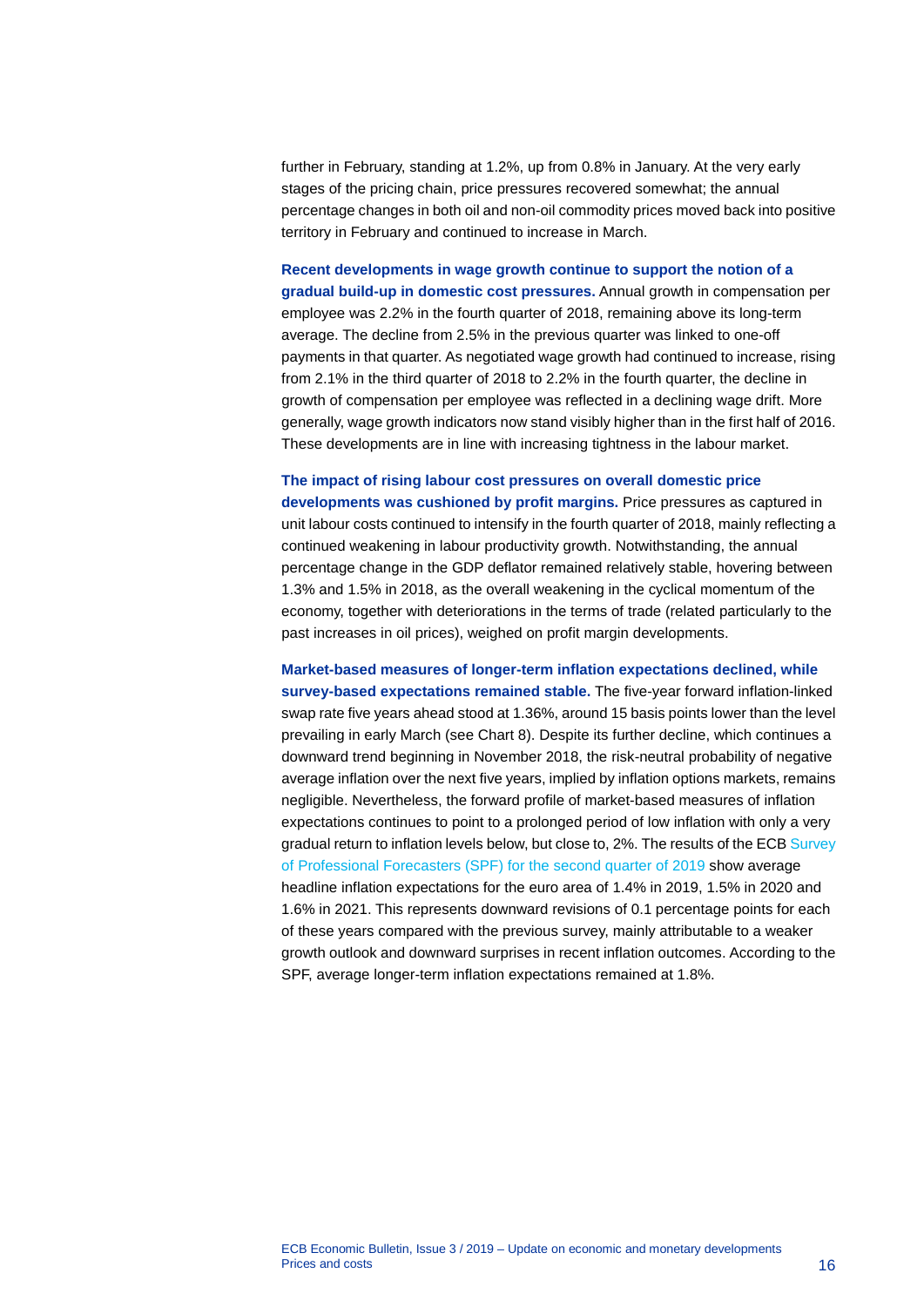further in February, standing at 1.2%, up from 0.8% in January. At the very early stages of the pricing chain, price pressures recovered somewhat; the annual percentage changes in both oil and non-oil commodity prices moved back into positive territory in February and continued to increase in March.

### **Recent developments in wage growth continue to support the notion of a gradual build-up in domestic cost pressures.** Annual growth in compensation per

employee was 2.2% in the fourth quarter of 2018, remaining above its long-term average. The decline from 2.5% in the previous quarter was linked to one-off payments in that quarter. As negotiated wage growth had continued to increase, rising from 2.1% in the third quarter of 2018 to 2.2% in the fourth quarter, the decline in growth of compensation per employee was reflected in a declining wage drift. More generally, wage growth indicators now stand visibly higher than in the first half of 2016. These developments are in line with increasing tightness in the labour market.

### **The impact of rising labour cost pressures on overall domestic price**

**developments was cushioned by profit margins.** Price pressures as captured in unit labour costs continued to intensify in the fourth quarter of 2018, mainly reflecting a continued weakening in labour productivity growth. Notwithstanding, the annual percentage change in the GDP deflator remained relatively stable, hovering between 1.3% and 1.5% in 2018, as the overall weakening in the cyclical momentum of the economy, together with deteriorations in the terms of trade (related particularly to the past increases in oil prices), weighed on profit margin developments.

**Market-based measures of longer-term inflation expectations declined, while survey-based expectations remained stable.** The five-year forward inflation-linked swap rate five years ahead stood at 1.36%, around 15 basis points lower than the level prevailing in early March (see Chart 8). Despite its further decline, which continues a downward trend beginning in November 2018, the risk-neutral probability of negative average inflation over the next five years, implied by inflation options markets, remains negligible. Nevertheless, the forward profile of market-based measures of inflation expectations continues to point to a prolonged period of low inflation with only a very gradual return to inflation levels below, but close to, 2%. The results of the ECB Survey [of Professional Forecasters \(SPF\) for the second](https://www.ecb.europa.eu/stats/ecb_surveys/survey_of_professional_forecasters/html/ecb.spf2019q2%7Ed0f7127183.en.html) quarter of 2019 show average headline inflation expectations for the euro area of 1.4% in 2019, 1.5% in 2020 and 1.6% in 2021. This represents downward revisions of 0.1 percentage points for each of these years compared with the previous survey, mainly attributable to a weaker growth outlook and downward surprises in recent inflation outcomes. According to the SPF, average longer-term inflation expectations remained at 1.8%.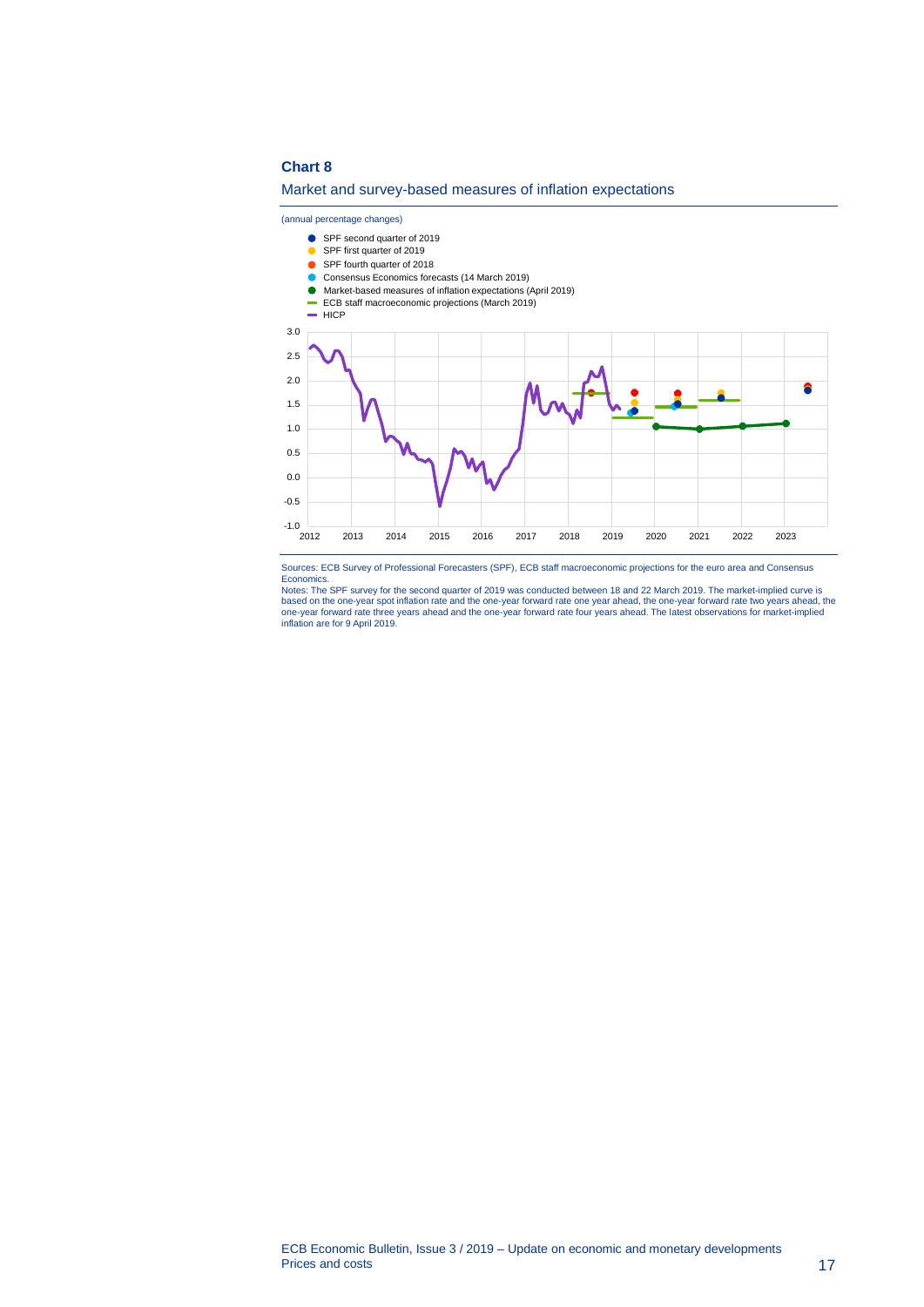#### **Chart 8**

#### Market and survey-based measures of inflation expectations

(annual percentage changes)

SPF second quarter of 2019 SPF first quarter of 2019 SPF fourth quarter of 2018 Consensus Economics forecasts (14 March 2019) Market-based measures of inflation expectations (April 2019) ECB staff macroeconomic projections (March 2019)  $HICP$ 3.0 2.5 2.0  $\bullet$ 1.5 1.0 0.5 0.0 -0.5  $-1.0$  2012 2012 2013 2014 2015 2016 2017 2018 2019 2020 2021 2022 2023

Sources: ECB Survey of Professional Forecasters (SPF), ECB staff macroeconomic projections for the euro area and Consensus

Economics.<br>Notes: The SPF survey for the second quarter of 2019 was conducted between 18 and 22 March 2019. The market-implied curve is<br>based on the one-year spot inflation rate and the one-year forward rate one year ahead one-year forward rate three years ahead and the one-year forward rate four years ahead. The latest observations for market-implied inflation are for 9 April 2019.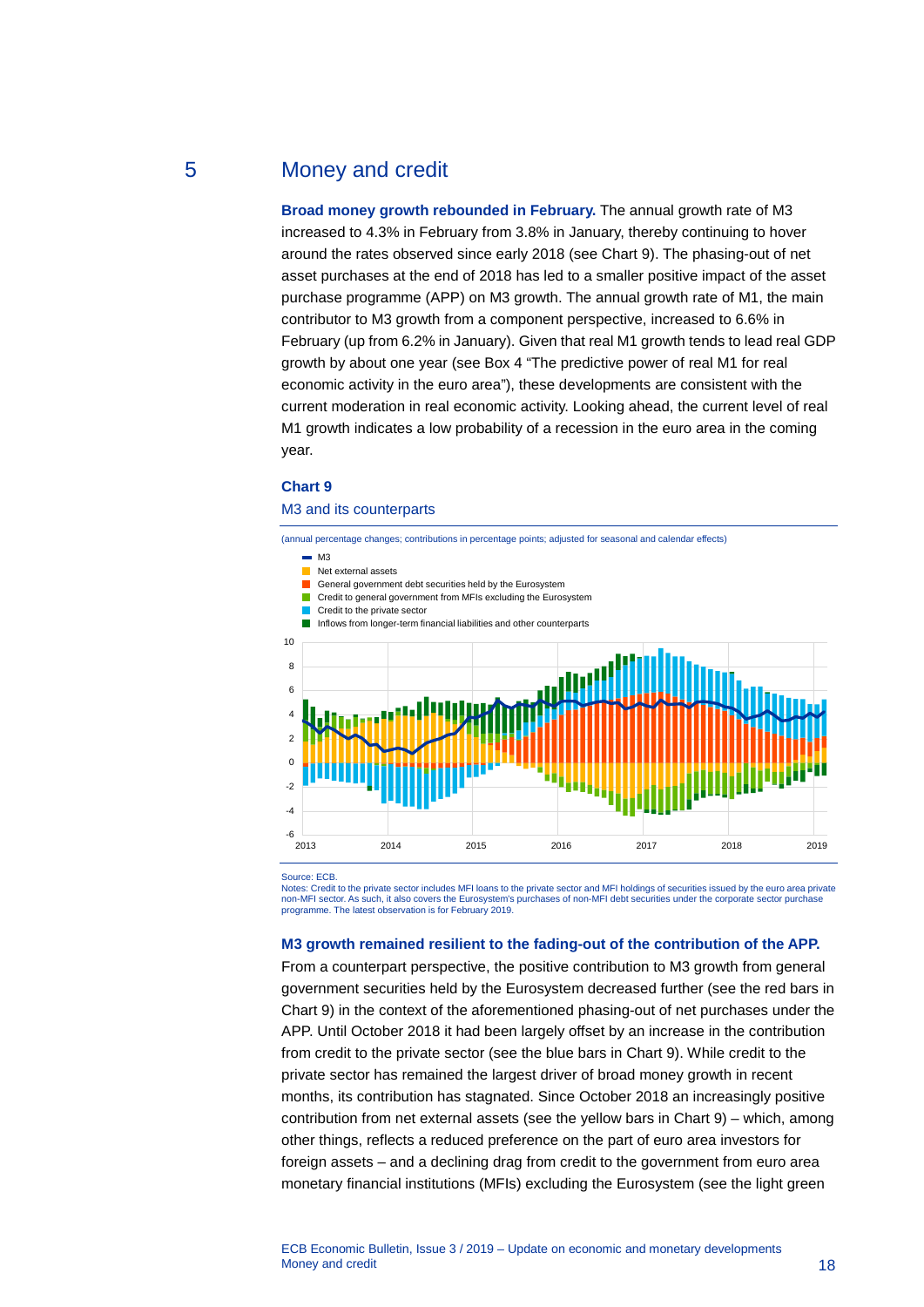# 5 Money and credit

<span id="page-18-0"></span>**Broad money growth rebounded in February.** The annual growth rate of M3 increased to 4.3% in February from 3.8% in January, thereby continuing to hover around the rates observed since early 2018 (see Chart 9). The phasing-out of net asset purchases at the end of 2018 has led to a smaller positive impact of the asset purchase programme (APP) on M3 growth. The annual growth rate of M1, the main contributor to M3 growth from a component perspective, increased to 6.6% in February (up from 6.2% in January). Given that real M1 growth tends to lead real GDP growth by about one year (see Box 4 "The predictive power of real M1 for real economic activity in the euro area"), these developments are consistent with the current moderation in real economic activity. Looking ahead, the current level of real M1 growth indicates a low probability of a recession in the euro area in the coming year.

#### **Chart 9**

#### M3 and its counterparts

(annual percentage changes; contributions in percentage points; adjusted for seasonal and calendar effects)

- $\blacksquare$  M3
- Net external assets
- General government debt securities held by the Eurosystem
- **Credit to general government from MFIs excluding the Eurosystem**
- Credit to the private sector
- Inflows from longer-term financial liabilities and other counterparts



Source: ECB.

Notes: Credit to the private sector includes MFI loans to the private sector and MFI holdings of securities issued by the euro area private non-MFI sector. As such, it also covers the Eurosystem's purchases of non-MFI debt securities under the corporate sector purchase programme. The latest observation is for February 2019.

#### **M3 growth remained resilient to the fading-out of the contribution of the APP.**

From a counterpart perspective, the positive contribution to M3 growth from general government securities held by the Eurosystem decreased further (see the red bars in Chart 9) in the context of the aforementioned phasing-out of net purchases under the APP. Until October 2018 it had been largely offset by an increase in the contribution from credit to the private sector (see the blue bars in Chart 9). While credit to the private sector has remained the largest driver of broad money growth in recent months, its contribution has stagnated. Since October 2018 an increasingly positive contribution from net external assets (see the yellow bars in Chart 9) – which, among other things, reflects a reduced preference on the part of euro area investors for foreign assets – and a declining drag from credit to the government from euro area monetary financial institutions (MFIs) excluding the Eurosystem (see the light green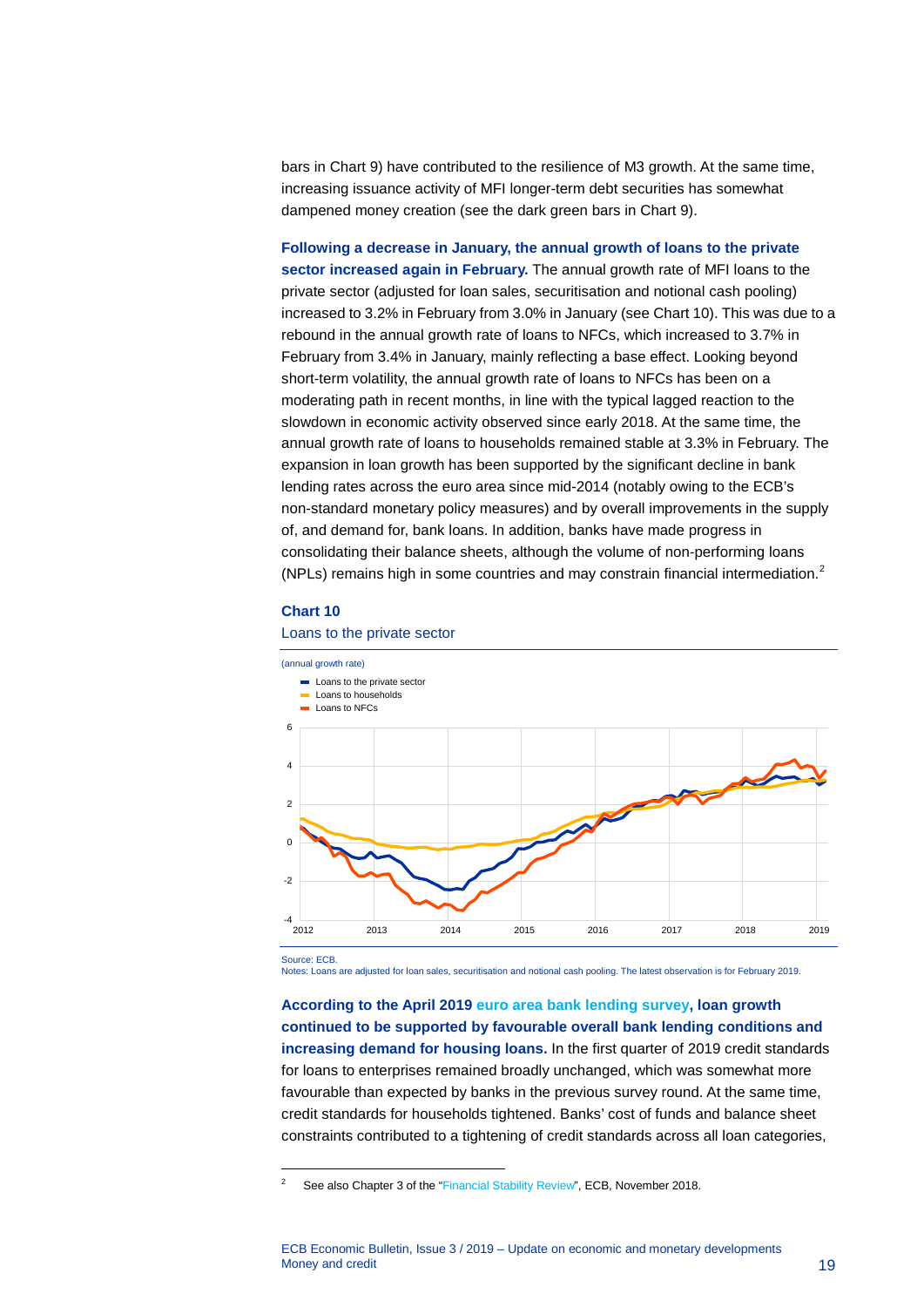bars in Chart 9) have contributed to the resilience of M3 growth. At the same time, increasing issuance activity of MFI longer-term debt securities has somewhat dampened money creation (see the dark green bars in Chart 9).

**Following a decrease in January, the annual growth of loans to the private sector increased again in February.** The annual growth rate of MFI loans to the private sector (adjusted for loan sales, securitisation and notional cash pooling) increased to 3.2% in February from 3.0% in January (see Chart 10). This was due to a rebound in the annual growth rate of loans to NFCs, which increased to 3.7% in February from 3.4% in January, mainly reflecting a base effect. Looking beyond short-term volatility, the annual growth rate of loans to NFCs has been on a moderating path in recent months, in line with the typical lagged reaction to the slowdown in economic activity observed since early 2018. At the same time, the annual growth rate of loans to households remained stable at 3.3% in February. The expansion in loan growth has been supported by the significant decline in bank lending rates across the euro area since mid-2014 (notably owing to the ECB's non-standard monetary policy measures) and by overall improvements in the supply of, and demand for, bank loans. In addition, banks have made progress in consolidating their balance sheets, although the volume of non-performing loans (NPLs) remains high in some countries and may constrain financial intermediation.[2](#page-19-0)

#### **Chart 10**

-



#### Loans to the private sector

Notes: Loans are adjusted for loan sales, securitisation and notional cash pooling. The latest observation is for February 2019.

**According to the April 2019 [euro area bank lending survey,](http://www.ecb.europa.eu/stats/ecb_surveys/bank_lending_survey/html/index.en.html) loan growth continued to be supported by favourable overall bank lending conditions and increasing demand for housing loans.** In the first quarter of 2019 credit standards for loans to enterprises remained broadly unchanged, which was somewhat more favourable than expected by banks in the previous survey round. At the same time, credit standards for households tightened. Banks' cost of funds and balance sheet constraints contributed to a tightening of credit standards across all loan categories,

<span id="page-19-0"></span><sup>&</sup>lt;sup>2</sup> See also Chapter 3 of the ["Financial Stability Review",](http://www.ecb.europa.eu/pub/pdf/fsr/ecb.fsr201811.en.pdf) ECB, November 2018.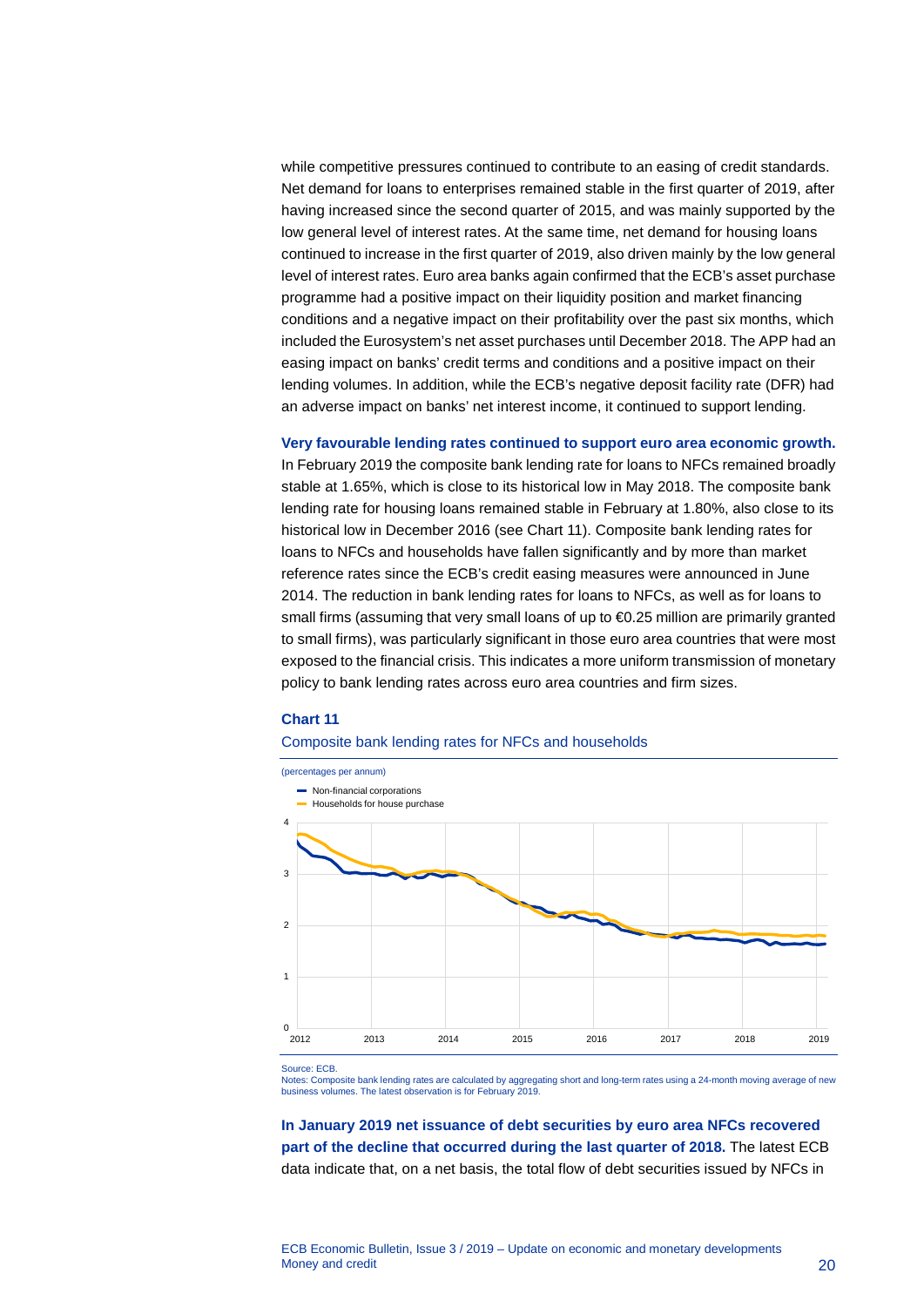while competitive pressures continued to contribute to an easing of credit standards. Net demand for loans to enterprises remained stable in the first quarter of 2019, after having increased since the second quarter of 2015, and was mainly supported by the low general level of interest rates. At the same time, net demand for housing loans continued to increase in the first quarter of 2019, also driven mainly by the low general level of interest rates. Euro area banks again confirmed that the ECB's asset purchase programme had a positive impact on their liquidity position and market financing conditions and a negative impact on their profitability over the past six months, which included the Eurosystem's net asset purchases until December 2018. The APP had an easing impact on banks' credit terms and conditions and a positive impact on their lending volumes. In addition, while the ECB's negative deposit facility rate (DFR) had an adverse impact on banks' net interest income, it continued to support lending.

**Very favourable lending rates continued to support euro area economic growth.**

In February 2019 the composite bank lending rate for loans to NFCs remained broadly stable at 1.65%, which is close to its historical low in May 2018. The composite bank lending rate for housing loans remained stable in February at 1.80%, also close to its historical low in December 2016 (see Chart 11). Composite bank lending rates for loans to NFCs and households have fallen significantly and by more than market reference rates since the ECB's credit easing measures were announced in June 2014. The reduction in bank lending rates for loans to NFCs, as well as for loans to small firms (assuming that very small loans of up to €0.25 million are primarily granted to small firms), was particularly significant in those euro area countries that were most exposed to the financial crisis. This indicates a more uniform transmission of monetary policy to bank lending rates across euro area countries and firm sizes.

#### **Chart 11**

#### Composite bank lending rates for NFCs and households



Source: ECB.

Notes: Composite bank lending rates are calculated by aggregating short and long-term rates using a 24-month moving average of new business volumes. The latest observation is for February 2019.

**In January 2019 net issuance of debt securities by euro area NFCs recovered part of the decline that occurred during the last quarter of 2018.** The latest ECB data indicate that, on a net basis, the total flow of debt securities issued by NFCs in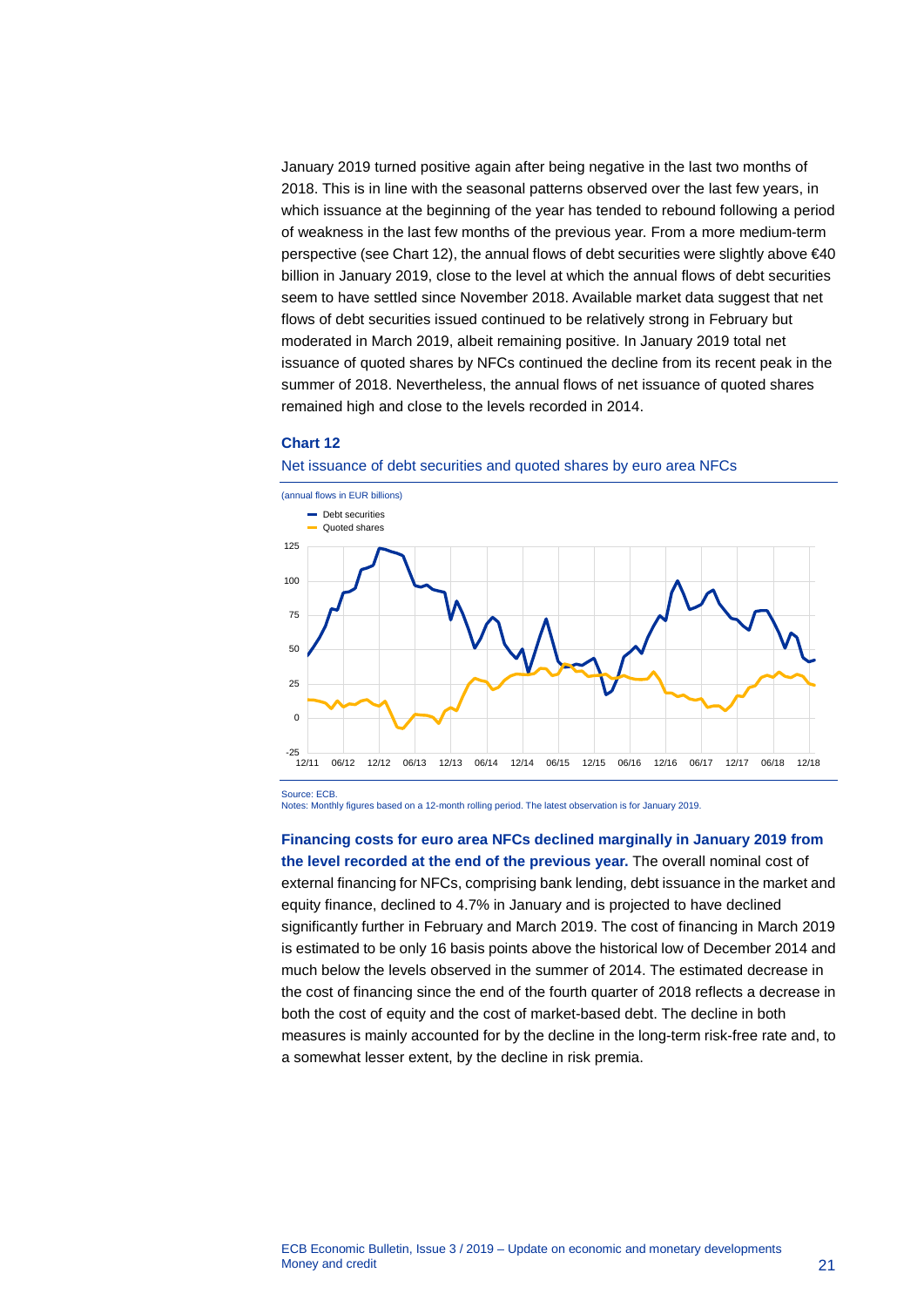January 2019 turned positive again after being negative in the last two months of 2018. This is in line with the seasonal patterns observed over the last few years, in which issuance at the beginning of the year has tended to rebound following a period of weakness in the last few months of the previous year. From a more medium-term perspective (see Chart 12), the annual flows of debt securities were slightly above €40 billion in January 2019, close to the level at which the annual flows of debt securities seem to have settled since November 2018. Available market data suggest that net flows of debt securities issued continued to be relatively strong in February but moderated in March 2019, albeit remaining positive. In January 2019 total net issuance of quoted shares by NFCs continued the decline from its recent peak in the summer of 2018. Nevertheless, the annual flows of net issuance of quoted shares remained high and close to the levels recorded in 2014.

#### **Chart 12**





Notes: Monthly figures based on a 12-month rolling period. The latest observation is for January 2019.

### **Financing costs for euro area NFCs declined marginally in January 2019 from**

**the level recorded at the end of the previous year.** The overall nominal cost of external financing for NFCs, comprising bank lending, debt issuance in the market and equity finance, declined to 4.7% in January and is projected to have declined significantly further in February and March 2019. The cost of financing in March 2019 is estimated to be only 16 basis points above the historical low of December 2014 and much below the levels observed in the summer of 2014. The estimated decrease in the cost of financing since the end of the fourth quarter of 2018 reflects a decrease in both the cost of equity and the cost of market-based debt. The decline in both measures is mainly accounted for by the decline in the long-term risk-free rate and, to a somewhat lesser extent, by the decline in risk premia.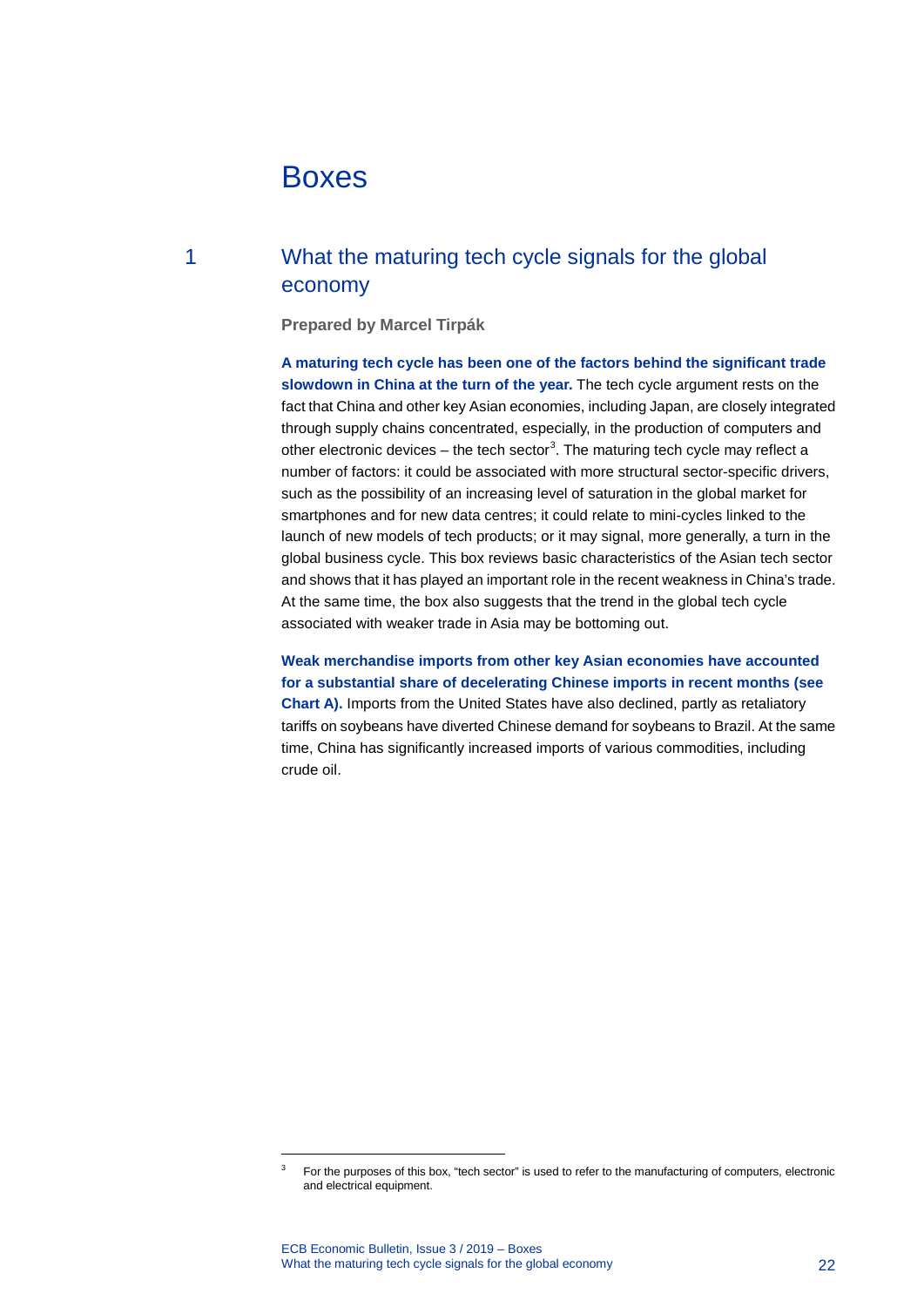# <span id="page-22-0"></span>Boxes

# 1 What the maturing tech cycle signals for the global economy

<span id="page-22-1"></span>**Prepared by Marcel Tirpák**

**A maturing tech cycle has been one of the factors behind the significant trade slowdown in China at the turn of the year.** The tech cycle argument rests on the fact that China and other key Asian economies, including Japan, are closely integrated through supply chains concentrated, especially, in the production of computers and other electronic devices – the tech sector<sup>[3](#page-22-2)</sup>. The maturing tech cycle may reflect a number of factors: it could be associated with more structural sector-specific drivers, such as the possibility of an increasing level of saturation in the global market for smartphones and for new data centres; it could relate to mini-cycles linked to the launch of new models of tech products; or it may signal, more generally, a turn in the global business cycle. This box reviews basic characteristics of the Asian tech sector and shows that it has played an important role in the recent weakness in China's trade. At the same time, the box also suggests that the trend in the global tech cycle associated with weaker trade in Asia may be bottoming out.

**Weak merchandise imports from other key Asian economies have accounted for a substantial share of decelerating Chinese imports in recent months (see Chart A).** Imports from the United States have also declined, partly as retaliatory tariffs on soybeans have diverted Chinese demand for soybeans to Brazil. At the same time, China has significantly increased imports of various commodities, including crude oil.

<span id="page-22-2"></span>-

<sup>3</sup> For the purposes of this box, "tech sector" is used to refer to the manufacturing of computers, electronic and electrical equipment.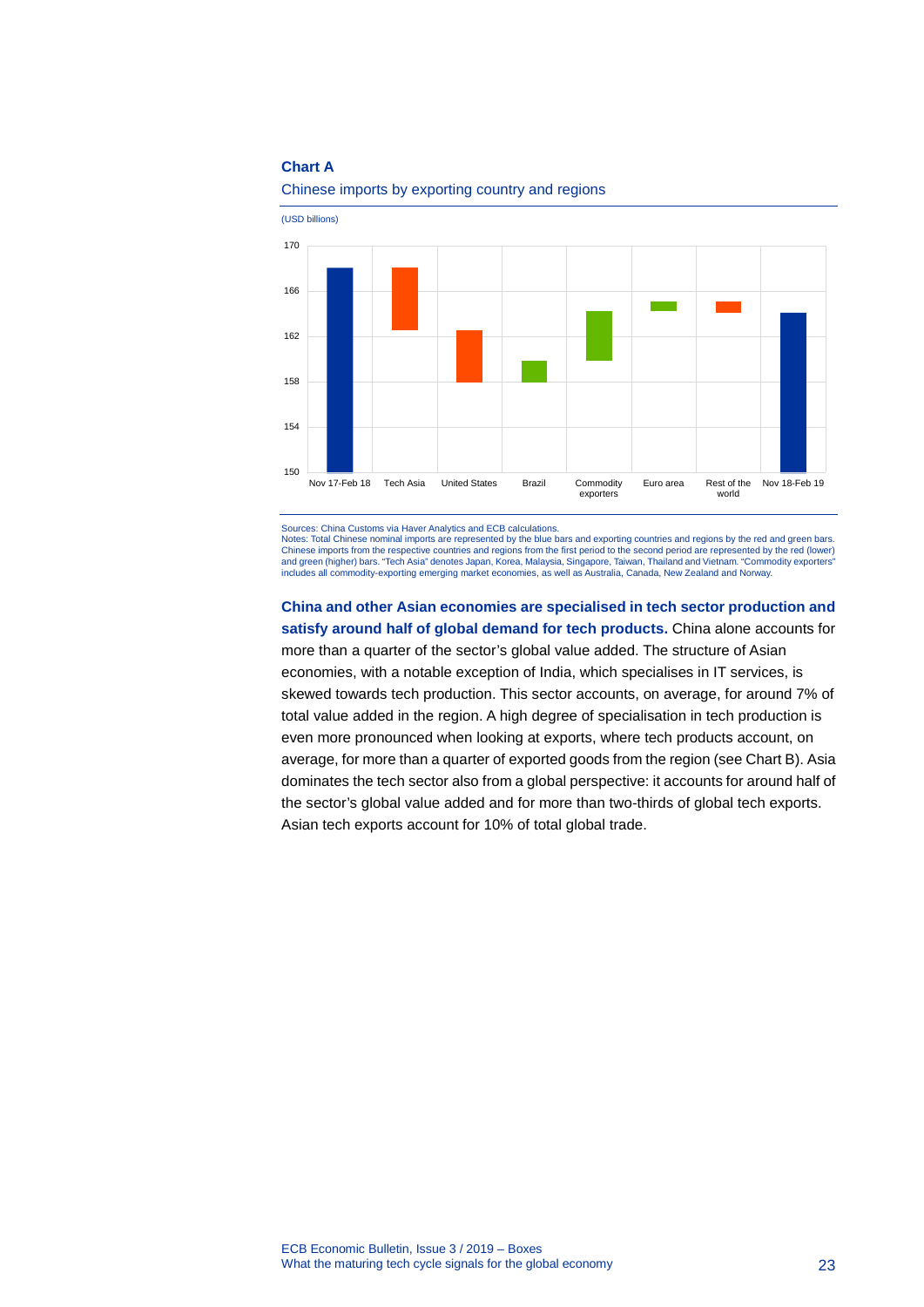### **Chart A**



#### Chinese imports by exporting country and regions

Sources: China Customs via Haver Analytics and ECB calculations.

Notes: Total Chinese nominal imports are represented by the blue bars and exporting countries and regions by the red and green bars. Chinese imports from the respective countries and regions from the first period to the second period are represented by the red (lower) and green (higher) bars. "Tech Asia" denotes Japan, Korea, Malaysia, Singapore, Taiwan, Thailand and Vietnam. "Commodity exporters" includes all commodity-exporting emerging market economies, as well as Australia, Canada, New Zealand and Norway.

**China and other Asian economies are specialised in tech sector production and satisfy around half of global demand for tech products.** China alone accounts for more than a quarter of the sector's global value added. The structure of Asian economies, with a notable exception of India, which specialises in IT services, is skewed towards tech production. This sector accounts, on average, for around 7% of total value added in the region. A high degree of specialisation in tech production is even more pronounced when looking at exports, where tech products account, on average, for more than a quarter of exported goods from the region (see Chart B). Asia dominates the tech sector also from a global perspective: it accounts for around half of the sector's global value added and for more than two-thirds of global tech exports. Asian tech exports account for 10% of total global trade.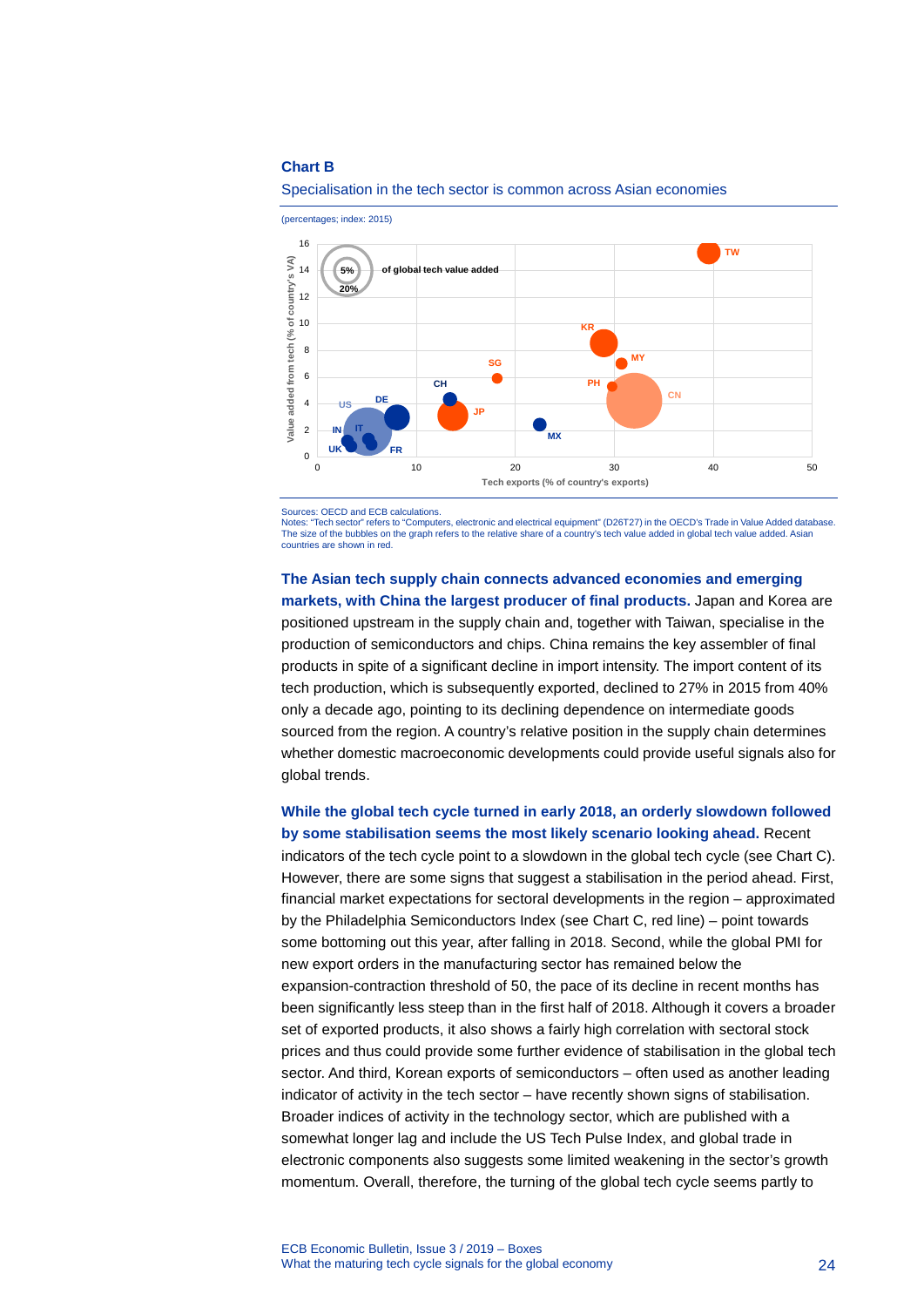#### **Chart B**



#### Specialisation in the tech sector is common across Asian economies

Sources: OECD and ECB calculations.

Tech sector" refers to "Computers, electronic and electrical equipment" (D26T27) in the OECD's Trade in Value Added database. The size of the bubbles on the graph refers to the relative share of a country's tech value added in global tech value added. Asian countries are shown in red.

**The Asian tech supply chain connects advanced economies and emerging markets, with China the largest producer of final products.** Japan and Korea are positioned upstream in the supply chain and, together with Taiwan, specialise in the production of semiconductors and chips. China remains the key assembler of final products in spite of a significant decline in import intensity. The import content of its tech production, which is subsequently exported, declined to 27% in 2015 from 40% only a decade ago, pointing to its declining dependence on intermediate goods sourced from the region. A country's relative position in the supply chain determines whether domestic macroeconomic developments could provide useful signals also for global trends.

### **While the global tech cycle turned in early 2018, an orderly slowdown followed by some stabilisation seems the most likely scenario looking ahead.** Recent

indicators of the tech cycle point to a slowdown in the global tech cycle (see Chart C). However, there are some signs that suggest a stabilisation in the period ahead. First, financial market expectations for sectoral developments in the region – approximated by the Philadelphia Semiconductors Index (see Chart C, red line) – point towards some bottoming out this year, after falling in 2018. Second, while the global PMI for new export orders in the manufacturing sector has remained below the expansion-contraction threshold of 50, the pace of its decline in recent months has been significantly less steep than in the first half of 2018. Although it covers a broader set of exported products, it also shows a fairly high correlation with sectoral stock prices and thus could provide some further evidence of stabilisation in the global tech sector. And third, Korean exports of semiconductors – often used as another leading indicator of activity in the tech sector – have recently shown signs of stabilisation. Broader indices of activity in the technology sector, which are published with a somewhat longer lag and include the US Tech Pulse Index, and global trade in electronic components also suggests some limited weakening in the sector's growth momentum. Overall, therefore, the turning of the global tech cycle seems partly to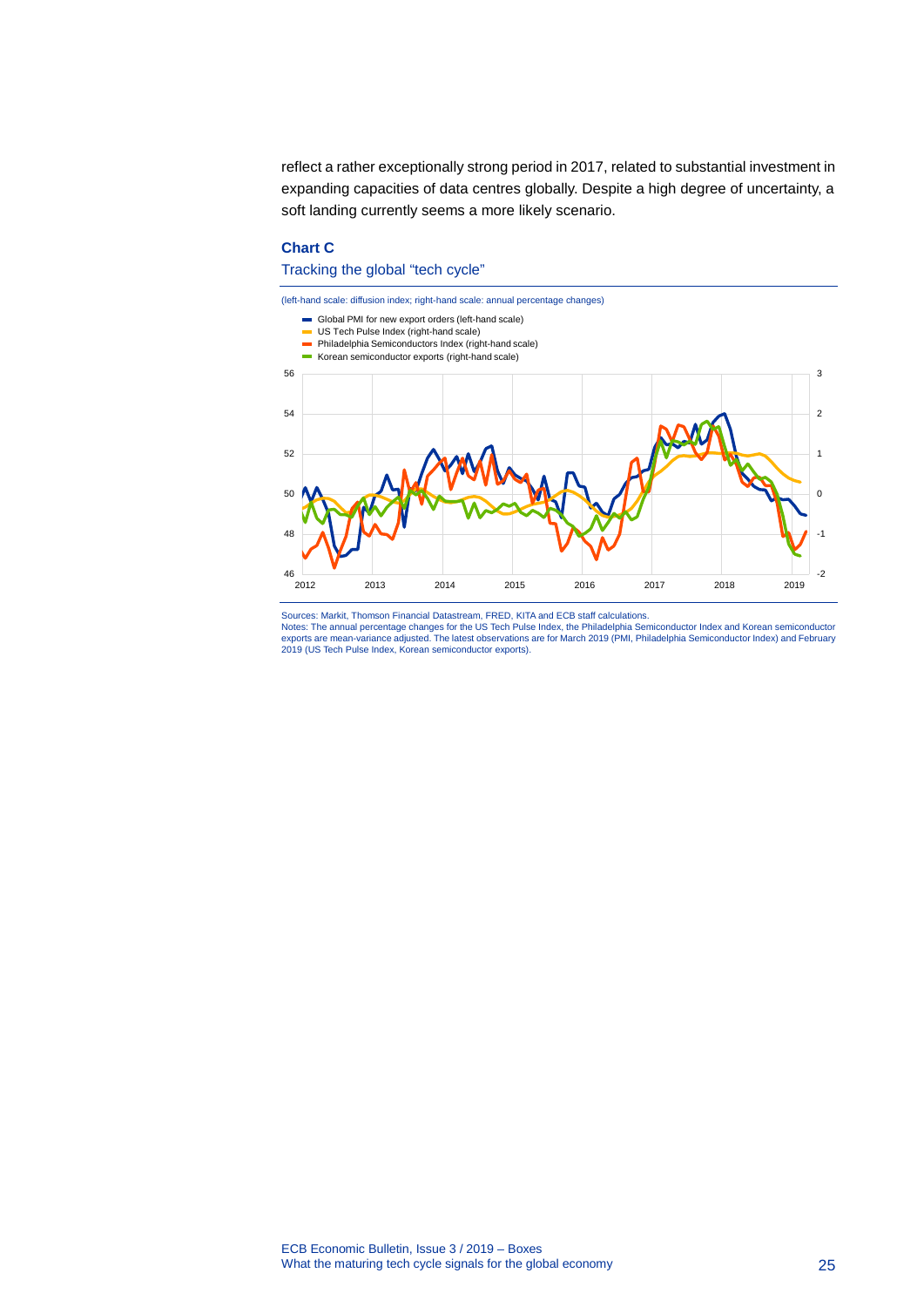reflect a rather exceptionally strong period in 2017, related to substantial investment in expanding capacities of data centres globally. Despite a high degree of uncertainty, a soft landing currently seems a more likely scenario.

### **Chart C**

#### Tracking the global "tech cycle"



Sources: Markit, Thomson Financial Datastream, FRED, KITA and ECB staff calculations. Notes: The annual percentage changes for the US Tech Pulse Index, the Philadelphia Semiconductor Index and Korean semiconductor<br>exports are mean-variance adjusted. The latest observations are for March 2019 (PMI, Philadelp 2019 (US Tech Pulse Index, Korean semiconductor exports).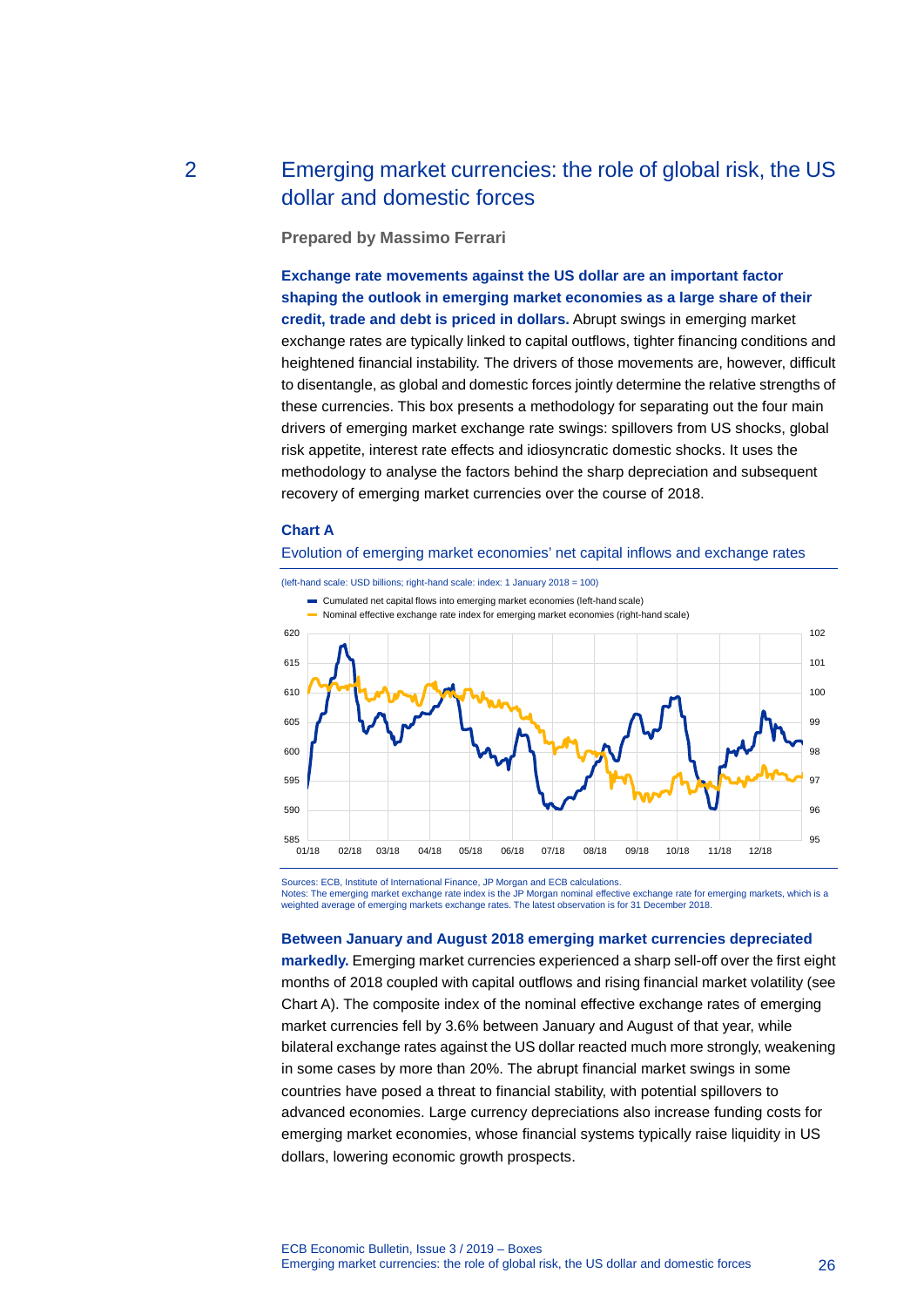# 2 Emerging market currencies: the role of global risk, the US dollar and domestic forces

<span id="page-26-0"></span>**Prepared by Massimo Ferrari**

**Exchange rate movements against the US dollar are an important factor shaping the outlook in emerging market economies as a large share of their credit, trade and debt is priced in dollars.** Abrupt swings in emerging market exchange rates are typically linked to capital outflows, tighter financing conditions and heightened financial instability. The drivers of those movements are, however, difficult to disentangle, as global and domestic forces jointly determine the relative strengths of these currencies. This box presents a methodology for separating out the four main drivers of emerging market exchange rate swings: spillovers from US shocks, global risk appetite, interest rate effects and idiosyncratic domestic shocks. It uses the methodology to analyse the factors behind the sharp depreciation and subsequent recovery of emerging market currencies over the course of 2018.

#### **Chart A**





Sources: ECB, Institute of International Finance, JP Morgan and ECB calculations.<br>Notes: The emerging market exchange rate index is the JP Morgan nominal effective exchange rate for emerging markets, which is a weighted average of emerging markets exchange rates. The latest observation is for 31 December 2018.

#### **Between January and August 2018 emerging market currencies depreciated**

**markedly.** Emerging market currencies experienced a sharp sell-off over the first eight months of 2018 coupled with capital outflows and rising financial market volatility (see Chart A). The composite index of the nominal effective exchange rates of emerging market currencies fell by 3.6% between January and August of that year, while bilateral exchange rates against the US dollar reacted much more strongly, weakening in some cases by more than 20%. The abrupt financial market swings in some countries have posed a threat to financial stability, with potential spillovers to advanced economies. Large currency depreciations also increase funding costs for emerging market economies, whose financial systems typically raise liquidity in US dollars, lowering economic growth prospects.

ECB Economic Bulletin, Issue 3 / 2019 – Boxes Emerging market currencies: the role of global risk, the US dollar and domestic forces 26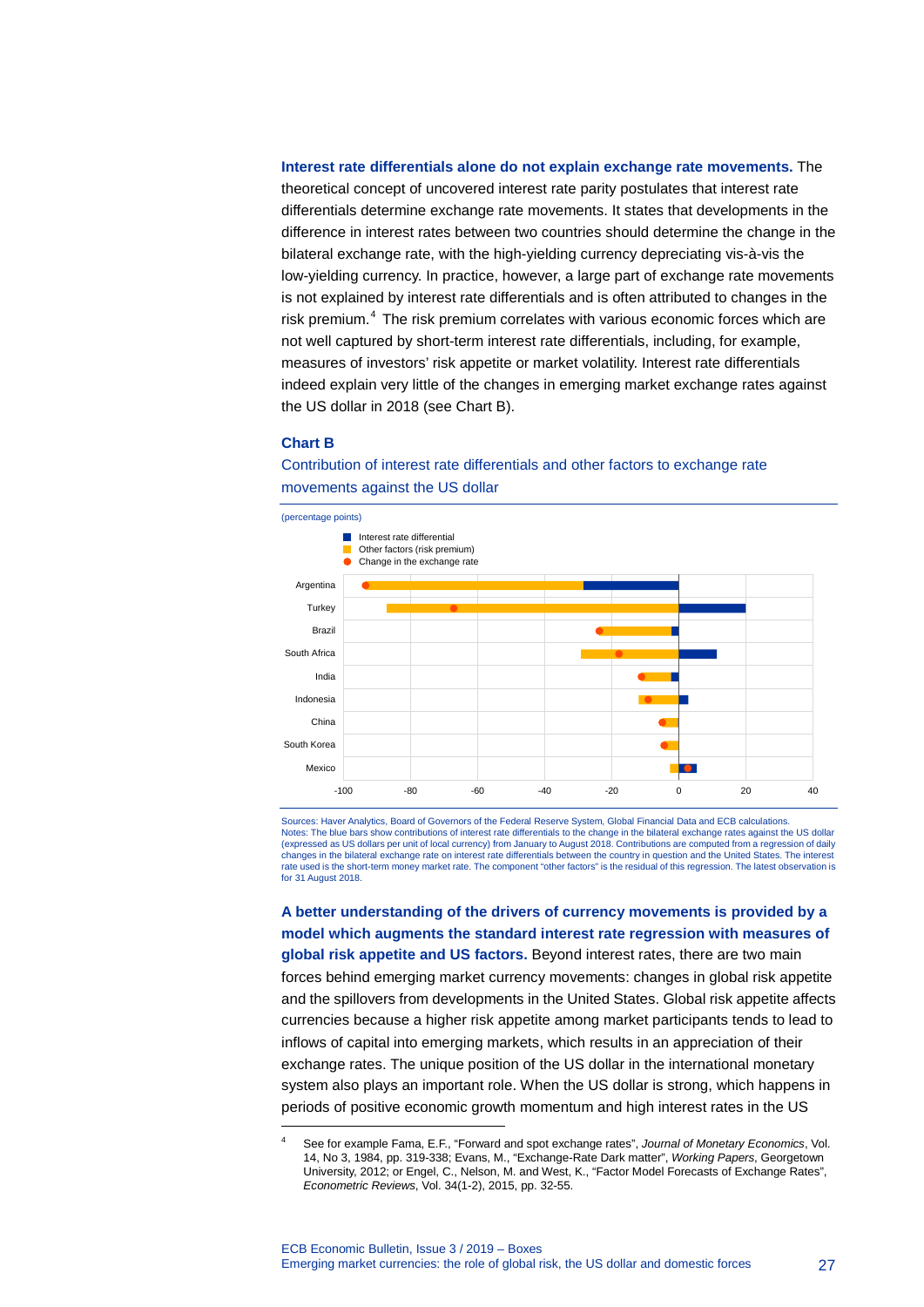## **Interest rate differentials alone do not explain exchange rate movements.** The theoretical concept of uncovered interest rate parity postulates that interest rate differentials determine exchange rate movements. It states that developments in the difference in interest rates between two countries should determine the change in the bilateral exchange rate, with the high-yielding currency depreciating vis-à-vis the low-yielding currency. In practice, however, a large part of exchange rate movements is not explained by interest rate differentials and is often attributed to changes in the risk premium.<sup>[4](#page-27-0)</sup> The risk premium correlates with various economic forces which are not well captured by short-term interest rate differentials, including, for example, measures of investors' risk appetite or market volatility. Interest rate differentials indeed explain very little of the changes in emerging market exchange rates against the US dollar in 2018 (see Chart B).

#### **Chart B**

-



Contribution of interest rate differentials and other factors to exchange rate movements against the US dollar

Sources: Haver Analytics, Board of Governors of the Federal Reserve System, Global Financial Data and ECB calculations. Notes: The blue bars show contributions of interest rate differentials to the change in the bilateral exchange rates against the US dollar (expressed as US dollars per unit of local currency) from January to August 2018. Contributions are computed from a regression of daily changes in the bilateral exchange rate on interest rate differentials between the country in question and the United States. The interest rate used is the short-term money market rate. The component "other factors" is the residual of this regression. The latest observation is for 31 August 2018.

**A better understanding of the drivers of currency movements is provided by a model which augments the standard interest rate regression with measures of global risk appetite and US factors.** Beyond interest rates, there are two main forces behind emerging market currency movements: changes in global risk appetite and the spillovers from developments in the United States. Global risk appetite affects currencies because a higher risk appetite among market participants tends to lead to inflows of capital into emerging markets, which results in an appreciation of their exchange rates. The unique position of the US dollar in the international monetary system also plays an important role. When the US dollar is strong, which happens in periods of positive economic growth momentum and high interest rates in the US

<span id="page-27-0"></span><sup>4</sup> See for example Fama, E.F., "Forward and spot exchange rates", *Journal of Monetary Economics*, Vol. 14, No 3, 1984, pp. 319-338; Evans, M., "Exchange-Rate Dark matter", *Working Papers*, Georgetown University, 2012; or Engel, C., Nelson, M. and West, K., "Factor Model Forecasts of Exchange Rates", *Econometric Reviews*, Vol. 34(1-2), 2015, pp. 32-55.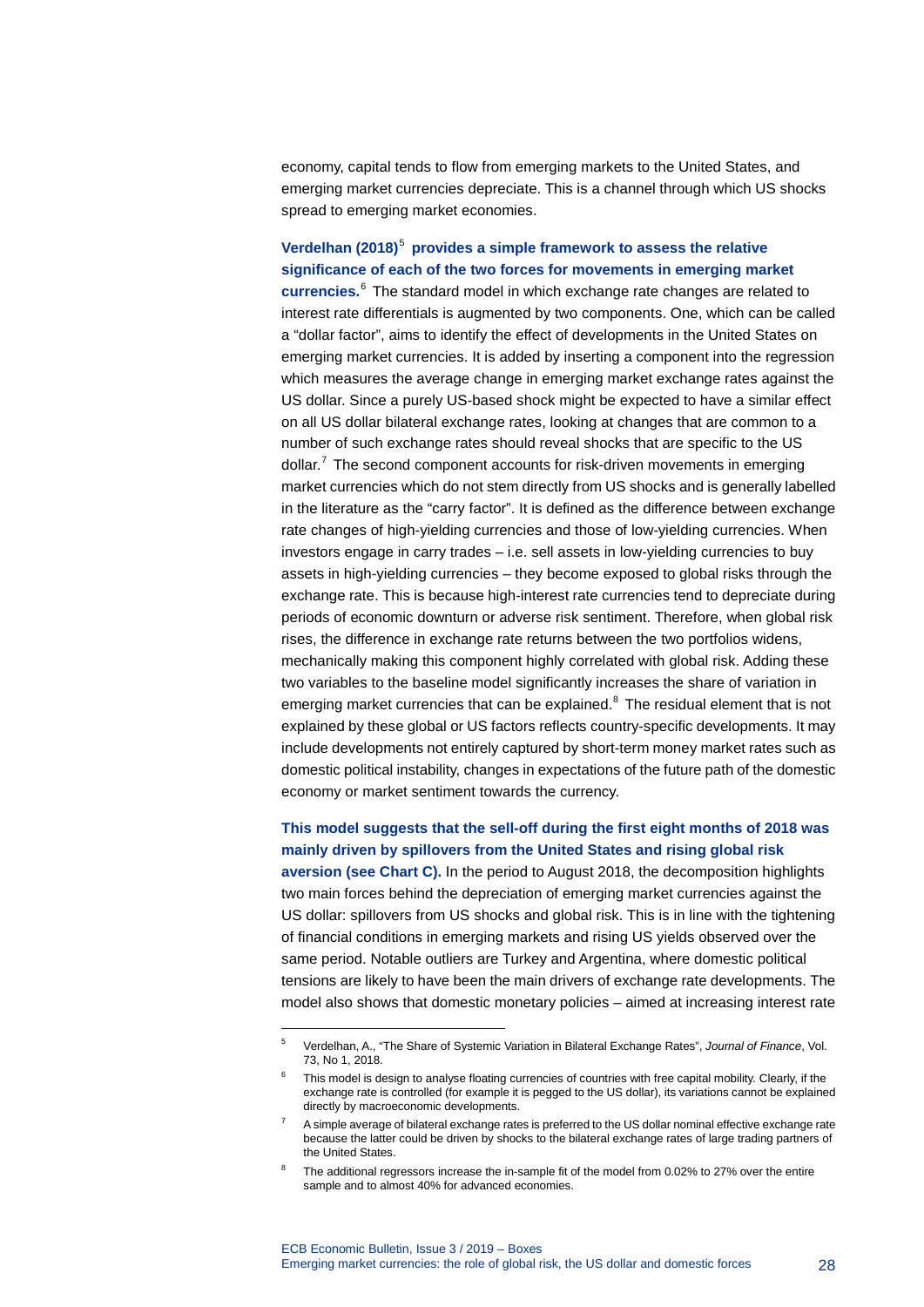economy, capital tends to flow from emerging markets to the United States, and emerging market currencies depreciate. This is a channel through which US shocks spread to emerging market economies.

**Verdelhan (2018)**[5](#page-28-0) **provides a simple framework to assess the relative significance of each of the two forces for movements in emerging market currencies.** [6](#page-28-1) The standard model in which exchange rate changes are related to interest rate differentials is augmented by two components. One, which can be called a "dollar factor", aims to identify the effect of developments in the United States on emerging market currencies. It is added by inserting a component into the regression which measures the average change in emerging market exchange rates against the US dollar. Since a purely US-based shock might be expected to have a similar effect on all US dollar bilateral exchange rates, looking at changes that are common to a number of such exchange rates should reveal shocks that are specific to the US dollar. $^7$  $^7$  The second component accounts for risk-driven movements in emerging market currencies which do not stem directly from US shocks and is generally labelled in the literature as the "carry factor". It is defined as the difference between exchange rate changes of high-yielding currencies and those of low-yielding currencies. When investors engage in carry trades – i.e. sell assets in low-yielding currencies to buy assets in high-yielding currencies – they become exposed to global risks through the exchange rate. This is because high-interest rate currencies tend to depreciate during periods of economic downturn or adverse risk sentiment. Therefore, when global risk rises, the difference in exchange rate returns between the two portfolios widens, mechanically making this component highly correlated with global risk. Adding these two variables to the baseline model significantly increases the share of variation in emerging market currencies that can be explained.<sup>[8](#page-28-3)</sup> The residual element that is not explained by these global or US factors reflects country-specific developments. It may include developments not entirely captured by short-term money market rates such as domestic political instability, changes in expectations of the future path of the domestic economy or market sentiment towards the currency.

**This model suggests that the sell-off during the first eight months of 2018 was mainly driven by spillovers from the United States and rising global risk aversion (see Chart C).** In the period to August 2018, the decomposition highlights two main forces behind the depreciation of emerging market currencies against the US dollar: spillovers from US shocks and global risk. This is in line with the tightening of financial conditions in emerging markets and rising US yields observed over the same period. Notable outliers are Turkey and Argentina, where domestic political tensions are likely to have been the main drivers of exchange rate developments. The model also shows that domestic monetary policies – aimed at increasing interest rate

-

<span id="page-28-1"></span><span id="page-28-0"></span><sup>5</sup> Verdelhan, A., "The Share of Systemic Variation in Bilateral Exchange Rates", *Journal of Finance*, Vol. 73, No 1, 2018.

This model is design to analyse floating currencies of countries with free capital mobility. Clearly, if the exchange rate is controlled (for example it is pegged to the US dollar), its variations cannot be explained directly by macroeconomic developments.

<span id="page-28-2"></span><sup>7</sup> A simple average of bilateral exchange rates is preferred to the US dollar nominal effective exchange rate because the latter could be driven by shocks to the bilateral exchange rates of large trading partners of the United States.

<span id="page-28-3"></span>The additional regressors increase the in-sample fit of the model from 0.02% to 27% over the entire sample and to almost 40% for advanced economies.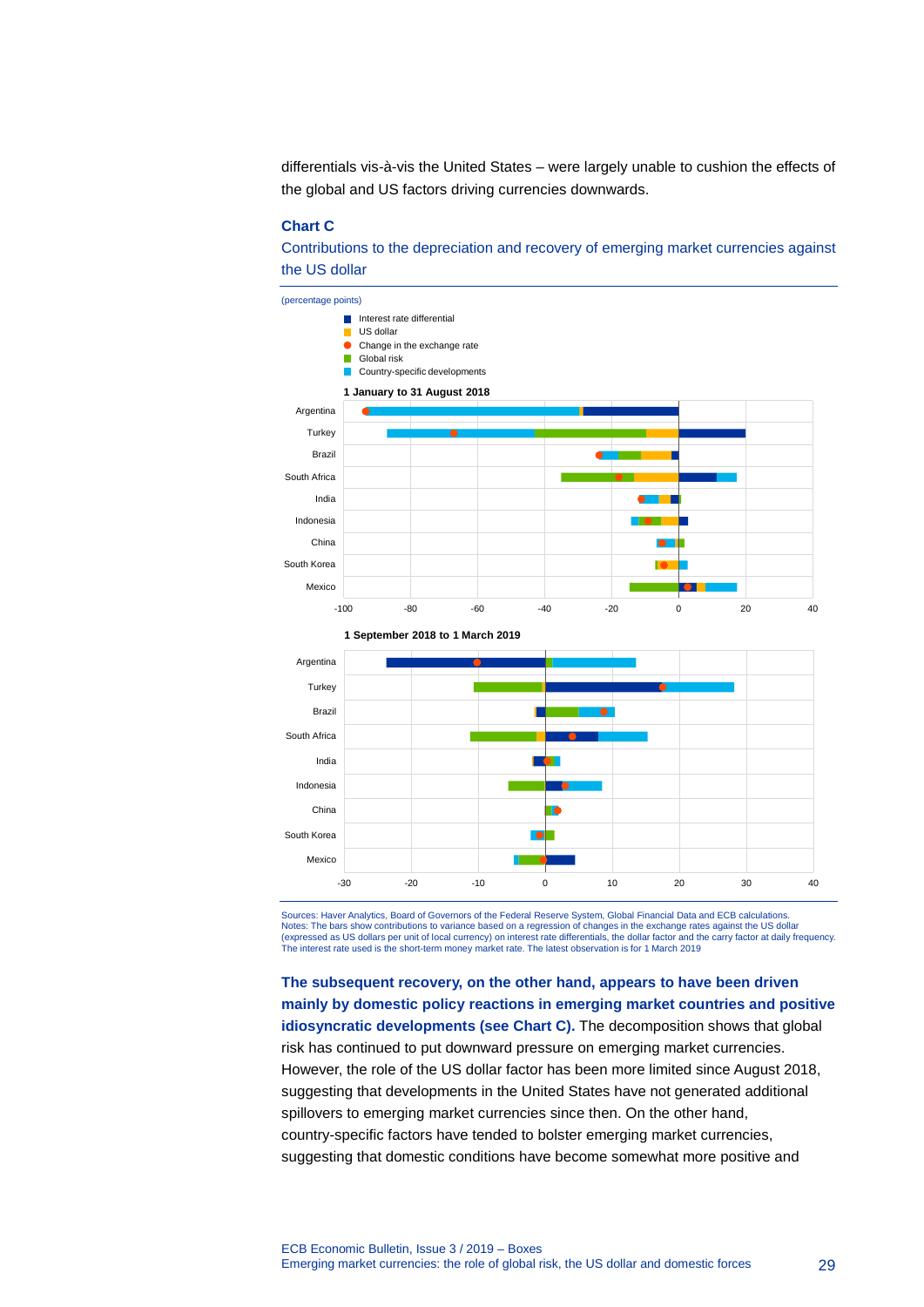differentials vis-à-vis the United States – were largely unable to cushion the effects of the global and US factors driving currencies downwards.

#### **Chart C**

Contributions to the depreciation and recovery of emerging market currencies against the US dollar





Sources: Haver Analytics, Board of Governors of the Federal Reserve System, Global Financial Data and ECB calculations. Notes: The bars show contributions to variance based on a regression of changes in the exchange rates against the US dollar<br>(expressed as US dollars per unit of local currency) on interest rate differentials, the dollar fa The interest rate used is the short-term money market rate. The latest observation is for 1 March 2019

**The subsequent recovery, on the other hand, appears to have been driven mainly by domestic policy reactions in emerging market countries and positive idiosyncratic developments (see Chart C).** The decomposition shows that global risk has continued to put downward pressure on emerging market currencies. However, the role of the US dollar factor has been more limited since August 2018, suggesting that developments in the United States have not generated additional spillovers to emerging market currencies since then. On the other hand, country-specific factors have tended to bolster emerging market currencies, suggesting that domestic conditions have become somewhat more positive and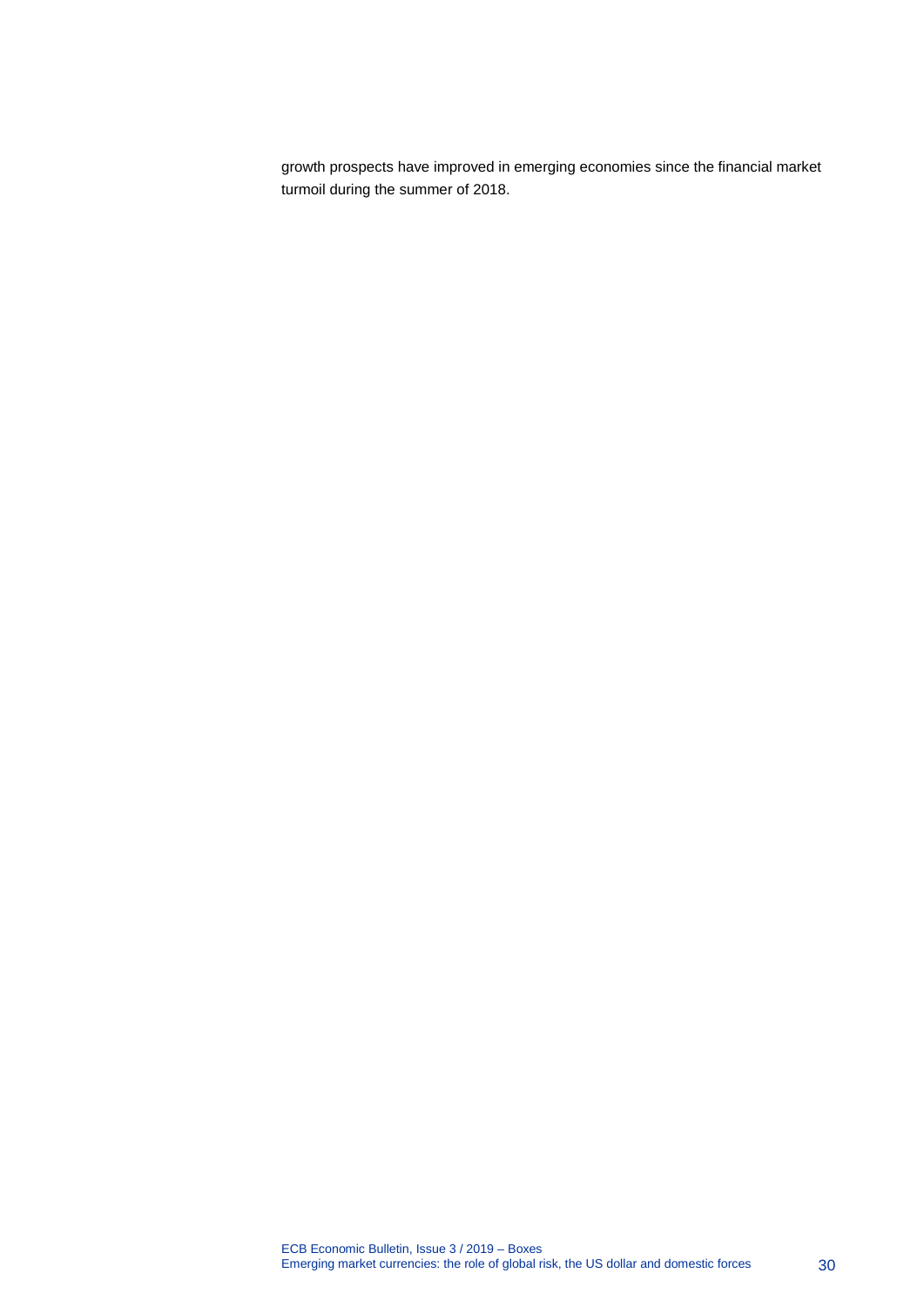growth prospects have improved in emerging economies since the financial market turmoil during the summer of 2018.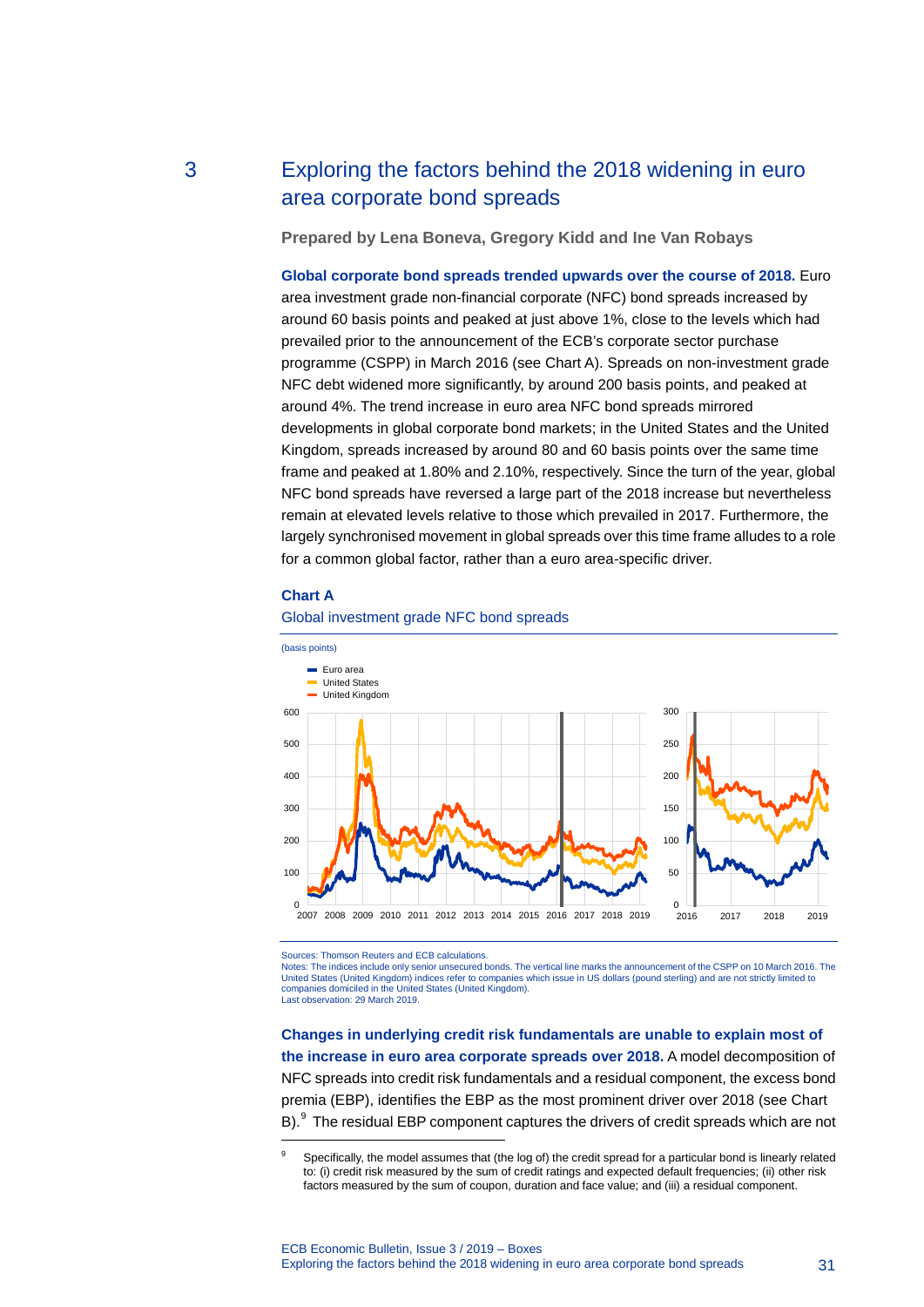# 3 Exploring the factors behind the 2018 widening in euro area corporate bond spreads

<span id="page-31-0"></span>**Prepared by Lena Boneva, Gregory Kidd and Ine Van Robays**

**Global corporate bond spreads trended upwards over the course of 2018.** Euro area investment grade non-financial corporate (NFC) bond spreads increased by around 60 basis points and peaked at just above 1%, close to the levels which had prevailed prior to the announcement of the ECB's corporate sector purchase programme (CSPP) in March 2016 (see Chart A). Spreads on non-investment grade NFC debt widened more significantly, by around 200 basis points, and peaked at around 4%. The trend increase in euro area NFC bond spreads mirrored developments in global corporate bond markets; in the United States and the United Kingdom, spreads increased by around 80 and 60 basis points over the same time frame and peaked at 1.80% and 2.10%, respectively. Since the turn of the year, global NFC bond spreads have reversed a large part of the 2018 increase but nevertheless remain at elevated levels relative to those which prevailed in 2017. Furthermore, the largely synchronised movement in global spreads over this time frame alludes to a role for a common global factor, rather than a euro area-specific driver.



-



#### Global investment grade NFC bond spreads

Sources: Thomson Reuters and ECB calculations.

Notes: The indices include only senior unsecured bonds. The vertical line marks the announcement of the CSPP on 10 March 2016. The United States (United Kingdom) indices refer to companies which issue in US dollars (pound sterling) and are not strictly limited to companies domiciled in the United States (United Kingdom). Last observation: 29 March 2019.

**Changes in underlying credit risk fundamentals are unable to explain most of the increase in euro area corporate spreads over 2018.** A model decomposition of NFC spreads into credit risk fundamentals and a residual component, the excess bond premia (EBP), identifies the EBP as the most prominent driver over 2018 (see Chart B).<sup>[9](#page-31-1)</sup> The residual EBP component captures the drivers of credit spreads which are not

<span id="page-31-1"></span><sup>&</sup>lt;sup>9</sup> Specifically, the model assumes that (the log of) the credit spread for a particular bond is linearly related to: (i) credit risk measured by the sum of credit ratings and expected default frequencies; (ii) other risk factors measured by the sum of coupon, duration and face value; and (iii) a residual component.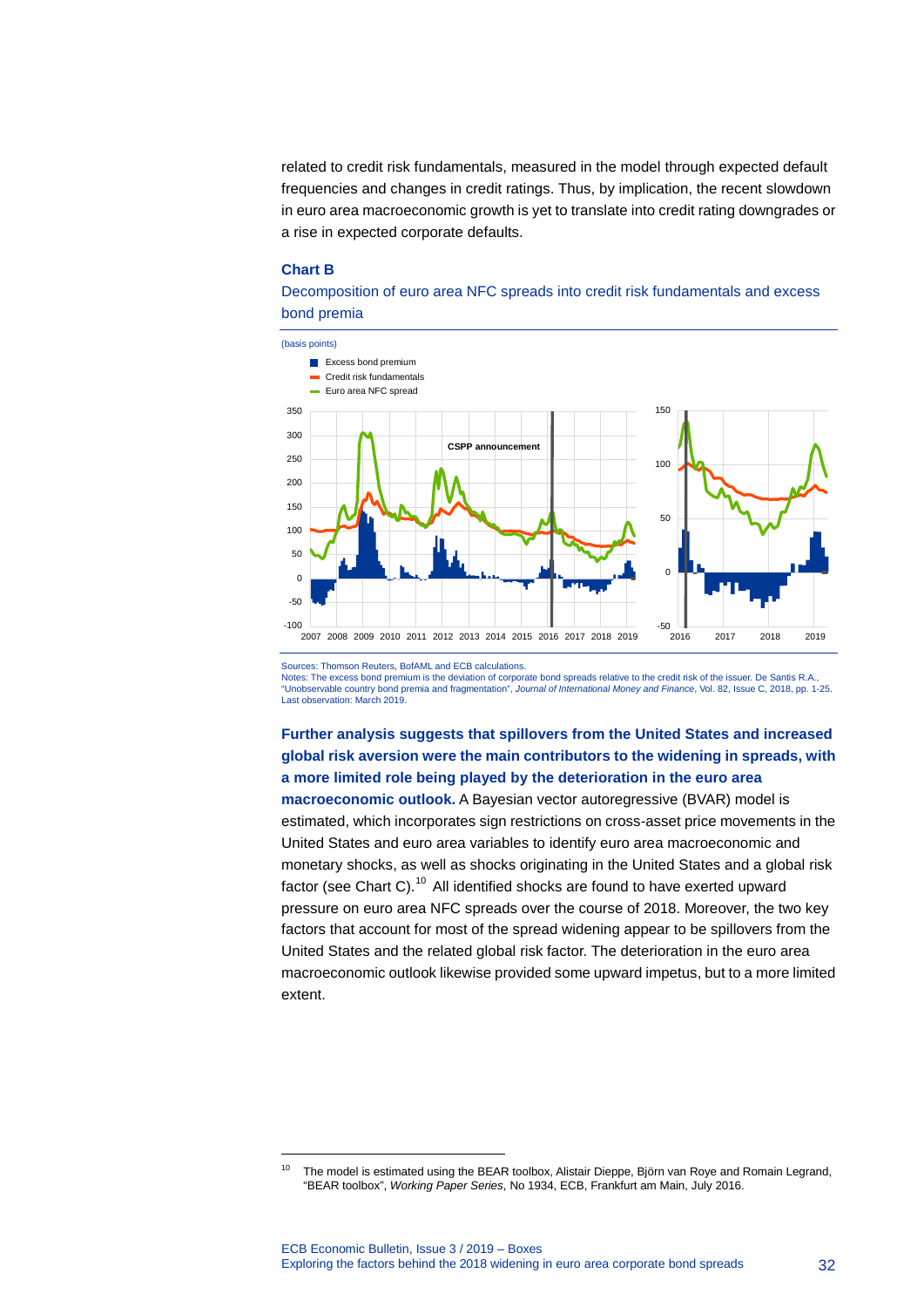related to credit risk fundamentals, measured in the model through expected default frequencies and changes in credit ratings. Thus, by implication, the recent slowdown in euro area macroeconomic growth is yet to translate into credit rating downgrades or a rise in expected corporate defaults.

#### **Chart B**

-





Sources: Thomson Reuters, BofAML and ECB calculations.

Notes: The excess bond premium is the deviation of corporate bond spreads relative to the credit risk of the issuer. De Santis R.A., "Unobservable country bond premia and fragmentation", *Journal of International Money and Finance*, Vol. 82, Issue C, 2018, pp. 1-25. Last observation: March 2019.

## **Further analysis suggests that spillovers from the United States and increased global risk aversion were the main contributors to the widening in spreads, with a more limited role being played by the deterioration in the euro area**

**macroeconomic outlook.** A Bayesian vector autoregressive (BVAR) model is estimated, which incorporates sign restrictions on cross-asset price movements in the United States and euro area variables to identify euro area macroeconomic and monetary shocks, as well as shocks originating in the United States and a global risk factor (see Chart C).<sup>[10](#page-32-0)</sup> All identified shocks are found to have exerted upward pressure on euro area NFC spreads over the course of 2018. Moreover, the two key factors that account for most of the spread widening appear to be spillovers from the United States and the related global risk factor. The deterioration in the euro area macroeconomic outlook likewise provided some upward impetus, but to a more limited extent.

<span id="page-32-0"></span><sup>&</sup>lt;sup>10</sup> The model is estimated using the BEAR toolbox, Alistair Dieppe, Björn van Roye and Romain Legrand, "BEAR toolbox", *Working Paper Series*, No 1934, ECB, Frankfurt am Main, July 2016.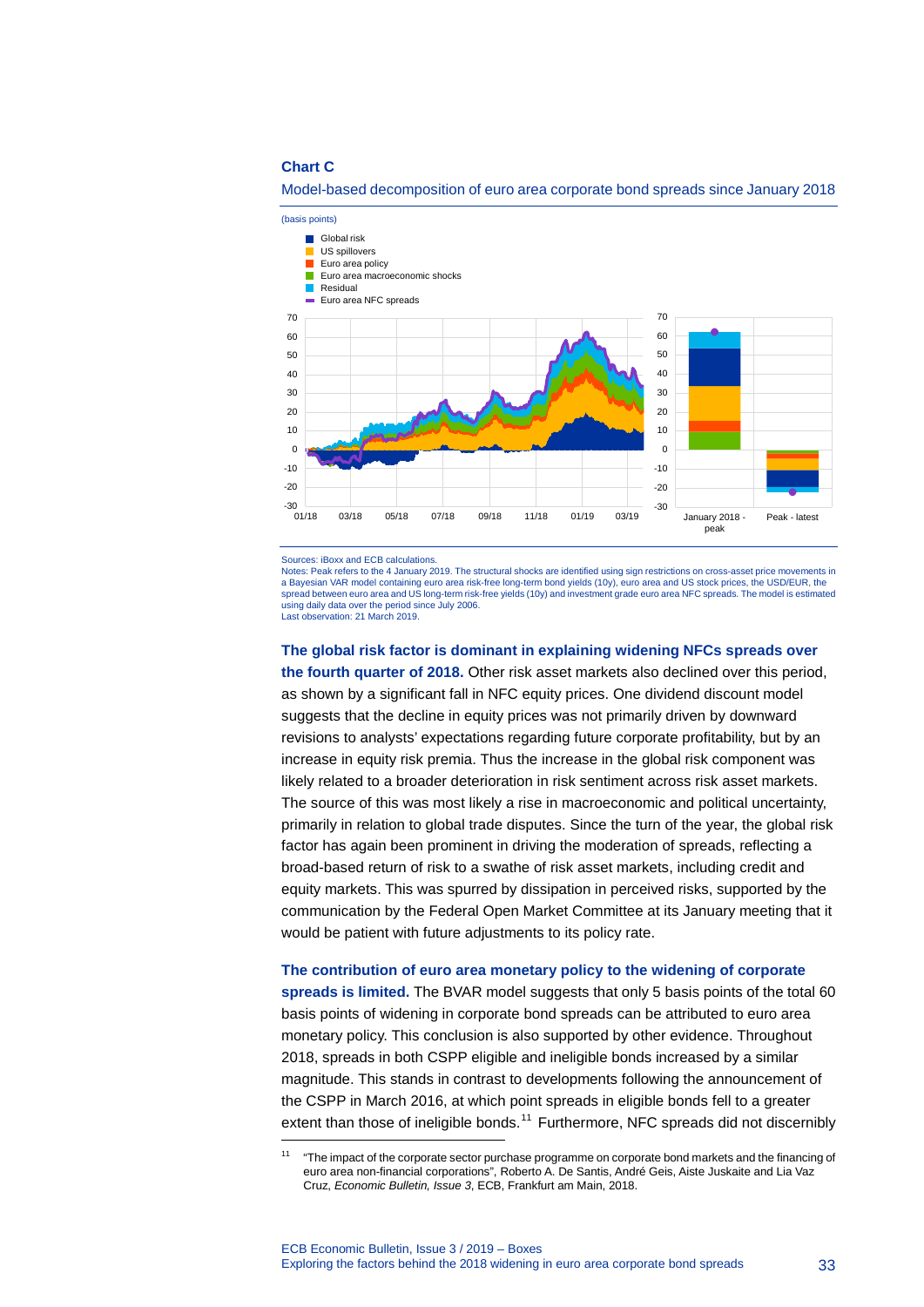#### **Chart C**



#### Model-based decomposition of euro area corporate bond spreads since January 2018

Sources: iBoxx and ECB calculations.

-

Notes: Peak refers to the 4 January 2019. The structural shocks are identified using sign restrictions on cross-asset price movements in a Bayesian VAR model containing euro area risk-free long-term bond yields (10y), euro area and US stock prices, the USD/EUR, the spread between euro area and US long-term risk-free yields (10y) and investment grade euro area NFC spreads. The model is estimated using daily data over the period since July 2006. Last observation: 21 March 2019.

# **The global risk factor is dominant in explaining widening NFCs spreads over the fourth quarter of 2018.** Other risk asset markets also declined over this period,

as shown by a significant fall in NFC equity prices. One dividend discount model suggests that the decline in equity prices was not primarily driven by downward revisions to analysts' expectations regarding future corporate profitability, but by an increase in equity risk premia. Thus the increase in the global risk component was likely related to a broader deterioration in risk sentiment across risk asset markets. The source of this was most likely a rise in macroeconomic and political uncertainty, primarily in relation to global trade disputes. Since the turn of the year, the global risk factor has again been prominent in driving the moderation of spreads, reflecting a broad-based return of risk to a swathe of risk asset markets, including credit and equity markets. This was spurred by dissipation in perceived risks, supported by the communication by the Federal Open Market Committee at its January meeting that it would be patient with future adjustments to its policy rate.

#### **The contribution of euro area monetary policy to the widening of corporate**

**spreads is limited.** The BVAR model suggests that only 5 basis points of the total 60 basis points of widening in corporate bond spreads can be attributed to euro area monetary policy. This conclusion is also supported by other evidence. Throughout 2018, spreads in both CSPP eligible and ineligible bonds increased by a similar magnitude. This stands in contrast to developments following the announcement of the CSPP in March 2016, at which point spreads in eligible bonds fell to a greater extent than those of ineligible bonds.<sup>[11](#page-33-0)</sup> Furthermore, NFC spreads did not discernibly

<span id="page-33-0"></span><sup>&</sup>lt;sup>11</sup> "The impact of the corporate sector purchase programme on corporate bond markets and the financing of euro area non-financial corporations", Roberto A. De Santis, André Geis, Aiste Juskaite and Lia Vaz Cruz, *Economic Bulletin, Issue 3*, ECB, Frankfurt am Main, 2018.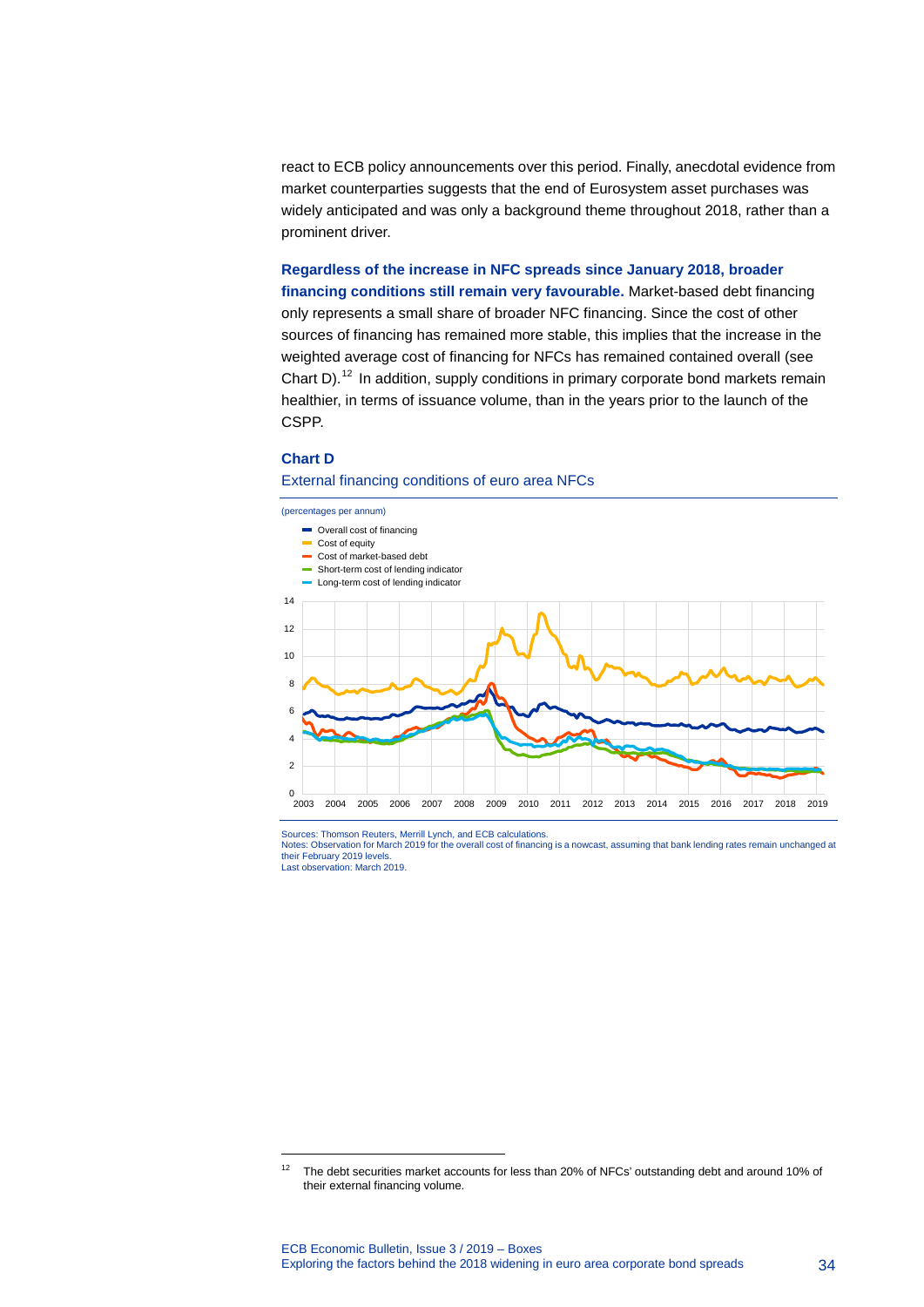react to ECB policy announcements over this period. Finally, anecdotal evidence from market counterparties suggests that the end of Eurosystem asset purchases was widely anticipated and was only a background theme throughout 2018, rather than a prominent driver.

# **Regardless of the increase in NFC spreads since January 2018, broader**

**financing conditions still remain very favourable.** Market-based debt financing only represents a small share of broader NFC financing. Since the cost of other sources of financing has remained more stable, this implies that the increase in the weighted average cost of financing for NFCs has remained contained overall (see Chart D).<sup>[12](#page-34-0)</sup> In addition, supply conditions in primary corporate bond markets remain healthier, in terms of issuance volume, than in the years prior to the launch of the CSPP.

### **Chart D**

-

#### External financing conditions of euro area NFCs



Sources: Thomson Reuters, Merrill Lynch, and ECB calculations. Notes: Observation for March 2019 for the overall cost of financing is a nowcast, assuming that bank lending rates remain unchanged at their February 2019 levels. Last observation: March 2019.

<span id="page-34-0"></span><sup>&</sup>lt;sup>12</sup> The debt securities market accounts for less than 20% of NFCs' outstanding debt and around 10% of their external financing volume.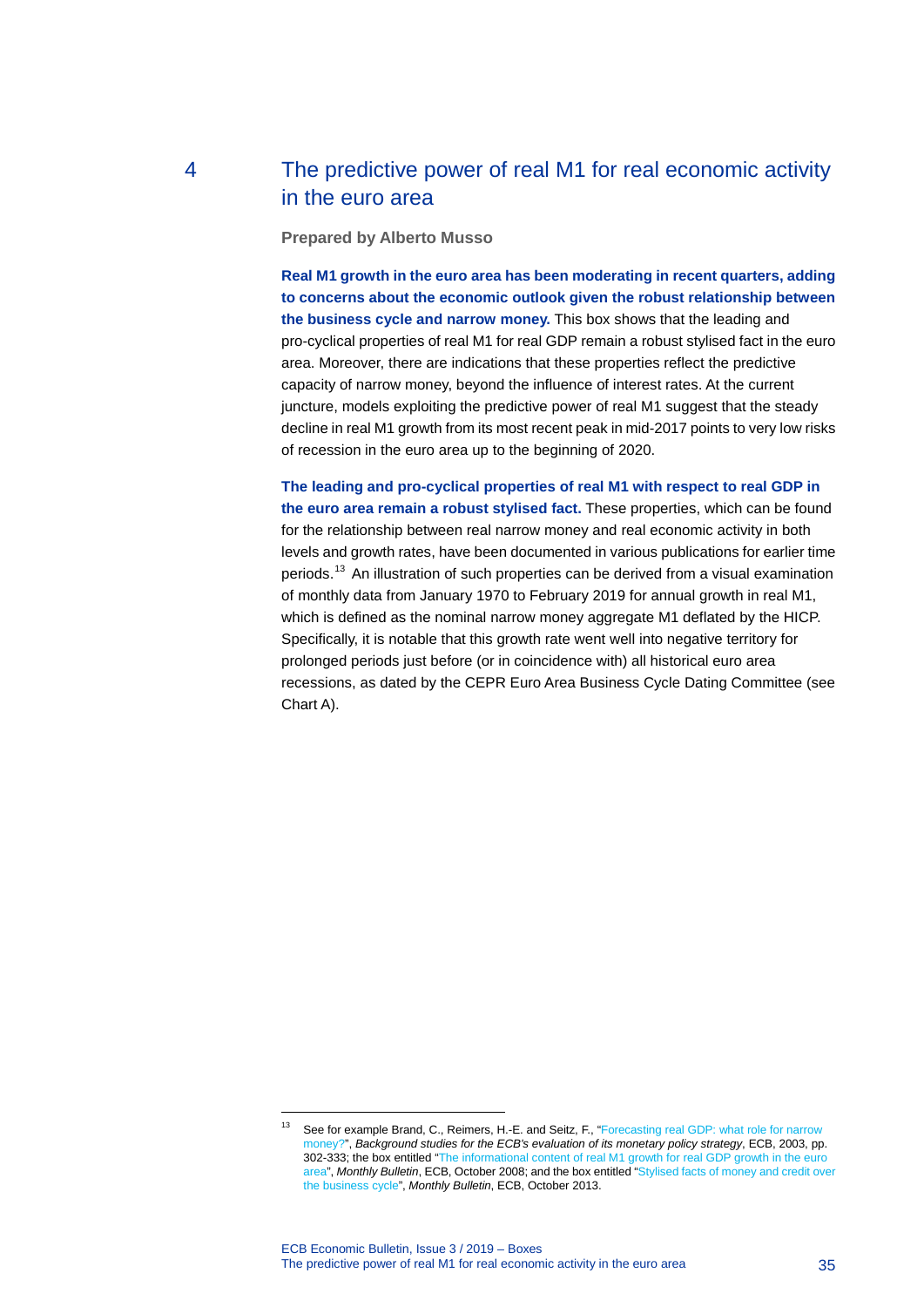# 4 The predictive power of real M1 for real economic activity in the euro area

<span id="page-35-0"></span>**Prepared by Alberto Musso**

**Real M1 growth in the euro area has been moderating in recent quarters, adding to concerns about the economic outlook given the robust relationship between the business cycle and narrow money.** This box shows that the leading and pro-cyclical properties of real M1 for real GDP remain a robust stylised fact in the euro area. Moreover, there are indications that these properties reflect the predictive capacity of narrow money, beyond the influence of interest rates. At the current juncture, models exploiting the predictive power of real M1 suggest that the steady decline in real M1 growth from its most recent peak in mid-2017 points to very low risks of recession in the euro area up to the beginning of 2020.

**The leading and pro-cyclical properties of real M1 with respect to real GDP in the euro area remain a robust stylised fact.** These properties, which can be found for the relationship between real narrow money and real economic activity in both levels and growth rates, have been documented in various publications for earlier time periods.[13](#page-35-1) An illustration of such properties can be derived from a visual examination of monthly data from January 1970 to February 2019 for annual growth in real M1, which is defined as the nominal narrow money aggregate M1 deflated by the HICP. Specifically, it is notable that this growth rate went well into negative territory for prolonged periods just before (or in coincidence with) all historical euro area recessions, as dated by the CEPR Euro Area Business Cycle Dating Committee (see Chart A).

-

<span id="page-35-1"></span><sup>&</sup>lt;sup>13</sup> See for example Brand, C., Reimers, H.-E. and Seitz, F., "Forecasting real GDP: what role for narrow [money?",](https://www.ecb.europa.eu/pub/pdf/other/monetarypolicystrategyreview_backgrounden.pdf?4ec6b50665315657fd8aa7afd02827ad) *Background studies for the ECB's evaluation of its monetary policy strategy*, ECB, 2003, pp. 302-333; the box entitled ["The informational content of real M1 growth for real GDP growth in the euro](https://www.ecb.europa.eu/pub/pdf/other/mb200810_focus01.en.pdf?d87f070ac931b01213f473d73cb9ed71)  [area"](https://www.ecb.europa.eu/pub/pdf/other/mb200810_focus01.en.pdf?d87f070ac931b01213f473d73cb9ed71), *Monthly Bulletin*, ECB, October 2008; and the box entitled ["Stylised facts of money and credit over](https://www.ecb.europa.eu/pub/pdf/other/mb201310_focus01.en.pdf?acb37579e56bf272458d6d8b8a808d98)  [the business cycle"](https://www.ecb.europa.eu/pub/pdf/other/mb201310_focus01.en.pdf?acb37579e56bf272458d6d8b8a808d98), *Monthly Bulletin*, ECB, October 2013.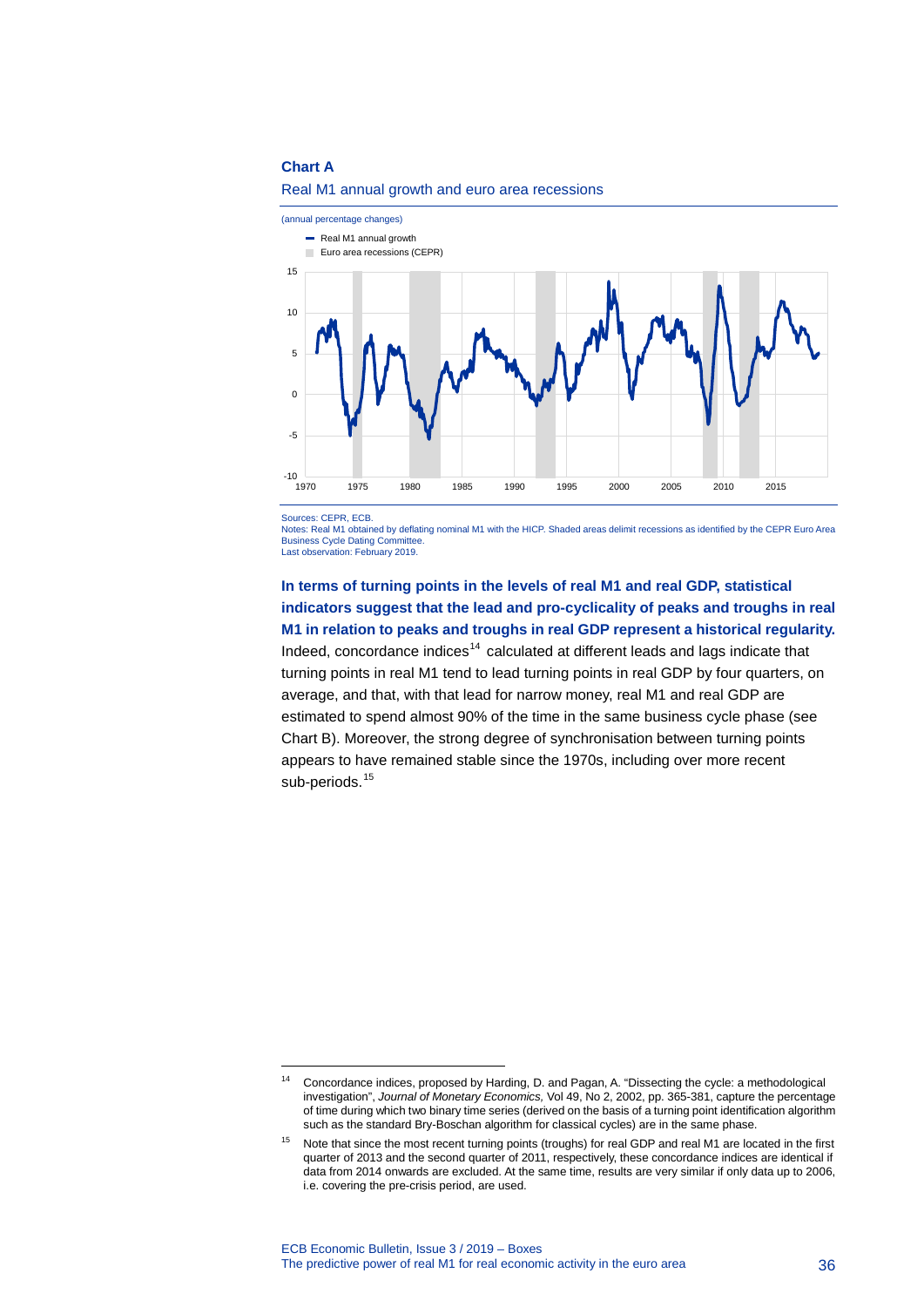#### **Chart A**



#### Real M1 annual growth and euro area recessions

Sources: CEPR, ECB.

-

Notes: Real M1 obtained by deflating nominal M1 with the HICP. Shaded areas delimit recessions as identified by the CEPR Euro Area **Business Cycle Dating Committer** 

Last observation: February 2019.

### **In terms of turning points in the levels of real M1 and real GDP, statistical indicators suggest that the lead and pro-cyclicality of peaks and troughs in real M1 in relation to peaks and troughs in real GDP represent a historical regularity.**

Indeed, concordance indices $14$  calculated at different leads and lags indicate that turning points in real M1 tend to lead turning points in real GDP by four quarters, on average, and that, with that lead for narrow money, real M1 and real GDP are estimated to spend almost 90% of the time in the same business cycle phase (see Chart B). Moreover, the strong degree of synchronisation between turning points appears to have remained stable since the 1970s, including over more recent sub-periods.<sup>[15](#page-36-1)</sup>

<span id="page-36-0"></span><sup>14</sup> Concordance indices, proposed by Harding, D. and Pagan, A. "Dissecting the cycle: a methodological investigation", *Journal of Monetary Economics,* Vol 49, No 2, 2002, pp. 365-381, capture the percentage of time during which two binary time series (derived on the basis of a turning point identification algorithm such as the standard Bry-Boschan algorithm for classical cycles) are in the same phase.

<span id="page-36-1"></span>Note that since the most recent turning points (troughs) for real GDP and real M1 are located in the first quarter of 2013 and the second quarter of 2011, respectively, these concordance indices are identical if data from 2014 onwards are excluded. At the same time, results are very similar if only data up to 2006, i.e. covering the pre-crisis period, are used.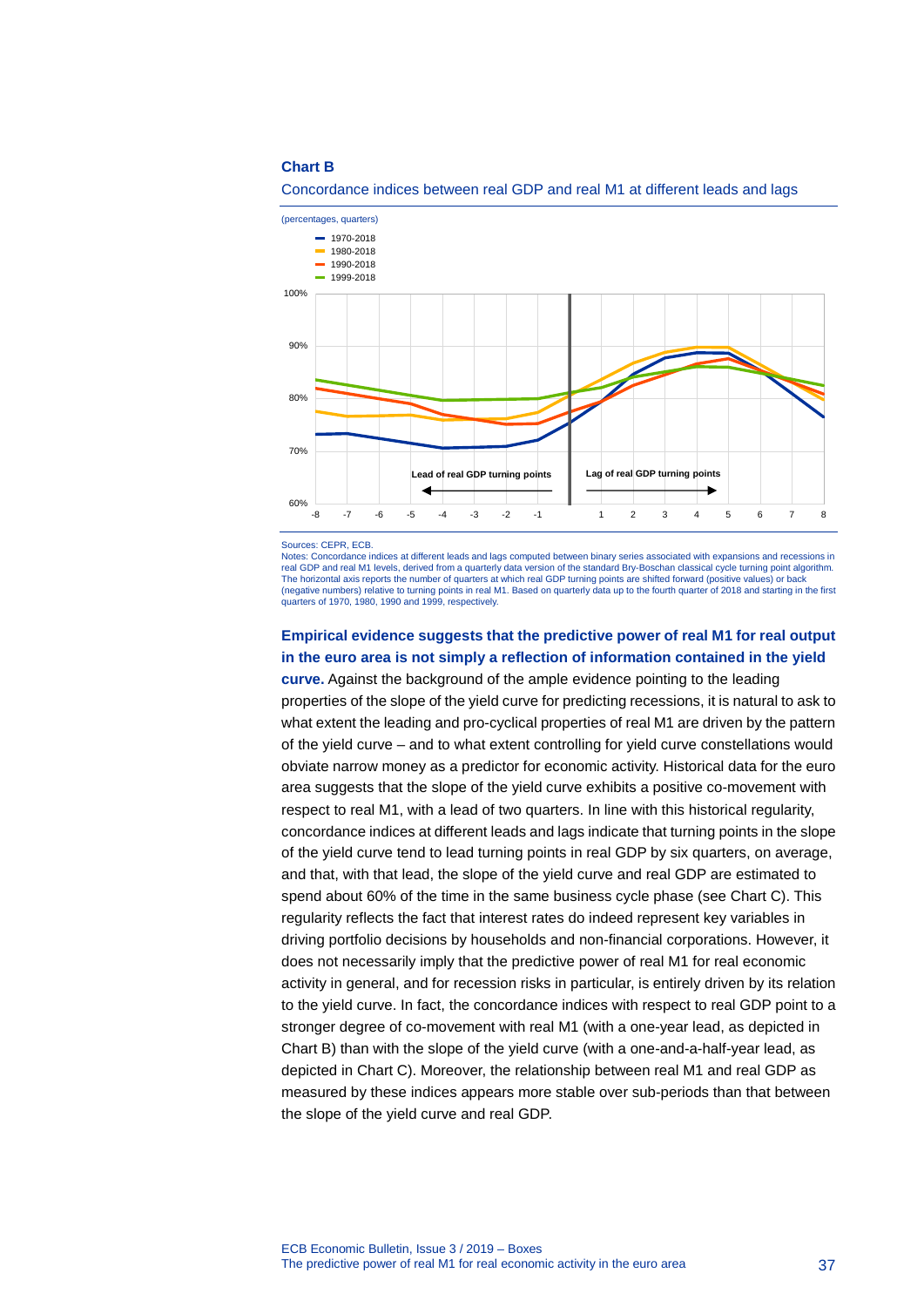#### **Chart B**



Concordance indices between real GDP and real M1 at different leads and lags

Notes: Concordance indices at different leads and lags computed between binary series associated with expansions and recessions in real GDP and real M1 levels, derived from a quarterly data version of the standard Bry-Boschan classical cycle turning point algorithm.<br>The horizontal axis reports the number of quarters at which real GDP turning points ar (negative numbers) relative to turning points in real M1. Based on quarterly data up to the fourth quarter of 2018 and starting in the first quarters of 1970, 1980, 1990 and 1999, respectively.

### **Empirical evidence suggests that the predictive power of real M1 for real output in the euro area is not simply a reflection of information contained in the yield**

**curve.** Against the background of the ample evidence pointing to the leading properties of the slope of the yield curve for predicting recessions, it is natural to ask to what extent the leading and pro-cyclical properties of real M1 are driven by the pattern of the yield curve – and to what extent controlling for yield curve constellations would obviate narrow money as a predictor for economic activity. Historical data for the euro area suggests that the slope of the yield curve exhibits a positive co-movement with respect to real M1, with a lead of two quarters. In line with this historical regularity, concordance indices at different leads and lags indicate that turning points in the slope of the yield curve tend to lead turning points in real GDP by six quarters, on average, and that, with that lead, the slope of the yield curve and real GDP are estimated to spend about 60% of the time in the same business cycle phase (see Chart C). This regularity reflects the fact that interest rates do indeed represent key variables in driving portfolio decisions by households and non-financial corporations. However, it does not necessarily imply that the predictive power of real M1 for real economic activity in general, and for recession risks in particular, is entirely driven by its relation to the yield curve. In fact, the concordance indices with respect to real GDP point to a stronger degree of co-movement with real M1 (with a one-year lead, as depicted in Chart B) than with the slope of the yield curve (with a one-and-a-half-year lead, as depicted in Chart C). Moreover, the relationship between real M1 and real GDP as measured by these indices appears more stable over sub-periods than that between the slope of the yield curve and real GDP.

Sources: CEPR, ECB.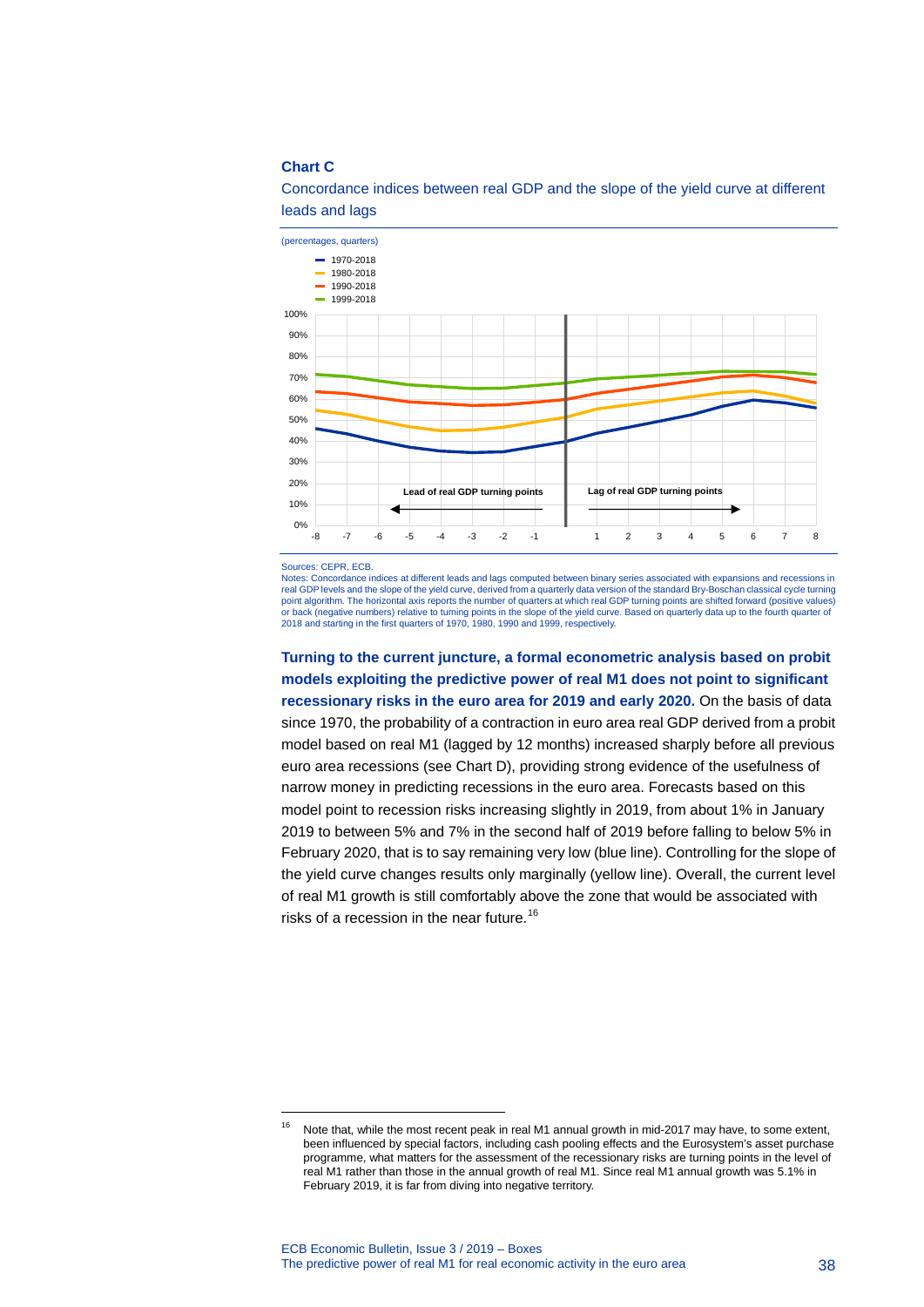#### **Chart C**



Concordance indices between real GDP and the slope of the yield curve at different leads and lags

Sources: CEPR, ECB.

-

Notes: Concordance indices at different leads and lags computed between binary series associated with expansions and recessions in<br>real GDP levels and the slope of the yield curve, derived from a quarterly data version of point algorithm. The horizontal axis reports the number of quarters at which real GDP turning points are shifted forward (positive values) or back (negative numbers) relative to turning points in the slope of the yield curve. Based on quarterly data up to the fourth quarter of<br>2018 and starting in the first quarters of 1970, 1980, 1990 and 1999, respectively.

**Turning to the current juncture, a formal econometric analysis based on probit models exploiting the predictive power of real M1 does not point to significant recessionary risks in the euro area for 2019 and early 2020.** On the basis of data since 1970, the probability of a contraction in euro area real GDP derived from a probit model based on real M1 (lagged by 12 months) increased sharply before all previous euro area recessions (see Chart D), providing strong evidence of the usefulness of narrow money in predicting recessions in the euro area. Forecasts based on this model point to recession risks increasing slightly in 2019, from about 1% in January 2019 to between 5% and 7% in the second half of 2019 before falling to below 5% in February 2020, that is to say remaining very low (blue line). Controlling for the slope of the yield curve changes results only marginally (yellow line). Overall, the current level of real M1 growth is still comfortably above the zone that would be associated with risks of a recession in the near future.<sup>[16](#page-38-0)</sup>

<span id="page-38-0"></span><sup>&</sup>lt;sup>16</sup> Note that, while the most recent peak in real M1 annual growth in mid-2017 may have, to some extent, been influenced by special factors, including cash pooling effects and the Eurosystem's asset purchase programme, what matters for the assessment of the recessionary risks are turning points in the level of real M1 rather than those in the annual growth of real M1. Since real M1 annual growth was 5.1% in February 2019, it is far from diving into negative territory.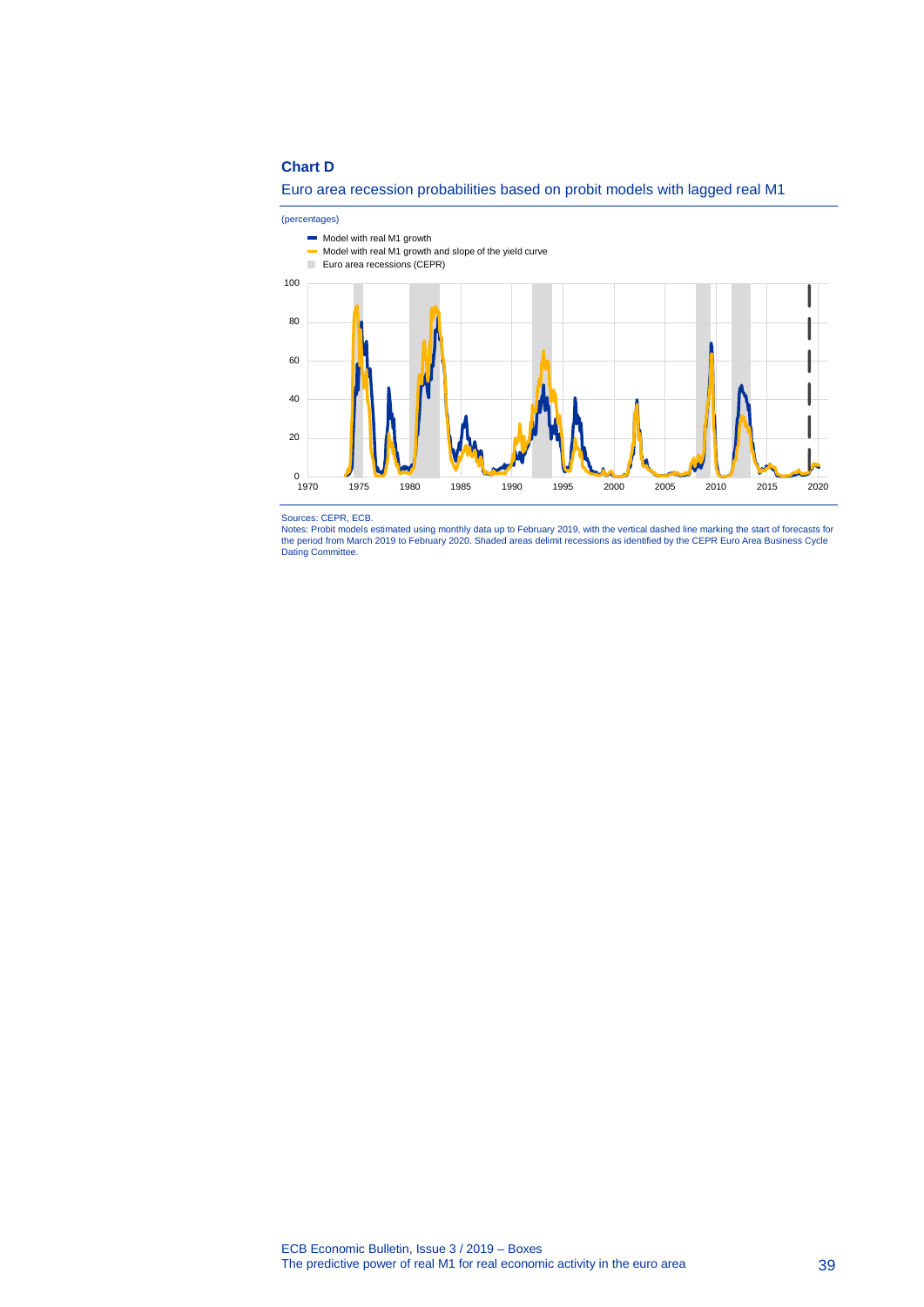#### **Chart D**



(percentages)



Sources: CEPR, ECB.

Notes: Probit models estimated using monthly data up to February 2019, with the vertical dashed line marking the start of forecasts for<br>the period from March 2019 to February 2020. Shaded areas delimit recessions as identi Dating Committee.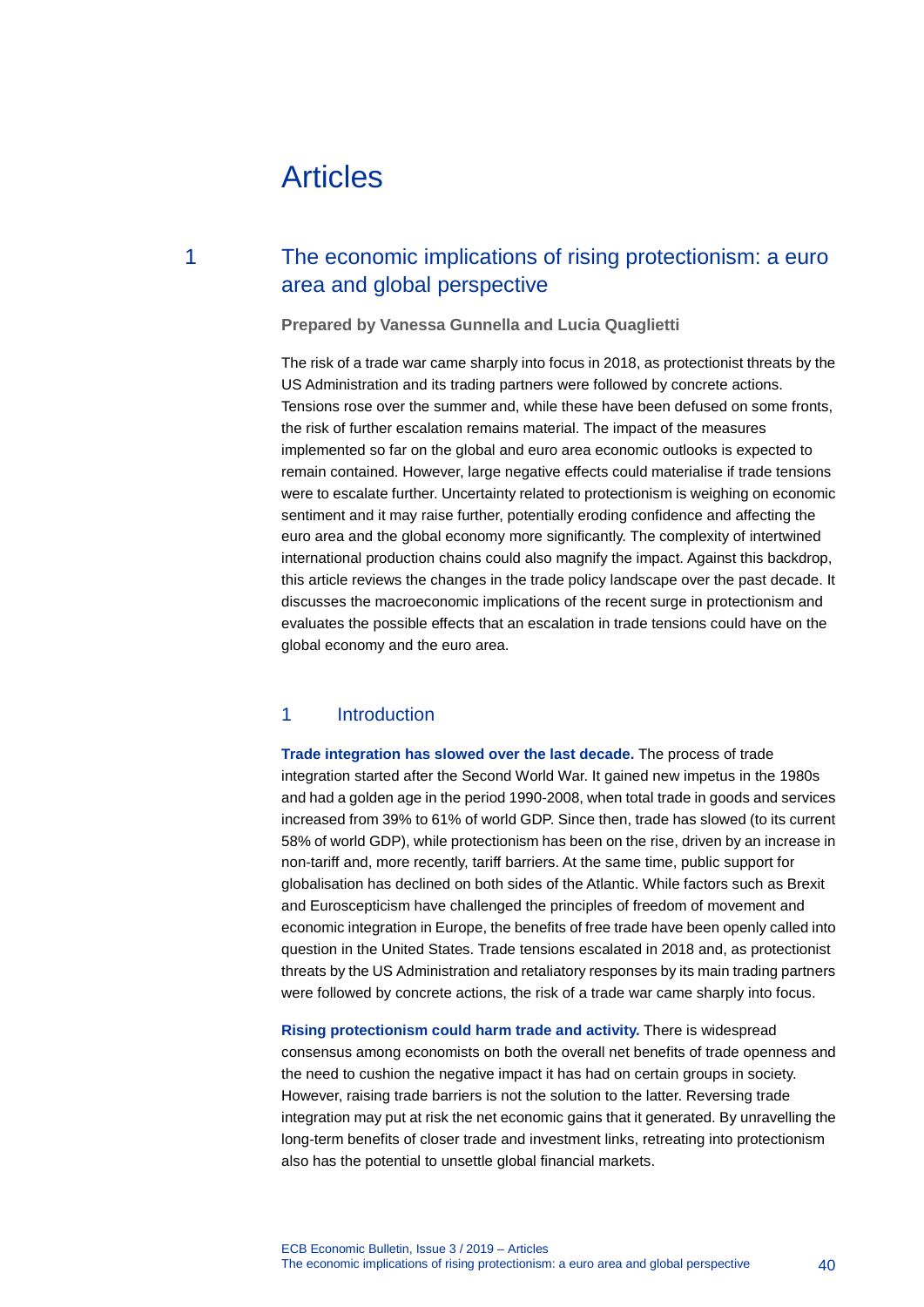# Articles

## 1 The economic implications of rising protectionism: a euro area and global perspective

**Prepared by Vanessa Gunnella and Lucia Quaglietti**

The risk of a trade war came sharply into focus in 2018, as protectionist threats by the US Administration and its trading partners were followed by concrete actions. Tensions rose over the summer and, while these have been defused on some fronts, the risk of further escalation remains material. The impact of the measures implemented so far on the global and euro area economic outlooks is expected to remain contained. However, large negative effects could materialise if trade tensions were to escalate further. Uncertainty related to protectionism is weighing on economic sentiment and it may raise further, potentially eroding confidence and affecting the euro area and the global economy more significantly. The complexity of intertwined international production chains could also magnify the impact. Against this backdrop, this article reviews the changes in the trade policy landscape over the past decade. It discusses the macroeconomic implications of the recent surge in protectionism and evaluates the possible effects that an escalation in trade tensions could have on the global economy and the euro area.

### 1 Introduction

**Trade integration has slowed over the last decade.** The process of trade integration started after the Second World War. It gained new impetus in the 1980s and had a golden age in the period 1990-2008, when total trade in goods and services increased from 39% to 61% of world GDP. Since then, trade has slowed (to its current 58% of world GDP), while protectionism has been on the rise, driven by an increase in non-tariff and, more recently, tariff barriers. At the same time, public support for globalisation has declined on both sides of the Atlantic. While factors such as Brexit and Euroscepticism have challenged the principles of freedom of movement and economic integration in Europe, the benefits of free trade have been openly called into question in the United States. Trade tensions escalated in 2018 and, as protectionist threats by the US Administration and retaliatory responses by its main trading partners were followed by concrete actions, the risk of a trade war came sharply into focus.

**Rising protectionism could harm trade and activity.** There is widespread consensus among economists on both the overall net benefits of trade openness and the need to cushion the negative impact it has had on certain groups in society. However, raising trade barriers is not the solution to the latter. Reversing trade integration may put at risk the net economic gains that it generated. By unravelling the long-term benefits of closer trade and investment links, retreating into protectionism also has the potential to unsettle global financial markets.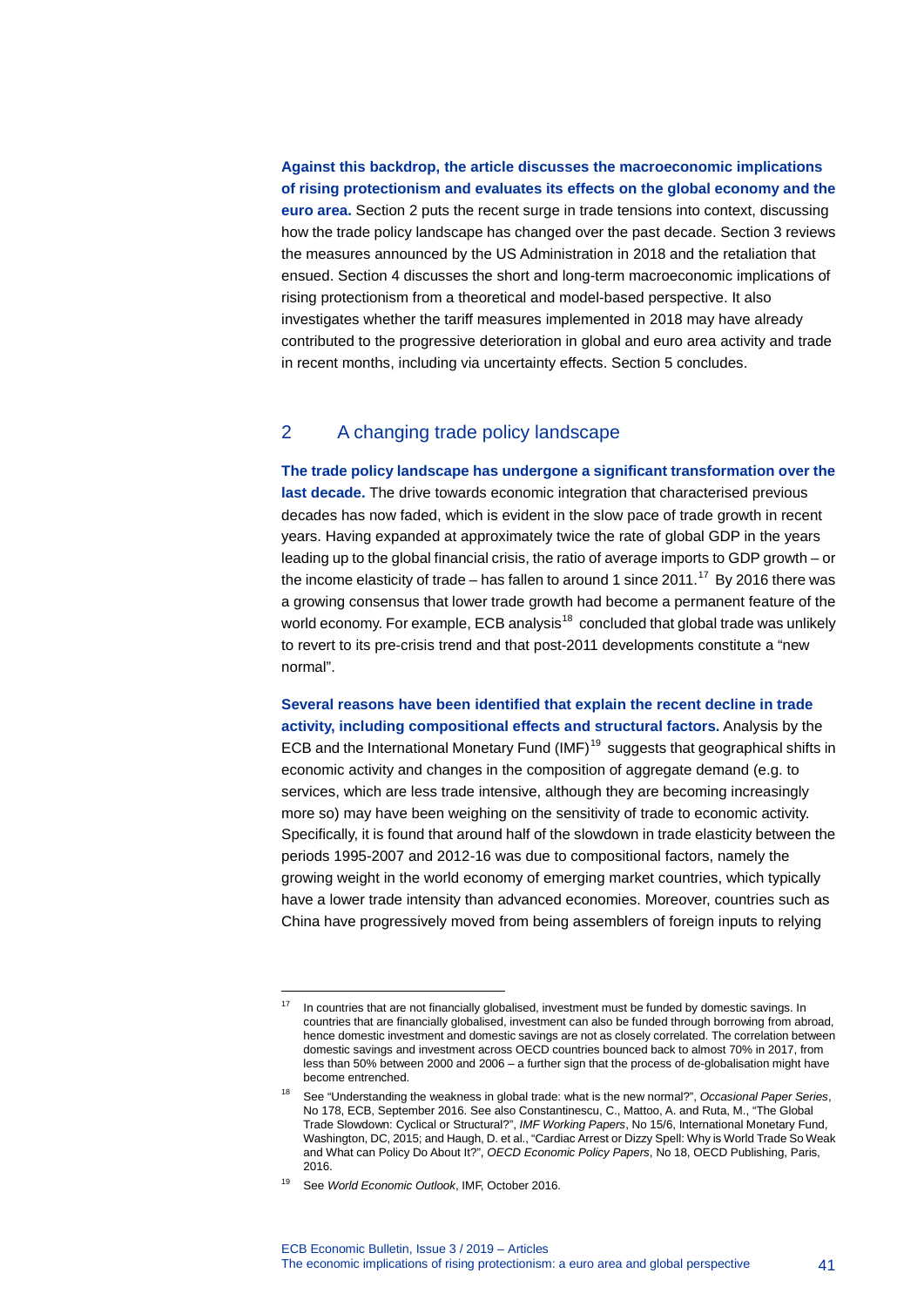### **Against this backdrop, the article discusses the macroeconomic implications of rising protectionism and evaluates its effects on the global economy and the euro area.** Section 2 puts the recent surge in trade tensions into context, discussing how the trade policy landscape has changed over the past decade. Section 3 reviews the measures announced by the US Administration in 2018 and the retaliation that ensued. Section 4 discusses the short and long-term macroeconomic implications of rising protectionism from a theoretical and model-based perspective. It also investigates whether the tariff measures implemented in 2018 may have already contributed to the progressive deterioration in global and euro area activity and trade in recent months, including via uncertainty effects. Section 5 concludes.

### 2 A changing trade policy landscape

**The trade policy landscape has undergone a significant transformation over the last decade.** The drive towards economic integration that characterised previous decades has now faded, which is evident in the slow pace of trade growth in recent years. Having expanded at approximately twice the rate of global GDP in the years leading up to the global financial crisis, the ratio of average imports to GDP growth – or the income elasticity of trade – has fallen to around 1 since  $2011<sup>17</sup>$  $2011<sup>17</sup>$  $2011<sup>17</sup>$  By 2016 there was a growing consensus that lower trade growth had become a permanent feature of the world economy. For example, ECB analysis $18$  concluded that global trade was unlikely to revert to its pre-crisis trend and that post-2011 developments constitute a "new normal".

**Several reasons have been identified that explain the recent decline in trade activity, including compositional effects and structural factors.** Analysis by the ECB and the International Monetary Fund  $(IMF)^{19}$  $(IMF)^{19}$  $(IMF)^{19}$  suggests that geographical shifts in economic activity and changes in the composition of aggregate demand (e.g. to services, which are less trade intensive, although they are becoming increasingly more so) may have been weighing on the sensitivity of trade to economic activity. Specifically, it is found that around half of the slowdown in trade elasticity between the periods 1995-2007 and 2012-16 was due to compositional factors, namely the growing weight in the world economy of emerging market countries, which typically have a lower trade intensity than advanced economies. Moreover, countries such as China have progressively moved from being assemblers of foreign inputs to relying

<span id="page-41-0"></span>In countries that are not financially globalised, investment must be funded by domestic savings. In countries that are financially globalised, investment can also be funded through borrowing from abroad, hence domestic investment and domestic savings are not as closely correlated. The correlation between domestic savings and investment across OECD countries bounced back to almost 70% in 2017, from less than 50% between 2000 and 2006 – a further sign that the process of de-globalisation might have become entrenched.

<span id="page-41-1"></span><sup>18</sup> See "Understanding the weakness in global trade: what is the new normal?", *Occasional Paper Series*, No 178, ECB, September 2016. See also Constantinescu, C., Mattoo, A. and Ruta, M., "The Global Trade Slowdown: Cyclical or Structural?", *IMF Working Papers*, No 15/6, International Monetary Fund, Washington, DC, 2015; and Haugh, D. et al., "Cardiac Arrest or Dizzy Spell: Why is World Trade So Weak and What can Policy Do About It?", *OECD Economic Policy Papers*, No 18, OECD Publishing, Paris, 2016.

<span id="page-41-2"></span><sup>19</sup> See *World Economic Outlook*, IMF, October 2016.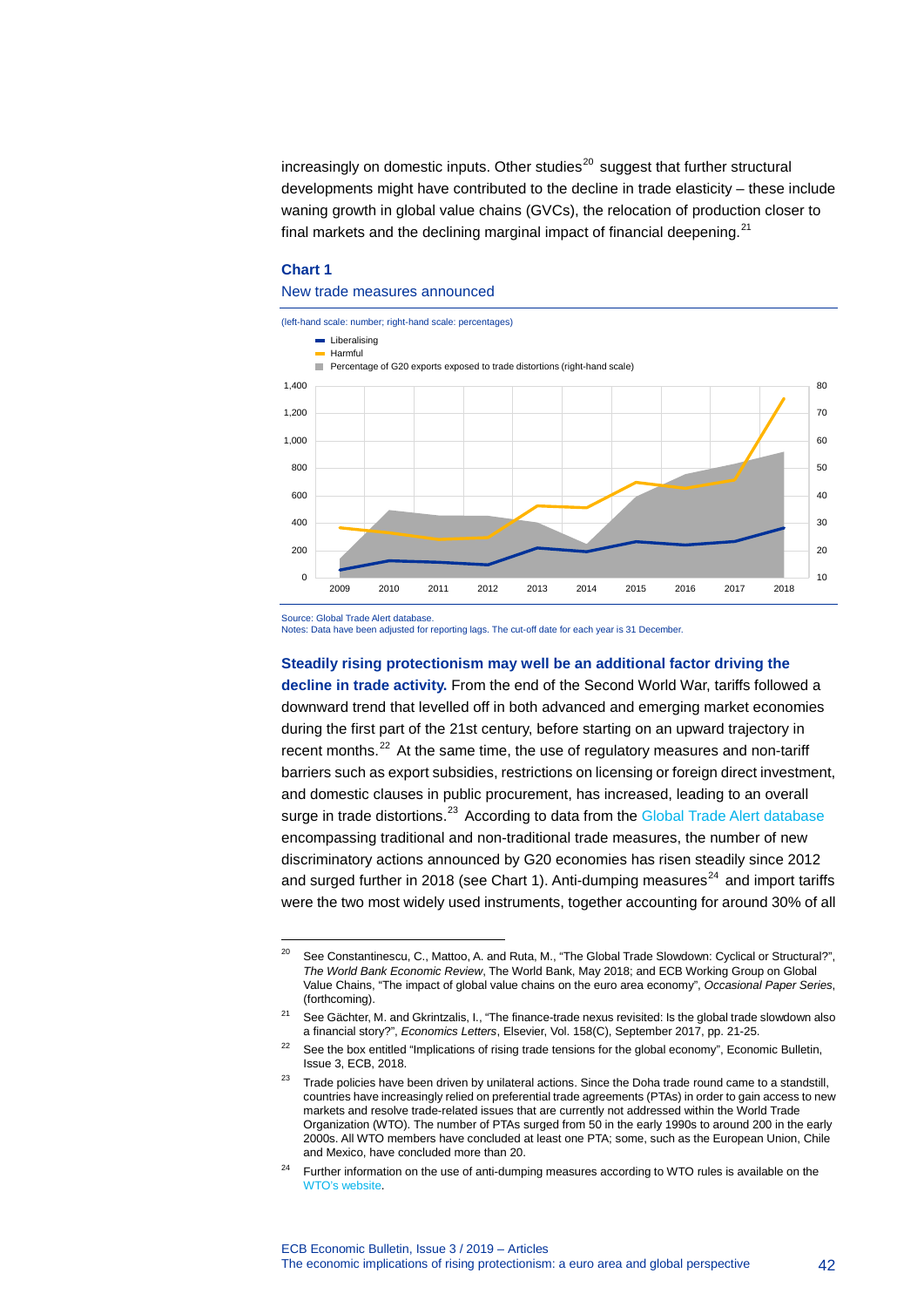$increasing$  on domestic inputs. Other studies<sup>[20](#page-42-0)</sup> suggest that further structural developments might have contributed to the decline in trade elasticity – these include waning growth in global value chains (GVCs), the relocation of production closer to final markets and the declining marginal impact of financial deepening.<sup>[21](#page-42-1)</sup>

#### **Chart 1**

#### New trade measures announced



Source: Global Trade Alert database.

-

Notes: Data have been adjusted for reporting lags. The cut-off date for each year is 31 December.

**Steadily rising protectionism may well be an additional factor driving the decline in trade activity.** From the end of the Second World War, tariffs followed a downward trend that levelled off in both advanced and emerging market economies during the first part of the 21st century, before starting on an upward trajectory in recent months.<sup>[22](#page-42-2)</sup> At the same time, the use of regulatory measures and non-tariff barriers such as export subsidies, restrictions on licensing or foreign direct investment, and domestic clauses in public procurement, has increased, leading to an overall surge in trade distortions.<sup>[23](#page-42-3)</sup> According to data from the [Global Trade Alert database](https://www.globaltradealert.org/) encompassing traditional and non-traditional trade measures, the number of new discriminatory actions announced by G20 economies has risen steadily since 2012 and surged further in 2018 (see Chart 1). Anti-dumping measures<sup>[24](#page-42-4)</sup> and import tariffs were the two most widely used instruments, together accounting for around 30% of all

<span id="page-42-0"></span><sup>&</sup>lt;sup>20</sup> See Constantinescu, C., Mattoo, A. and Ruta, M., "The Global Trade Slowdown: Cyclical or Structural?", *The World Bank Economic Review*, The World Bank, May 2018; and ECB Working Group on Global Value Chains, "The impact of global value chains on the euro area economy", *Occasional Paper Series*, (forthcoming).

<span id="page-42-1"></span><sup>&</sup>lt;sup>21</sup> See Gächter, M. and Gkrintzalis, I., "The finance-trade nexus revisited: Is the global trade slowdown also a financial story?", *Economics Letters*, Elsevier, Vol. 158(C), September 2017, pp. 21-25.

<span id="page-42-2"></span><sup>&</sup>lt;sup>22</sup> See the box entitled "Implications of rising trade tensions for the global economy", Economic Bulletin, Issue 3, ECB, 2018.

<span id="page-42-3"></span> $23$  Trade policies have been driven by unilateral actions. Since the Doha trade round came to a standstill, countries have increasingly relied on preferential trade agreements (PTAs) in order to gain access to new markets and resolve trade-related issues that are currently not addressed within the World Trade Organization (WTO). The number of PTAs surged from 50 in the early 1990s to around 200 in the early 2000s. All WTO members have concluded at least one PTA; some, such as the European Union, Chile and Mexico, have concluded more than 20.

<span id="page-42-4"></span>Further information on the use of anti-dumping measures according to WTO rules is available on the WTO's [website.](https://www.wto.org/english/tratop_e/adp_e/adp_info_e.htm)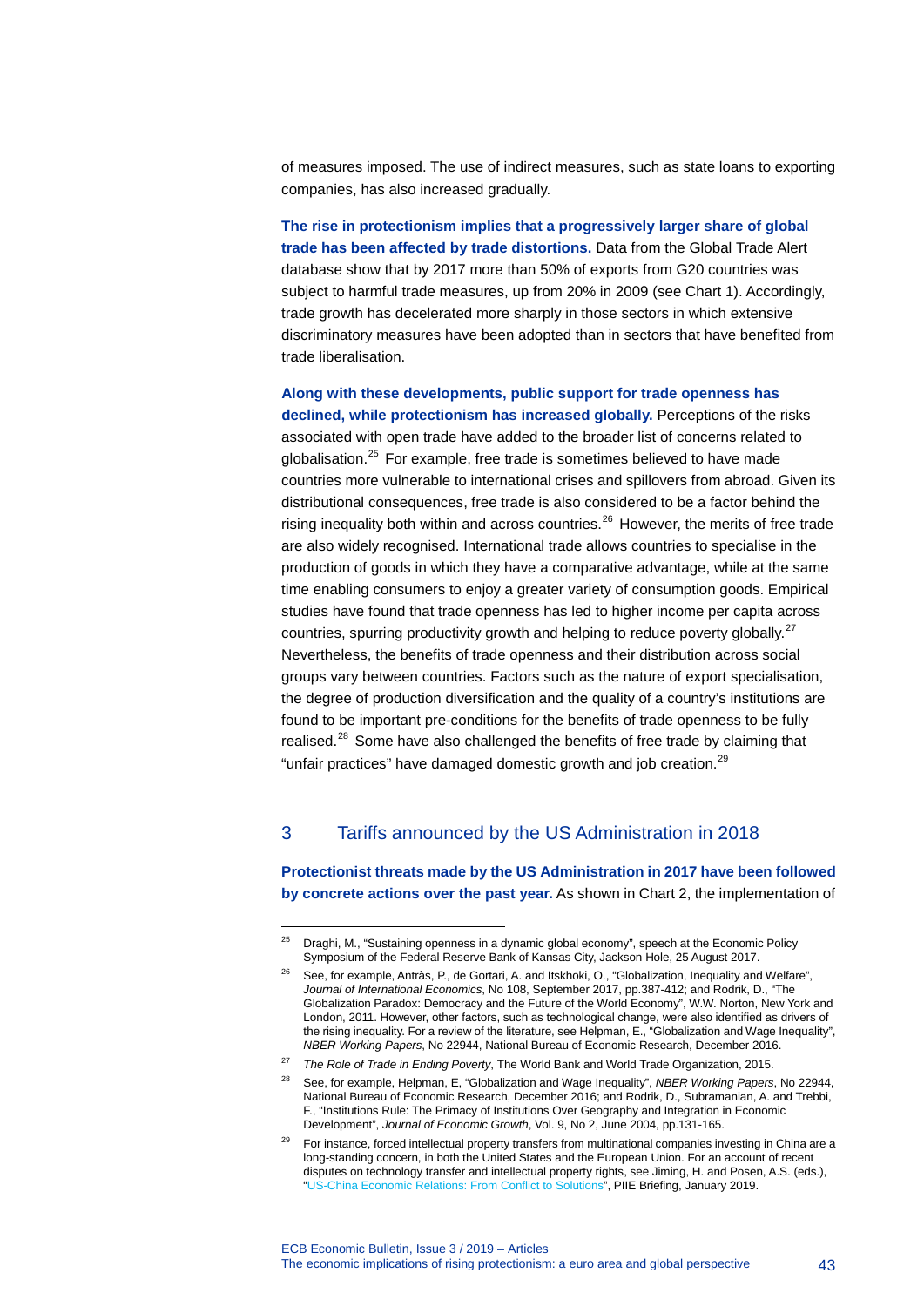of measures imposed. The use of indirect measures, such as state loans to exporting companies, has also increased gradually.

**The rise in protectionism implies that a progressively larger share of global trade has been affected by trade distortions.** Data from the Global Trade Alert database show that by 2017 more than 50% of exports from G20 countries was subject to harmful trade measures, up from 20% in 2009 (see Chart 1). Accordingly, trade growth has decelerated more sharply in those sectors in which extensive discriminatory measures have been adopted than in sectors that have benefited from trade liberalisation.

**Along with these developments, public support for trade openness has declined, while protectionism has increased globally.** Perceptions of the risks associated with open trade have added to the broader list of concerns related to globalisation. $25$  For example, free trade is sometimes believed to have made countries more vulnerable to international crises and spillovers from abroad. Given its distributional consequences, free trade is also considered to be a factor behind the rising inequality both within and across countries. $^{26}$  $^{26}$  $^{26}$  However, the merits of free trade are also widely recognised. International trade allows countries to specialise in the production of goods in which they have a comparative advantage, while at the same time enabling consumers to enjoy a greater variety of consumption goods. Empirical studies have found that trade openness has led to higher income per capita across countries, spurring productivity growth and helping to reduce poverty globally.<sup>[27](#page-43-2)</sup> Nevertheless, the benefits of trade openness and their distribution across social groups vary between countries. Factors such as the nature of export specialisation, the degree of production diversification and the quality of a country's institutions are found to be important pre-conditions for the benefits of trade openness to be fully realised.<sup>[28](#page-43-3)</sup> Some have also challenged the benefits of free trade by claiming that "unfair practices" have damaged domestic growth and job creation.<sup>[29](#page-43-4)</sup>

### 3 Tariffs announced by the US Administration in 2018

-

**Protectionist threats made by the US Administration in 2017 have been followed by concrete actions over the past year.** As shown in Chart 2, the implementation of

<span id="page-43-1"></span><span id="page-43-0"></span> $25$  Draghi, M., "Sustaining openness in a dynamic global economy", speech at the Economic Policy Symposium of the Federal Reserve Bank of Kansas City, Jackson Hole, 25 August 2017.

<sup>26</sup> See, for example, Antràs, P., de Gortari, A. and Itskhoki, O., "Globalization, Inequality and Welfare", *Journal of International Economics*, No 108, September 2017, pp.387-412; and Rodrik, D., "The Globalization Paradox: Democracy and the Future of the World Economy", W.W. Norton, New York and London, 2011. However, other factors, such as technological change, were also identified as drivers of the rising inequality. For a review of the literature, see Helpman, E., "Globalization and Wage Inequality", *NBER Working Papers*, No 22944, National Bureau of Economic Research, December 2016.

<span id="page-43-3"></span><span id="page-43-2"></span><sup>27</sup> *The Role of Trade in Ending Poverty*, The World Bank and World Trade Organization, 2015.

<sup>28</sup> See, for example, Helpman, E, "Globalization and Wage Inequality", *NBER Working Papers*, No 22944, National Bureau of Economic Research, December 2016; and Rodrik, D., Subramanian, A. and Trebbi, F., "Institutions Rule: The Primacy of Institutions Over Geography and Integration in Economic Development", *Journal of Economic Growth*, Vol. 9, No 2, June 2004, pp.131-165.

<span id="page-43-4"></span>For instance, forced intellectual property transfers from multinational companies investing in China are a long-standing concern, in both the United States and the European Union. For an account of recent disputes on technology transfer and intellectual property rights, see Jiming, H. and Posen, A.S. (eds.), ["US-China Economic Relations:](https://piie.com/system/files/documents/piieb19-1.pdf) From Conflict to Solutions", PIIE Briefing, January 2019.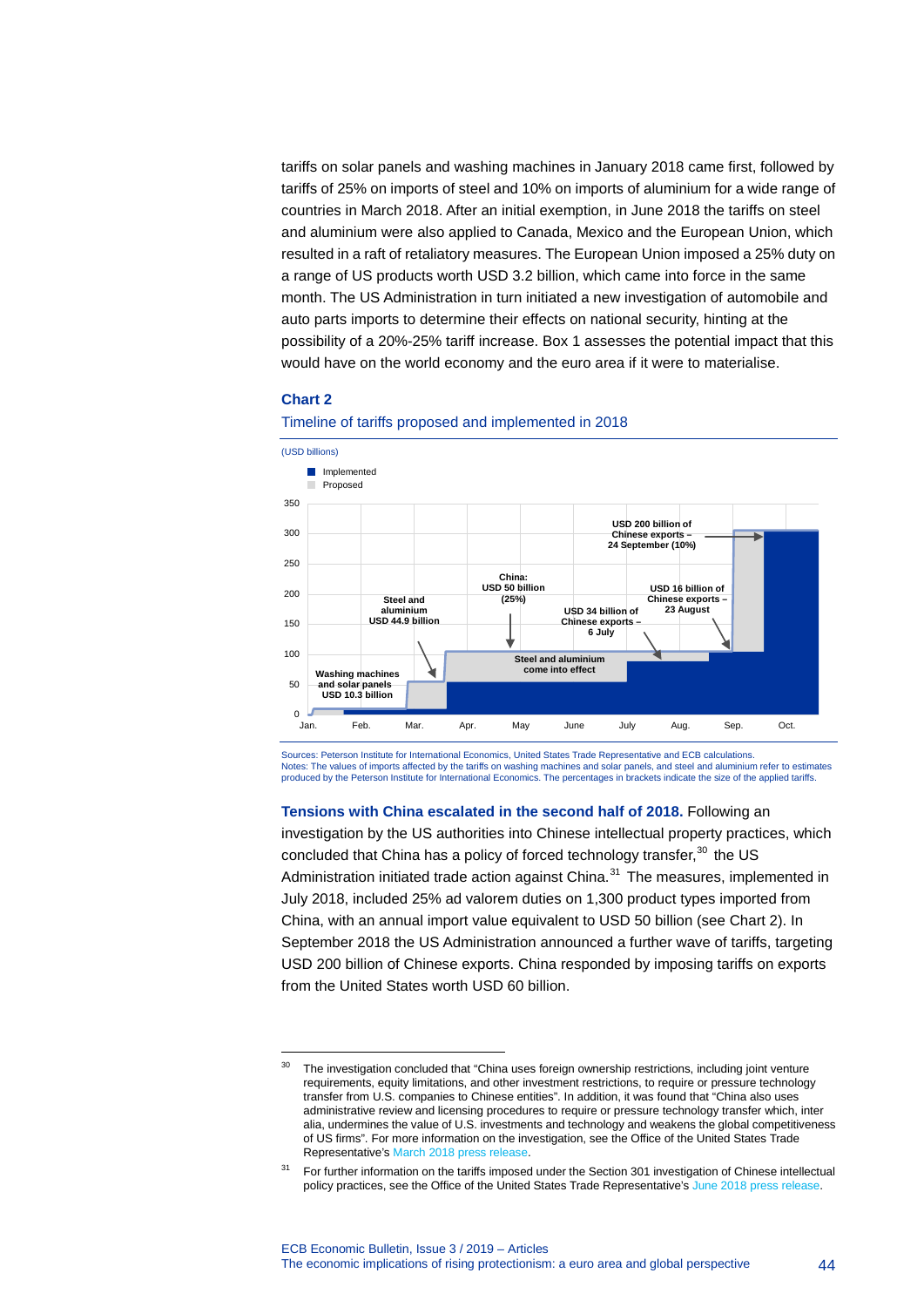tariffs on solar panels and washing machines in January 2018 came first, followed by tariffs of 25% on imports of steel and 10% on imports of aluminium for a wide range of countries in March 2018. After an initial exemption, in June 2018 the tariffs on steel and aluminium were also applied to Canada, Mexico and the European Union, which resulted in a raft of retaliatory measures. The European Union imposed a 25% duty on a range of US products worth USD 3.2 billion, which came into force in the same month. The US Administration in turn initiated a new investigation of automobile and auto parts imports to determine their effects on national security, hinting at the possibility of a 20%-25% tariff increase. Box 1 assesses the potential impact that this would have on the world economy and the euro area if it were to materialise.

#### **Chart 2**

-



Timeline of tariffs proposed and implemented in 2018

Sources: Peterson Institute for International Economics, United States Trade Representative and ECB calculations. Notes: The values of imports affected by the tariffs on washing machines and solar panels, and steel and aluminium refer to estimates produced by the Peterson Institute for International Economics. The percentages in brackets indicate the size of the applied tariffs.

#### **Tensions with China escalated in the second half of 2018.** Following an

investigation by the US authorities into Chinese intellectual property practices, which concluded that China has a policy of forced technology transfer,<sup>[30](#page-44-0)</sup> the US Administration initiated trade action against China. $31$  The measures, implemented in July 2018, included 25% ad valorem duties on 1,300 product types imported from China, with an annual import value equivalent to USD 50 billion (see Chart 2). In September 2018 the US Administration announced a further wave of tariffs, targeting USD 200 billion of Chinese exports. China responded by imposing tariffs on exports from the United States worth USD 60 billion.

<span id="page-44-0"></span><sup>&</sup>lt;sup>30</sup> The investigation concluded that "China uses foreign ownership restrictions, including joint venture requirements, equity limitations, and other investment restrictions, to require or pressure technology transfer from U.S. companies to Chinese entities". In addition, it was found that "China also uses administrative review and licensing procedures to require or pressure technology transfer which, inter alia, undermines the value of U.S. investments and technology and weakens the global competitiveness of US firms". For more information on the investigation, see the Office of the United States Trade Representative'[s March 2018 press release.](https://ustr.gov/about-us/policy-offices/press-office/press-releases/2018/march/president-trump-announces-strong)

<span id="page-44-1"></span><sup>&</sup>lt;sup>31</sup> For further information on the tariffs imposed under the Section 301 investigation of Chinese intellectual policy practices, see the Office of the United States Trade Representative'[s June 2018 press release.](https://ustr.gov/about-us/policy-offices/press-office/press-releases/2018/june/ustr-issues-tariffs-chinese-products)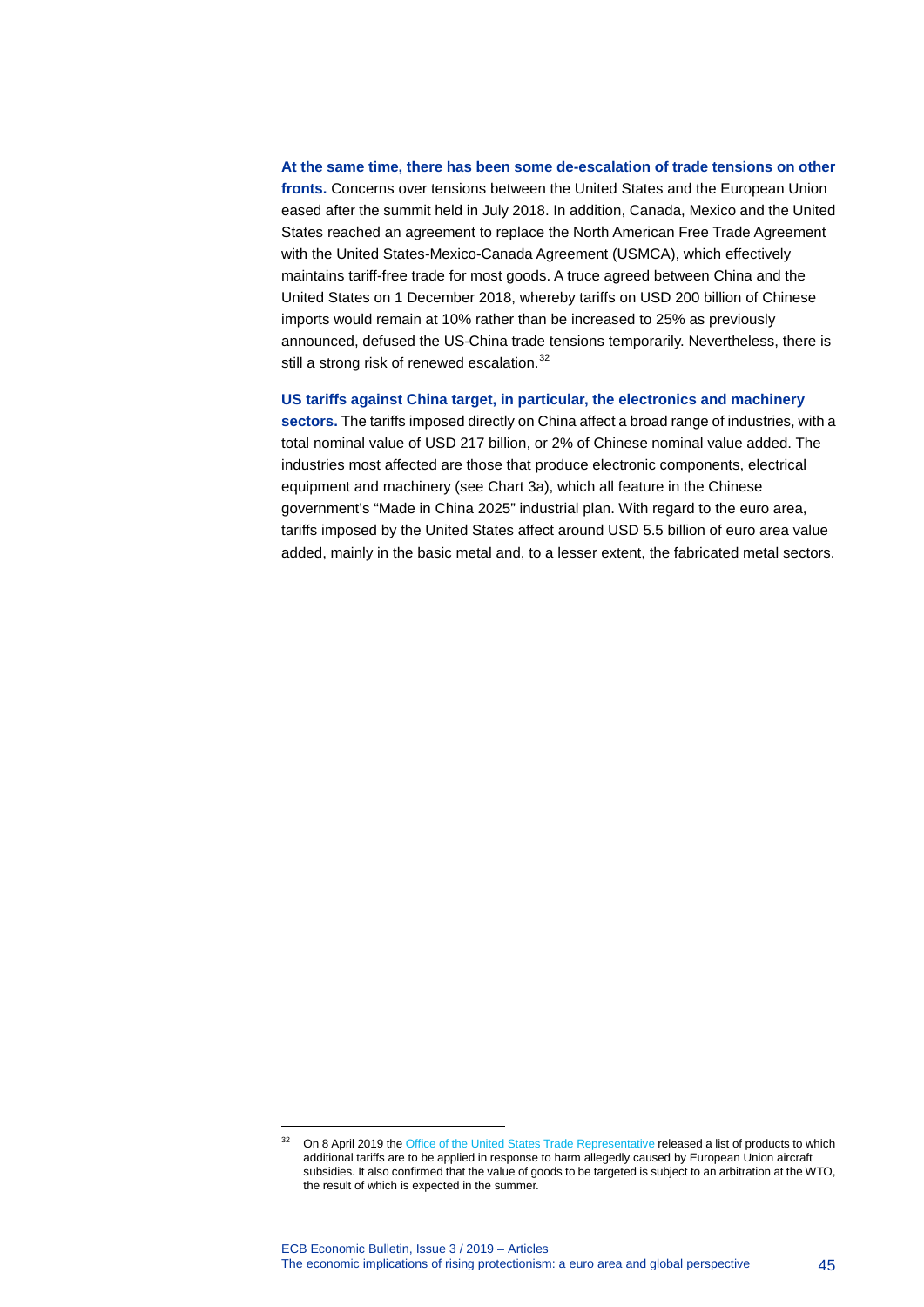### **At the same time, there has been some de-escalation of trade tensions on other fronts.** Concerns over tensions between the United States and the European Union eased after the summit held in July 2018. In addition, Canada, Mexico and the United States reached an agreement to replace the North American Free Trade Agreement with the United States-Mexico-Canada Agreement (USMCA), which effectively maintains tariff-free trade for most goods. A truce agreed between China and the United States on 1 December 2018, whereby tariffs on USD 200 billion of Chinese imports would remain at 10% rather than be increased to 25% as previously announced, defused the US-China trade tensions temporarily. Nevertheless, there is still a strong risk of renewed escalation.<sup>[32](#page-45-0)</sup>

#### **US tariffs against China target, in particular, the electronics and machinery**

**sectors.** The tariffs imposed directly on China affect a broad range of industries, with a total nominal value of USD 217 billion, or 2% of Chinese nominal value added. The industries most affected are those that produce electronic components, electrical equipment and machinery (see Chart 3a), which all feature in the Chinese government's "Made in China 2025" industrial plan. With regard to the euro area, tariffs imposed by the United States affect around USD 5.5 billion of euro area value added, mainly in the basic metal and, to a lesser extent, the fabricated metal sectors.

<span id="page-45-0"></span><sup>&</sup>lt;sup>32</sup> On 8 April 2019 th[e Office of the United States Trade Representative](https://ustr.gov/about-us/policy-offices/press-office/press-releases/2019/april/ustr-proposes-products-tariff) released a list of products to which additional tariffs are to be applied in response to harm allegedly caused by European Union aircraft subsidies. It also confirmed that the value of goods to be targeted is subject to an arbitration at the WTO, the result of which is expected in the summer.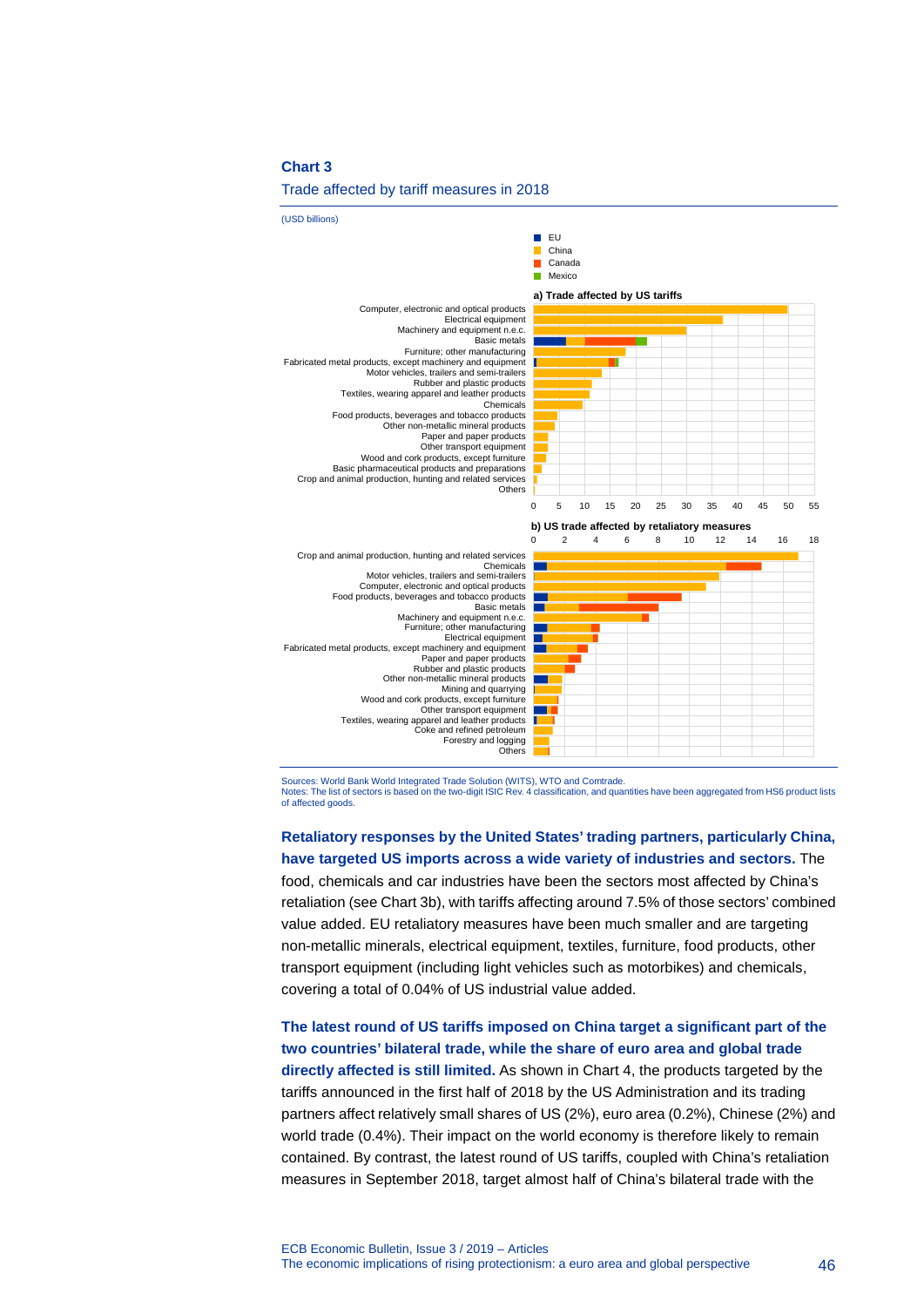#### Trade affected by tariff measures in 2018



Sources: World Bank World Integrated Trade Solution (WITS), WTO and Comtrade. Notes: The list of sectors is based on the two-digit ISIC Rev. 4 classification, and quantities have been aggregated from HS6 product lists of affected goods.

**Retaliatory responses by the United States' trading partners, particularly China, have targeted US imports across a wide variety of industries and sectors.** The food, chemicals and car industries have been the sectors most affected by China's retaliation (see Chart 3b), with tariffs affecting around 7.5% of those sectors' combined value added. EU retaliatory measures have been much smaller and are targeting non-metallic minerals, electrical equipment, textiles, furniture, food products, other transport equipment (including light vehicles such as motorbikes) and chemicals, covering a total of 0.04% of US industrial value added.

**The latest round of US tariffs imposed on China target a significant part of the two countries' bilateral trade, while the share of euro area and global trade directly affected is still limited.** As shown in Chart 4, the products targeted by the tariffs announced in the first half of 2018 by the US Administration and its trading partners affect relatively small shares of US (2%), euro area (0.2%), Chinese (2%) and world trade (0.4%). Their impact on the world economy is therefore likely to remain contained. By contrast, the latest round of US tariffs, coupled with China's retaliation measures in September 2018, target almost half of China's bilateral trade with the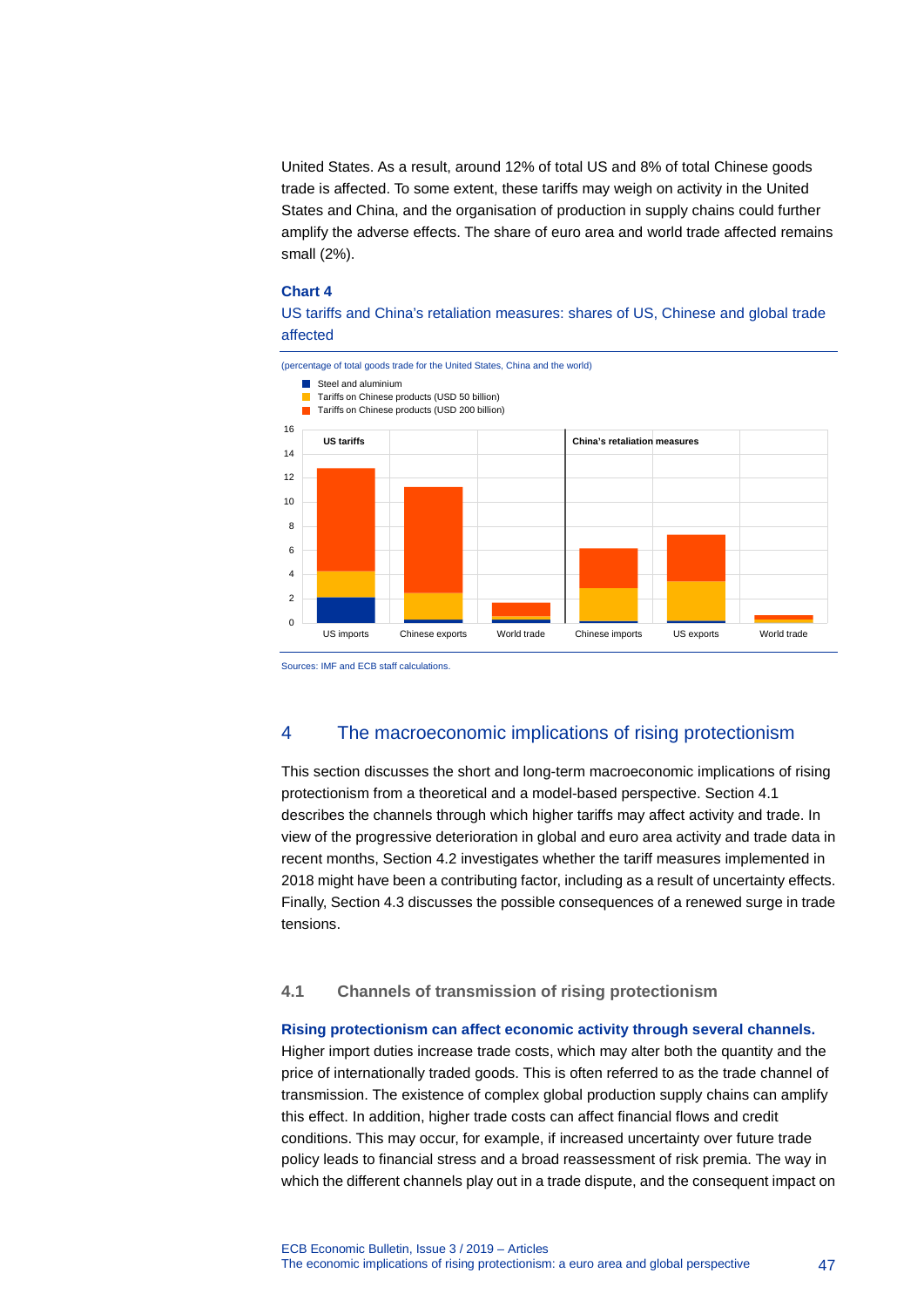United States. As a result, around 12% of total US and 8% of total Chinese goods trade is affected. To some extent, these tariffs may weigh on activity in the United States and China, and the organisation of production in supply chains could further amplify the adverse effects. The share of euro area and world trade affected remains small (2%).

#### **Chart 4**

US tariffs and China's retaliation measures: shares of US, Chinese and global trade affected



Sources: IMF and ECB staff calculations.

### 4 The macroeconomic implications of rising protectionism

This section discusses the short and long-term macroeconomic implications of rising protectionism from a theoretical and a model-based perspective. Section 4.1 describes the channels through which higher tariffs may affect activity and trade. In view of the progressive deterioration in global and euro area activity and trade data in recent months, Section 4.2 investigates whether the tariff measures implemented in 2018 might have been a contributing factor, including as a result of uncertainty effects. Finally, Section 4.3 discusses the possible consequences of a renewed surge in trade tensions.

### **4.1 Channels of transmission of rising protectionism**

#### **Rising protectionism can affect economic activity through several channels.**

Higher import duties increase trade costs, which may alter both the quantity and the price of internationally traded goods. This is often referred to as the trade channel of transmission. The existence of complex global production supply chains can amplify this effect. In addition, higher trade costs can affect financial flows and credit conditions. This may occur, for example, if increased uncertainty over future trade policy leads to financial stress and a broad reassessment of risk premia. The way in which the different channels play out in a trade dispute, and the consequent impact on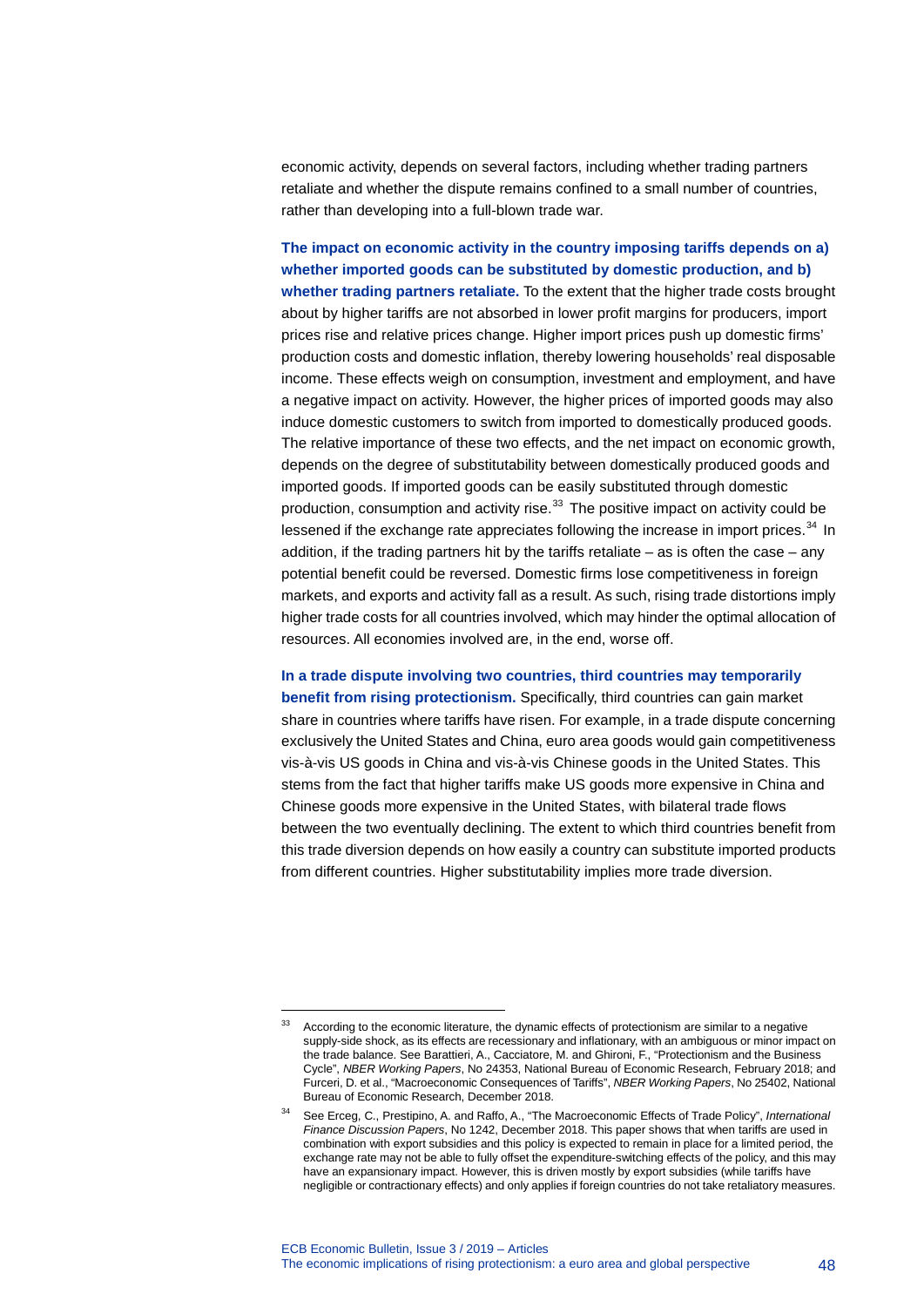economic activity, depends on several factors, including whether trading partners retaliate and whether the dispute remains confined to a small number of countries, rather than developing into a full-blown trade war.

**The impact on economic activity in the country imposing tariffs depends on a) whether imported goods can be substituted by domestic production, and b) whether trading partners retaliate.** To the extent that the higher trade costs brought about by higher tariffs are not absorbed in lower profit margins for producers, import prices rise and relative prices change. Higher import prices push up domestic firms' production costs and domestic inflation, thereby lowering households' real disposable income. These effects weigh on consumption, investment and employment, and have a negative impact on activity. However, the higher prices of imported goods may also induce domestic customers to switch from imported to domestically produced goods. The relative importance of these two effects, and the net impact on economic growth, depends on the degree of substitutability between domestically produced goods and imported goods. If imported goods can be easily substituted through domestic production, consumption and activity rise.<sup>[33](#page-48-0)</sup> The positive impact on activity could be lessened if the exchange rate appreciates following the increase in import prices.<sup>[34](#page-48-1)</sup> In addition, if the trading partners hit by the tariffs retaliate – as is often the case – any potential benefit could be reversed. Domestic firms lose competitiveness in foreign markets, and exports and activity fall as a result. As such, rising trade distortions imply higher trade costs for all countries involved, which may hinder the optimal allocation of resources. All economies involved are, in the end, worse off.

**In a trade dispute involving two countries, third countries may temporarily** 

**benefit from rising protectionism.** Specifically, third countries can gain market share in countries where tariffs have risen. For example, in a trade dispute concerning exclusively the United States and China, euro area goods would gain competitiveness vis-à-vis US goods in China and vis-à-vis Chinese goods in the United States. This stems from the fact that higher tariffs make US goods more expensive in China and Chinese goods more expensive in the United States, with bilateral trade flows between the two eventually declining. The extent to which third countries benefit from this trade diversion depends on how easily a country can substitute imported products from different countries. Higher substitutability implies more trade diversion.

<span id="page-48-0"></span><sup>&</sup>lt;sup>33</sup> According to the economic literature, the dynamic effects of protectionism are similar to a negative supply-side shock, as its effects are recessionary and inflationary, with an ambiguous or minor impact on the trade balance. See Barattieri, A., Cacciatore, M. and Ghironi, F., "Protectionism and the Business Cycle", *NBER Working Papers*, No 24353, National Bureau of Economic Research, February 2018; and Furceri, D. et al., "Macroeconomic Consequences of Tariffs", *NBER Working Papers*, No 25402, National Bureau of Economic Research, December 2018.

<span id="page-48-1"></span><sup>34</sup> See Erceg, C., Prestipino, A. and Raffo, A., "The Macroeconomic Effects of Trade Policy", *International Finance Discussion Papers*, No 1242, December 2018. This paper shows that when tariffs are used in combination with export subsidies and this policy is expected to remain in place for a limited period, the exchange rate may not be able to fully offset the expenditure-switching effects of the policy, and this may have an expansionary impact. However, this is driven mostly by export subsidies (while tariffs have negligible or contractionary effects) and only applies if foreign countries do not take retaliatory measures.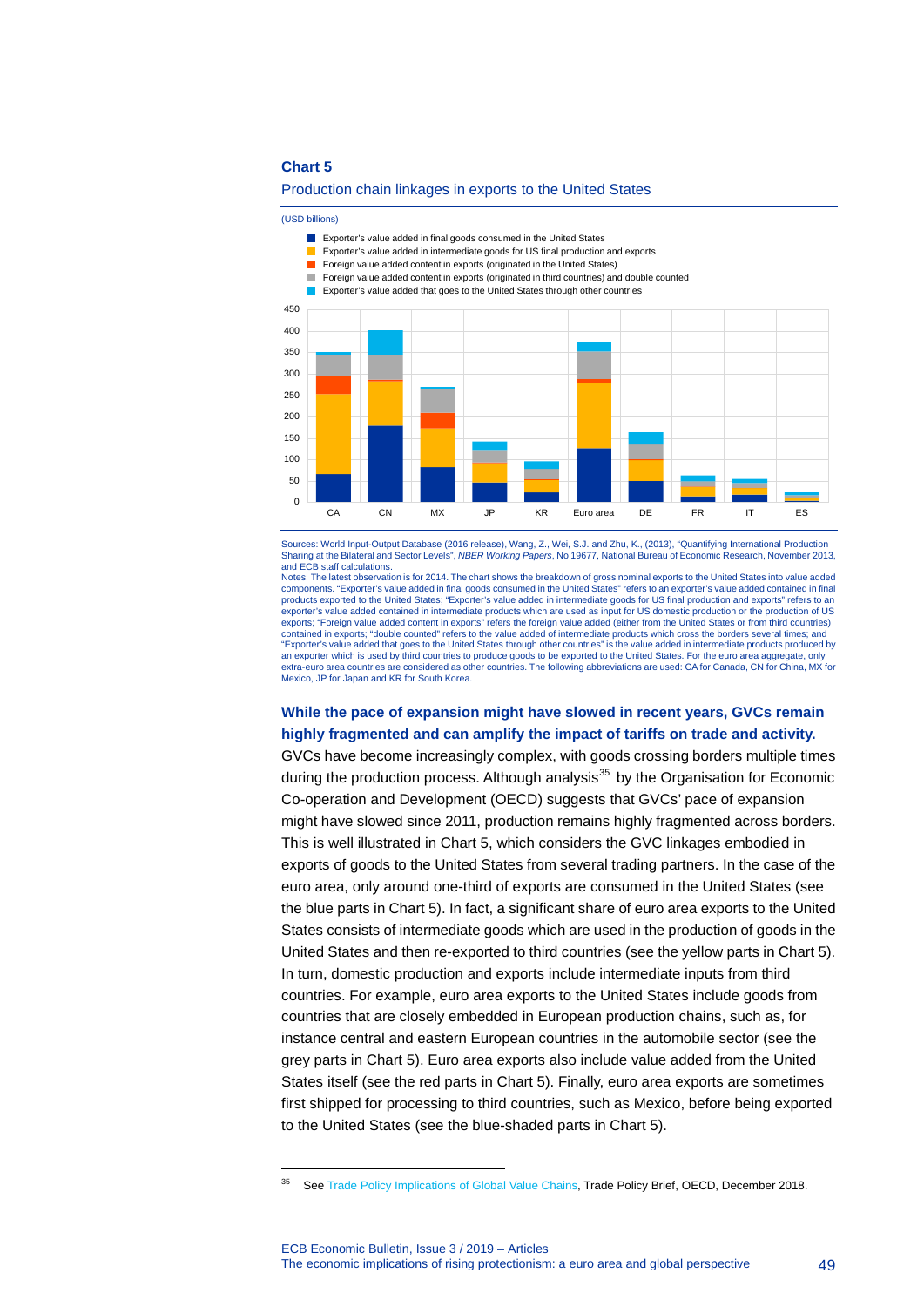#### Production chain linkages in exports to the United States

(USD billions)

-



- Exporter's value added in intermediate goods for US final production and exports П
- П Foreign value added content in exports (originated in the United States)
- **Foreign value added content in exports (originated in third countries) and double counted**
- **EXPORTER EXPORTER'S value added that goes to the United States through other countries**



Sources: World Input-Output Database (2016 release), Wang, Z., Wei, S.J. and Zhu, K., (2013), "Quantifying International Production Sharing at the Bilateral and Sector Levels", *NBER Working Papers*, No 19677, National Bureau of Economic Research, November 2013, and ECB staff calculations.

Notes: The latest observation is for 2014. The chart shows the breakdown of gross nominal exports to the United States into value added components. "Exporter's value added in final goods consumed in the United States" refers to an exporter's value added contained in final products exported to the United States; "Exporter's value added in intermediate goods for US final production and exports" refers to an exporter's value added contained in intermediate products which are used as input for US domestic production or the production of US exports; "Foreign value added content in exports" refers the foreign value added (either from the United States or from third countries) contained in exports; "double counted" refers to the value added of intermediate products which cross the borders several times; and "Exporter's value added that goes to the United States through other countries" is the value added in intermediate products produced by an exporter which is used by third countries to produce goods to be exported to the United States. For the euro area aggregate, only<br>extra-euro area countries are considered as other countries. The following abbreviations Mexico, JP for Japan and KR for South Korea.

### **While the pace of expansion might have slowed in recent years, GVCs remain highly fragmented and can amplify the impact of tariffs on trade and activity.**

GVCs have become increasingly complex, with goods crossing borders multiple times during the production process. Although analysis<sup>[35](#page-49-0)</sup> by the Organisation for Economic Co-operation and Development (OECD) suggests that GVCs' pace of expansion might have slowed since 2011, production remains highly fragmented across borders. This is well illustrated in Chart 5, which considers the GVC linkages embodied in exports of goods to the United States from several trading partners. In the case of the euro area, only around one-third of exports are consumed in the United States (see the blue parts in Chart 5). In fact, a significant share of euro area exports to the United States consists of intermediate goods which are used in the production of goods in the United States and then re-exported to third countries (see the yellow parts in Chart 5). In turn, domestic production and exports include intermediate inputs from third countries. For example, euro area exports to the United States include goods from countries that are closely embedded in European production chains, such as, for instance central and eastern European countries in the automobile sector (see the grey parts in Chart 5). Euro area exports also include value added from the United States itself (see the red parts in Chart 5). Finally, euro area exports are sometimes first shipped for processing to third countries, such as Mexico, before being exported to the United States (see the blue-shaded parts in Chart 5).

<span id="page-49-0"></span><sup>&</sup>lt;sup>35</sup> Se[e Trade Policy Implications of Global Value Chains,](https://www.oecd.org/tad/trade-policy-implications-global-value-chains.pdf) Trade Policy Brief, OECD, December 2018.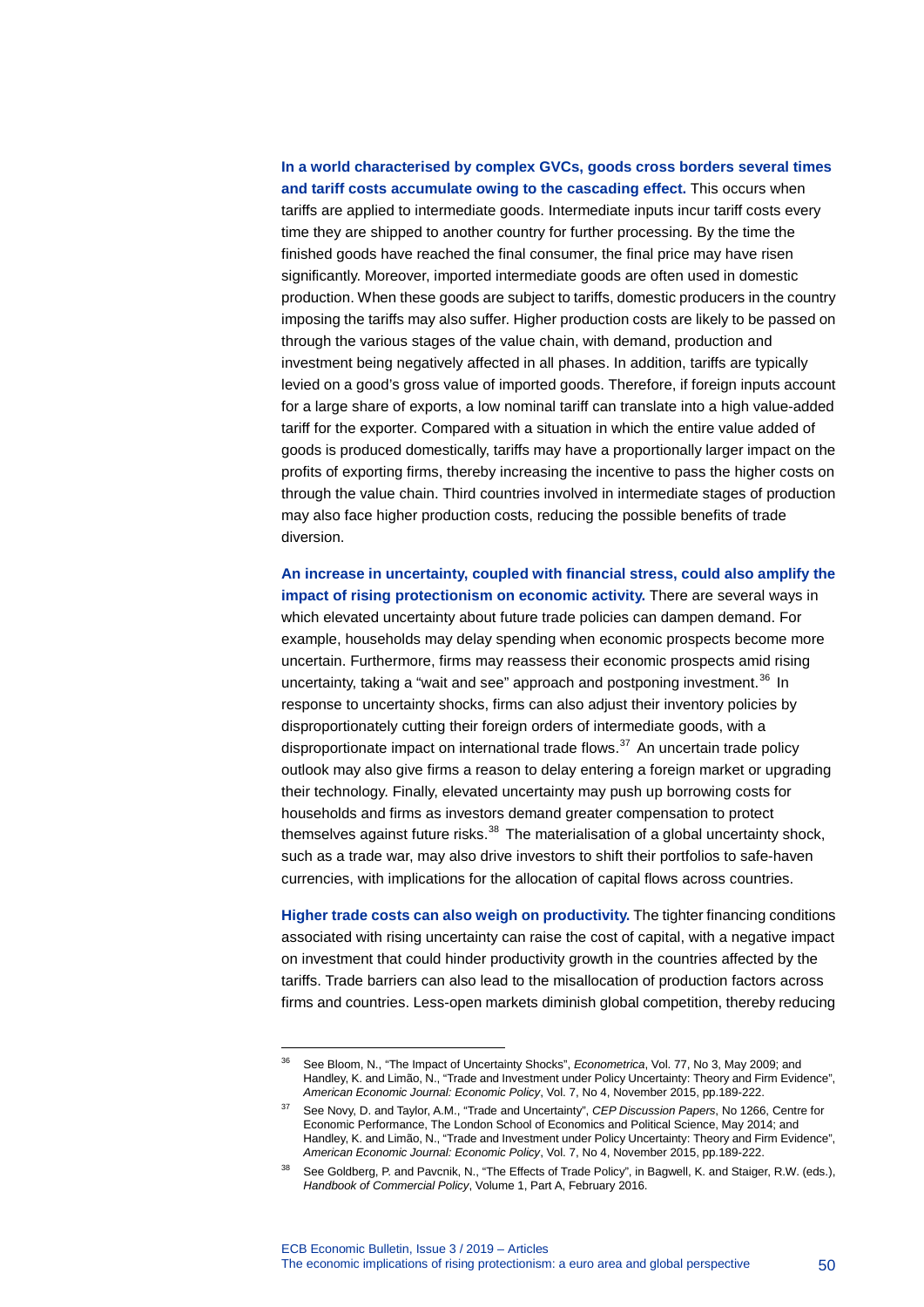### **In a world characterised by complex GVCs, goods cross borders several times and tariff costs accumulate owing to the cascading effect.** This occurs when

tariffs are applied to intermediate goods. Intermediate inputs incur tariff costs every time they are shipped to another country for further processing. By the time the finished goods have reached the final consumer, the final price may have risen significantly. Moreover, imported intermediate goods are often used in domestic production. When these goods are subject to tariffs, domestic producers in the country imposing the tariffs may also suffer. Higher production costs are likely to be passed on through the various stages of the value chain, with demand, production and investment being negatively affected in all phases. In addition, tariffs are typically levied on a good's gross value of imported goods. Therefore, if foreign inputs account for a large share of exports, a low nominal tariff can translate into a high value-added tariff for the exporter. Compared with a situation in which the entire value added of goods is produced domestically, tariffs may have a proportionally larger impact on the profits of exporting firms, thereby increasing the incentive to pass the higher costs on through the value chain. Third countries involved in intermediate stages of production may also face higher production costs, reducing the possible benefits of trade diversion.

**An increase in uncertainty, coupled with financial stress, could also amplify the impact of rising protectionism on economic activity.** There are several ways in which elevated uncertainty about future trade policies can dampen demand. For example, households may delay spending when economic prospects become more uncertain. Furthermore, firms may reassess their economic prospects amid rising uncertainty, taking a "wait and see" approach and postponing investment.<sup>[36](#page-50-0)</sup> In response to uncertainty shocks, firms can also adjust their inventory policies by disproportionately cutting their foreign orders of intermediate goods, with a disproportionate impact on international trade flows. $37$  An uncertain trade policy outlook may also give firms a reason to delay entering a foreign market or upgrading their technology. Finally, elevated uncertainty may push up borrowing costs for households and firms as investors demand greater compensation to protect themselves against future risks. $38$  The materialisation of a global uncertainty shock, such as a trade war, may also drive investors to shift their portfolios to safe-haven currencies, with implications for the allocation of capital flows across countries.

**Higher trade costs can also weigh on productivity.** The tighter financing conditions associated with rising uncertainty can raise the cost of capital, with a negative impact on investment that could hinder productivity growth in the countries affected by the tariffs. Trade barriers can also lead to the misallocation of production factors across firms and countries. Less-open markets diminish global competition, thereby reducing

<span id="page-50-0"></span><sup>36</sup> See Bloom, N., "The Impact of Uncertainty Shocks", *Econometrica*, Vol. 77, No 3, May 2009; and Handley, K. and Limão, N., "Trade and Investment under Policy Uncertainty: Theory and Firm Evidence", *American Economic Journal: Economic Policy*, Vol. 7, No 4, November 2015, pp.189-222.

<span id="page-50-1"></span><sup>37</sup> See Novy, D. and Taylor, A.M., "Trade and Uncertainty", *CEP Discussion Papers*, No 1266, Centre for Economic Performance, The London School of Economics and Political Science, May 2014; and Handley, K. and Limão, N., "Trade and Investment under Policy Uncertainty: Theory and Firm Evidence", *American Economic Journal: Economic Policy*, Vol. 7, No 4, November 2015, pp.189-222.

<span id="page-50-2"></span>See Goldberg, P. and Pavcnik, N., "The Effects of Trade Policy", in Bagwell, K. and Staiger, R.W. (eds.), *Handbook of Commercial Policy*, Volume 1, Part A, February 2016.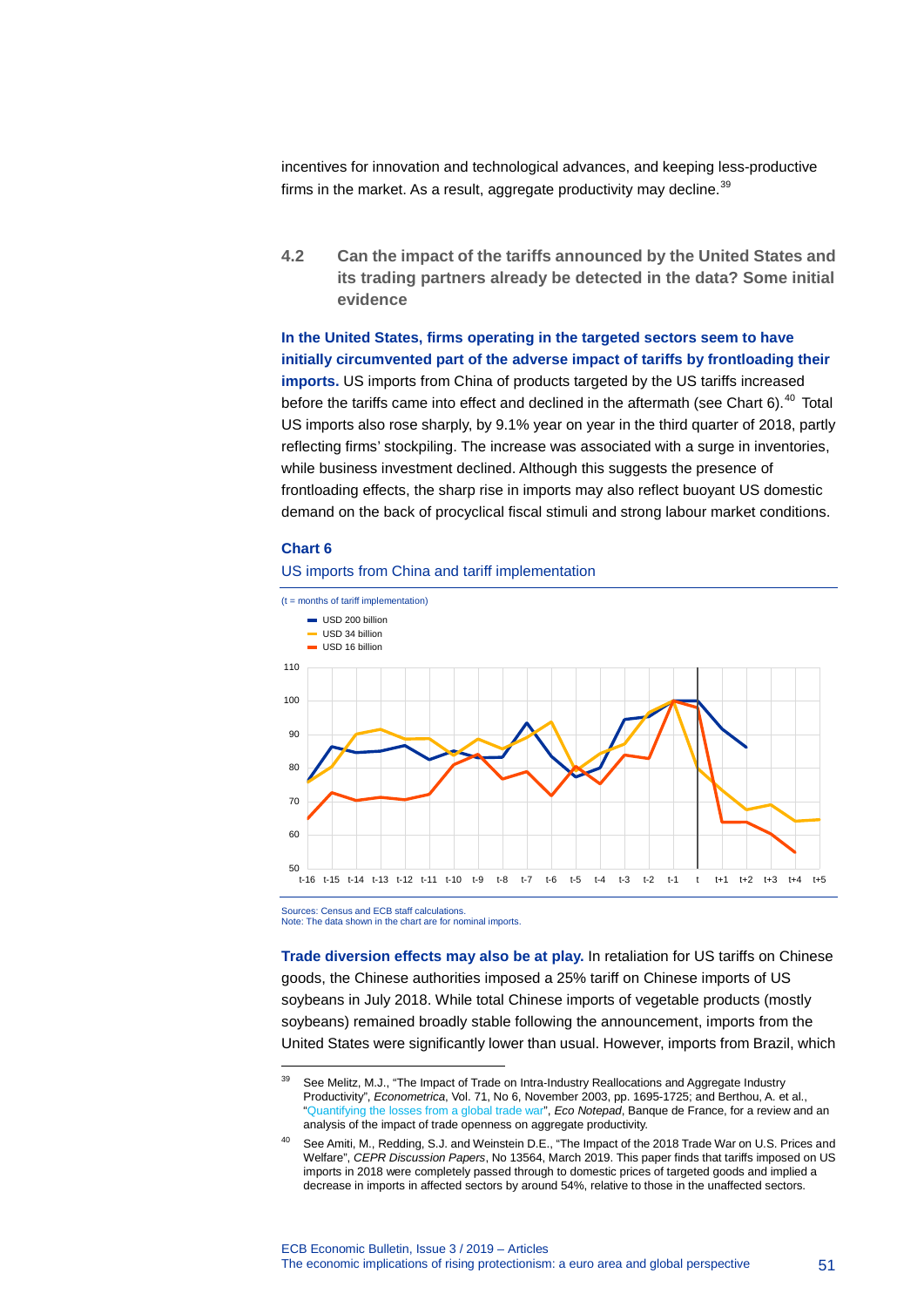incentives for innovation and technological advances, and keeping less-productive firms in the market. As a result, aggregate productivity may decline.  $39$ 

**4.2 Can the impact of the tariffs announced by the United States and its trading partners already be detected in the data? Some initial evidence**

**In the United States, firms operating in the targeted sectors seem to have initially circumvented part of the adverse impact of tariffs by frontloading their imports.** US imports from China of products targeted by the US tariffs increased before the tariffs came into effect and declined in the aftermath (see Chart  $6$ ).<sup>[40](#page-51-1)</sup> Total US imports also rose sharply, by 9.1% year on year in the third quarter of 2018, partly reflecting firms' stockpiling. The increase was associated with a surge in inventories, while business investment declined. Although this suggests the presence of frontloading effects, the sharp rise in imports may also reflect buoyant US domestic demand on the back of procyclical fiscal stimuli and strong labour market conditions.

#### **Chart 6**

-

### US imports from China and tariff implementation



Sources: Census and ECB staff calculations. Note: The data shown in the chart are for nominal imports.

**Trade diversion effects may also be at play.** In retaliation for US tariffs on Chinese goods, the Chinese authorities imposed a 25% tariff on Chinese imports of US soybeans in July 2018. While total Chinese imports of vegetable products (mostly soybeans) remained broadly stable following the announcement, imports from the United States were significantly lower than usual. However, imports from Brazil, which

<span id="page-51-0"></span><sup>&</sup>lt;sup>39</sup> See Melitz, M.J., "The Impact of Trade on Intra-Industry Reallocations and Aggregate Industry Productivity", *Econometrica*, Vol. 71, No 6, November 2003, pp. 1695-1725; and Berthou, A. et al., ["Quantifying the losses from a global trade war"](https://blocnotesdeleco.banque-france.fr/en/blog-entry/quantifying-losses-global-trade-war), *Eco Notepad*, Banque de France, for a review and an analysis of the impact of trade openness on aggregate productivity.

<span id="page-51-1"></span>See Amiti, M., Redding, S.J. and Weinstein D.E., "The Impact of the 2018 Trade War on U.S. Prices and Welfare", *CEPR Discussion Papers*, No 13564, March 2019. This paper finds that tariffs imposed on US imports in 2018 were completely passed through to domestic prices of targeted goods and implied a decrease in imports in affected sectors by around 54%, relative to those in the unaffected sectors.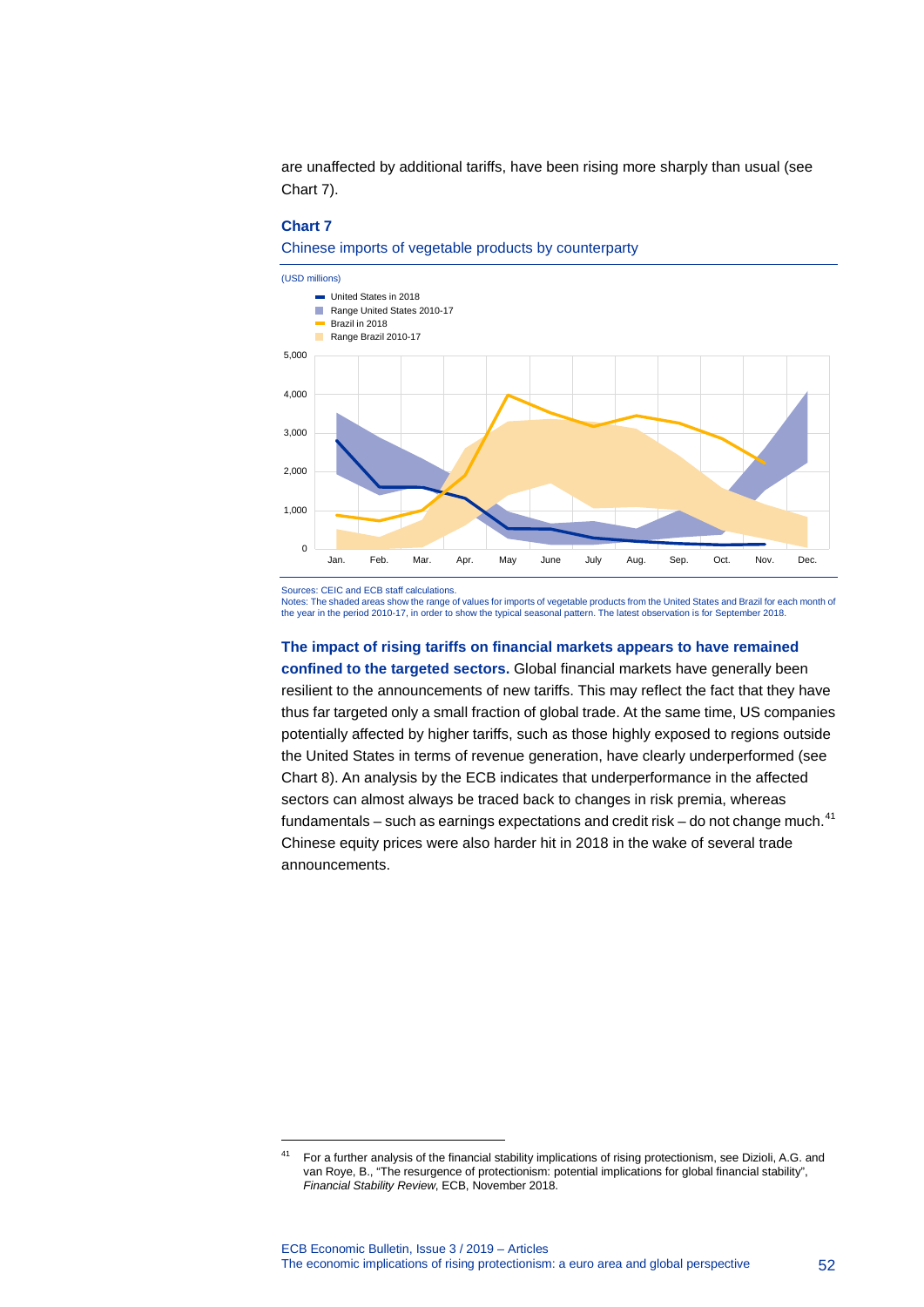are unaffected by additional tariffs, have been rising more sharply than usual (see Chart 7).

#### **Chart 7**

Chinese imports of vegetable products by counterparty



Sources: CEIC and ECB staff calculations.

-

Notes: The shaded areas show the range of values for imports of vegetable products from the United States and Brazil for each month of the year in the period 2010-17, in order to show the typical seasonal pattern. The latest observation is for September 2018.

#### **The impact of rising tariffs on financial markets appears to have remained**

**confined to the targeted sectors.** Global financial markets have generally been resilient to the announcements of new tariffs. This may reflect the fact that they have thus far targeted only a small fraction of global trade. At the same time, US companies potentially affected by higher tariffs, such as those highly exposed to regions outside the United States in terms of revenue generation, have clearly underperformed (see Chart 8). An analysis by the ECB indicates that underperformance in the affected sectors can almost always be traced back to changes in risk premia, whereas fundamentals – such as earnings expectations and credit risk – do not change much. $41$ Chinese equity prices were also harder hit in 2018 in the wake of several trade announcements.

<span id="page-52-0"></span><sup>&</sup>lt;sup>41</sup> For a further analysis of the financial stability implications of rising protectionism, see Dizioli, A.G. and van Roye, B., "The resurgence of protectionism: potential implications for global financial stability", *Financial Stability Review*, ECB, November 2018.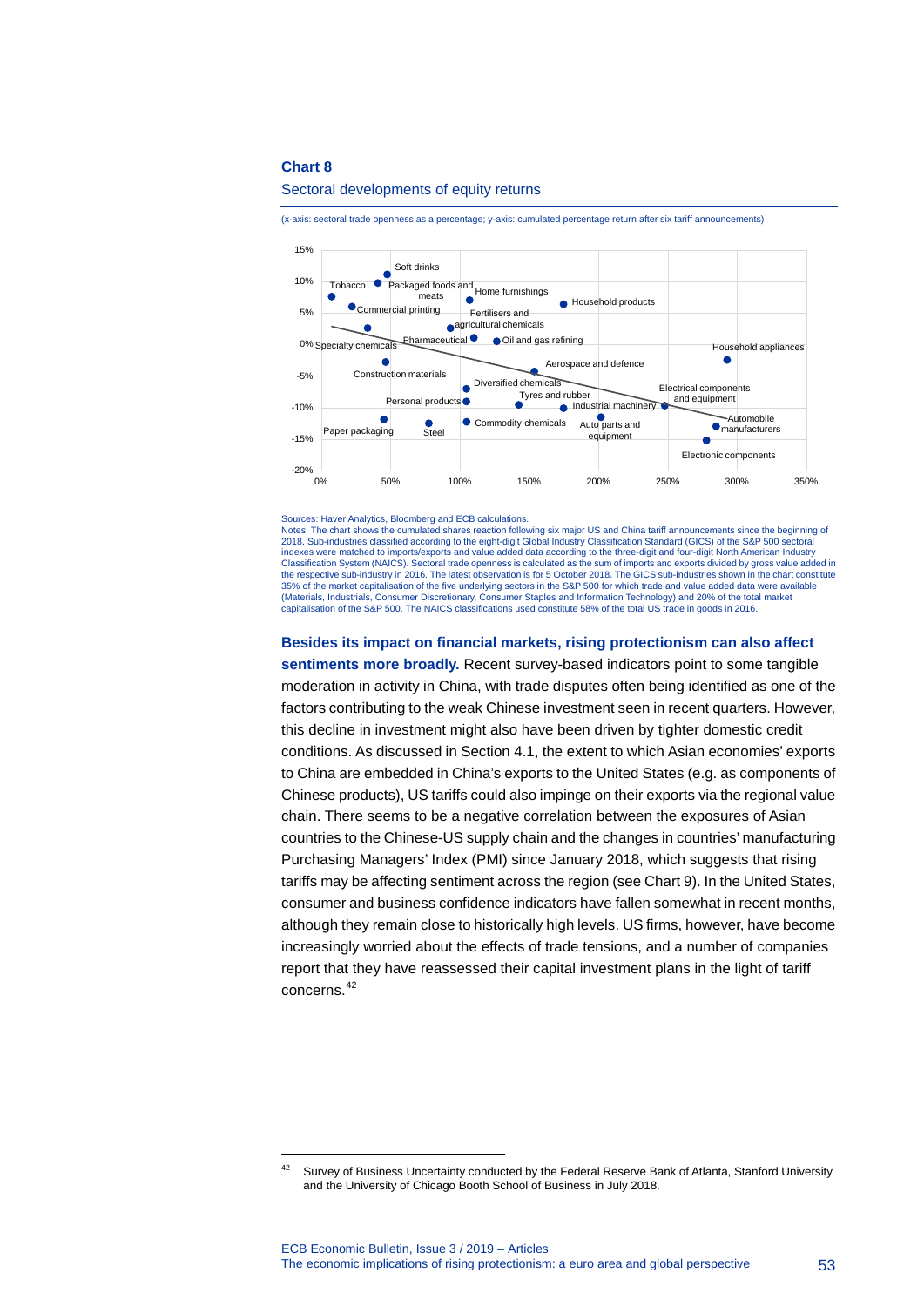<span id="page-53-0"></span>-

#### 15% Soft drinks 10% Tobacco Packaged foods and Home furnishings × meats Household products ommercial printing 5% Fertilisers and agricultural chemicals Pharmaceutical<sup>O</sup> Oil and gas refining Household appliances 0% Specialty chemicals Aerospace and defence Construction materials Diversified chemicals -5% Electrical components Tyres and rubber and equipment Personal products<sup>®</sup>  $\bullet$  Industrial machinery  $-10%$ manufacturers Auto parts and Automobile  $\bullet$ Commodity chemicals Paper packaging Steel equipment -15% Electronic components — 20%-<br>%0 0% 50% 100% 150% 200% 250% 300% 350%

#### Sectoral developments of equity returns

(x-axis: sectoral trade openness as a percentage; y-axis: cumulated percentage return after six tariff announcements)

Sources: Haver Analytics, Bloomberg and ECB calculations.

Notes: The chart shows the cumulated shares reaction following six major US and China tariff announcements since the beginning of 2018. Sub-industries classified according to the eight-digit Global Industry Classification Standard (GICS) of the S&P 500 sectoral indexes were matched to imports/exports and value added data according to the three-digit and four-digit North American Industry Classification System (NAICS). Sectoral trade openness is calculated as the sum of imports and exports divided by gross value added in the respective sub-industry in 2016. The latest observation is for 5 October 2018. The GICS sub-industries shown in the chart constitute 35% of the market capitalisation of the five underlying sectors in the S&P 500 for which trade and value added data were available (Materials, Industrials, Consumer Discretionary, Consumer Staples and Information Technology) and 20% of the total market capitalisation of the S&P 500. The NAICS classifications used constitute 58% of the total US trade in goods in 2016.

#### **Besides its impact on financial markets, rising protectionism can also affect**

**sentiments more broadly.** Recent survey-based indicators point to some tangible moderation in activity in China, with trade disputes often being identified as one of the factors contributing to the weak Chinese investment seen in recent quarters. However, this decline in investment might also have been driven by tighter domestic credit conditions. As discussed in Section 4.1, the extent to which Asian economies' exports to China are embedded in China's exports to the United States (e.g. as components of Chinese products), US tariffs could also impinge on their exports via the regional value chain. There seems to be a negative correlation between the exposures of Asian countries to the Chinese-US supply chain and the changes in countries' manufacturing Purchasing Managers' Index (PMI) since January 2018, which suggests that rising tariffs may be affecting sentiment across the region (see Chart 9). In the United States, consumer and business confidence indicators have fallen somewhat in recent months, although they remain close to historically high levels. US firms, however, have become increasingly worried about the effects of trade tensions, and a number of companies report that they have reassessed their capital investment plans in the light of tariff concerns. [42](#page-53-0)

<sup>42</sup> Survey of Business Uncertainty conducted by the Federal Reserve Bank of Atlanta, Stanford University and the University of Chicago Booth School of Business in July 2018.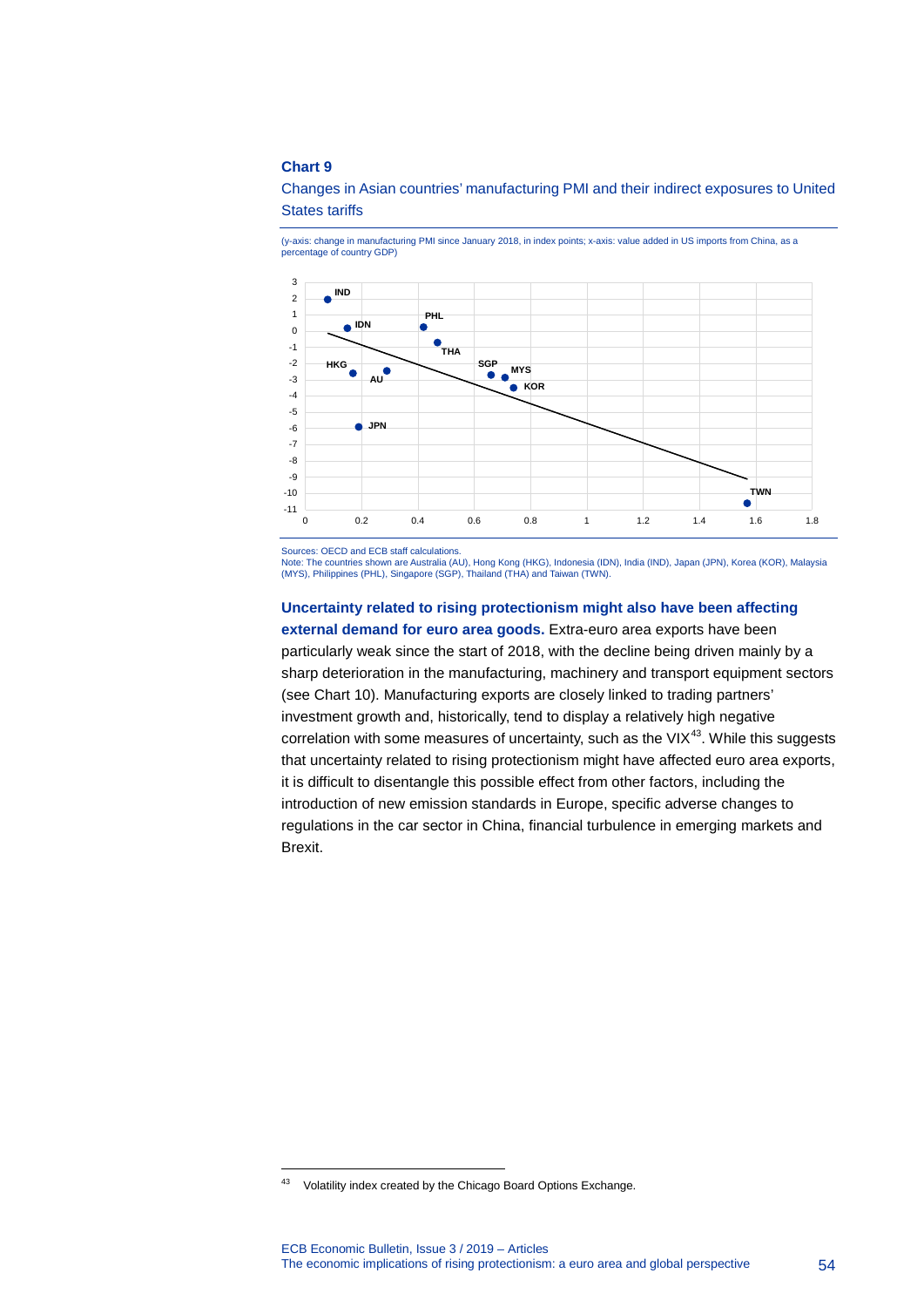

(y-axis: change in manufacturing PMI since January 2018, in index points; x-axis: value added in US imports from China, as a percentage of country GDP)



Sources: OECD and ECB staff calculations.

Note: The countries shown are Australia (AU), Hong Kong (HKG), Indonesia (IDN), India (IND), Japan (JPN), Korea (KOR), Malaysia (MYS), Philippines (PHL), Singapore (SGP), Thailand (THA) and Taiwan (TWN).

**Uncertainty related to rising protectionism might also have been affecting external demand for euro area goods.** Extra-euro area exports have been particularly weak since the start of 2018, with the decline being driven mainly by a sharp deterioration in the manufacturing, machinery and transport equipment sectors (see Chart 10). Manufacturing exports are closely linked to trading partners' investment growth and, historically, tend to display a relatively high negative correlation with some measures of uncertainty, such as the VI $X^{43}$  $X^{43}$  $X^{43}$ . While this suggests that uncertainty related to rising protectionism might have affected euro area exports, it is difficult to disentangle this possible effect from other factors, including the introduction of new emission standards in Europe, specific adverse changes to regulations in the car sector in China, financial turbulence in emerging markets and Brexit.

<span id="page-54-0"></span><sup>&</sup>lt;sup>43</sup> Volatility index created by the Chicago Board Options Exchange.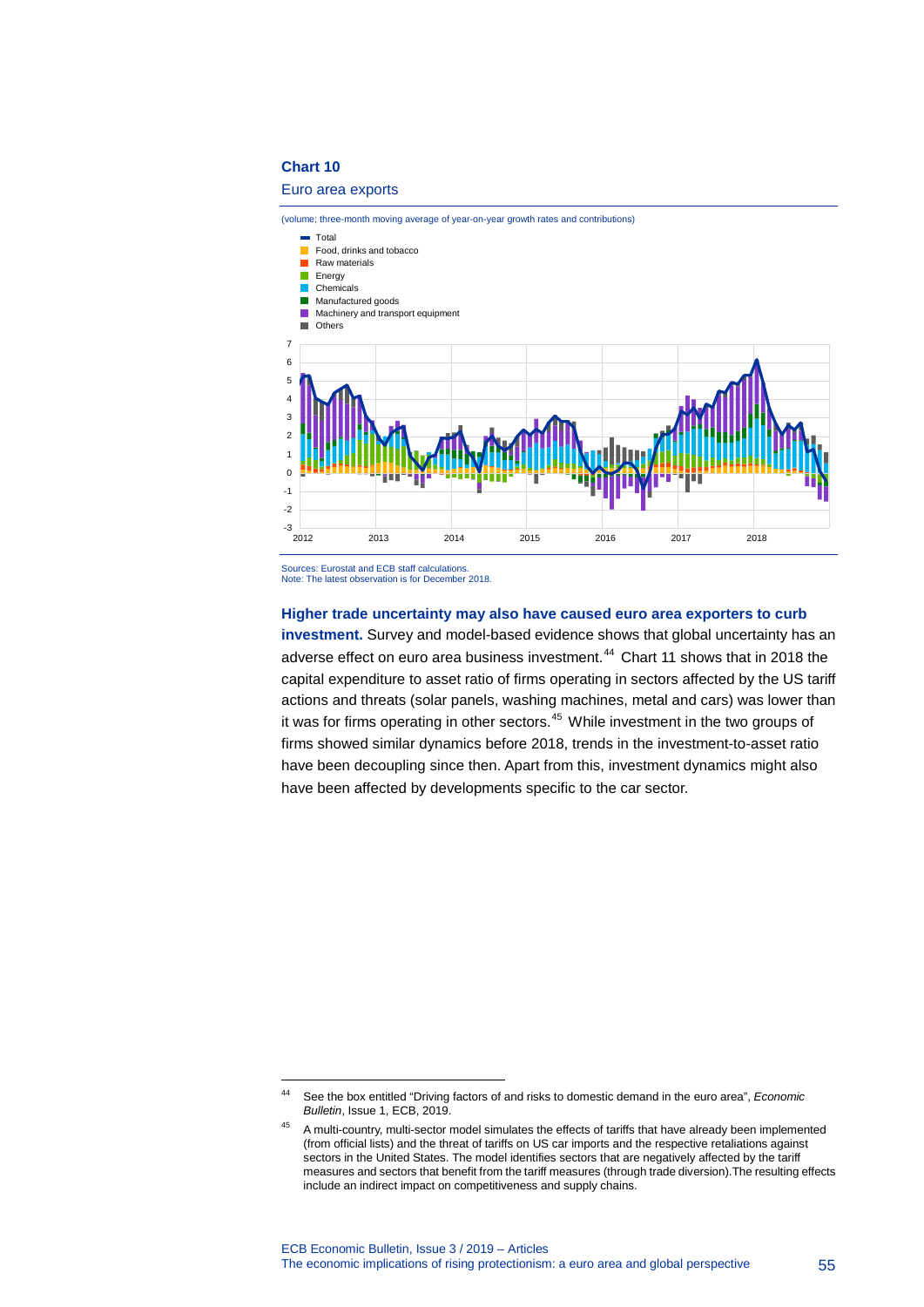#### Euro area exports



Note: The latest observation is for December 2018.

-

#### **Higher trade uncertainty may also have caused euro area exporters to curb**

**investment.** Survey and model-based evidence shows that global uncertainty has an adverse effect on euro area business investment.<sup>[44](#page-55-0)</sup> Chart 11 shows that in 2018 the capital expenditure to asset ratio of firms operating in sectors affected by the US tariff actions and threats (solar panels, washing machines, metal and cars) was lower than it was for firms operating in other sectors. [45](#page-55-1) While investment in the two groups of firms showed similar dynamics before 2018, trends in the investment-to-asset ratio have been decoupling since then. Apart from this, investment dynamics might also have been affected by developments specific to the car sector.

<span id="page-55-0"></span><sup>44</sup> See the box entitled "Driving factors of and risks to domestic demand in the euro area", *Economic Bulletin*, Issue 1, ECB, 2019.

<span id="page-55-1"></span><sup>&</sup>lt;sup>45</sup> A multi-country, multi-sector model simulates the effects of tariffs that have already been implemented (from official lists) and the threat of tariffs on US car imports and the respective retaliations against sectors in the United States. The model identifies sectors that are negatively affected by the tariff measures and sectors that benefit from the tariff measures (through trade diversion).The resulting effects include an indirect impact on competitiveness and supply chains.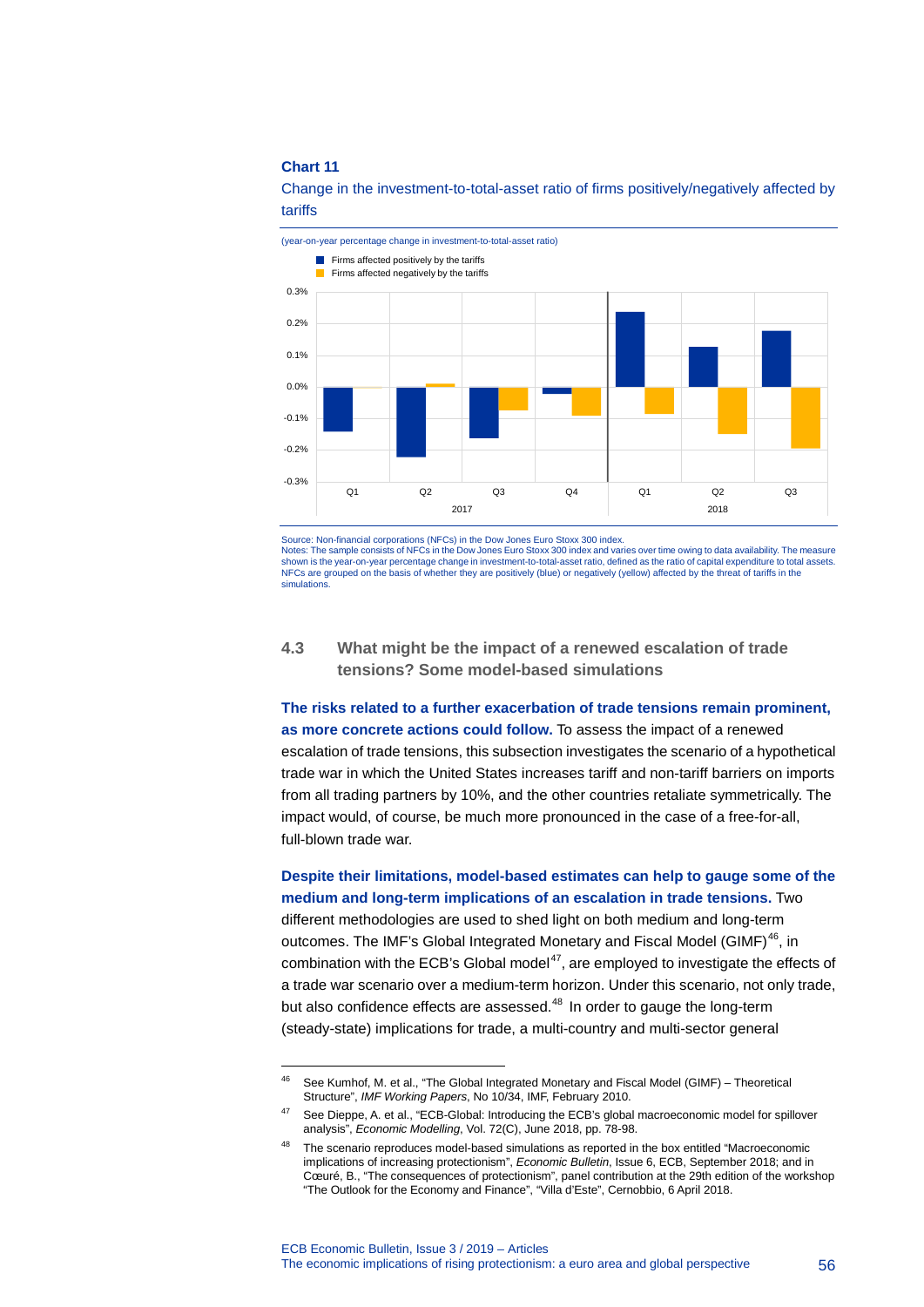-



Change in the investment-to-total-asset ratio of firms positively/negatively affected by tariffs

Notes: The sample consists of NFCs in the Dow Jones Euro Stoxx 300 index and varies over time owing to data availability. The measure shown is the year-on-year percentage change in investment-to-total-asset ratio, defined as the ratio of capital expenditure to total assets. NFCs are grouped on the basis of whether they are positively (blue) or negatively (yellow) affected by the threat of tariffs in the simulations.

### **4.3 What might be the impact of a renewed escalation of trade tensions? Some model-based simulations**

**The risks related to a further exacerbation of trade tensions remain prominent, as more concrete actions could follow.** To assess the impact of a renewed escalation of trade tensions, this subsection investigates the scenario of a hypothetical trade war in which the United States increases tariff and non-tariff barriers on imports from all trading partners by 10%, and the other countries retaliate symmetrically. The impact would, of course, be much more pronounced in the case of a free-for-all, full-blown trade war.

**Despite their limitations, model-based estimates can help to gauge some of the medium and long-term implications of an escalation in trade tensions.** Two different methodologies are used to shed light on both medium and long-term outcomes. The IMF's Global Integrated Monetary and Fiscal Model (GIMF)<sup>46</sup>, in combination with the ECB's Global model<sup>47</sup>, are employed to investigate the effects of a trade war scenario over a medium-term horizon. Under this scenario, not only trade, but also confidence effects are assessed.<sup>[48](#page-56-2)</sup> In order to gauge the long-term (steady-state) implications for trade, a multi-country and multi-sector general

Source: Non-financial corporations (NFCs) in the Dow Jones Euro Stoxx 300 index.

<span id="page-56-0"></span><sup>46</sup> See Kumhof, M. et al., "The Global Integrated Monetary and Fiscal Model (GIMF) – Theoretical Structure", *IMF Working Papers*, No 10/34, IMF, February 2010.

<span id="page-56-1"></span><sup>47</sup> See Dieppe, A. et al., "ECB-Global: Introducing the ECB's global macroeconomic model for spillover analysis", *Economic Modelling*, Vol. 72(C), June 2018, pp. 78-98.

<span id="page-56-2"></span><sup>48</sup> The scenario reproduces model-based simulations as reported in the box entitled "Macroeconomic implications of increasing protectionism", *Economic Bulletin*, Issue 6, ECB, September 2018; and in Cœuré, B., "The consequences of protectionism", panel contribution at the 29th edition of the workshop "The Outlook for the Economy and Finance", "Villa d'Este", Cernobbio, 6 April 2018.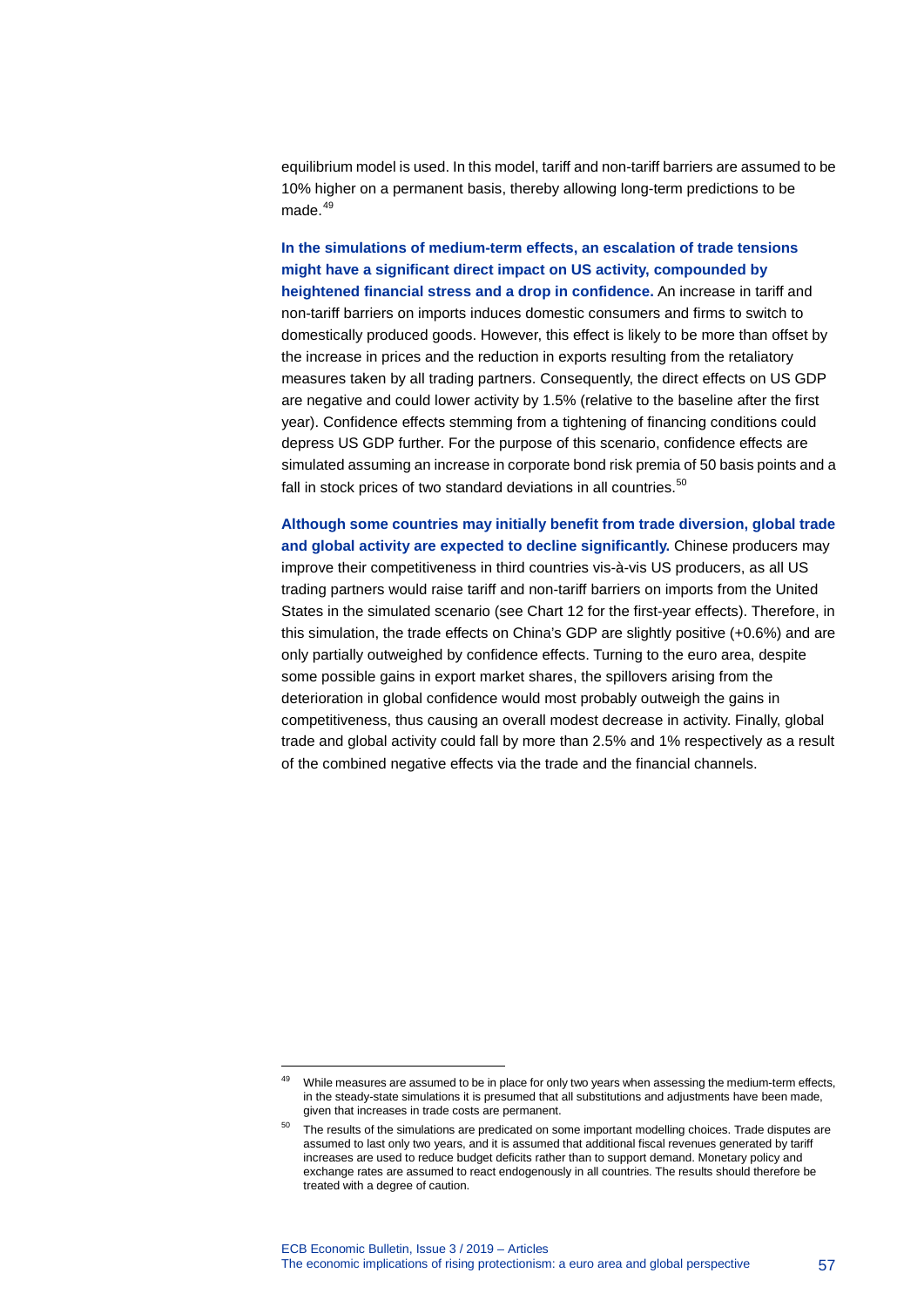equilibrium model is used. In this model, tariff and non-tariff barriers are assumed to be 10% higher on a permanent basis, thereby allowing long-term predictions to be made. $49$ 

**In the simulations of medium-term effects, an escalation of trade tensions might have a significant direct impact on US activity, compounded by heightened financial stress and a drop in confidence.** An increase in tariff and non-tariff barriers on imports induces domestic consumers and firms to switch to domestically produced goods. However, this effect is likely to be more than offset by the increase in prices and the reduction in exports resulting from the retaliatory measures taken by all trading partners. Consequently, the direct effects on US GDP are negative and could lower activity by 1.5% (relative to the baseline after the first year). Confidence effects stemming from a tightening of financing conditions could depress US GDP further. For the purpose of this scenario, confidence effects are simulated assuming an increase in corporate bond risk premia of 50 basis points and a fall in stock prices of two standard deviations in all countries.<sup>[50](#page-57-1)</sup>

**Although some countries may initially benefit from trade diversion, global trade and global activity are expected to decline significantly.** Chinese producers may improve their competitiveness in third countries vis-à-vis US producers, as all US trading partners would raise tariff and non-tariff barriers on imports from the United States in the simulated scenario (see Chart 12 for the first-year effects). Therefore, in this simulation, the trade effects on China's GDP are slightly positive (+0.6%) and are only partially outweighed by confidence effects. Turning to the euro area, despite some possible gains in export market shares, the spillovers arising from the deterioration in global confidence would most probably outweigh the gains in competitiveness, thus causing an overall modest decrease in activity. Finally, global trade and global activity could fall by more than 2.5% and 1% respectively as a result of the combined negative effects via the trade and the financial channels.

<span id="page-57-0"></span><sup>&</sup>lt;sup>49</sup> While measures are assumed to be in place for only two years when assessing the medium-term effects, in the steady-state simulations it is presumed that all substitutions and adjustments have been made, given that increases in trade costs are permanent.

<span id="page-57-1"></span><sup>&</sup>lt;sup>50</sup> The results of the simulations are predicated on some important modelling choices. Trade disputes are assumed to last only two years, and it is assumed that additional fiscal revenues generated by tariff increases are used to reduce budget deficits rather than to support demand. Monetary policy and exchange rates are assumed to react endogenously in all countries. The results should therefore be treated with a degree of caution.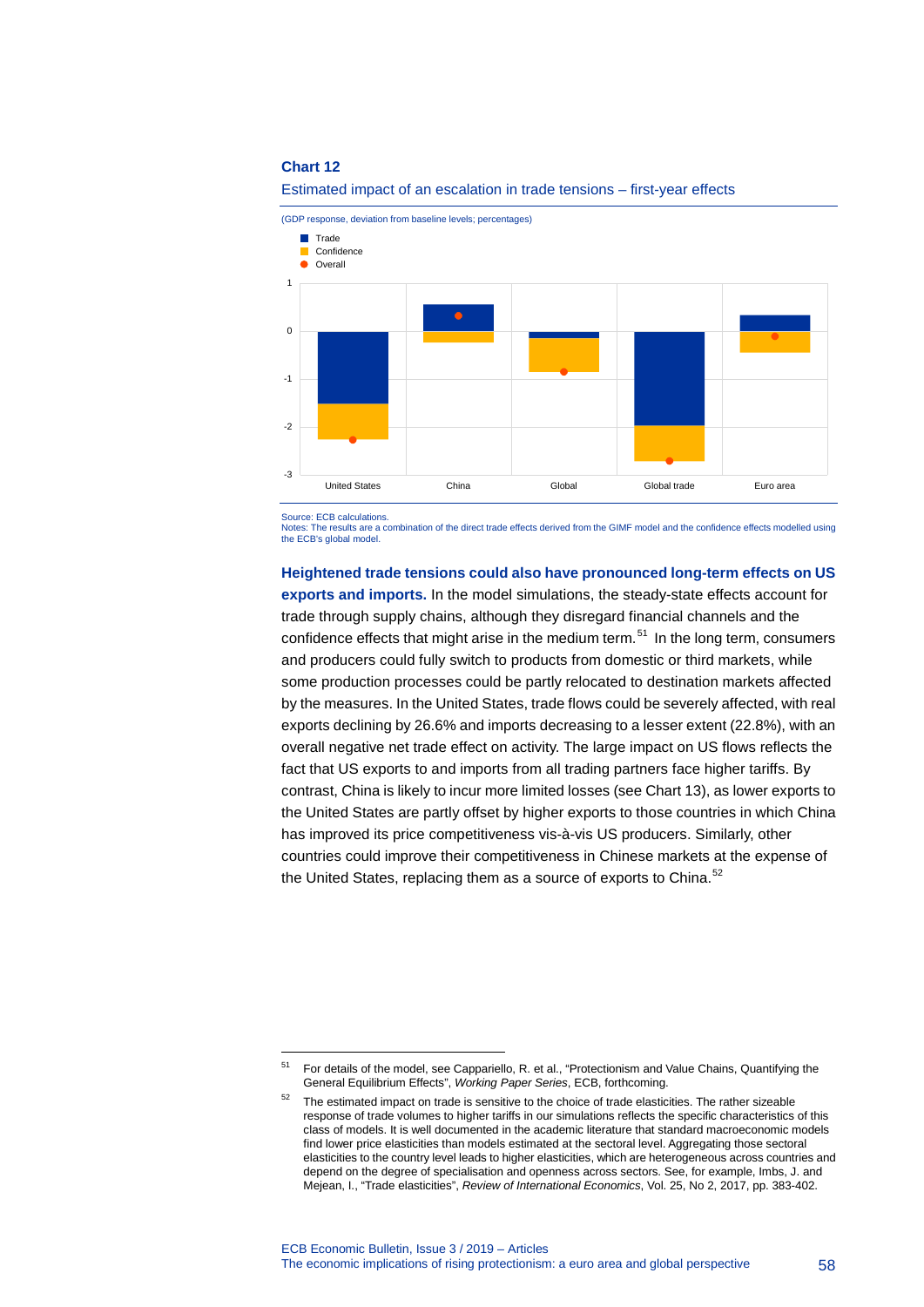

#### Estimated impact of an escalation in trade tensions – first-year effects

Source: ECB calculations.

-

Notes: The results are a combination of the direct trade effects derived from the GIMF model and the confidence effects modelled using the ECB's global model.

#### **Heightened trade tensions could also have pronounced long-term effects on US**

**exports and imports.** In the model simulations, the steady-state effects account for trade through supply chains, although they disregard financial channels and the confidence effects that might arise in the medium term. [51](#page-58-0) In the long term, consumers and producers could fully switch to products from domestic or third markets, while some production processes could be partly relocated to destination markets affected by the measures. In the United States, trade flows could be severely affected, with real exports declining by 26.6% and imports decreasing to a lesser extent (22.8%), with an overall negative net trade effect on activity. The large impact on US flows reflects the fact that US exports to and imports from all trading partners face higher tariffs. By contrast, China is likely to incur more limited losses (see Chart 13), as lower exports to the United States are partly offset by higher exports to those countries in which China has improved its price competitiveness vis-à-vis US producers. Similarly, other countries could improve their competitiveness in Chinese markets at the expense of the United States, replacing them as a source of exports to China. $52$ 

<span id="page-58-1"></span><span id="page-58-0"></span><sup>51</sup> For details of the model, see Cappariello, R. et al., "Protectionism and Value Chains, Quantifying the General Equilibrium Effects", *Working Paper Series*, ECB, forthcoming.

<sup>&</sup>lt;sup>52</sup> The estimated impact on trade is sensitive to the choice of trade elasticities. The rather sizeable response of trade volumes to higher tariffs in our simulations reflects the specific characteristics of this class of models. It is well documented in the academic literature that standard macroeconomic models find lower price elasticities than models estimated at the sectoral level. Aggregating those sectoral elasticities to the country level leads to higher elasticities, which are heterogeneous across countries and depend on the degree of specialisation and openness across sectors. See, for example, Imbs, J. and Mejean, I., "Trade elasticities", *Review of International Economics*, Vol. 25, No 2, 2017, pp. 383-402.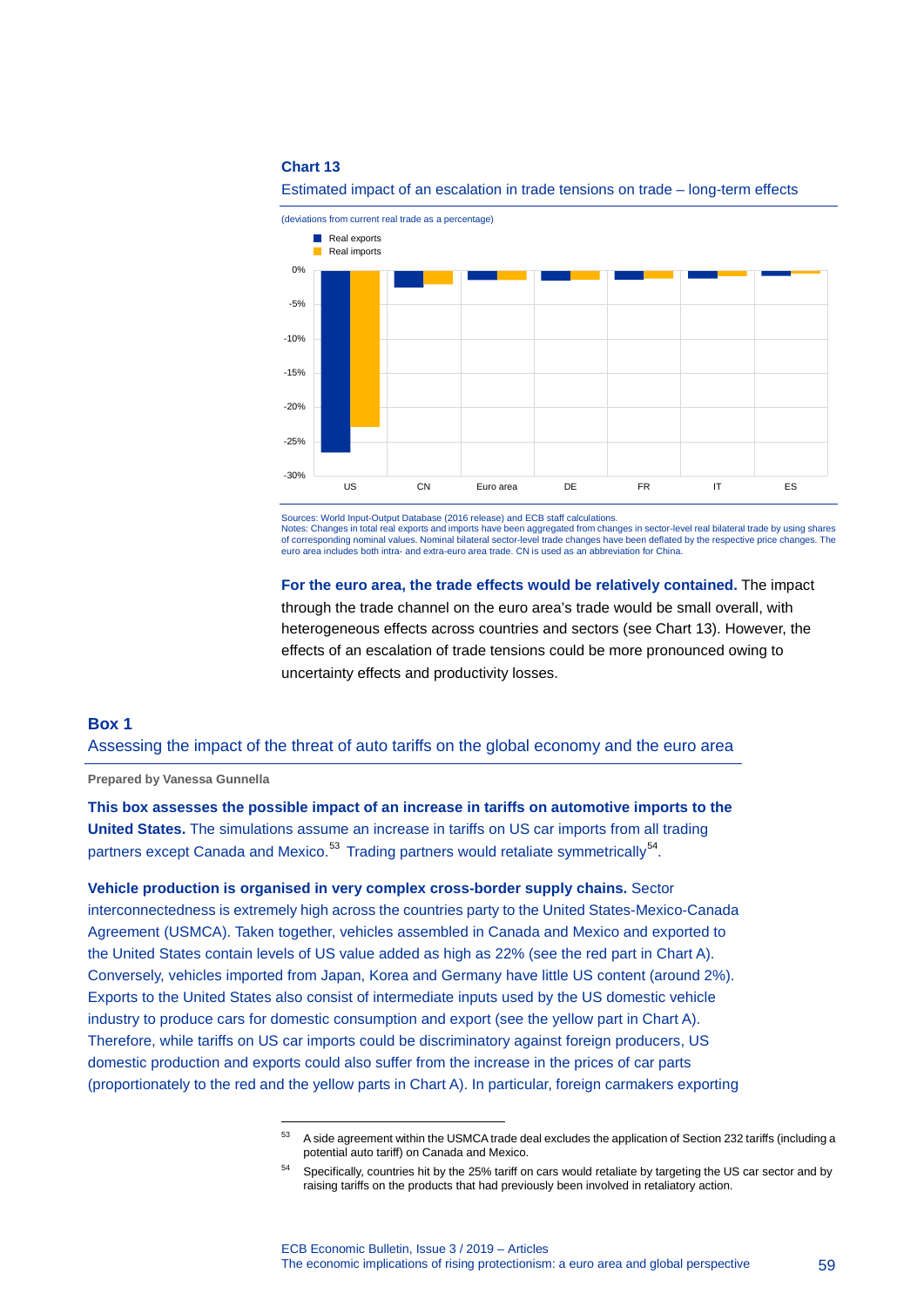

Estimated impact of an escalation in trade tensions on trade – long-term effects

Sources: World Input-Output Database (2016 release) and ECB staff calculations.

Notes: Changes in total real exports and imports have been aggregated from changes in sector-level real bilateral trade by using shares of corresponding nominal values. Nominal bilateral sector-level trade changes have been deflated by the respective price changes. The euro area includes both intra- and extra-euro area trade. CN is used as an abbreviation for China.

**For the euro area, the trade effects would be relatively contained.** The impact through the trade channel on the euro area's trade would be small overall, with heterogeneous effects across countries and sectors (see Chart 13). However, the effects of an escalation of trade tensions could be more pronounced owing to uncertainty effects and productivity losses.

### **Box 1**

Assessing the impact of the threat of auto tariffs on the global economy and the euro area

**Prepared by Vanessa Gunnella**

**This box assesses the possible impact of an increase in tariffs on automotive imports to the United States.** The simulations assume an increase in tariffs on US car imports from all trading partners except Canada and Mexico.<sup>[53](#page-59-0)</sup> Trading partners would retaliate symmetrically<sup>54</sup>.

<span id="page-59-0"></span>**Vehicle production is organised in very complex cross-border supply chains.** Sector interconnectedness is extremely high across the countries party to the United States-Mexico-Canada Agreement (USMCA). Taken together, vehicles assembled in Canada and Mexico and exported to the United States contain levels of US value added as high as 22% (see the red part in Chart A). Conversely, vehicles imported from Japan, Korea and Germany have little US content (around 2%). Exports to the United States also consist of intermediate inputs used by the US domestic vehicle industry to produce cars for domestic consumption and export (see the yellow part in Chart A). Therefore, while tariffs on US car imports could be discriminatory against foreign producers, US domestic production and exports could also suffer from the increase in the prices of car parts (proportionately to the red and the yellow parts in Chart A). In particular, foreign carmakers exporting

<sup>53</sup> A side agreement within the USMCA trade deal excludes the application of Section 232 tariffs (including a potential auto tariff) on Canada and Mexico.

<span id="page-59-1"></span><sup>&</sup>lt;sup>54</sup> Specifically, countries hit by the 25% tariff on cars would retaliate by targeting the US car sector and by raising tariffs on the products that had previously been involved in retaliatory action.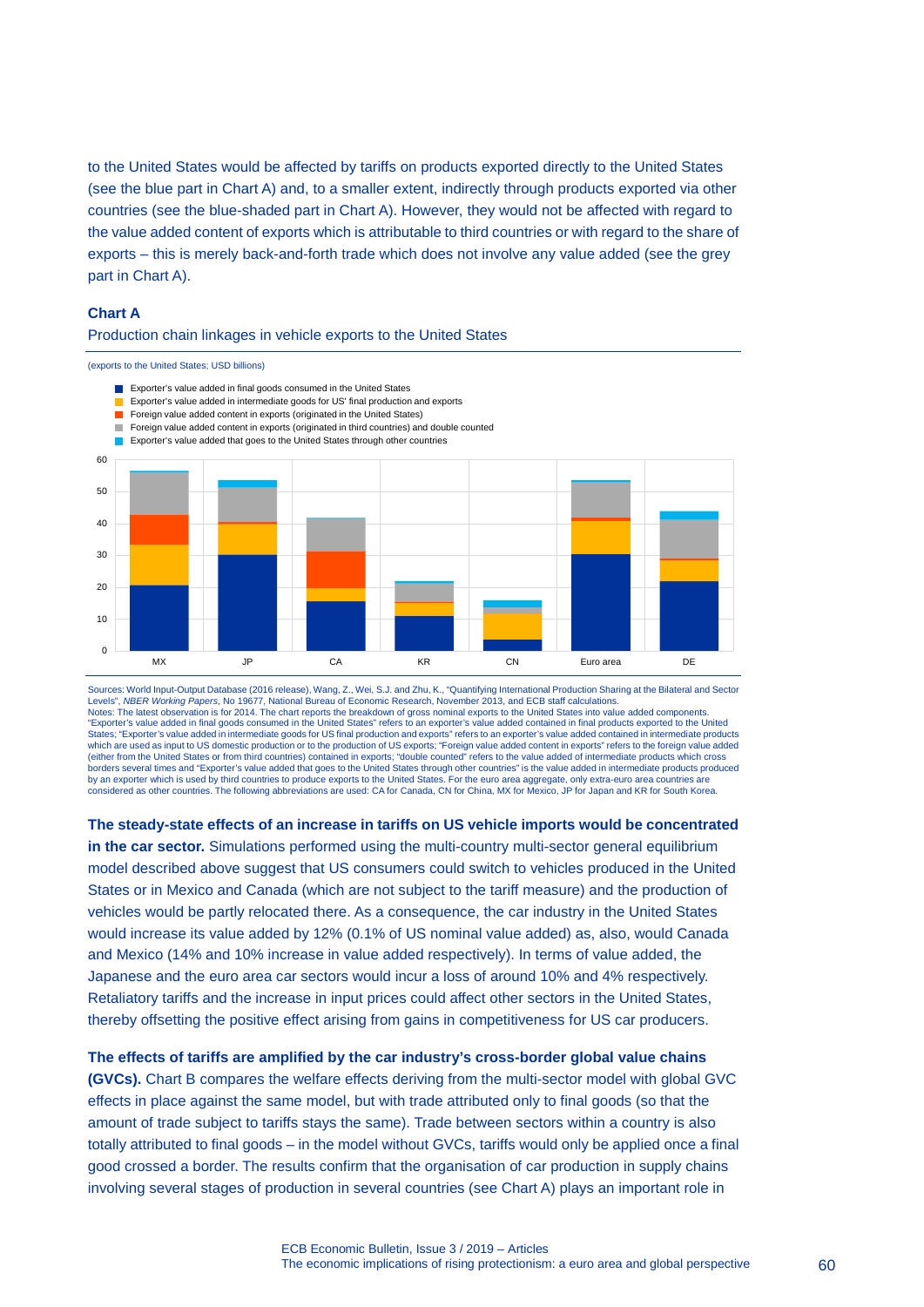to the United States would be affected by tariffs on products exported directly to the United States (see the blue part in Chart A) and, to a smaller extent, indirectly through products exported via other countries (see the blue-shaded part in Chart A). However, they would not be affected with regard to the value added content of exports which is attributable to third countries or with regard to the share of exports – this is merely back-and-forth trade which does not involve any value added (see the grey part in Chart A).

### **Chart A**

#### Production chain linkages in vehicle exports to the United States

(exports to the United States; USD billions)



Sources: World Input-Output Database (2016 release), Wang, Z., Wei, S.J. and Zhu, K., "Quantifying International Production Sharing at the Bilateral and Sector Levels", *NBER Working Papers*, No 19677, National Bureau of Economic Research, November 2013, and ECB staff calculations. Notes: The latest observation is for 2014. The chart reports the breakdown of gross nominal exports to the United States into value added components.<br>"Exporter's value added in final goods consumed in the United States" re States; "Exporter's value added in intermediate goods for US final production and exports" refers to an exporter's value added contained in intermediate products which are used as input to US domestic production or to the production of US exports; "Foreign value added content in exports" refers to the foreign value added (either from the United States or from third countries) contained in exports; "double counted" refers to the value added of intermediate products which cross borders several times and "Exporter's value added that goes to the United States through other countries" is the value added in intermediate products produced by an exporter which is used by third countries to produce exports to the United States. For the euro area aggregate, only extra-euro area countries are considered as other countries. The following abbreviations are used: CA for Canada, CN for China, MX for Mexico, JP for Japan and KR for South Korea.

**The steady-state effects of an increase in tariffs on US vehicle imports would be concentrated in the car sector.** Simulations performed using the multi-country multi-sector general equilibrium model described above suggest that US consumers could switch to vehicles produced in the United States or in Mexico and Canada (which are not subject to the tariff measure) and the production of vehicles would be partly relocated there. As a consequence, the car industry in the United States would increase its value added by 12% (0.1% of US nominal value added) as, also, would Canada and Mexico (14% and 10% increase in value added respectively). In terms of value added, the Japanese and the euro area car sectors would incur a loss of around 10% and 4% respectively. Retaliatory tariffs and the increase in input prices could affect other sectors in the United States, thereby offsetting the positive effect arising from gains in competitiveness for US car producers.

#### **The effects of tariffs are amplified by the car industry's cross-border global value chains**

**(GVCs).** Chart B compares the welfare effects deriving from the multi-sector model with global GVC effects in place against the same model, but with trade attributed only to final goods (so that the amount of trade subject to tariffs stays the same). Trade between sectors within a country is also totally attributed to final goods – in the model without GVCs, tariffs would only be applied once a final good crossed a border. The results confirm that the organisation of car production in supply chains involving several stages of production in several countries (see Chart A) plays an important role in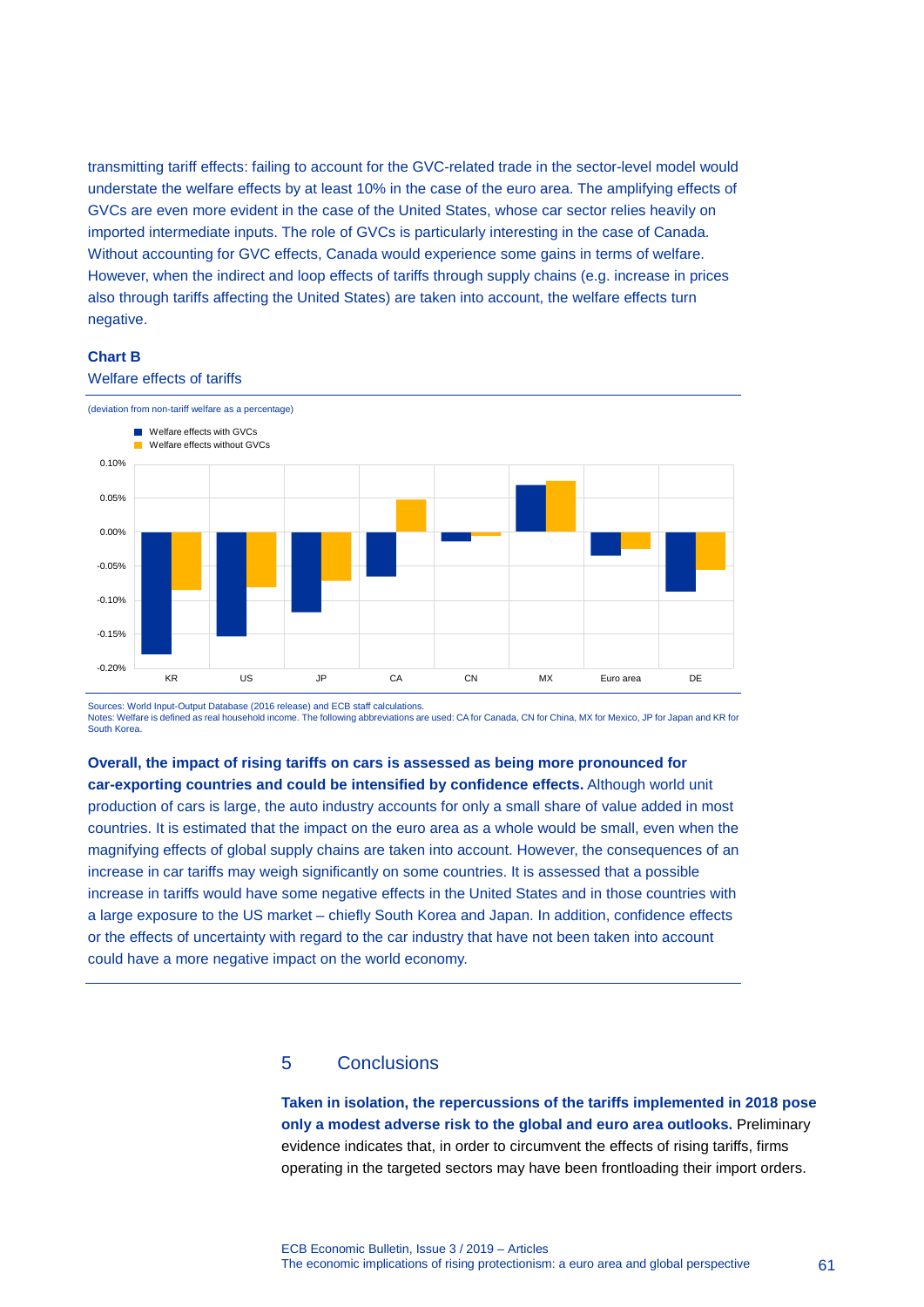transmitting tariff effects: failing to account for the GVC-related trade in the sector-level model would understate the welfare effects by at least 10% in the case of the euro area. The amplifying effects of GVCs are even more evident in the case of the United States, whose car sector relies heavily on imported intermediate inputs. The role of GVCs is particularly interesting in the case of Canada. Without accounting for GVC effects, Canada would experience some gains in terms of welfare. However, when the indirect and loop effects of tariffs through supply chains (e.g. increase in prices also through tariffs affecting the United States) are taken into account, the welfare effects turn negative.

#### **Chart B**



Welfare effects of tariffs

Sources: World Input-Output Database (2016 release) and ECB staff calculations. Notes: Welfare is defined as real household income. The following abbreviations are used: CA for Canada, CN for China, MX for Mexico, JP for Japan and KR for South Korea.

### **Overall, the impact of rising tariffs on cars is assessed as being more pronounced for**

**car-exporting countries and could be intensified by confidence effects.** Although world unit production of cars is large, the auto industry accounts for only a small share of value added in most countries. It is estimated that the impact on the euro area as a whole would be small, even when the magnifying effects of global supply chains are taken into account. However, the consequences of an increase in car tariffs may weigh significantly on some countries. It is assessed that a possible increase in tariffs would have some negative effects in the United States and in those countries with a large exposure to the US market – chiefly South Korea and Japan. In addition, confidence effects or the effects of uncertainty with regard to the car industry that have not been taken into account could have a more negative impact on the world economy.

### 5 Conclusions

**Taken in isolation, the repercussions of the tariffs implemented in 2018 pose only a modest adverse risk to the global and euro area outlooks.** Preliminary evidence indicates that, in order to circumvent the effects of rising tariffs, firms operating in the targeted sectors may have been frontloading their import orders.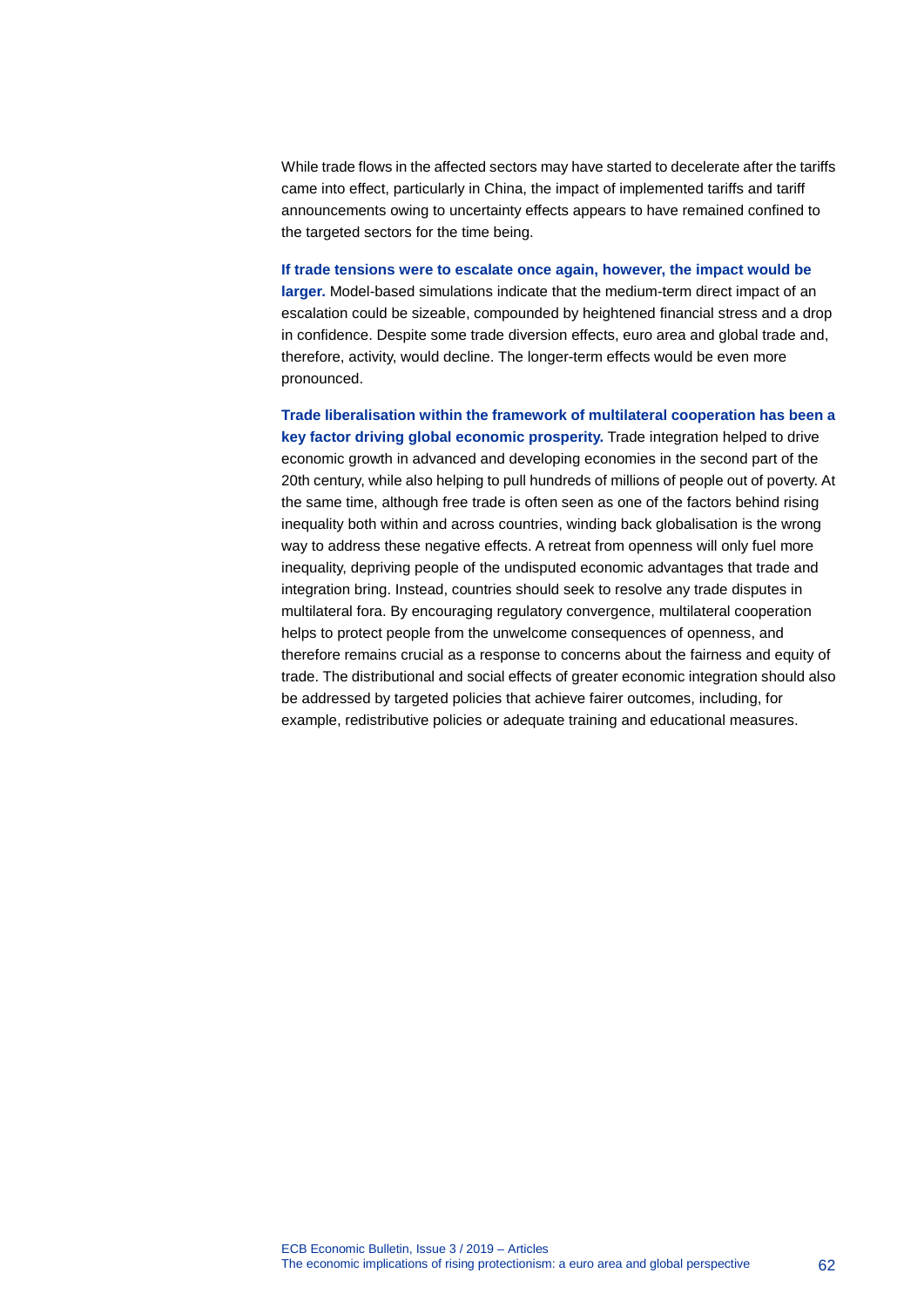While trade flows in the affected sectors may have started to decelerate after the tariffs came into effect, particularly in China, the impact of implemented tariffs and tariff announcements owing to uncertainty effects appears to have remained confined to the targeted sectors for the time being.

**If trade tensions were to escalate once again, however, the impact would be larger.** Model-based simulations indicate that the medium-term direct impact of an escalation could be sizeable, compounded by heightened financial stress and a drop in confidence. Despite some trade diversion effects, euro area and global trade and, therefore, activity, would decline. The longer-term effects would be even more pronounced.

**Trade liberalisation within the framework of multilateral cooperation has been a key factor driving global economic prosperity.** Trade integration helped to drive economic growth in advanced and developing economies in the second part of the 20th century, while also helping to pull hundreds of millions of people out of poverty. At the same time, although free trade is often seen as one of the factors behind rising inequality both within and across countries, winding back globalisation is the wrong way to address these negative effects. A retreat from openness will only fuel more inequality, depriving people of the undisputed economic advantages that trade and integration bring. Instead, countries should seek to resolve any trade disputes in multilateral fora. By encouraging regulatory convergence, multilateral cooperation helps to protect people from the unwelcome consequences of openness, and therefore remains crucial as a response to concerns about the fairness and equity of trade. The distributional and social effects of greater economic integration should also be addressed by targeted policies that achieve fairer outcomes, including, for example, redistributive policies or adequate training and educational measures.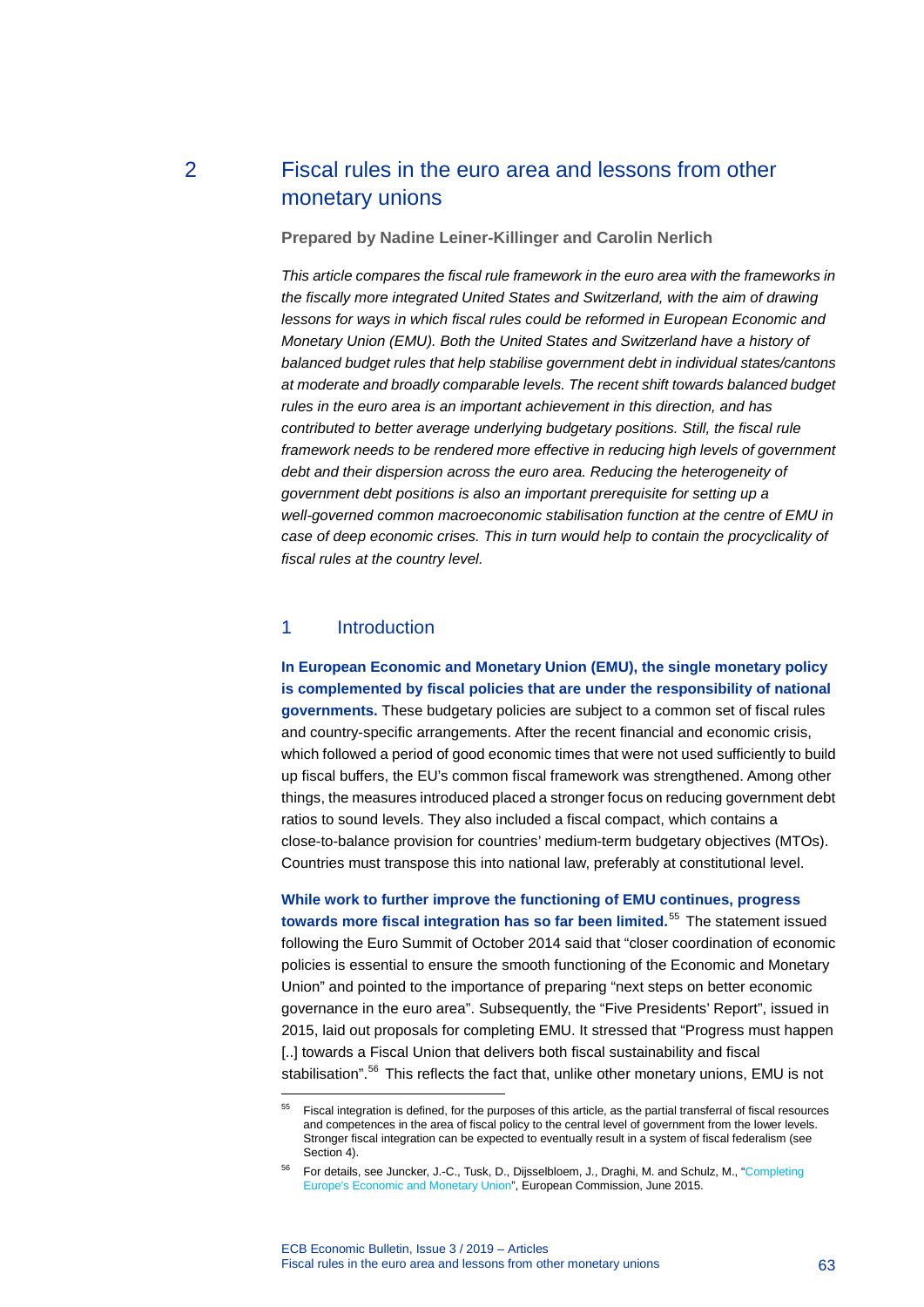### 2 Fiscal rules in the euro area and lessons from other monetary unions

#### **Prepared by Nadine Leiner-Killinger and Carolin Nerlich**

*This article compares the fiscal rule framework in the euro area with the frameworks in the fiscally more integrated United States and Switzerland, with the aim of drawing lessons for ways in which fiscal rules could be reformed in European Economic and Monetary Union (EMU). Both the United States and Switzerland have a history of balanced budget rules that help stabilise government debt in individual states/cantons at moderate and broadly comparable levels. The recent shift towards balanced budget rules in the euro area is an important achievement in this direction, and has contributed to better average underlying budgetary positions. Still, the fiscal rule framework needs to be rendered more effective in reducing high levels of government debt and their dispersion across the euro area. Reducing the heterogeneity of government debt positions is also an important prerequisite for setting up a well-governed common macroeconomic stabilisation function at the centre of EMU in case of deep economic crises. This in turn would help to contain the procyclicality of fiscal rules at the country level.*

### 1 Introduction

<span id="page-63-0"></span>-

**In European Economic and Monetary Union (EMU), the single monetary policy is complemented by fiscal policies that are under the responsibility of national governments.** These budgetary policies are subject to a common set of fiscal rules and country-specific arrangements. After the recent financial and economic crisis, which followed a period of good economic times that were not used sufficiently to build up fiscal buffers, the EU's common fiscal framework was strengthened. Among other things, the measures introduced placed a stronger focus on reducing government debt ratios to sound levels. They also included a fiscal compact, which contains a close-to-balance provision for countries' medium-term budgetary objectives (MTOs). Countries must transpose this into national law, preferably at constitutional level.

**While work to further improve the functioning of EMU continues, progress towards more fiscal integration has so far been limited.**[55](#page-63-0) The statement issued following the Euro Summit of October 2014 said that "closer coordination of economic policies is essential to ensure the smooth functioning of the Economic and Monetary Union" and pointed to the importance of preparing "next steps on better economic governance in the euro area". Subsequently, the "Five Presidents' Report", issued in 2015, laid out proposals for completing EMU. It stressed that "Progress must happen [..] towards a Fiscal Union that delivers both fiscal sustainability and fiscal stabilisation".<sup>[56](#page-63-1)</sup> This reflects the fact that, unlike other monetary unions, EMU is not

<sup>55</sup> Fiscal integration is defined, for the purposes of this article, as the partial transferral of fiscal resources and competences in the area of fiscal policy to the central level of government from the lower levels. Stronger fiscal integration can be expected to eventually result in a system of fiscal federalism (see Section 4).

<span id="page-63-1"></span><sup>56</sup> For details, see Juncker, J.-C., Tusk, D., Dijsselbloem, J., Draghi, M. and Schulz, M., ["Completing](https://ec.europa.eu/commission/sites/beta-political/files/5-presidents-report_en.pdf)  [Europe's Economic and Monetary Union"](https://ec.europa.eu/commission/sites/beta-political/files/5-presidents-report_en.pdf), European Commission, June 2015.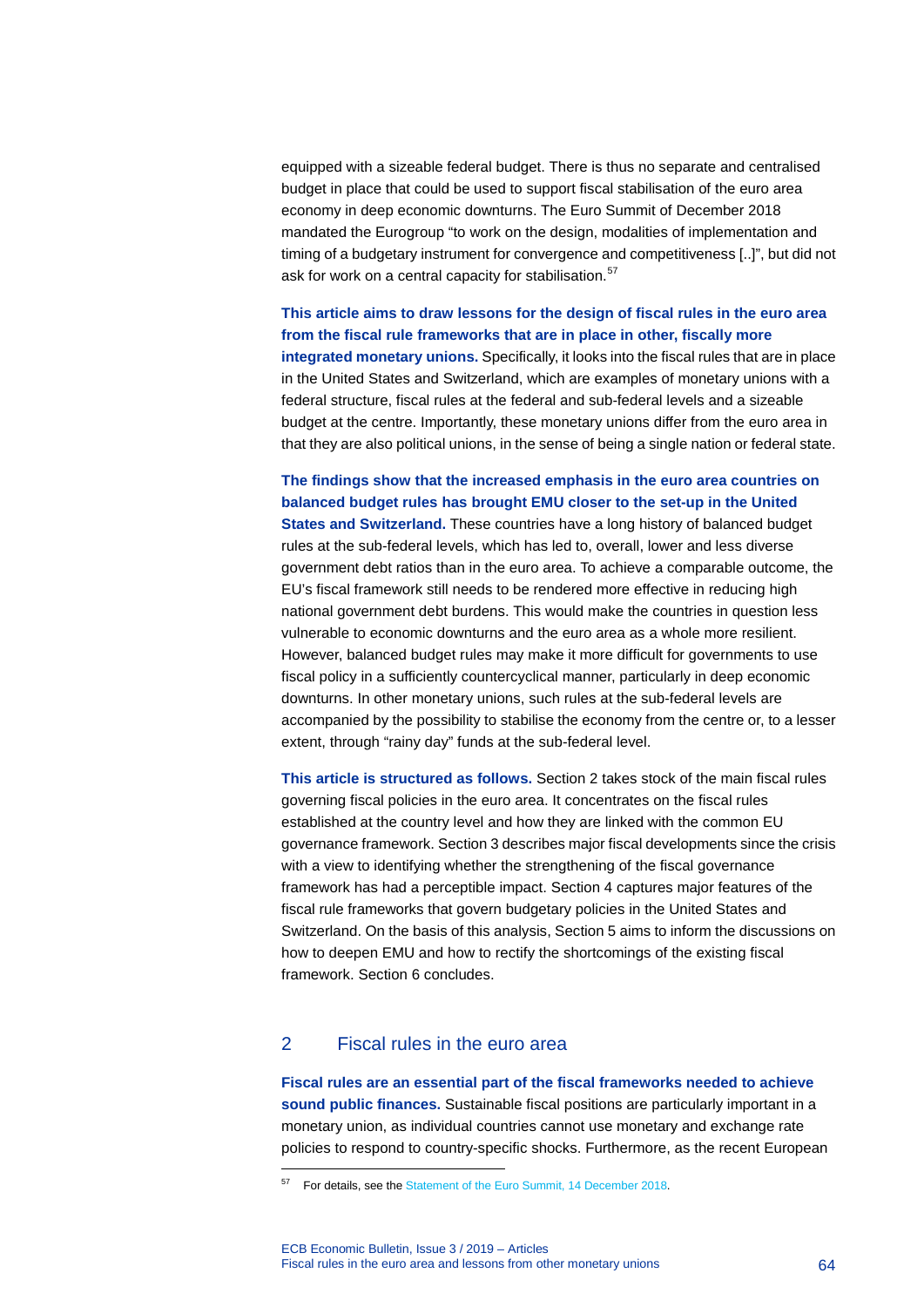equipped with a sizeable federal budget. There is thus no separate and centralised budget in place that could be used to support fiscal stabilisation of the euro area economy in deep economic downturns. The Euro Summit of December 2018 mandated the Eurogroup "to work on the design, modalities of implementation and timing of a budgetary instrument for convergence and competitiveness [..]", but did not ask for work on a central capacity for stabilisation.<sup>[57](#page-64-0)</sup>

**This article aims to draw lessons for the design of fiscal rules in the euro area from the fiscal rule frameworks that are in place in other, fiscally more integrated monetary unions.** Specifically, it looks into the fiscal rules that are in place in the United States and Switzerland, which are examples of monetary unions with a federal structure, fiscal rules at the federal and sub-federal levels and a sizeable budget at the centre. Importantly, these monetary unions differ from the euro area in that they are also political unions, in the sense of being a single nation or federal state.

**The findings show that the increased emphasis in the euro area countries on balanced budget rules has brought EMU closer to the set-up in the United States and Switzerland.** These countries have a long history of balanced budget rules at the sub-federal levels, which has led to, overall, lower and less diverse government debt ratios than in the euro area. To achieve a comparable outcome, the EU's fiscal framework still needs to be rendered more effective in reducing high national government debt burdens. This would make the countries in question less vulnerable to economic downturns and the euro area as a whole more resilient. However, balanced budget rules may make it more difficult for governments to use fiscal policy in a sufficiently countercyclical manner, particularly in deep economic downturns. In other monetary unions, such rules at the sub-federal levels are accompanied by the possibility to stabilise the economy from the centre or, to a lesser extent, through "rainy day" funds at the sub-federal level.

**This article is structured as follows.** Section 2 takes stock of the main fiscal rules governing fiscal policies in the euro area. It concentrates on the fiscal rules established at the country level and how they are linked with the common EU governance framework. Section 3 describes major fiscal developments since the crisis with a view to identifying whether the strengthening of the fiscal governance framework has had a perceptible impact. Section 4 captures major features of the fiscal rule frameworks that govern budgetary policies in the United States and Switzerland. On the basis of this analysis, Section 5 aims to inform the discussions on how to deepen EMU and how to rectify the shortcomings of the existing fiscal framework. Section 6 concludes.

### 2 Fiscal rules in the euro area

-

**Fiscal rules are an essential part of the fiscal frameworks needed to achieve sound public finances.** Sustainable fiscal positions are particularly important in a monetary union, as individual countries cannot use monetary and exchange rate policies to respond to country-specific shocks. Furthermore, as the recent European

<span id="page-64-0"></span><sup>&</sup>lt;sup>57</sup> For details, see th[e Statement of the Euro Summit, 14 December 2018.](https://www.consilium.europa.eu/en/press/press-releases/2018/12/14/statement-of-the-euro-summit-14-december-2018/)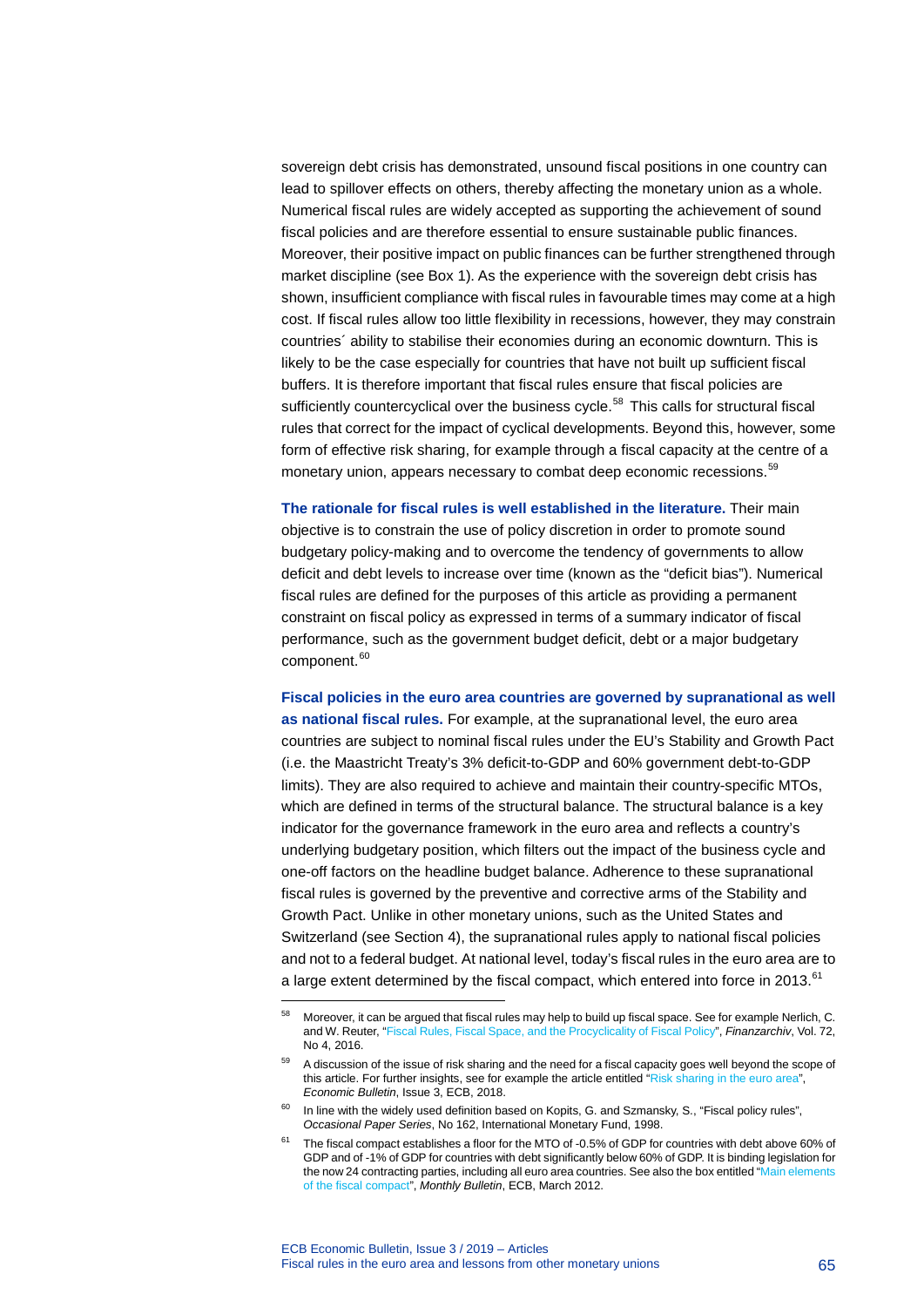sovereign debt crisis has demonstrated, unsound fiscal positions in one country can lead to spillover effects on others, thereby affecting the monetary union as a whole. Numerical fiscal rules are widely accepted as supporting the achievement of sound fiscal policies and are therefore essential to ensure sustainable public finances. Moreover, their positive impact on public finances can be further strengthened through market discipline (see Box 1). As the experience with the sovereign debt crisis has shown, insufficient compliance with fiscal rules in favourable times may come at a high cost. If fiscal rules allow too little flexibility in recessions, however, they may constrain countries´ ability to stabilise their economies during an economic downturn. This is likely to be the case especially for countries that have not built up sufficient fiscal buffers. It is therefore important that fiscal rules ensure that fiscal policies are sufficiently countercyclical over the business cycle.<sup>[58](#page-65-0)</sup> This calls for structural fiscal rules that correct for the impact of cyclical developments. Beyond this, however, some form of effective risk sharing, for example through a fiscal capacity at the centre of a monetary union, appears necessary to combat deep economic recessions.<sup>[59](#page-65-1)</sup>

**The rationale for fiscal rules is well established in the literature.** Their main objective is to constrain the use of policy discretion in order to promote sound budgetary policy-making and to overcome the tendency of governments to allow deficit and debt levels to increase over time (known as the "deficit bias"). Numerical fiscal rules are defined for the purposes of this article as providing a permanent constraint on fiscal policy as expressed in terms of a summary indicator of fiscal performance, such as the government budget deficit, debt or a major budgetary component. [60](#page-65-2)

**Fiscal policies in the euro area countries are governed by supranational as well as national fiscal rules.** For example, at the supranational level, the euro area countries are subject to nominal fiscal rules under the EU's Stability and Growth Pact (i.e. the Maastricht Treaty's 3% deficit-to-GDP and 60% government debt-to-GDP limits). They are also required to achieve and maintain their country-specific MTOs, which are defined in terms of the structural balance. The structural balance is a key indicator for the governance framework in the euro area and reflects a country's underlying budgetary position, which filters out the impact of the business cycle and one-off factors on the headline budget balance. Adherence to these supranational fiscal rules is governed by the preventive and corrective arms of the Stability and Growth Pact. Unlike in other monetary unions, such as the United States and Switzerland (see Section 4), the supranational rules apply to national fiscal policies and not to a federal budget. At national level, today's fiscal rules in the euro area are to a large extent determined by the fiscal compact, which entered into force in 2013.<sup>[61](#page-65-3)</sup>

<span id="page-65-0"></span><sup>58</sup> Moreover, it can be argued that fiscal rules may help to build up fiscal space. See for example Nerlich, C. and W. Reuter, ["Fiscal Rules, Fiscal Space, and the Procyclicality of Fiscal Policy"](https://mohrsiebeck.com/artikel/fiscal-rules-fiscal-space-and-the-procyclicality-of-fiscal-policy-101628001522116x14785541072981), *Finanzarchiv*, Vol. 72, No 4, 2016.

<span id="page-65-1"></span><sup>&</sup>lt;sup>59</sup> A discussion of the issue of risk sharing and the need for a fiscal capacity goes well beyond the scope of this article. For further insights, see for example the article entitled ["Risk sharing in the euro area"](https://www.ecb.europa.eu/pub/pdf/other/ecb.ebart201803_03.en.pdf), *Economic Bulletin*, Issue 3, ECB, 2018.

<span id="page-65-2"></span><sup>&</sup>lt;sup>60</sup> In line with the widely used definition based on Kopits, G. and Szmansky, S., "Fiscal policy rules", *Occasional Paper Series*, No 162, International Monetary Fund, 1998.

<span id="page-65-3"></span>The fiscal compact establishes a floor for the MTO of -0.5% of GDP for countries with debt above 60% of GDP and of -1% of GDP for countries with debt significantly below 60% of GDP. It is binding legislation for the now 24 contracting parties, including all euro area countries. See also the box entitled "Main elements [of the fiscal compact"](https://www.ecb.europa.eu/pub/pdf/other/mb201203_focus12.en.pdf?0ea5f8ccbeb103061ba3c778c8208513), *Monthly Bulletin*, ECB, March 2012.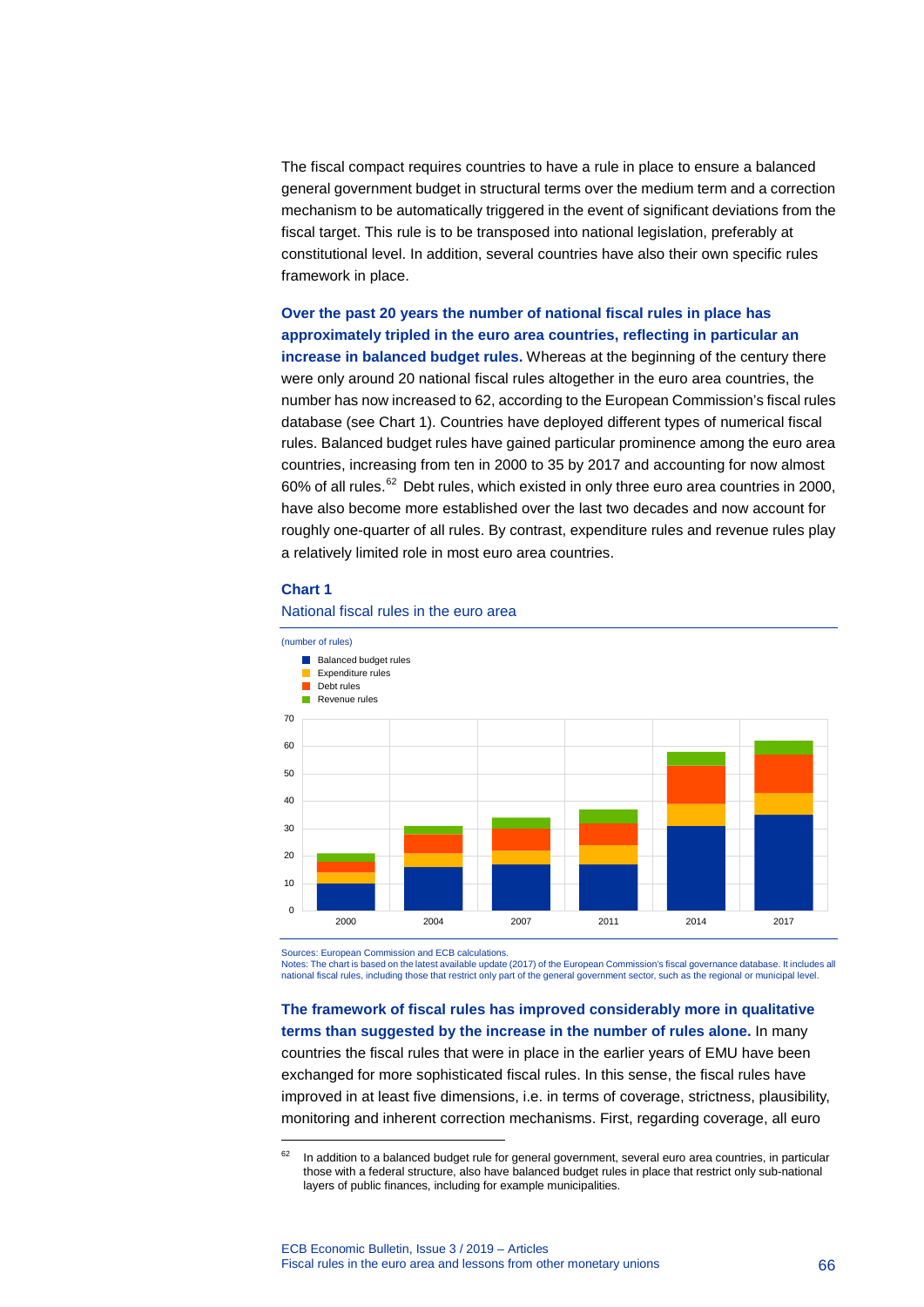The fiscal compact requires countries to have a rule in place to ensure a balanced general government budget in structural terms over the medium term and a correction mechanism to be automatically triggered in the event of significant deviations from the fiscal target. This rule is to be transposed into national legislation, preferably at constitutional level. In addition, several countries have also their own specific rules framework in place.

**Over the past 20 years the number of national fiscal rules in place has approximately tripled in the euro area countries, reflecting in particular an increase in balanced budget rules.** Whereas at the beginning of the century there were only around 20 national fiscal rules altogether in the euro area countries, the number has now increased to 62, according to the European Commission's fiscal rules database (see Chart 1). Countries have deployed different types of numerical fiscal rules. Balanced budget rules have gained particular prominence among the euro area countries, increasing from ten in 2000 to 35 by 2017 and accounting for now almost  $60\%$  of all rules.<sup>[62](#page-66-0)</sup> Debt rules, which existed in only three euro area countries in 2000, have also become more established over the last two decades and now account for roughly one-quarter of all rules. By contrast, expenditure rules and revenue rules play a relatively limited role in most euro area countries.

#### **Chart 1**

-



#### National fiscal rules in the euro area

Sources: European Commission and ECB calculations.

Notes: The chart is based on the latest available update (2017) of the European Commission's fiscal governance database. It includes all national fiscal rules, including those that restrict only part of the general government sector, such as the regional or municipal level.

**The framework of fiscal rules has improved considerably more in qualitative terms than suggested by the increase in the number of rules alone.** In many countries the fiscal rules that were in place in the earlier years of EMU have been exchanged for more sophisticated fiscal rules. In this sense, the fiscal rules have improved in at least five dimensions, i.e. in terms of coverage, strictness, plausibility, monitoring and inherent correction mechanisms. First, regarding coverage, all euro

<span id="page-66-0"></span> $62$  In addition to a balanced budget rule for general government, several euro area countries, in particular those with a federal structure, also have balanced budget rules in place that restrict only sub-national layers of public finances, including for example municipalities.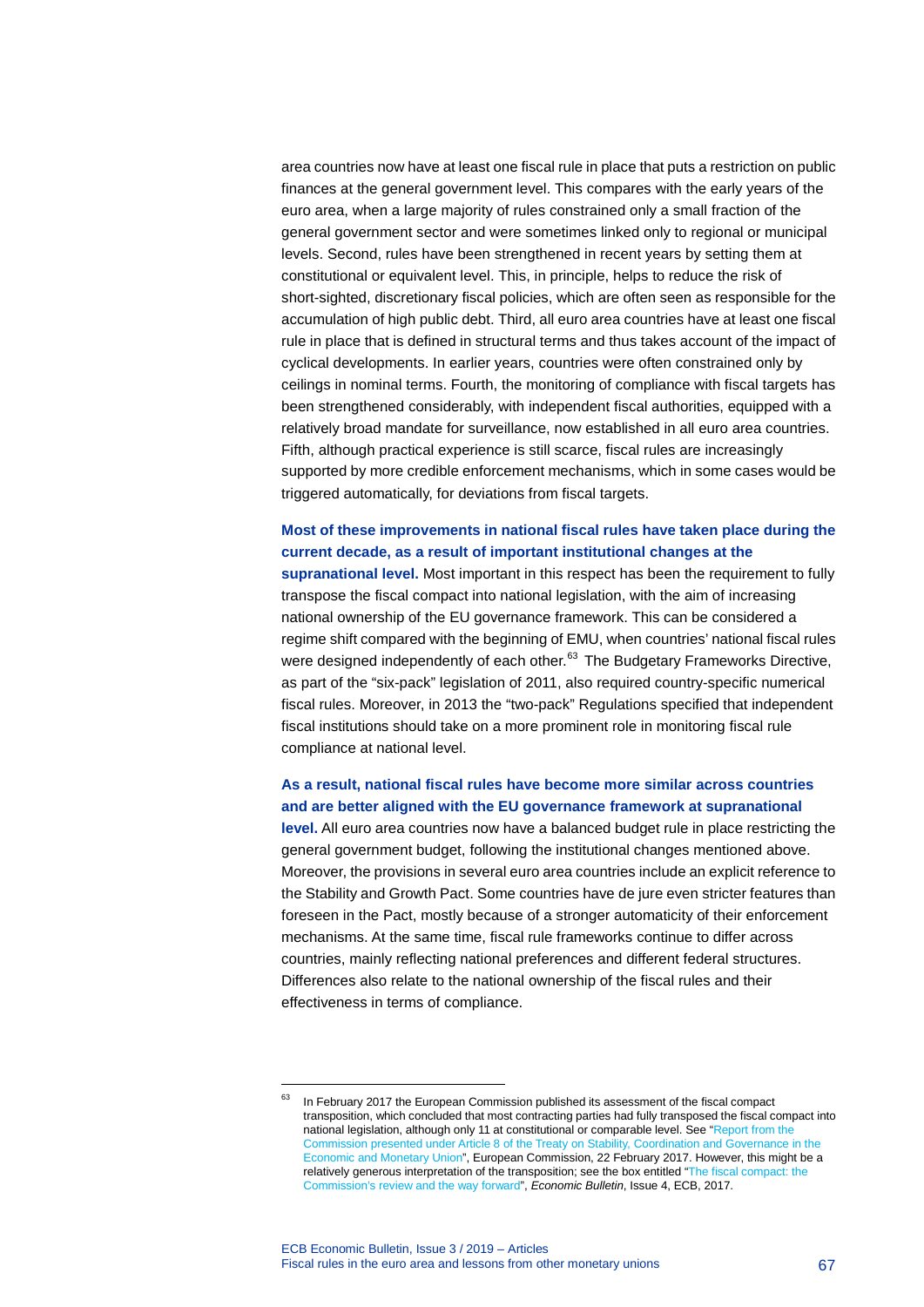area countries now have at least one fiscal rule in place that puts a restriction on public finances at the general government level. This compares with the early years of the euro area, when a large majority of rules constrained only a small fraction of the general government sector and were sometimes linked only to regional or municipal levels. Second, rules have been strengthened in recent years by setting them at constitutional or equivalent level. This, in principle, helps to reduce the risk of short-sighted, discretionary fiscal policies, which are often seen as responsible for the accumulation of high public debt. Third, all euro area countries have at least one fiscal rule in place that is defined in structural terms and thus takes account of the impact of cyclical developments. In earlier years, countries were often constrained only by ceilings in nominal terms. Fourth, the monitoring of compliance with fiscal targets has been strengthened considerably, with independent fiscal authorities, equipped with a relatively broad mandate for surveillance, now established in all euro area countries. Fifth, although practical experience is still scarce, fiscal rules are increasingly supported by more credible enforcement mechanisms, which in some cases would be triggered automatically, for deviations from fiscal targets.

### **Most of these improvements in national fiscal rules have taken place during the current decade, as a result of important institutional changes at the**

**supranational level.** Most important in this respect has been the requirement to fully transpose the fiscal compact into national legislation, with the aim of increasing national ownership of the EU governance framework. This can be considered a regime shift compared with the beginning of EMU, when countries' national fiscal rules were designed independently of each other. $63$  The Budgetary Frameworks Directive, as part of the "six-pack" legislation of 2011, also required country-specific numerical fiscal rules. Moreover, in 2013 the "two-pack" Regulations specified that independent fiscal institutions should take on a more prominent role in monitoring fiscal rule compliance at national level.

### **As a result, national fiscal rules have become more similar across countries and are better aligned with the EU governance framework at supranational**

**level.** All euro area countries now have a balanced budget rule in place restricting the general government budget, following the institutional changes mentioned above. Moreover, the provisions in several euro area countries include an explicit reference to the Stability and Growth Pact. Some countries have de jure even stricter features than foreseen in the Pact, mostly because of a stronger automaticity of their enforcement mechanisms. At the same time, fiscal rule frameworks continue to differ across countries, mainly reflecting national preferences and different federal structures. Differences also relate to the national ownership of the fiscal rules and their effectiveness in terms of compliance.

<span id="page-67-0"></span><sup>&</sup>lt;sup>63</sup> In February 2017 the European Commission published its assessment of the fiscal compact transposition, which concluded that most contracting parties had fully transposed the fiscal compact into national legislation, although only 11 at constitutional or comparable level. See ["Report from the](https://ec.europa.eu/info/sites/info/files/c20171201_en.pdf)  [Commission presented under Article 8 of the Treaty on Stability, Coordination and Governance in the](https://ec.europa.eu/info/sites/info/files/c20171201_en.pdf)  [Economic and Monetary Union"](https://ec.europa.eu/info/sites/info/files/c20171201_en.pdf), European Commission, 22 February 2017. However, this might be a relatively generous interpretation of the transposition; see the box entitled ["The fiscal compact: the](https://www.ecb.europa.eu/pub/pdf/other/ebbox201704_08.en.pdf?c94231dbf0ad855874d33da67adbbca7)  [Commission's review and the way forward"](https://www.ecb.europa.eu/pub/pdf/other/ebbox201704_08.en.pdf?c94231dbf0ad855874d33da67adbbca7), *Economic Bulletin*, Issue 4, ECB, 2017.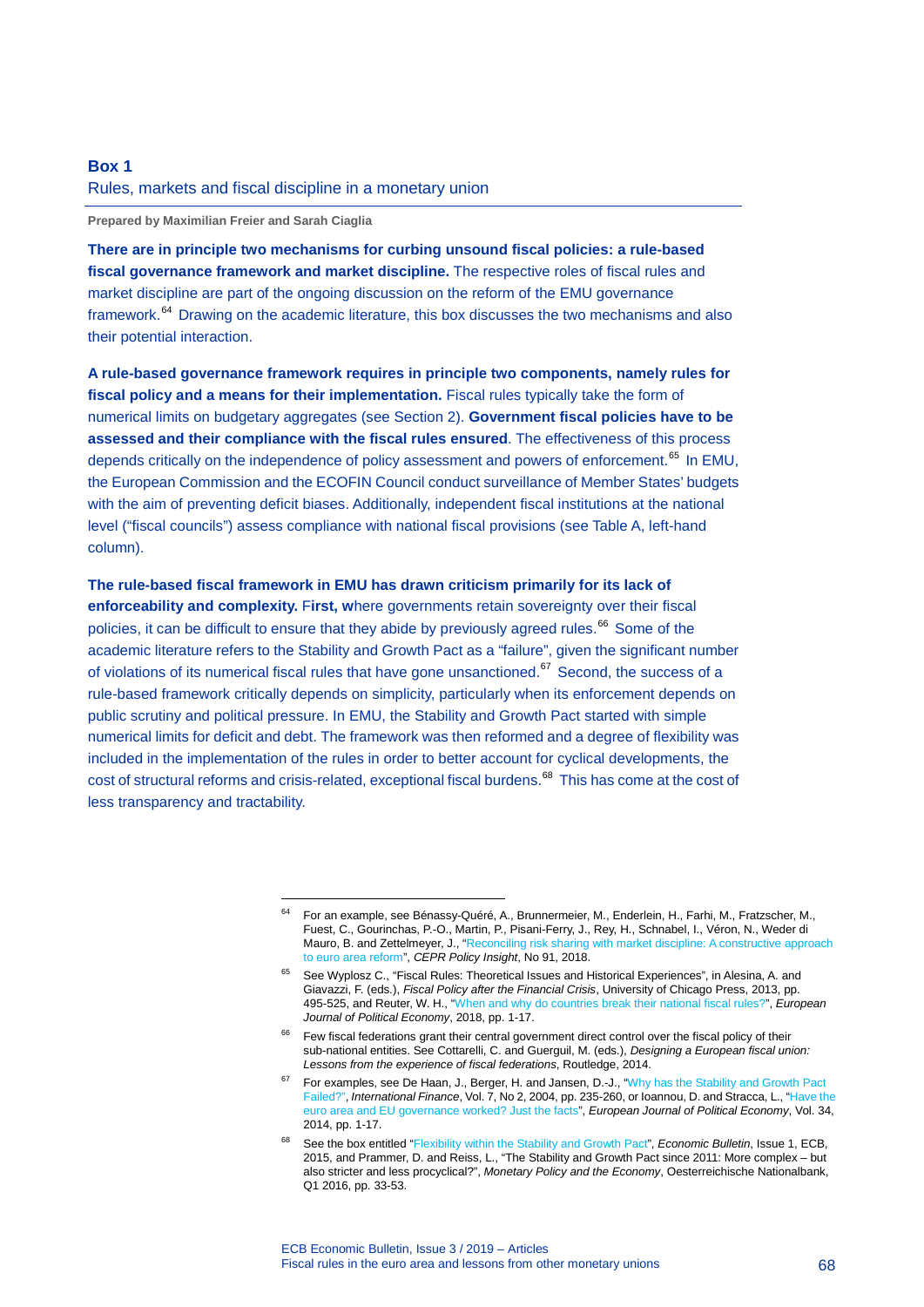### **Box 1**

#### Rules, markets and fiscal discipline in a monetary union

<span id="page-68-0"></span>-

**Prepared by Maximilian Freier and Sarah Ciaglia**

**There are in principle two mechanisms for curbing unsound fiscal policies: a rule-based fiscal governance framework and market discipline.** The respective roles of fiscal rules and market discipline are part of the ongoing discussion on the reform of the EMU governance framework.[64](#page-68-0) Drawing on the academic literature, this box discusses the two mechanisms and also their potential interaction.

**A rule-based governance framework requires in principle two components, namely rules for fiscal policy and a means for their implementation.** Fiscal rules typically take the form of numerical limits on budgetary aggregates (see Section 2). **Government fiscal policies have to be assessed and their compliance with the fiscal rules ensured**. The effectiveness of this process depends critically on the independence of policy assessment and powers of enforcement.<sup>[65](#page-68-1)</sup> In EMU, the European Commission and the ECOFIN Council conduct surveillance of Member States' budgets with the aim of preventing deficit biases. Additionally, independent fiscal institutions at the national level ("fiscal councils") assess compliance with national fiscal provisions (see Table A, left-hand column).

### **The rule-based fiscal framework in EMU has drawn criticism primarily for its lack of**

**enforceability and complexity.** F**irst, w**here governments retain sovereignty over their fiscal policies, it can be difficult to ensure that they abide by previously agreed rules.<sup>[66](#page-68-2)</sup> Some of the academic literature refers to the Stability and Growth Pact as a "failure", given the significant number of violations of its numerical fiscal rules that have gone unsanctioned.<sup>[67](#page-68-3)</sup> Second, the success of a rule-based framework critically depends on simplicity, particularly when its enforcement depends on public scrutiny and political pressure. In EMU, the Stability and Growth Pact started with simple numerical limits for deficit and debt. The framework was then reformed and a degree of flexibility was included in the implementation of the rules in order to better account for cyclical developments, the cost of structural reforms and crisis-related, exceptional fiscal burdens.<sup>[68](#page-68-4)</sup> This has come at the cost of less transparency and tractability.

<sup>64</sup> For an example, see Bénassy-Quéré, A., Brunnermeier, M., Enderlein, H., Farhi, M., Fratzscher, M., Fuest, C., Gourinchas, P.-O., Martin, P., Pisani-Ferry, J., Rey, H., Schnabel, I., Véron, N., Weder di Mauro, B. and Zettelmeyer, J., ["Reconciling risk sharing with market discipline: A constructive approach](https://cepr.org/active/publications/policy_insights/viewpi.php?pino=91)  [to euro area reform"](https://cepr.org/active/publications/policy_insights/viewpi.php?pino=91), *CEPR Policy Insight*, No 91, 2018.

<span id="page-68-1"></span><sup>65</sup> See Wyplosz C., "Fiscal Rules: Theoretical Issues and Historical Experiences", in Alesina, A. and Giavazzi, F. (eds.), *Fiscal Policy after the Financial Crisis*, University of Chicago Press, 2013, pp. 495-525, and Reuter, W. H., ["When and why do countries break their national fiscal rules?",](https://www.sciencedirect.com/science/article/pii/S017626801730592X) *European Journal of Political Economy*, 2018, pp. 1-17.

<span id="page-68-2"></span><sup>&</sup>lt;sup>66</sup> Few fiscal federations grant their central government direct control over the fiscal policy of their sub-national entities. See Cottarelli, C. and Guerguil, M. (eds.), *Designing a European fiscal union: Lessons from the experience of fiscal federations*, Routledge, 2014.

<span id="page-68-3"></span><sup>&</sup>lt;sup>67</sup> For examples, see De Haan, J., Berger, H. and Jansen, D.-J., "Why has the Stability and Growth Pact [Failed?"](https://onlinelibrary.wiley.com/doi/abs/10.1111/j.1367-0271.2004.00137.x), *International Finance*, Vol. 7, No 2, 2004, pp. 235-260, or Ioannou, D. and Stracca, L., ["Have the](https://www.sciencedirect.com/science/article/pii/S0176268013001018)  [euro area and EU governance worked? Just the facts"](https://www.sciencedirect.com/science/article/pii/S0176268013001018), *European Journal of Political Economy*, Vol. 34, 2014, pp. 1-17.

<span id="page-68-4"></span><sup>68</sup> See the box entitled ["Flexibility within the Stability and Growth Pact",](https://www.ecb.europa.eu/pub/pdf/other/eb201501_focus07.en.pdf?cbd4c6a71e2fcfdcd36c042c8181cef3) *Economic Bulletin*, Issue 1, ECB, 2015, and Prammer, D. and Reiss, L., "The Stability and Growth Pact since 2011: More complex – but also stricter and less procyclical?", *Monetary Policy and the Economy*, Oesterreichische Nationalbank, Q1 2016, pp. 33-53.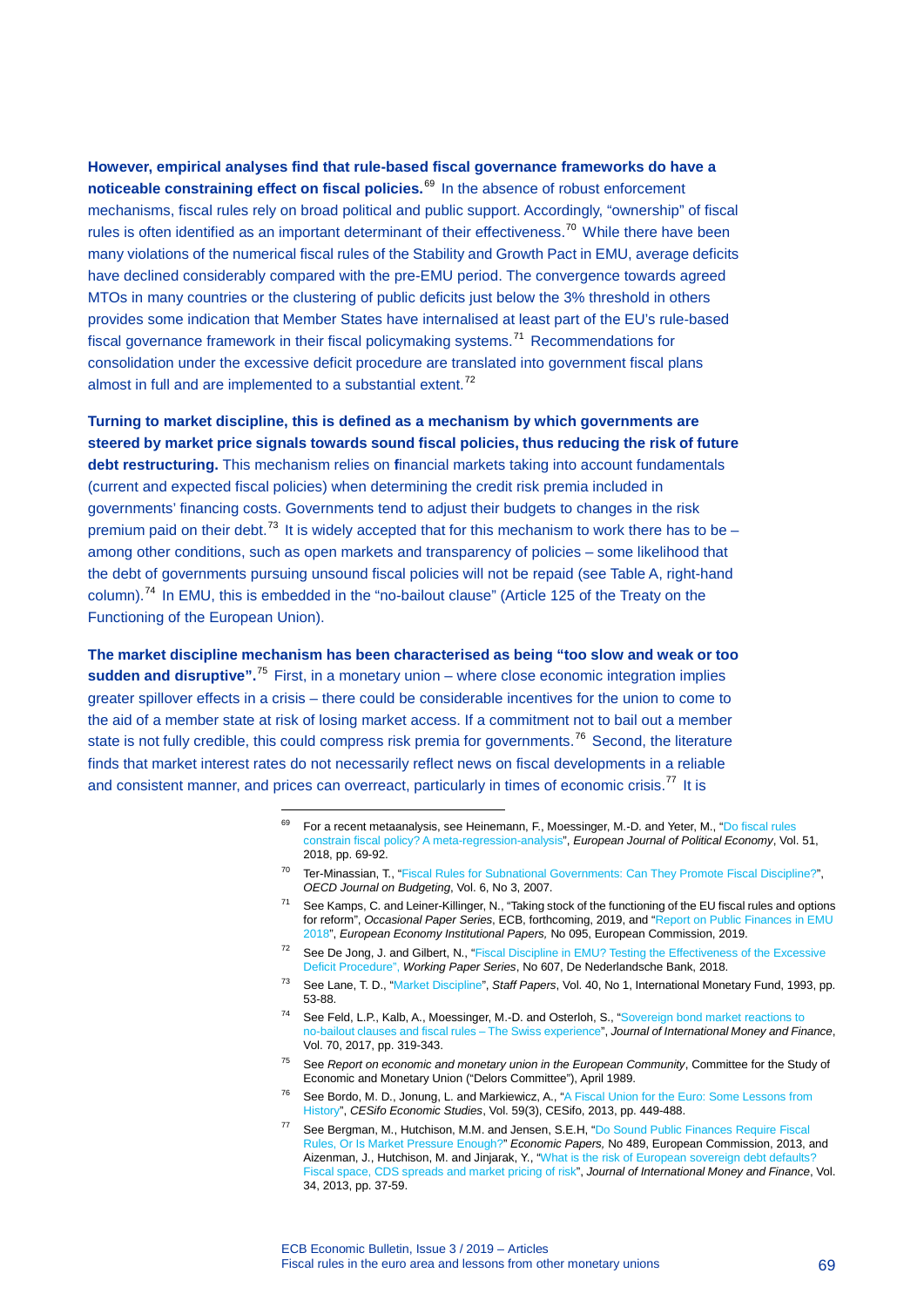**However, empirical analyses find that rule-based fiscal governance frameworks do have a noticeable constraining effect on fiscal policies.**[69](#page-69-0) In the absence of robust enforcement mechanisms, fiscal rules rely on broad political and public support. Accordingly, "ownership" of fiscal rules is often identified as an important determinant of their effectiveness.<sup>[70](#page-69-1)</sup> While there have been many violations of the numerical fiscal rules of the Stability and Growth Pact in EMU, average deficits have declined considerably compared with the pre-EMU period. The convergence towards agreed MTOs in many countries or the clustering of public deficits just below the 3% threshold in others provides some indication that Member States have internalised at least part of the EU's rule-based fiscal governance framework in their fiscal policymaking systems.<sup>[71](#page-69-2)</sup> Recommendations for consolidation under the excessive deficit procedure are translated into government fiscal plans almost in full and are implemented to a substantial extent.<sup>[72](#page-69-3)</sup>

**Turning to market discipline, this is defined as a mechanism by which governments are steered by market price signals towards sound fiscal policies, thus reducing the risk of future debt restructuring.** This mechanism relies on **f**inancial markets taking into account fundamentals (current and expected fiscal policies) when determining the credit risk premia included in governments' financing costs. Governments tend to adjust their budgets to changes in the risk premium paid on their debt.<sup>[73](#page-69-4)</sup> It is widely accepted that for this mechanism to work there has to be – among other conditions, such as open markets and transparency of policies – some likelihood that the debt of governments pursuing unsound fiscal policies will not be repaid (see Table A, right-hand column).<sup>[74](#page-69-5)</sup> In EMU, this is embedded in the "no-bailout clause" (Article 125 of the Treaty on the Functioning of the European Union).

<span id="page-69-2"></span><span id="page-69-1"></span><span id="page-69-0"></span>**The market discipline mechanism has been characterised as being "too slow and weak or too**  sudden and disruptive".<sup>[75](#page-69-6)</sup> First, in a monetary union – where close economic integration implies greater spillover effects in a crisis – there could be considerable incentives for the union to come to the aid of a member state at risk of losing market access. If a commitment not to bail out a member state is not fully credible, this could compress risk premia for governments.<sup>[76](#page-69-7)</sup> Second, the literature finds that market interest rates do not necessarily reflect news on fiscal developments in a reliable and consistent manner, and prices can overreact, particularly in times of economic crisis.<sup>[77](#page-69-8)</sup> It is

- <sup>69</sup> For a recent metaanalysis, see Heinemann, F., Moessinger, M.-D. and Yeter, M., "Do fiscal rules [constrain fiscal policy? A meta-regression-analysis"](https://www.sciencedirect.com/science/article/pii/S0176268016301471), *European Journal of Political Economy*, Vol. 51, 2018, pp. 69-92.
- <sup>70</sup> Ter-Minassian, T., ["Fiscal Rules for Subnational Governments: Can They Promote Fiscal Discipline?",](http://www.oecd.org/governance/budgeting/43469443.pdf) *OECD Journal on Budgeting*, Vol. 6, No 3, 2007.
- <sup>71</sup> See Kamps, C. and Leiner-Killinger, N., "Taking stock of the functioning of the EU fiscal rules and options for reform", *Occasional Paper Series*, ECB, forthcoming, 2019, and ["Report on Public Finances in EMU](https://ec.europa.eu/info/sites/info/files/economy-finance/ip095_en.pdf)  [2018",](https://ec.europa.eu/info/sites/info/files/economy-finance/ip095_en.pdf) *European Economy Institutional Papers,* No 095, European Commission, 2019.
- <span id="page-69-3"></span><sup>72</sup> See De Jong, J. and Gilbert, N., ["Fiscal Discipline in EMU? Testing the Effectiveness of the Excessive](https://www.dnb.nl/binaries/Working%20paper%20No.%20607_tcm46-379142.pdf)  [Deficit Procedure"](https://www.dnb.nl/binaries/Working%20paper%20No.%20607_tcm46-379142.pdf), *Working Paper Series*, No 607, De Nederlandsche Bank, 2018.
- <span id="page-69-4"></span><sup>73</sup> See Lane, T. D., ["Market Discipline"](https://www.jstor.org/stable/3867377?seq=1#metadata_info_tab_contents), *Staff Papers*, Vol. 40, No 1, International Monetary Fund, 1993, pp. 53-88.
- <span id="page-69-5"></span><sup>74</sup> See Feld, L.P., Kalb, A., Moessinger, M.-D. and Osterloh, S., ["Sovereign bond market reactions to](https://www.sciencedirect.com/science/article/pii/S0261560616301115)  [no-bailout clauses and fiscal rules –](https://www.sciencedirect.com/science/article/pii/S0261560616301115) The Swiss experience", *Journal of International Money and Finance*, Vol. 70, 2017, pp. 319-343.
- <span id="page-69-6"></span><sup>75</sup> See *Report on economic and monetary union in the European Community*, Committee for the Study of Economic and Monetary Union ("Delors Committee"), April 1989.
- <span id="page-69-7"></span><sup>76</sup> See Bordo, M. D., Jonung, L. and Markiewicz, A., ["A Fiscal Union for the Euro: Some Lessons from](http://ideas.repec.org/a/oup/cesifo/v59y2013i3p449-488.html)  [History"](http://ideas.repec.org/a/oup/cesifo/v59y2013i3p449-488.html), *CESifo Economic Studies*, Vol. 59(3), CESifo, 2013, pp. 449-488.
- <span id="page-69-8"></span><sup>77</sup> See Bergman, M., Hutchison, M.M. and Jensen, S.E.H, ["Do Sound Public Finances Require Fiscal](http://ec.europa.eu/economy_finance/publications/economic_paper/2013/pdf/ecp489_en.pdf)  Rules, [Or Is Market Pressure Enough?"](http://ec.europa.eu/economy_finance/publications/economic_paper/2013/pdf/ecp489_en.pdf) *Economic Papers,* No 489, European Commission, 2013, and Aizenman, J., Hutchison, M. and Jinjarak, Y., ["What is the risk of European sovereign debt defaults?](https://www.sciencedirect.com/science/article/pii/S0261560612001908)  [Fiscal space, CDS spreads and market pricing of risk"](https://www.sciencedirect.com/science/article/pii/S0261560612001908), *Journal of International Money and Finance*, Vol. 34, 2013, pp. 37-59.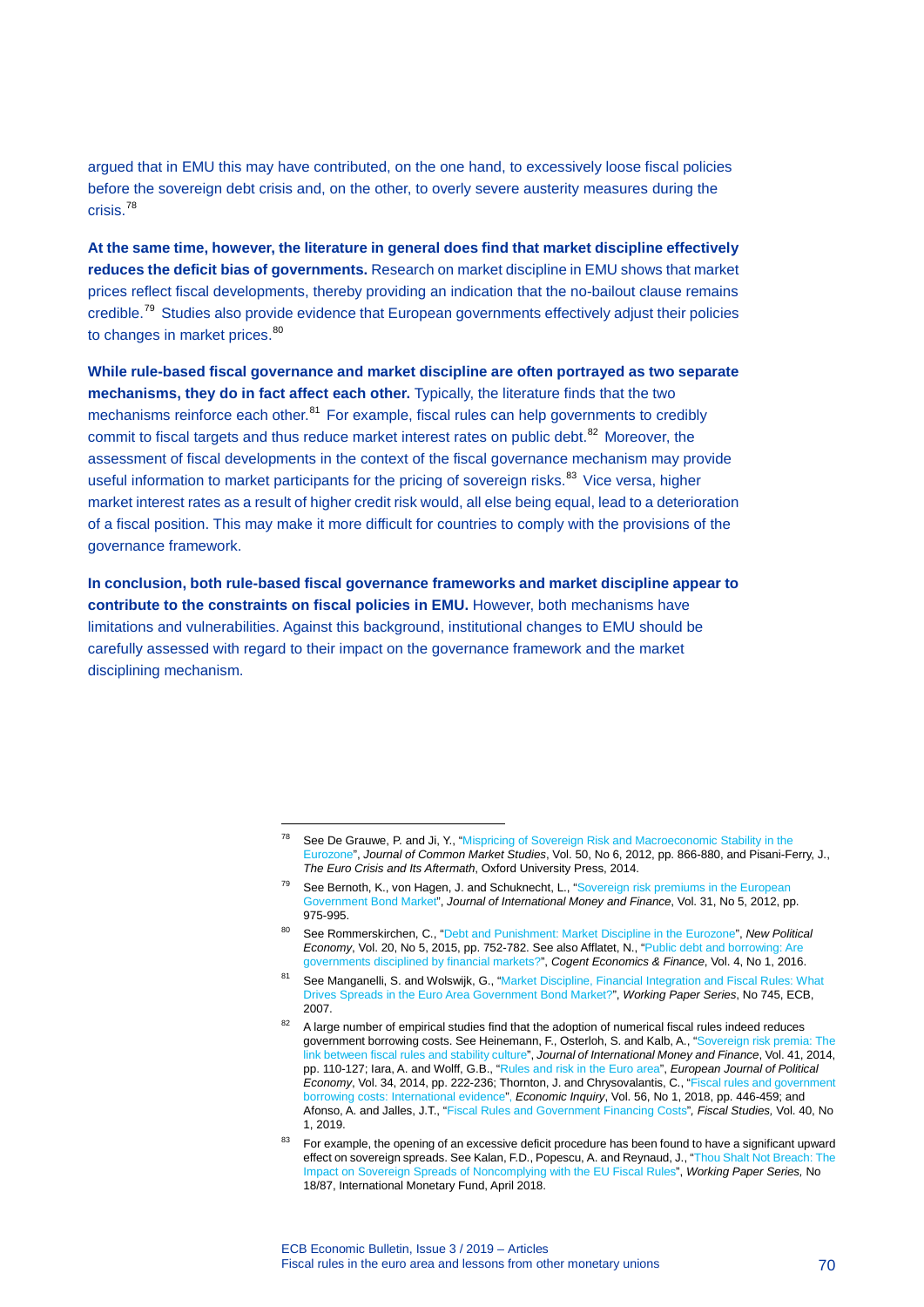argued that in EMU this may have contributed, on the one hand, to excessively loose fiscal policies before the sovereign debt crisis and, on the other, to overly severe austerity measures during the crisis.[78](#page-70-0)

**At the same time, however, the literature in general does find that market discipline effectively reduces the deficit bias of governments.** Research on market discipline in EMU shows that market prices reflect fiscal developments, thereby providing an indication that the no-bailout clause remains credible.[79](#page-70-1) Studies also provide evidence that European governments effectively adjust their policies to changes in market prices.<sup>[80](#page-70-2)</sup>

**While rule-based fiscal governance and market discipline are often portrayed as two separate mechanisms, they do in fact affect each other.** Typically, the literature finds that the two mechanisms reinforce each other.<sup>[81](#page-70-3)</sup> For example, fiscal rules can help governments to credibly commit to fiscal targets and thus reduce market interest rates on public debt.<sup>[82](#page-70-4)</sup> Moreover, the assessment of fiscal developments in the context of the fiscal governance mechanism may provide useful information to market participants for the pricing of sovereign risks.<sup>[83](#page-70-5)</sup> Vice versa, higher market interest rates as a result of higher credit risk would, all else being equal, lead to a deterioration of a fiscal position. This may make it more difficult for countries to comply with the provisions of the governance framework.

<span id="page-70-0"></span>**In conclusion, both rule-based fiscal governance frameworks and market discipline appear to contribute to the constraints on fiscal policies in EMU.** However, both mechanisms have limitations and vulnerabilities. Against this background, institutional changes to EMU should be carefully assessed with regard to their impact on the governance framework and the market disciplining mechanism.

See De Grauwe, P. and Ji, Y., "Mispricing of Sovereign Risk and Macroeconomic Stability in the [Eurozone"](https://onlinelibrary.wiley.com/doi/full/10.1111/j.1468-5965.2012.02287.x), *Journal of Common Market Studies*, Vol. 50, No 6, 2012, pp. 866-880, and Pisani-Ferry, J., *The Euro Crisis and Its Aftermath*, Oxford University Press, 2014.

<span id="page-70-1"></span><sup>&</sup>lt;sup>79</sup> See Bernoth, K., von Hagen, J. and Schuknecht, L., "Sovereign risk premiums in the European [Government Bond Market"](https://www.sciencedirect.com/science/article/pii/S0261560611001914), *Journal of International Money and Finance*, Vol. 31, No 5, 2012, pp. 975-995.

<span id="page-70-2"></span><sup>80</sup> See Rommerskirchen, C., ["Debt and Punishment: Market Discipline in the Eurozone"](https://www.tandfonline.com/doi/abs/10.1080/13563467.2014.999760), *New Political Economy*, Vol. 20, No 5, 2015, pp. 752-782. See also Afflatet, N., ["Public debt and borrowing: Are](https://www.tandfonline.com/doi/abs/10.1080/23322039.2016.1225346)  [governments disciplined by financial markets?"](https://www.tandfonline.com/doi/abs/10.1080/23322039.2016.1225346), *Cogent Economics & Finance*, Vol. 4, No 1, 2016.

<span id="page-70-3"></span><sup>81</sup> See Manganelli, S. and Wolswijk, G., "Market Discipline, Financial Integration and Fiscal Rules: What [Drives Spreads in the Euro Area Government Bond Market?](https://www.ecb.europa.eu/pub/pdf/scpwps/ecbwp745.pdf)", *Working Paper Series*, No 745, ECB, 2007.

<span id="page-70-4"></span><sup>&</sup>lt;sup>82</sup> A large number of empirical studies find that the adoption of numerical fiscal rules indeed reduces government borrowing costs. See Heinemann, F., Osterloh, S. and Kalb, A., ["Sovereign risk premia: The](https://www.sciencedirect.com/science/article/pii/S026156061300171X)  [link between fiscal rules and stability culture"](https://www.sciencedirect.com/science/article/pii/S026156061300171X), *Journal of International Money and Finance*, Vol. 41, 2014, pp. 110-127; Iara, A. and Wolff, G.B., ["Rules and risk in the Euro area",](https://www.sciencedirect.com/science/article/pii/S0176268014000135) *European Journal of Political Economy*, Vol. 34, 2014, pp. 222-236; Thornton, J. and Chrysovalantis, C., ["Fiscal rules and government](https://onlinelibrary.wiley.com/doi/full/10.1111/ecin.12484)  [borrowing costs: International evidence"](https://onlinelibrary.wiley.com/doi/full/10.1111/ecin.12484), *Economic Inquiry*, Vol. 56, No 1, 2018, pp. 446-459; and Afonso, A. and Jalles, J.T., ["Fiscal Rules and Government Financing Costs"](https://onlinelibrary.wiley.com/doi/abs/10.1111/1475-5890.12182)*, Fiscal Studies,* Vol. 40, No 1, 2019.

<span id="page-70-5"></span>For example, the opening of an excessive deficit procedure has been found to have a significant upward effect on sovereign spreads. See Kalan, F.D., Popescu, A. and Reynaud, J., ["Thou Shalt Not Breach: The](https://www.imf.org/en/Publications/WP/Issues/2018/04/13/Thou-Shalt-Not-Breach-The-Impact-on-Sovereign-Spreads-of-Noncomplying-with-the-EU-Fiscal-45800)  [Impact on Sovereign Spreads of Noncomplying with the EU Fiscal Rules"](https://www.imf.org/en/Publications/WP/Issues/2018/04/13/Thou-Shalt-Not-Breach-The-Impact-on-Sovereign-Spreads-of-Noncomplying-with-the-EU-Fiscal-45800), *Working Paper Series,* No 18/87, International Monetary Fund, April 2018.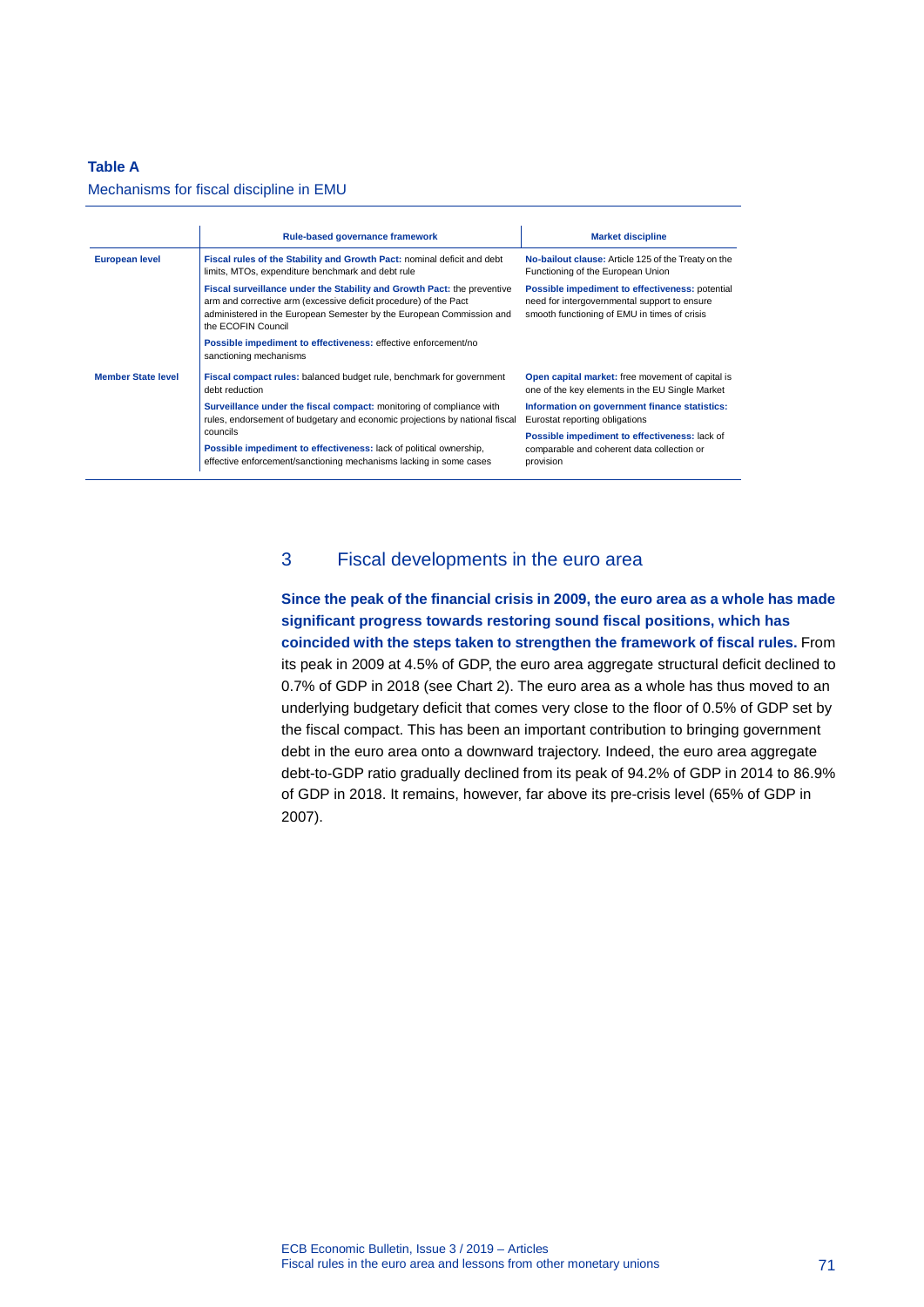### **Table A**

#### Mechanisms for fiscal discipline in EMU

|                           | Rule-based governance framework                                                                                                                                                                                                           | <b>Market discipline</b>                                                                                                                        |
|---------------------------|-------------------------------------------------------------------------------------------------------------------------------------------------------------------------------------------------------------------------------------------|-------------------------------------------------------------------------------------------------------------------------------------------------|
| <b>European level</b>     | Fiscal rules of the Stability and Growth Pact: nominal deficit and debt<br>limits, MTOs, expenditure benchmark and debt rule                                                                                                              | No-bailout clause: Article 125 of the Treaty on the<br>Functioning of the European Union                                                        |
|                           | Fiscal surveillance under the Stability and Growth Pact: the preventive<br>arm and corrective arm (excessive deficit procedure) of the Pact<br>administered in the European Semester by the European Commission and<br>the ECOFIN Council | Possible impediment to effectiveness: potential<br>need for intergovernmental support to ensure<br>smooth functioning of EMU in times of crisis |
|                           | Possible impediment to effectiveness: effective enforcement/no<br>sanctioning mechanisms                                                                                                                                                  |                                                                                                                                                 |
| <b>Member State level</b> | Fiscal compact rules: balanced budget rule, benchmark for government<br>debt reduction                                                                                                                                                    | Open capital market: free movement of capital is<br>one of the key elements in the EU Single Market                                             |
|                           | Surveillance under the fiscal compact: monitoring of compliance with<br>rules, endorsement of budgetary and economic projections by national fiscal                                                                                       | Information on government finance statistics:<br>Eurostat reporting obligations                                                                 |
|                           | councils                                                                                                                                                                                                                                  | Possible impediment to effectiveness: lack of                                                                                                   |
|                           | Possible impediment to effectiveness: lack of political ownership,<br>effective enforcement/sanctioning mechanisms lacking in some cases                                                                                                  | comparable and coherent data collection or<br>provision                                                                                         |

### 3 Fiscal developments in the euro area

**Since the peak of the financial crisis in 2009, the euro area as a whole has made significant progress towards restoring sound fiscal positions, which has coincided with the steps taken to strengthen the framework of fiscal rules.** From its peak in 2009 at 4.5% of GDP, the euro area aggregate structural deficit declined to 0.7% of GDP in 2018 (see Chart 2). The euro area as a whole has thus moved to an underlying budgetary deficit that comes very close to the floor of 0.5% of GDP set by the fiscal compact. This has been an important contribution to bringing government debt in the euro area onto a downward trajectory. Indeed, the euro area aggregate debt-to-GDP ratio gradually declined from its peak of 94.2% of GDP in 2014 to 86.9% of GDP in 2018. It remains, however, far above its pre-crisis level (65% of GDP in 2007).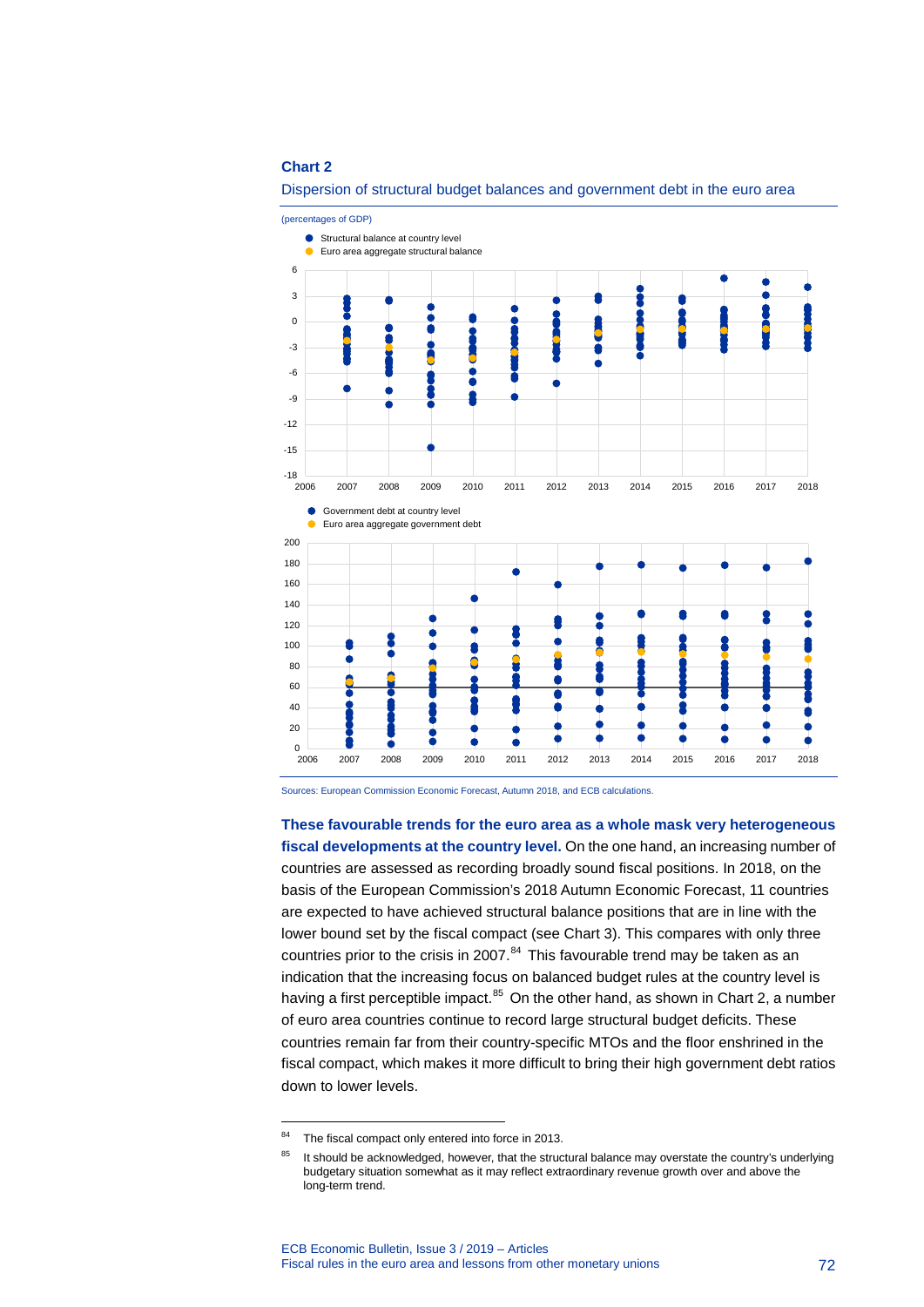

Dispersion of structural budget balances and government debt in the euro area

Sources: European Commission Economic Forecast, Autumn 2018, and ECB calculations.

**These favourable trends for the euro area as a whole mask very heterogeneous fiscal developments at the country level.** On the one hand, an increasing number of countries are assessed as recording broadly sound fiscal positions. In 2018, on the basis of the European Commission's 2018 Autumn Economic Forecast, 11 countries are expected to have achieved structural balance positions that are in line with the lower bound set by the fiscal compact (see Chart 3). This compares with only three countries prior to the crisis in 2007. $84$  This favourable trend may be taken as an indication that the increasing focus on balanced budget rules at the country level is having a first perceptible impact.<sup>[85](#page-72-1)</sup> On the other hand, as shown in Chart 2, a number of euro area countries continue to record large structural budget deficits. These countries remain far from their country-specific MTOs and the floor enshrined in the fiscal compact, which makes it more difficult to bring their high government debt ratios down to lower levels.

-

<span id="page-72-0"></span><sup>84</sup> The fiscal compact only entered into force in 2013.

<span id="page-72-1"></span><sup>&</sup>lt;sup>85</sup> It should be acknowledged, however, that the structural balance may overstate the country's underlying budgetary situation somewhat as it may reflect extraordinary revenue growth over and above the long-term trend.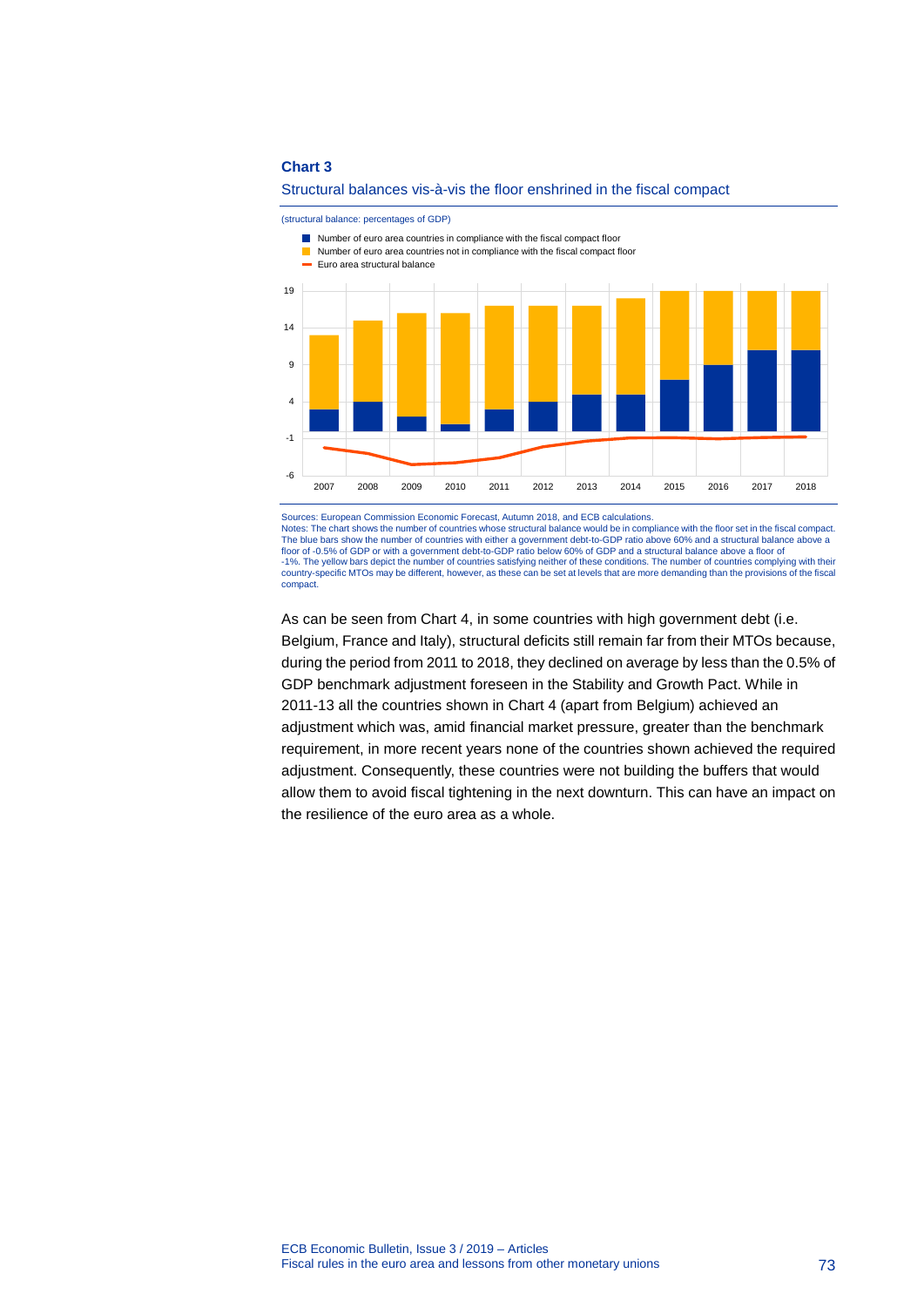

#### Structural balances vis-à-vis the floor enshrined in the fiscal compact

(structural balance: percentages of GDP)

Number of euro area countries in compliance with the fiscal compact floor

Sources: European Commission Economic Forecast, Autumn 2018, and ECB calculations. Notes: The chart shows the number of countries whose structural balance would be in compliance with the floor set in the fiscal compact. The blue bars show the number of countries with either a government debt-to-GDP ratio above 60% and a structural balance above a floor of -0.5% of GDP or with a government debt-to-GDP ratio below 60% of GDP and a structural balance above a floor of -1%. The yellow bars depict the number of countries satisfying neither of these conditions. The number of countries complying with their country-specific MTOs may be different, however, as these can be set at levels that are more demanding than the provisions of the fiscal compact.

As can be seen from Chart 4, in some countries with high government debt (i.e. Belgium, France and Italy), structural deficits still remain far from their MTOs because, during the period from 2011 to 2018, they declined on average by less than the 0.5% of GDP benchmark adjustment foreseen in the Stability and Growth Pact. While in 2011-13 all the countries shown in Chart 4 (apart from Belgium) achieved an adjustment which was, amid financial market pressure, greater than the benchmark requirement, in more recent years none of the countries shown achieved the required adjustment. Consequently, these countries were not building the buffers that would allow them to avoid fiscal tightening in the next downturn. This can have an impact on the resilience of the euro area as a whole.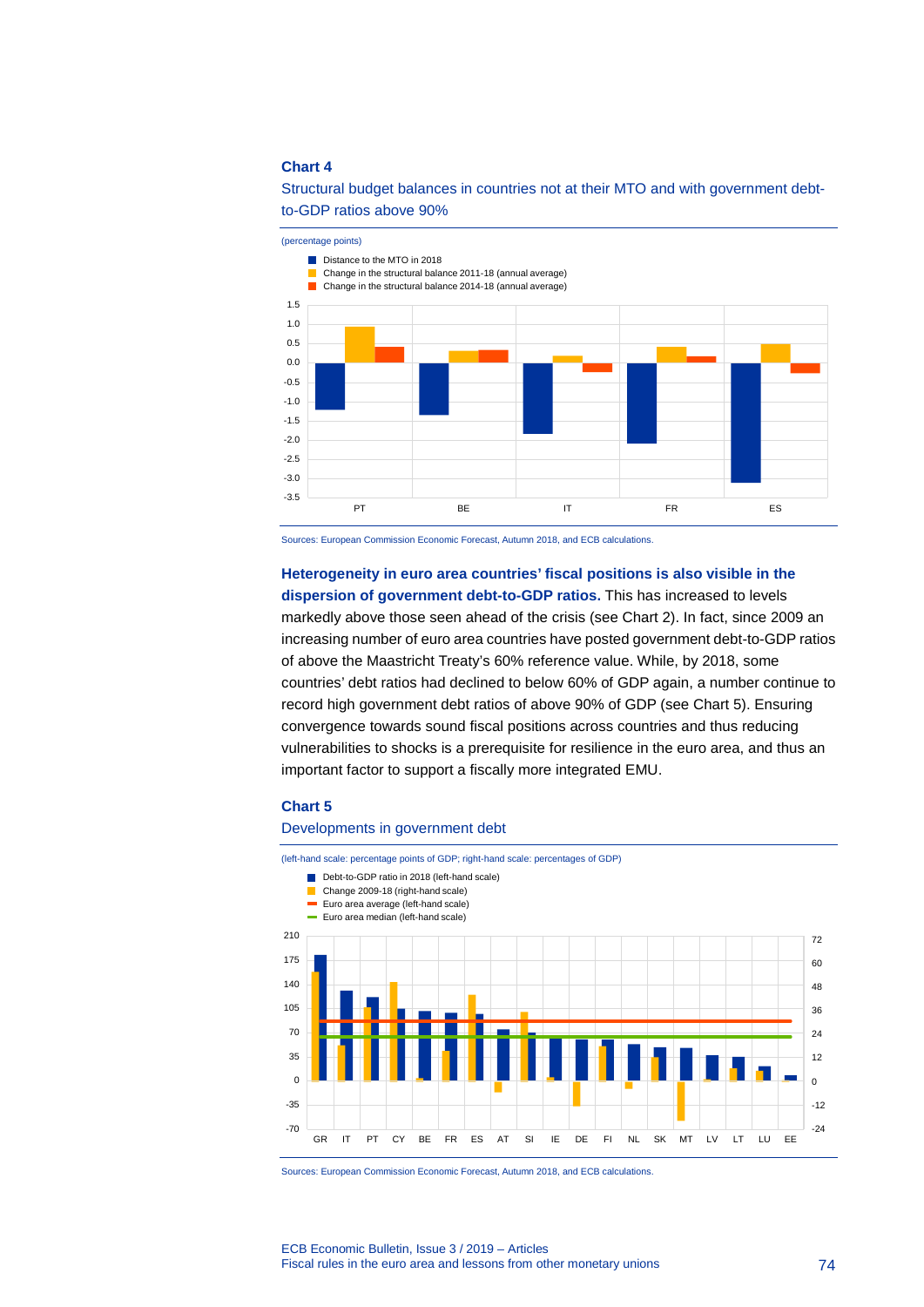### Structural budget balances in countries not at their MTO and with government debtto-GDP ratios above 90%



Sources: European Commission Economic Forecast, Autumn 2018, and ECB calculations.

**Heterogeneity in euro area countries' fiscal positions is also visible in the dispersion of government debt-to-GDP ratios.** This has increased to levels markedly above those seen ahead of the crisis (see Chart 2). In fact, since 2009 an increasing number of euro area countries have posted government debt-to-GDP ratios of above the Maastricht Treaty's 60% reference value. While, by 2018, some countries' debt ratios had declined to below 60% of GDP again, a number continue to record high government debt ratios of above 90% of GDP (see Chart 5). Ensuring convergence towards sound fiscal positions across countries and thus reducing vulnerabilities to shocks is a prerequisite for resilience in the euro area, and thus an important factor to support a fiscally more integrated EMU.

#### **Chart 5**

#### Developments in government debt

(left-hand scale: percentage points of GDP; right-hand scale: percentages of GDP)



Sources: European Commission Economic Forecast, Autumn 2018, and ECB calculations.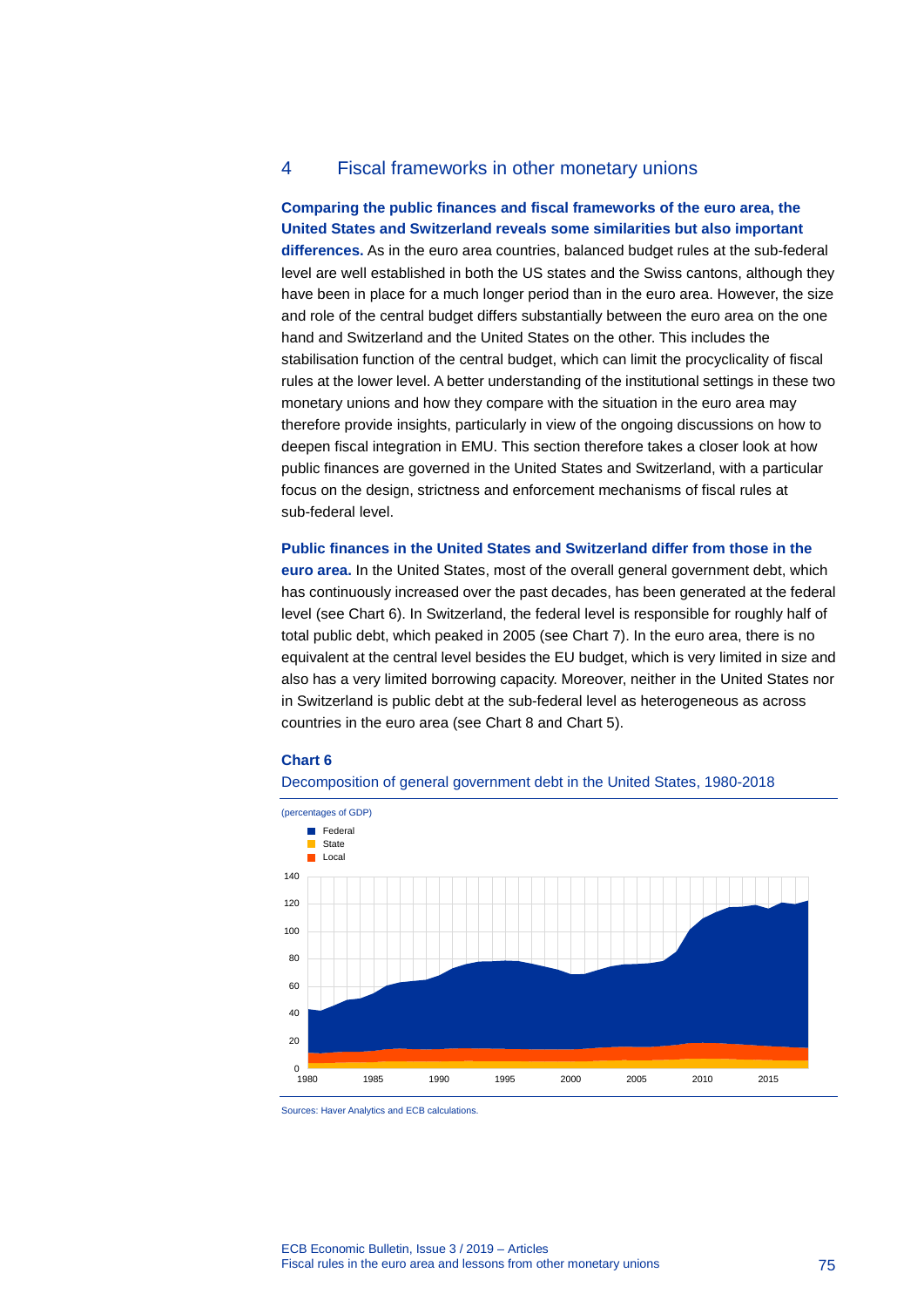### 4 Fiscal frameworks in other monetary unions

### **Comparing the public finances and fiscal frameworks of the euro area, the United States and Switzerland reveals some similarities but also important**

**differences.** As in the euro area countries, balanced budget rules at the sub-federal level are well established in both the US states and the Swiss cantons, although they have been in place for a much longer period than in the euro area. However, the size and role of the central budget differs substantially between the euro area on the one hand and Switzerland and the United States on the other. This includes the stabilisation function of the central budget, which can limit the procyclicality of fiscal rules at the lower level. A better understanding of the institutional settings in these two monetary unions and how they compare with the situation in the euro area may therefore provide insights, particularly in view of the ongoing discussions on how to deepen fiscal integration in EMU. This section therefore takes a closer look at how public finances are governed in the United States and Switzerland, with a particular focus on the design, strictness and enforcement mechanisms of fiscal rules at sub-federal level.

### **Public finances in the United States and Switzerland differ from those in the euro area.** In the United States, most of the overall general government debt, which has continuously increased over the past decades, has been generated at the federal level (see Chart 6). In Switzerland, the federal level is responsible for roughly half of total public debt, which peaked in 2005 (see Chart 7). In the euro area, there is no equivalent at the central level besides the EU budget, which is very limited in size and also has a very limited borrowing capacity. Moreover, neither in the United States nor in Switzerland is public debt at the sub-federal level as heterogeneous as across countries in the euro area (see Chart 8 and Chart 5).

#### **Chart 6**





Sources: Haver Analytics and ECB calculations.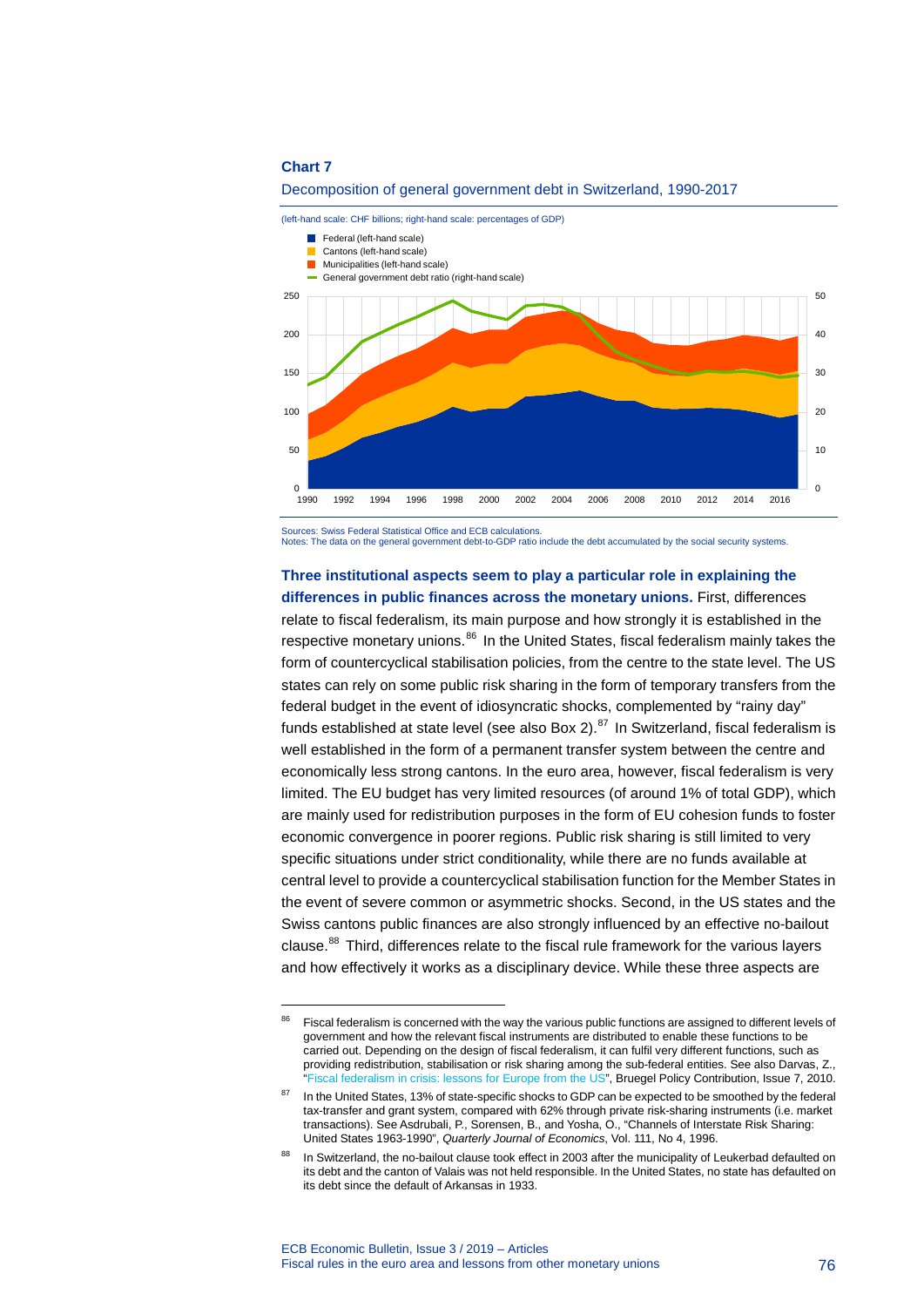-



Decomposition of general government debt in Switzerland, 1990-2017

Sources: Swiss Federal Statistical Office and ECB calculations.

Notes: The data on the general government debt-to-GDP ratio include the debt accumulated by the social security systems.

### **Three institutional aspects seem to play a particular role in explaining the differences in public finances across the monetary unions.** First, differences

relate to fiscal federalism, its main purpose and how strongly it is established in the respective monetary unions.<sup>[86](#page-76-0)</sup> In the United States, fiscal federalism mainly takes the form of countercyclical stabilisation policies, from the centre to the state level. The US states can rely on some public risk sharing in the form of temporary transfers from the federal budget in the event of idiosyncratic shocks, complemented by "rainy day" funds established at state level (see also Box 2). $^{87}$  $^{87}$  $^{87}$  In Switzerland, fiscal federalism is well established in the form of a permanent transfer system between the centre and economically less strong cantons. In the euro area, however, fiscal federalism is very limited. The EU budget has very limited resources (of around 1% of total GDP), which are mainly used for redistribution purposes in the form of EU cohesion funds to foster economic convergence in poorer regions. Public risk sharing is still limited to very specific situations under strict conditionality, while there are no funds available at central level to provide a countercyclical stabilisation function for the Member States in the event of severe common or asymmetric shocks. Second, in the US states and the Swiss cantons public finances are also strongly influenced by an effective no-bailout clause. $88$  Third, differences relate to the fiscal rule framework for the various layers and how effectively it works as a disciplinary device. While these three aspects are

<span id="page-76-0"></span><sup>&</sup>lt;sup>86</sup> Fiscal federalism is concerned with the way the various public functions are assigned to different levels of government and how the relevant fiscal instruments are distributed to enable these functions to be carried out. Depending on the design of fiscal federalism, it can fulfil very different functions, such as providing redistribution, stabilisation or risk sharing among the sub-federal entities. See also Darvas, Z., Fiscal federalism in crisis: lessons for Europe from the US", Bruegel Policy Contribution, Issue 7, 2010.

<span id="page-76-1"></span>In the United States, 13% of state-specific shocks to GDP can be expected to be smoothed by the federal tax-transfer and grant system, compared with 62% through private risk-sharing instruments (i.e. market transactions). See Asdrubali, P., Sorensen, B., and Yosha, O., "Channels of Interstate Risk Sharing: United States 1963-1990", *Quarterly Journal of Economics*, Vol. 111, No 4, 1996.

<span id="page-76-2"></span>In Switzerland, the no-bailout clause took effect in 2003 after the municipality of Leukerbad defaulted on its debt and the canton of Valais was not held responsible. In the United States, no state has defaulted on its debt since the default of Arkansas in 1933.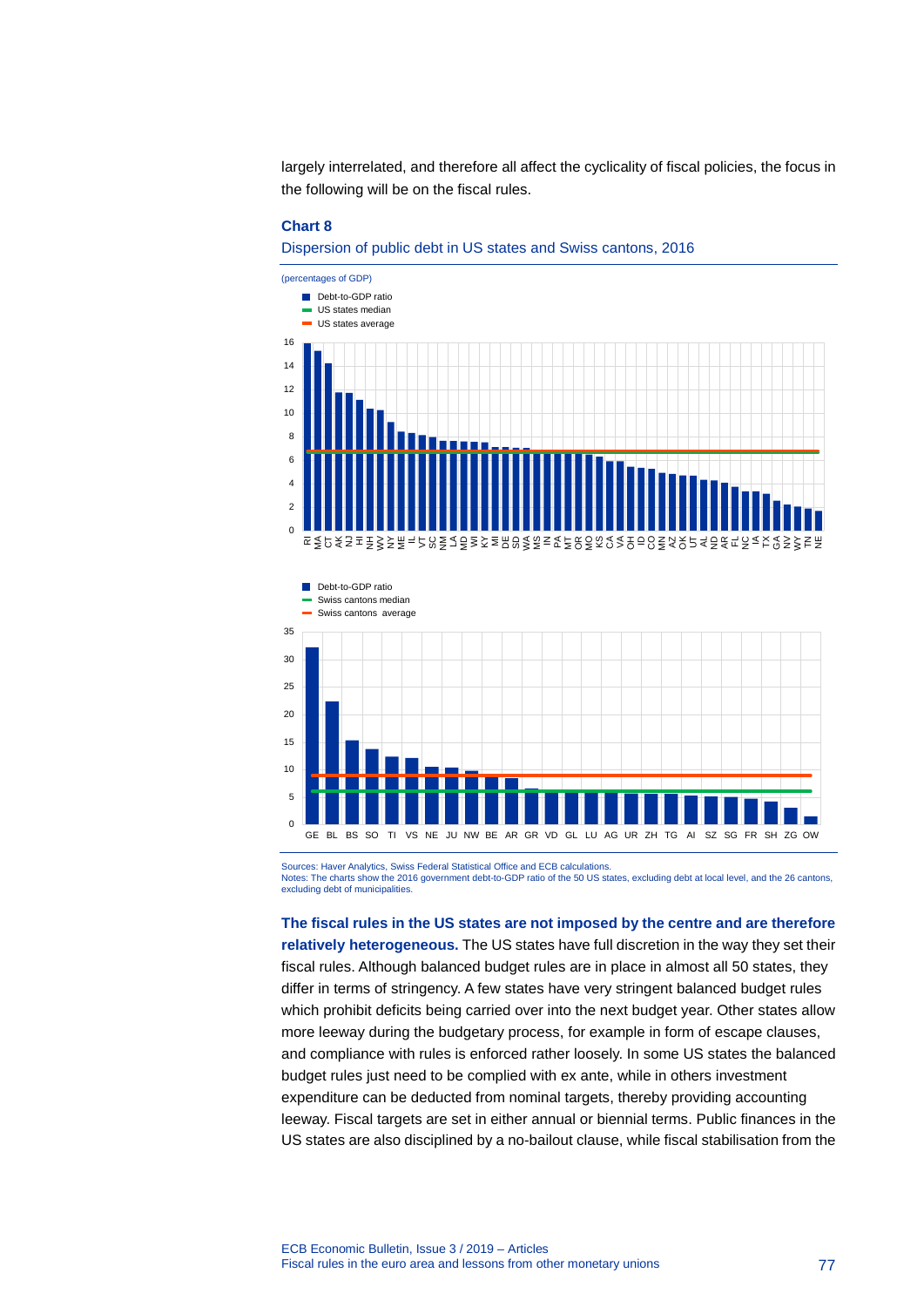largely interrelated, and therefore all affect the cyclicality of fiscal policies, the focus in the following will be on the fiscal rules.

#### **Chart 8**

5





 $\mathbf{0}$ GE BL BS SO TI VS NE JU NW BE AR GR VD GL LU AG UR ZH TG AI SZ SG FR SH ZG OW

Sources: Haver Analytics, Swiss Federal Statistical Office and ECB calculations. Notes: The charts show the 2016 government debt-to-GDP ratio of the 50 US states, excluding debt at local level, and the 26 cantons, excluding debt of municipalities.

**The fiscal rules in the US states are not imposed by the centre and are therefore relatively heterogeneous.** The US states have full discretion in the way they set their fiscal rules. Although balanced budget rules are in place in almost all 50 states, they differ in terms of stringency. A few states have very stringent balanced budget rules which prohibit deficits being carried over into the next budget year. Other states allow more leeway during the budgetary process, for example in form of escape clauses, and compliance with rules is enforced rather loosely. In some US states the balanced budget rules just need to be complied with ex ante, while in others investment expenditure can be deducted from nominal targets, thereby providing accounting leeway. Fiscal targets are set in either annual or biennial terms. Public finances in the US states are also disciplined by a no-bailout clause, while fiscal stabilisation from the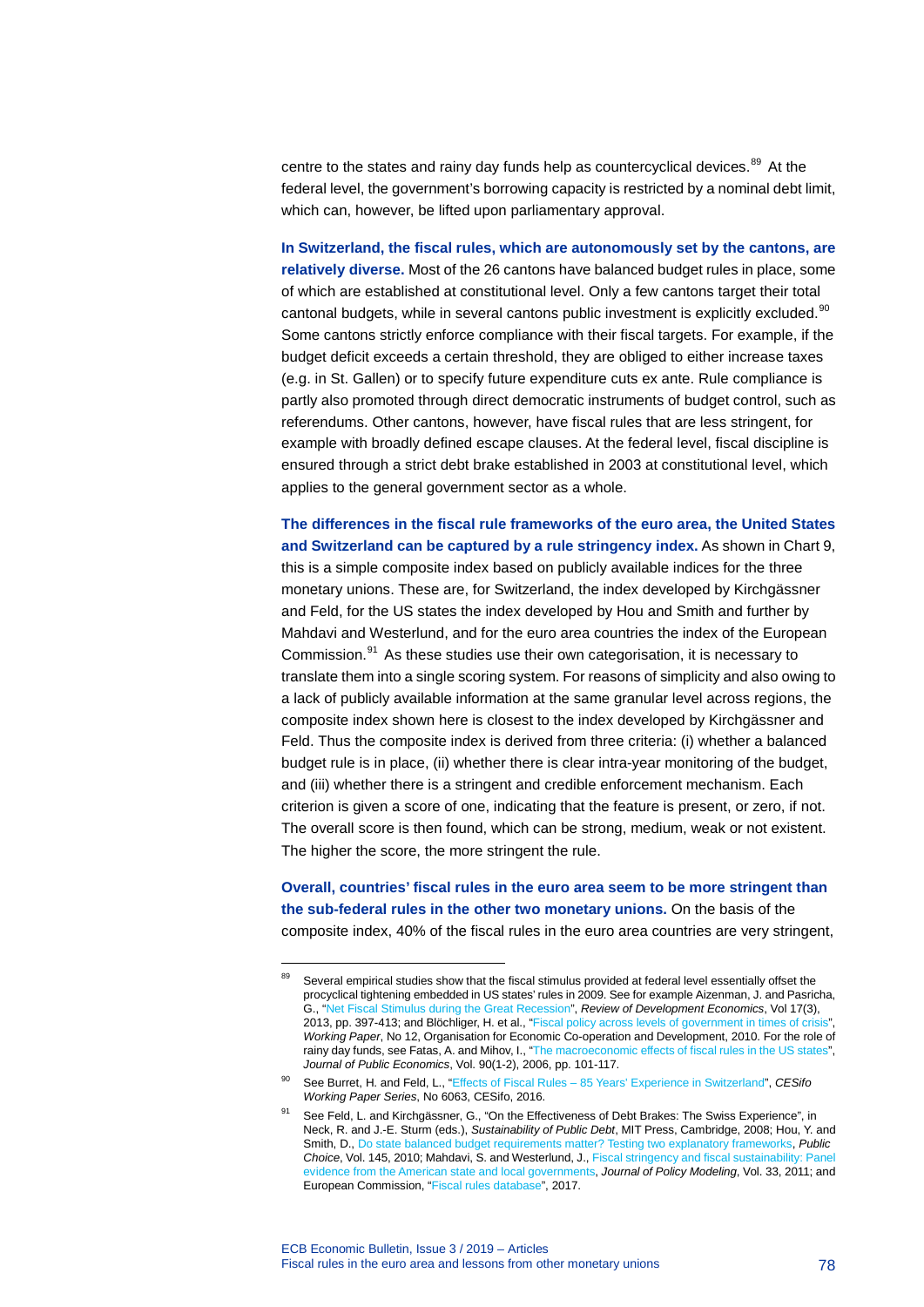centre to the states and rainy day funds help as countercyclical devices.<sup>[89](#page-78-0)</sup> At the federal level, the government's borrowing capacity is restricted by a nominal debt limit, which can, however, be lifted upon parliamentary approval.

**In Switzerland, the fiscal rules, which are autonomously set by the cantons, are relatively diverse.** Most of the 26 cantons have balanced budget rules in place, some of which are established at constitutional level. Only a few cantons target their total cantonal budgets, while in several cantons public investment is explicitly excluded.<sup>[90](#page-78-1)</sup> Some cantons strictly enforce compliance with their fiscal targets. For example, if the budget deficit exceeds a certain threshold, they are obliged to either increase taxes (e.g. in St. Gallen) or to specify future expenditure cuts ex ante. Rule compliance is partly also promoted through direct democratic instruments of budget control, such as referendums. Other cantons, however, have fiscal rules that are less stringent, for example with broadly defined escape clauses. At the federal level, fiscal discipline is ensured through a strict debt brake established in 2003 at constitutional level, which applies to the general government sector as a whole.

**The differences in the fiscal rule frameworks of the euro area, the United States and Switzerland can be captured by a rule stringency index.** As shown in Chart 9, this is a simple composite index based on publicly available indices for the three monetary unions. These are, for Switzerland, the index developed by Kirchgässner and Feld, for the US states the index developed by Hou and Smith and further by Mahdavi and Westerlund, and for the euro area countries the index of the European Commission.[91](#page-78-2) As these studies use their own categorisation, it is necessary to translate them into a single scoring system. For reasons of simplicity and also owing to a lack of publicly available information at the same granular level across regions, the composite index shown here is closest to the index developed by Kirchgässner and Feld. Thus the composite index is derived from three criteria: (i) whether a balanced budget rule is in place, (ii) whether there is clear intra-year monitoring of the budget, and (iii) whether there is a stringent and credible enforcement mechanism. Each criterion is given a score of one, indicating that the feature is present, or zero, if not. The overall score is then found, which can be strong, medium, weak or not existent. The higher the score, the more stringent the rule.

**Overall, countries' fiscal rules in the euro area seem to be more stringent than the sub-federal rules in the other two monetary unions.** On the basis of the composite index, 40% of the fiscal rules in the euro area countries are very stringent,

<span id="page-78-0"></span>-

Several empirical studies show that the fiscal stimulus provided at federal level essentially offset the procyclical tightening embedded in US states' rules in 2009. See for example Aizenman, J. and Pasricha, G., ["Net Fiscal Stimulus during the Great Recession"](https://onlinelibrary.wiley.com/doi/epdf/10.1111/rode.12039), *Review of Development Economics*, Vol 17(3), 2013, pp. 397-413; and Blöchliger, H. et al., "Fiscal policy across levels of government in times of crisis *Working Paper*, No 12, Organisation for Economic Co-operation and Development, 2010. For the role of rainy day funds, see Fatas, A. and Mihov, I., ["The macroeconomic effects of fiscal rules in the US states"](https://www.sciencedirect.com/science/article/pii/S0047272705000435), *Journal of Public Economics*, Vol. 90(1-2), 2006, pp. 101-117.

<span id="page-78-1"></span><sup>90</sup> See Burret, H. and Feld, L., "Effects of Fiscal Rules – [85 Years' Experience in Switzerland"](https://papers.ssrn.com/sol3/papers.cfm?abstract_id=2851727), *CESifo Working Paper Series*, No 6063, CESifo, 2016.

<span id="page-78-2"></span><sup>91</sup> See Feld, L. and Kirchgässner, G., "On the Effectiveness of Debt Brakes: The Swiss Experience", in Neck, R. and J.-E. Sturm (eds.), *Sustainability of Public Debt*, MIT Press, Cambridge, 2008; Hou, Y. and Smith, D.[, Do state balanced budget requirements matter? Testing two explanatory frameworks,](https://link.springer.com/article/10.1007%2Fs11127-009-9528-6) *Public Choice*, Vol. 145, 2010; Mahdavi, S. and Westerlund, J.[, Fiscal stringency and fiscal sustainability: Panel](https://www.sciencedirect.com/science/article/pii/S0161893811000950)  [evidence from the American state and local governments,](https://www.sciencedirect.com/science/article/pii/S0161893811000950) *Journal of Policy Modeling*, Vol. 33, 2011; and European Commission, ["Fiscal rules database"](https://ec.europa.eu/info/publications/fiscal-rules-database_en), 2017.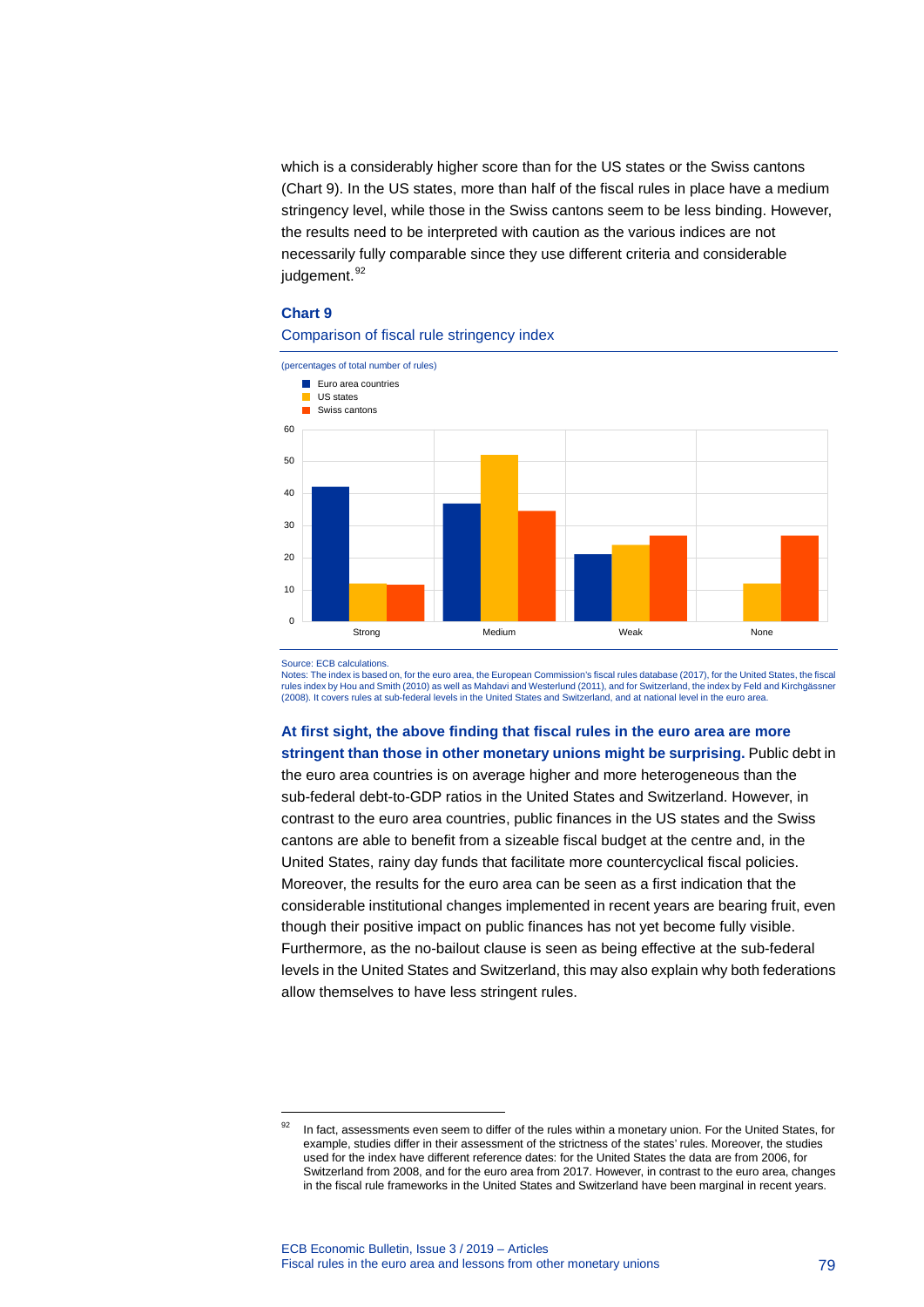which is a considerably higher score than for the US states or the Swiss cantons (Chart 9). In the US states, more than half of the fiscal rules in place have a medium stringency level, while those in the Swiss cantons seem to be less binding. However, the results need to be interpreted with caution as the various indices are not necessarily fully comparable since they use different criteria and considerable judgement.<sup>[92](#page-79-0)</sup>

#### **Chart 9**

#### Comparison of fiscal rule stringency index



Source: ECB calculations.

-

Notes: The index is based on, for the euro area, the European Commission's fiscal rules database (2017), for the United States, the fiscal rules index by Hou and Smith (2010) as well as Mahdavi and Westerlund (2011), and for Switzerland, the index by Feld and Kirchgässner (2008). It covers rules at sub-federal levels in the United States and Switzerland, and at national level in the euro area.

**At first sight, the above finding that fiscal rules in the euro area are more stringent than those in other monetary unions might be surprising.** Public debt in the euro area countries is on average higher and more heterogeneous than the sub-federal debt-to-GDP ratios in the United States and Switzerland. However, in contrast to the euro area countries, public finances in the US states and the Swiss cantons are able to benefit from a sizeable fiscal budget at the centre and, in the United States, rainy day funds that facilitate more countercyclical fiscal policies. Moreover, the results for the euro area can be seen as a first indication that the considerable institutional changes implemented in recent years are bearing fruit, even though their positive impact on public finances has not yet become fully visible. Furthermore, as the no-bailout clause is seen as being effective at the sub-federal levels in the United States and Switzerland, this may also explain why both federations allow themselves to have less stringent rules.

<span id="page-79-0"></span><sup>92</sup> In fact, assessments even seem to differ of the rules within a monetary union. For the United States, for example, studies differ in their assessment of the strictness of the states' rules. Moreover, the studies used for the index have different reference dates: for the United States the data are from 2006, for Switzerland from 2008, and for the euro area from 2017. However, in contrast to the euro area, changes in the fiscal rule frameworks in the United States and Switzerland have been marginal in recent years.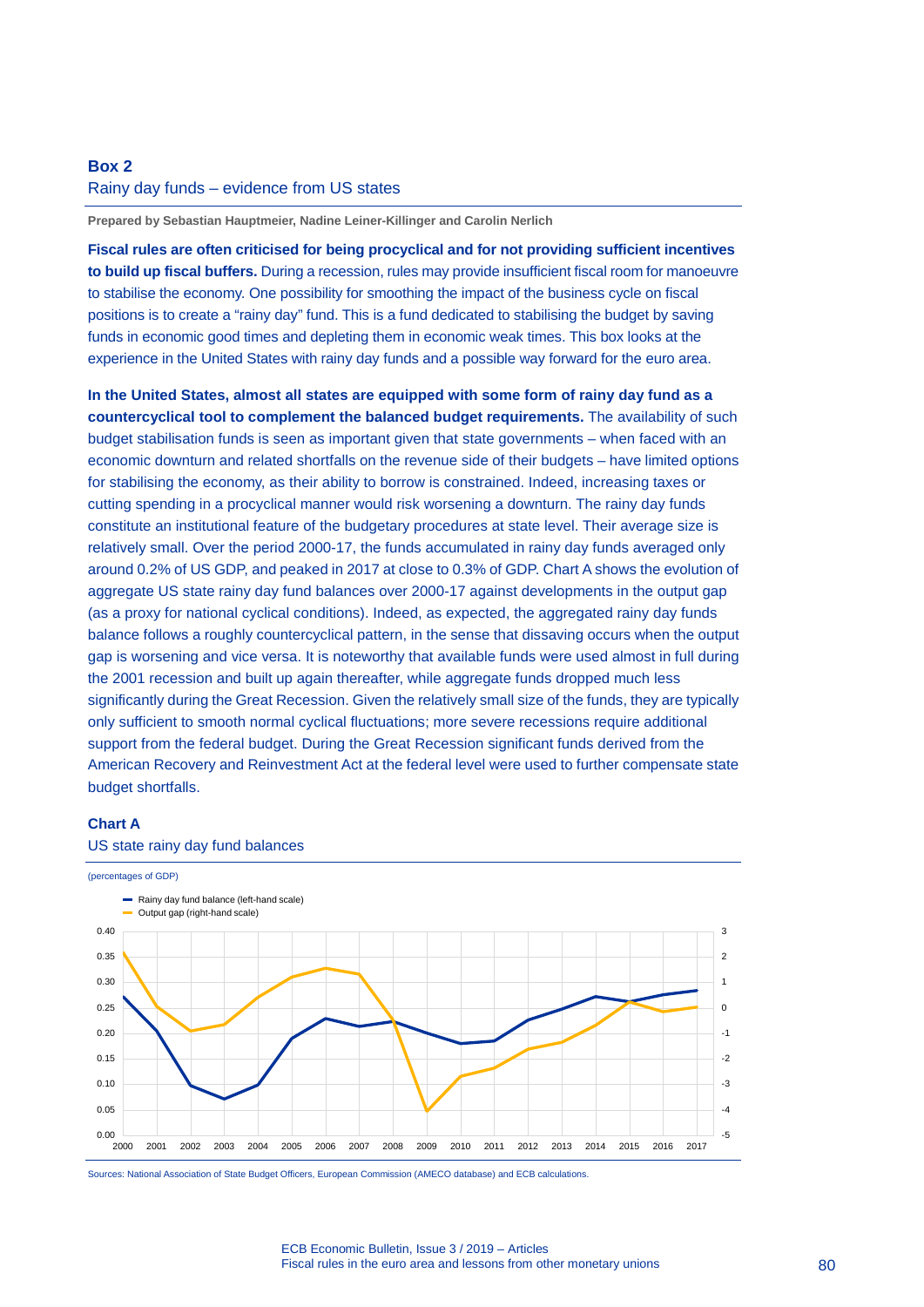### **Box 2** Rainy day funds – evidence from US states

**Prepared by Sebastian Hauptmeier, Nadine Leiner-Killinger and Carolin Nerlich**

**Fiscal rules are often criticised for being procyclical and for not providing sufficient incentives to build up fiscal buffers.** During a recession, rules may provide insufficient fiscal room for manoeuvre to stabilise the economy. One possibility for smoothing the impact of the business cycle on fiscal positions is to create a "rainy day" fund. This is a fund dedicated to stabilising the budget by saving funds in economic good times and depleting them in economic weak times. This box looks at the experience in the United States with rainy day funds and a possible way forward for the euro area.

**In the United States, almost all states are equipped with some form of rainy day fund as a countercyclical tool to complement the balanced budget requirements.** The availability of such budget stabilisation funds is seen as important given that state governments – when faced with an economic downturn and related shortfalls on the revenue side of their budgets – have limited options for stabilising the economy, as their ability to borrow is constrained. Indeed, increasing taxes or cutting spending in a procyclical manner would risk worsening a downturn. The rainy day funds constitute an institutional feature of the budgetary procedures at state level. Their average size is relatively small. Over the period 2000-17, the funds accumulated in rainy day funds averaged only around 0.2% of US GDP, and peaked in 2017 at close to 0.3% of GDP. Chart A shows the evolution of aggregate US state rainy day fund balances over 2000-17 against developments in the output gap (as a proxy for national cyclical conditions). Indeed, as expected, the aggregated rainy day funds balance follows a roughly countercyclical pattern, in the sense that dissaving occurs when the output gap is worsening and vice versa. It is noteworthy that available funds were used almost in full during the 2001 recession and built up again thereafter, while aggregate funds dropped much less significantly during the Great Recession. Given the relatively small size of the funds, they are typically only sufficient to smooth normal cyclical fluctuations; more severe recessions require additional support from the federal budget. During the Great Recession significant funds derived from the American Recovery and Reinvestment Act at the federal level were used to further compensate state budget shortfalls.

### **Chart A**

#### US state rainy day fund balances



Sources: National Association of State Budget Officers, European Commission (AMECO database) and ECB calculations.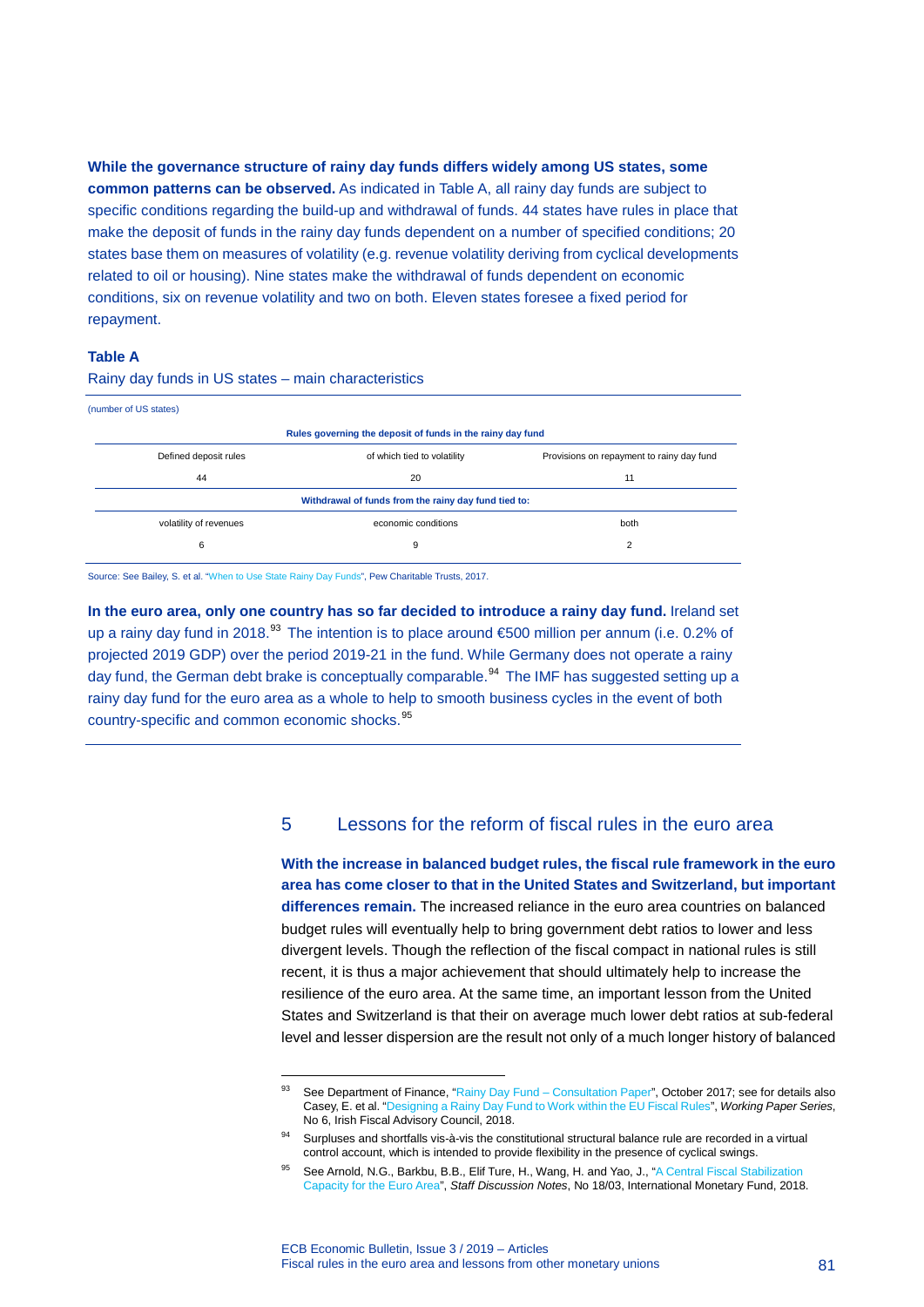**While the governance structure of rainy day funds differs widely among US states, some common patterns can be observed.** As indicated in Table A, all rainy day funds are subject to specific conditions regarding the build-up and withdrawal of funds. 44 states have rules in place that make the deposit of funds in the rainy day funds dependent on a number of specified conditions; 20 states base them on measures of volatility (e.g. revenue volatility deriving from cyclical developments related to oil or housing). Nine states make the withdrawal of funds dependent on economic conditions, six on revenue volatility and two on both. Eleven states foresee a fixed period for repayment.

#### **Table A**

| (number of US states)  |                                                            |                                           |
|------------------------|------------------------------------------------------------|-------------------------------------------|
|                        | Rules governing the deposit of funds in the rainy day fund |                                           |
| Defined deposit rules  | of which tied to volatility                                | Provisions on repayment to rainy day fund |
| 44                     | 20                                                         | 11                                        |
|                        | Withdrawal of funds from the rainy day fund tied to:       |                                           |
| volatility of revenues | economic conditions                                        | both                                      |
| 6                      | 9                                                          | 2                                         |
|                        |                                                            |                                           |

Rainy day funds in US states – main characteristics

Source: See Bailey, S. et al. ["When to Use State Rainy Day Funds",](https://www.pewtrusts.org/%7E/media/assets/2017/04/when-to-use-state-rainy-day-funds.pdf) Pew Charitable Trusts, 2017.

-

**In the euro area, only one country has so far decided to introduce a rainy day fund.** Ireland set up a rainy day fund in 2018.<sup>[93](#page-81-0)</sup> The intention is to place around  $600$  million per annum (i.e. 0.2% of projected 2019 GDP) over the period 2019-21 in the fund. While Germany does not operate a rainy day fund, the German debt brake is conceptually comparable.<sup>[94](#page-81-1)</sup> The IMF has suggested setting up a rainy day fund for the euro area as a whole to help to smooth business cycles in the event of both country-specific and common economic shocks.<sup>[95](#page-81-2)</sup>

### 5 Lessons for the reform of fiscal rules in the euro area

**With the increase in balanced budget rules, the fiscal rule framework in the euro area has come closer to that in the United States and Switzerland, but important differences remain.** The increased reliance in the euro area countries on balanced budget rules will eventually help to bring government debt ratios to lower and less divergent levels. Though the reflection of the fiscal compact in national rules is still recent, it is thus a major achievement that should ultimately help to increase the resilience of the euro area. At the same time, an important lesson from the United States and Switzerland is that their on average much lower debt ratios at sub-federal level and lesser dispersion are the result not only of a much longer history of balanced

<span id="page-81-0"></span>See Department of Finance, "Rainy Day Fund – [Consultation Paper"](http://www.budget.gov.ie/Budgets/2018/Documents/Rainy_Day_Fund_Consultation_Paper.pdf), October 2017; see for details also Casey, E. et al. ["Designing a Rainy Day Fund to Work within the EU Fiscal Rules"](https://www.fiscalcouncil.ie/wp-content/uploads/2018/06/Designing-a-Rainy-Day-Fund-to-Work-Within-the-Fiscal-Rules-1.pdf), *Working Paper Series*, No 6, Irish Fiscal Advisory Council, 2018.

<span id="page-81-1"></span><sup>94</sup> Surpluses and shortfalls vis-à-vis the constitutional structural balance rule are recorded in a virtual control account, which is intended to provide flexibility in the presence of cyclical swings.

<span id="page-81-2"></span>See Arnold, N.G., Barkbu, B.B., Elif Ture, H., Wang, H. and Yao, J., "A Central Fiscal Stabilization [Capacity for the Euro Area"](https://www.imf.org/en/Publications/Staff-Discussion-Notes/Issues/2018/03/22/A-Central-Fiscal-Stabilization-Capacity-for-the-Euro-Area-45741), *Staff Discussion Notes*, No 18/03, International Monetary Fund, 2018.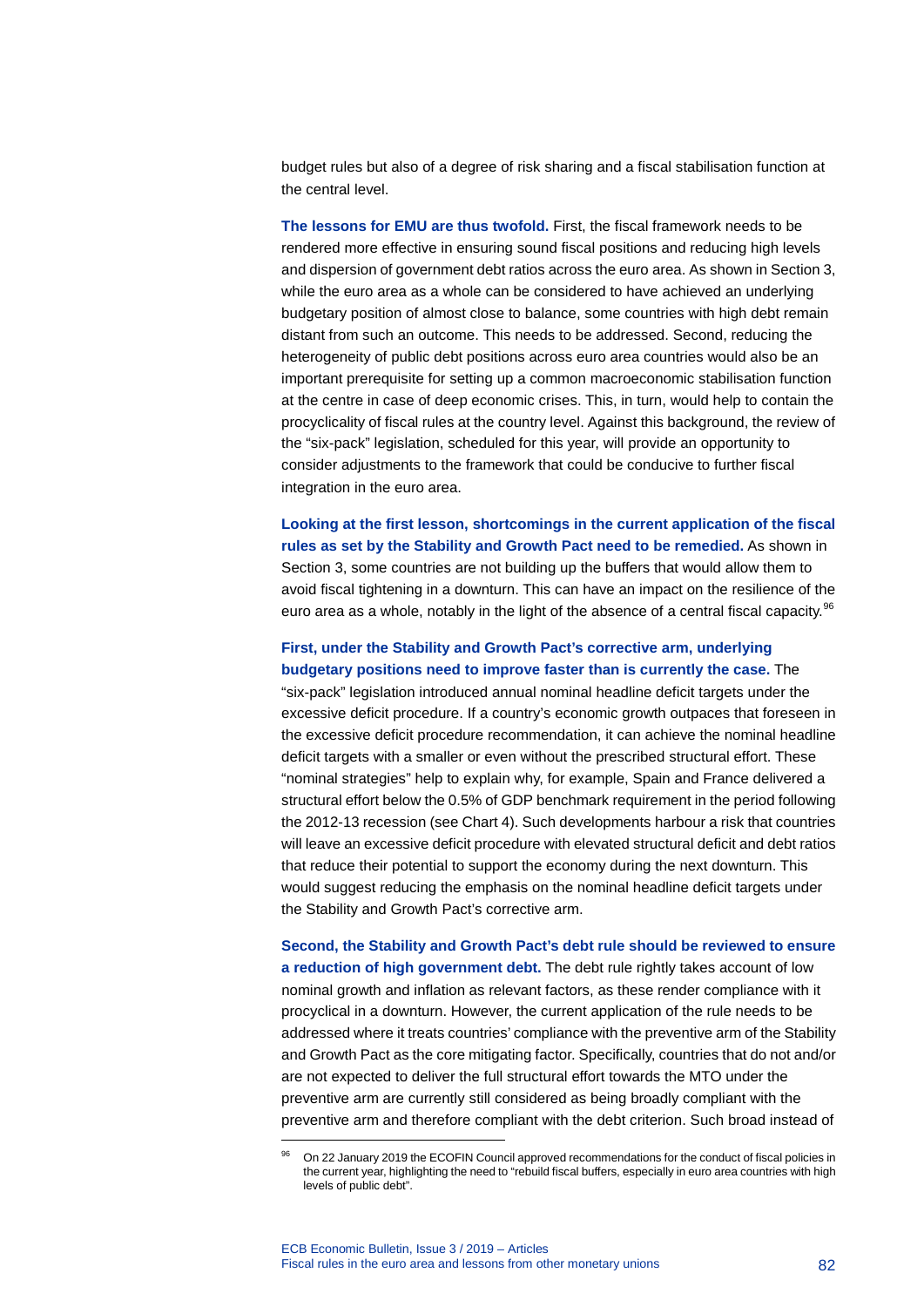budget rules but also of a degree of risk sharing and a fiscal stabilisation function at the central level.

**The lessons for EMU are thus twofold.** First, the fiscal framework needs to be rendered more effective in ensuring sound fiscal positions and reducing high levels and dispersion of government debt ratios across the euro area. As shown in Section 3, while the euro area as a whole can be considered to have achieved an underlying budgetary position of almost close to balance, some countries with high debt remain distant from such an outcome. This needs to be addressed. Second, reducing the heterogeneity of public debt positions across euro area countries would also be an important prerequisite for setting up a common macroeconomic stabilisation function at the centre in case of deep economic crises. This, in turn, would help to contain the procyclicality of fiscal rules at the country level. Against this background, the review of the "six-pack" legislation, scheduled for this year, will provide an opportunity to consider adjustments to the framework that could be conducive to further fiscal integration in the euro area.

**Looking at the first lesson, shortcomings in the current application of the fiscal rules as set by the Stability and Growth Pact need to be remedied.** As shown in Section 3, some countries are not building up the buffers that would allow them to avoid fiscal tightening in a downturn. This can have an impact on the resilience of the euro area as a whole, notably in the light of the absence of a central fiscal capacity.<sup>[96](#page-82-0)</sup>

### **First, under the Stability and Growth Pact's corrective arm, underlying budgetary positions need to improve faster than is currently the case.** The

"six-pack" legislation introduced annual nominal headline deficit targets under the excessive deficit procedure. If a country's economic growth outpaces that foreseen in the excessive deficit procedure recommendation, it can achieve the nominal headline deficit targets with a smaller or even without the prescribed structural effort. These "nominal strategies" help to explain why, for example, Spain and France delivered a structural effort below the 0.5% of GDP benchmark requirement in the period following the 2012-13 recession (see Chart 4). Such developments harbour a risk that countries will leave an excessive deficit procedure with elevated structural deficit and debt ratios that reduce their potential to support the economy during the next downturn. This would suggest reducing the emphasis on the nominal headline deficit targets under the Stability and Growth Pact's corrective arm.

**Second, the Stability and Growth Pact's debt rule should be reviewed to ensure a reduction of high government debt.** The debt rule rightly takes account of low nominal growth and inflation as relevant factors, as these render compliance with it procyclical in a downturn. However, the current application of the rule needs to be addressed where it treats countries' compliance with the preventive arm of the Stability and Growth Pact as the core mitigating factor. Specifically, countries that do not and/or are not expected to deliver the full structural effort towards the MTO under the preventive arm are currently still considered as being broadly compliant with the preventive arm and therefore compliant with the debt criterion. Such broad instead of

<span id="page-82-0"></span>-

<sup>96</sup> On 22 January 2019 the ECOFIN Council approved recommendations for the conduct of fiscal policies in the current year, highlighting the need to "rebuild fiscal buffers, especially in euro area countries with high levels of public debt".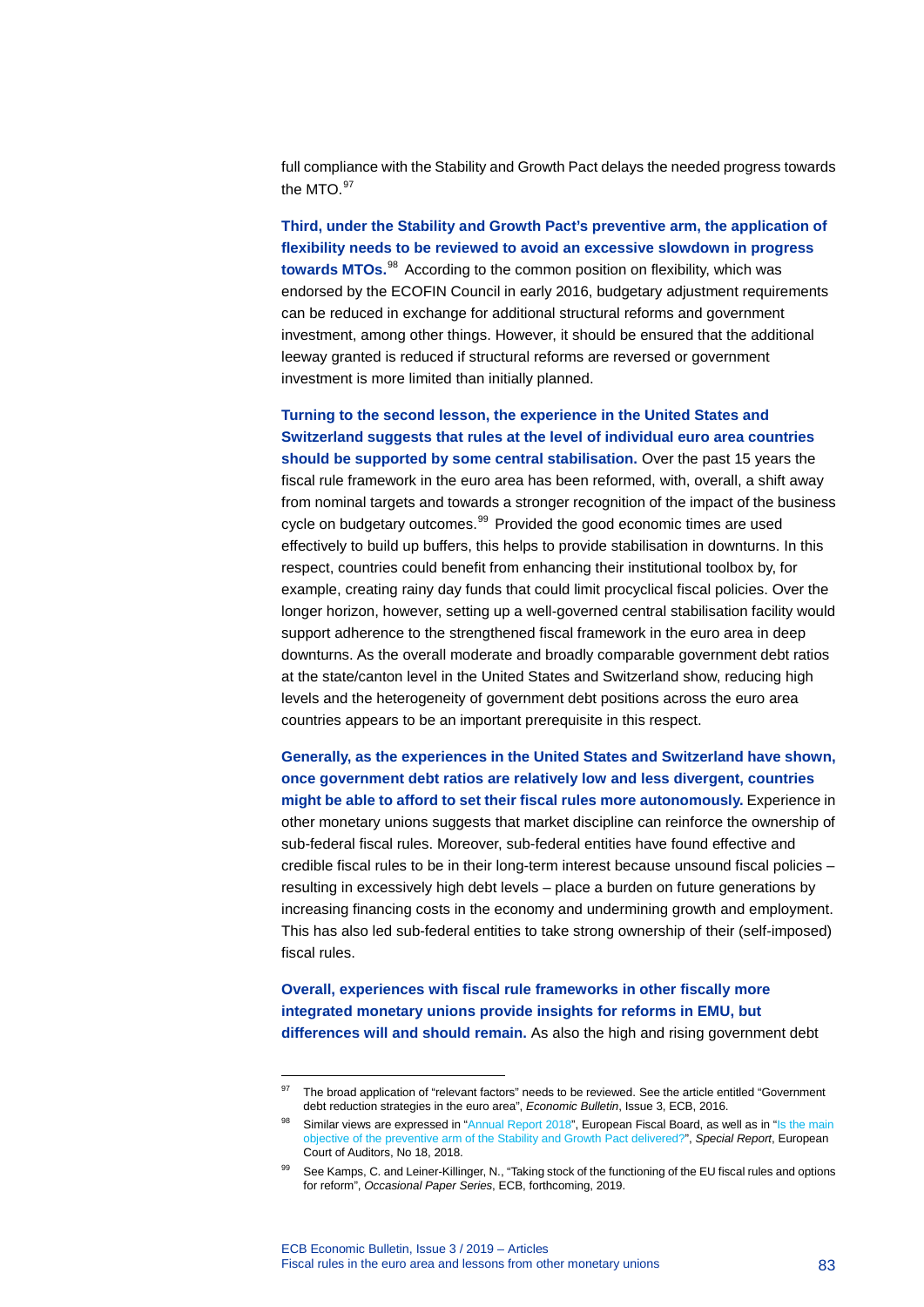full compliance with the Stability and Growth Pact delays the needed progress towards the MTO. [97](#page-83-0)

**Third, under the Stability and Growth Pact's preventive arm, the application of flexibility needs to be reviewed to avoid an excessive slowdown in progress towards MTOs.** [98](#page-83-1) According to the common position on flexibility, which was endorsed by the ECOFIN Council in early 2016, budgetary adjustment requirements can be reduced in exchange for additional structural reforms and government investment, among other things. However, it should be ensured that the additional leeway granted is reduced if structural reforms are reversed or government investment is more limited than initially planned.

**Turning to the second lesson, the experience in the United States and Switzerland suggests that rules at the level of individual euro area countries should be supported by some central stabilisation.** Over the past 15 years the fiscal rule framework in the euro area has been reformed, with, overall, a shift away from nominal targets and towards a stronger recognition of the impact of the business cycle on budgetary outcomes.<sup>[99](#page-83-2)</sup> Provided the good economic times are used effectively to build up buffers, this helps to provide stabilisation in downturns. In this respect, countries could benefit from enhancing their institutional toolbox by, for example, creating rainy day funds that could limit procyclical fiscal policies. Over the longer horizon, however, setting up a well-governed central stabilisation facility would support adherence to the strengthened fiscal framework in the euro area in deep downturns. As the overall moderate and broadly comparable government debt ratios at the state/canton level in the United States and Switzerland show, reducing high levels and the heterogeneity of government debt positions across the euro area countries appears to be an important prerequisite in this respect.

**Generally, as the experiences in the United States and Switzerland have shown, once government debt ratios are relatively low and less divergent, countries might be able to afford to set their fiscal rules more autonomously.** Experience in other monetary unions suggests that market discipline can reinforce the ownership of sub-federal fiscal rules. Moreover, sub-federal entities have found effective and credible fiscal rules to be in their long-term interest because unsound fiscal policies – resulting in excessively high debt levels – place a burden on future generations by increasing financing costs in the economy and undermining growth and employment. This has also led sub-federal entities to take strong ownership of their (self-imposed) fiscal rules.

**Overall, experiences with fiscal rule frameworks in other fiscally more integrated monetary unions provide insights for reforms in EMU, but differences will and should remain.** As also the high and rising government debt

-

<span id="page-83-0"></span>The broad application of "relevant factors" needs to be reviewed. See the article entitled "Government debt reduction strategies in the euro area", *Economic Bulletin*, Issue 3, ECB, 2016.

<span id="page-83-2"></span><span id="page-83-1"></span><sup>&</sup>lt;sup>98</sup> Similar views are expressed in ["Annual Report 2018"](https://ec.europa.eu/info/sites/info/files/2018_efb_annual_report_en.pdf), European Fiscal Board, as well as in "Is the main [objective of the preventive arm of the Stability and Growth Pact delivered?"](https://www.eca.europa.eu/Lists/ECADocuments/SR18_18/SR_EUROPEAN_SEMESTER_EN.pdf), *Special Report*, European Court of Auditors, No 18, 2018.

See Kamps, C. and Leiner-Killinger, N., "Taking stock of the functioning of the EU fiscal rules and options for reform", *Occasional Paper Series*, ECB, forthcoming, 2019.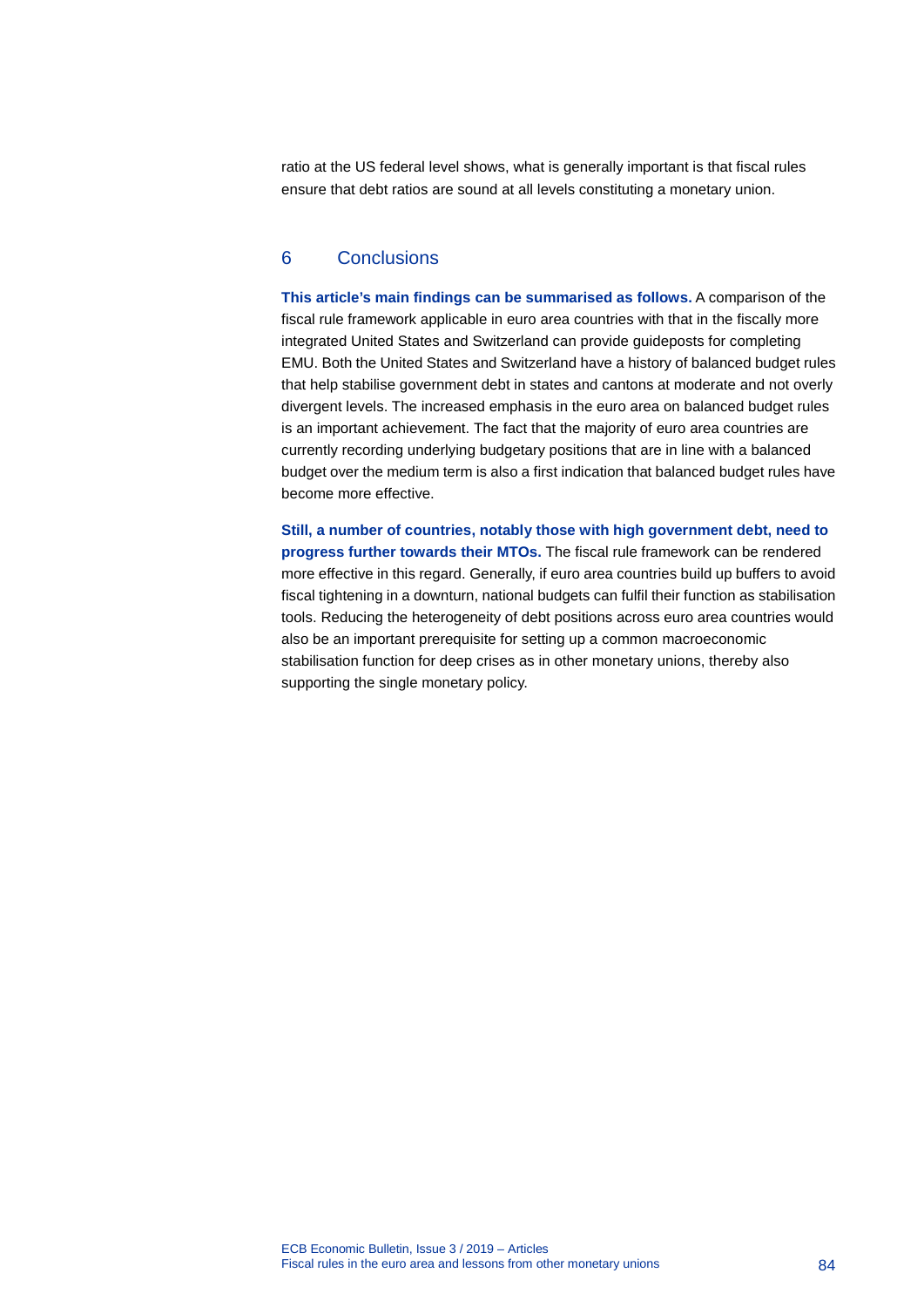ratio at the US federal level shows, what is generally important is that fiscal rules ensure that debt ratios are sound at all levels constituting a monetary union.

### 6 Conclusions

**This article's main findings can be summarised as follows.** A comparison of the fiscal rule framework applicable in euro area countries with that in the fiscally more integrated United States and Switzerland can provide guideposts for completing EMU. Both the United States and Switzerland have a history of balanced budget rules that help stabilise government debt in states and cantons at moderate and not overly divergent levels. The increased emphasis in the euro area on balanced budget rules is an important achievement. The fact that the majority of euro area countries are currently recording underlying budgetary positions that are in line with a balanced budget over the medium term is also a first indication that balanced budget rules have become more effective.

**Still, a number of countries, notably those with high government debt, need to progress further towards their MTOs.** The fiscal rule framework can be rendered more effective in this regard. Generally, if euro area countries build up buffers to avoid fiscal tightening in a downturn, national budgets can fulfil their function as stabilisation tools. Reducing the heterogeneity of debt positions across euro area countries would also be an important prerequisite for setting up a common macroeconomic stabilisation function for deep crises as in other monetary unions, thereby also supporting the single monetary policy.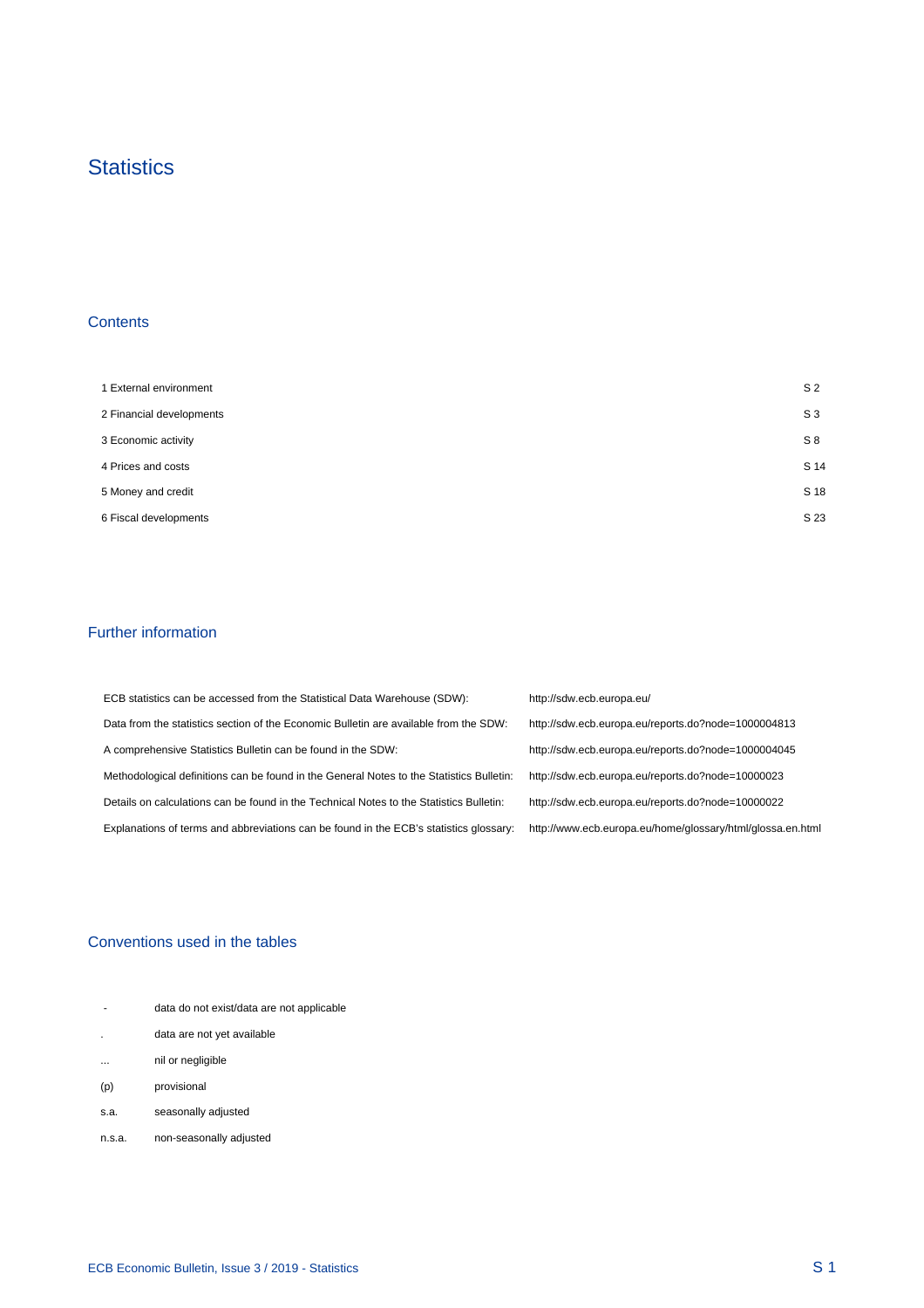### **Statistics**

### **Contents**

 $\mathcal{A}^{\mathcal{A}}$ 

| 1 External environment   | S <sub>2</sub> |
|--------------------------|----------------|
| 2 Financial developments | S <sub>3</sub> |
| 3 Economic activity      | S8             |
| 4 Prices and costs       | S 14           |
| 5 Money and credit       | S 18           |
| 6 Fiscal developments    | S 23           |

### Further information

 $\mathcal{A}^{\mathcal{A}}$ 

| ECB statistics can be accessed from the Statistical Data Warehouse (SDW):                | http://sdw.ecb.europa.eu/                                  |
|------------------------------------------------------------------------------------------|------------------------------------------------------------|
| Data from the statistics section of the Economic Bulletin are available from the SDW:    | http://sdw.ecb.europa.eu/reports.do?node=1000004813        |
| A comprehensive Statistics Bulletin can be found in the SDW:                             | http://sdw.ecb.europa.eu/reports.do?node=1000004045        |
| Methodological definitions can be found in the General Notes to the Statistics Bulletin: | http://sdw.ecb.europa.eu/reports.do?node=10000023          |
| Details on calculations can be found in the Technical Notes to the Statistics Bulletin:  | http://sdw.ecb.europa.eu/reports.do?node=10000022          |
| Explanations of terms and abbreviations can be found in the ECB's statistics glossary:   | http://www.ecb.europa.eu/home/glossary/html/glossa.en.html |

### Conventions used in the tables

| $\overline{\phantom{a}}$ | data do not exist/data are not applicable |
|--------------------------|-------------------------------------------|
|                          | data are not yet available                |
| $\cdots$                 | nil or negligible                         |
| (p)                      | provisional                               |
| s.a.                     | seasonally adjusted                       |
| n.s.a.                   | non-seasonally adjusted                   |

 $\frac{1}{2}$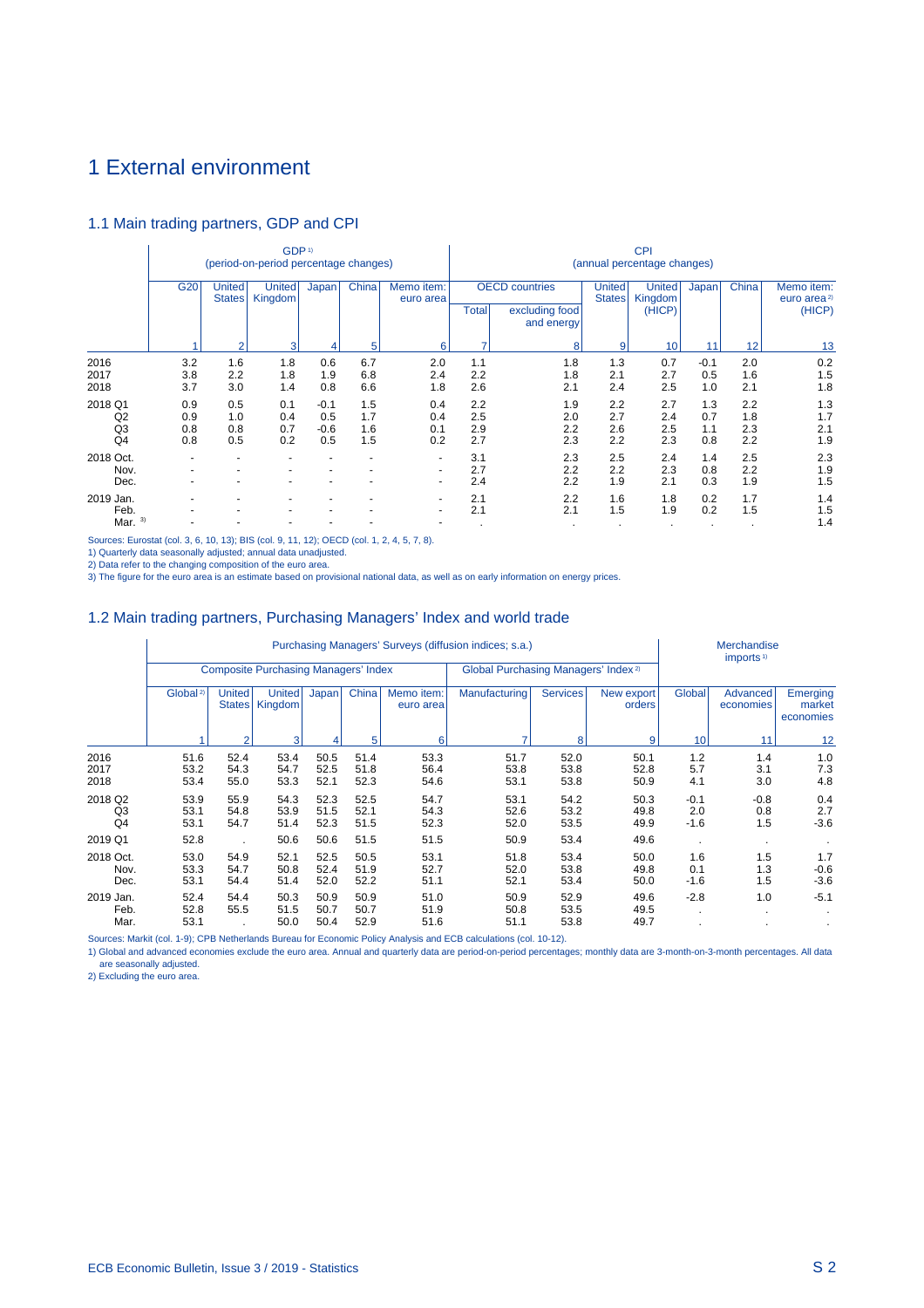### 1 External environment

### 1.1 Main trading partners, GDP and CPI

|                                                   |                          |                          | GDP <sup>1)</sup><br>(period-on-period percentage changes) |                                |                               |                                                      | <b>CPI</b><br>(annual percentage changes) |                                                       |                                |                                    |                          |                          |                                                 |  |
|---------------------------------------------------|--------------------------|--------------------------|------------------------------------------------------------|--------------------------------|-------------------------------|------------------------------------------------------|-------------------------------------------|-------------------------------------------------------|--------------------------------|------------------------------------|--------------------------|--------------------------|-------------------------------------------------|--|
|                                                   | G20                      | United<br><b>States</b>  | <b>United</b><br>Kingdom                                   | Japan                          | China                         | Memo item:<br>euro area                              | <b>Total</b>                              | <b>OECD</b> countries<br>excluding food<br>and energy | <b>United</b><br><b>States</b> | <b>United</b><br>Kingdom<br>(HICP) | Japan                    | China                    | Memo item:<br>euro area <sup>2)</sup><br>(HICP) |  |
|                                                   |                          | $\overline{2}$           | 3                                                          |                                | 5                             | 6                                                    | ۰,                                        | 8                                                     | 9                              | 10                                 | 11                       | 12                       | 13                                              |  |
| 2016<br>2017<br>2018                              | 3.2<br>3.8<br>3.7        | 1.6<br>2.2<br>3.0        | 1.8<br>1.8<br>1.4                                          | 0.6<br>1.9<br>0.8              | 6.7<br>6.8<br>6.6             | 2.0<br>2.4<br>1.8                                    | 1.1<br>2.2<br>2.6                         | 1.8<br>1.8<br>2.1                                     | 1.3<br>2.1<br>2.4              | 0.7<br>2.7<br>2.5                  | $-0.1$<br>0.5<br>1.0     | 2.0<br>1.6<br>2.1        | 0.2<br>1.5<br>1.8                               |  |
| 2018 Q1<br>Q <sub>2</sub><br>Q3<br>Q <sub>4</sub> | 0.9<br>0.9<br>0.8<br>0.8 | 0.5<br>1.0<br>0.8<br>0.5 | 0.1<br>0.4<br>0.7<br>0.2                                   | $-0.1$<br>0.5<br>$-0.6$<br>0.5 | 1.5<br>1.7<br>1.6<br>1.5      | 0.4<br>0.4<br>0.1<br>0.2                             | 2.2<br>2.5<br>2.9<br>2.7                  | 1.9<br>2.0<br>2.2<br>2.3                              | 2.2<br>2.7<br>2.6<br>2.2       | 2.7<br>2.4<br>2.5<br>2.3           | 1.3<br>0.7<br>1.1<br>0.8 | 2.2<br>1.8<br>2.3<br>2.2 | 1.3<br>1.7<br>2.1<br>1.9                        |  |
| 2018 Oct.<br>Nov.<br>Dec.                         |                          |                          |                                                            | $\overline{\phantom{a}}$       | ٠<br>$\overline{\phantom{a}}$ | $\overline{\phantom{0}}$<br>$\overline{\phantom{0}}$ | 3.1<br>2.7<br>2.4                         | 2.3<br>2.2<br>2.2                                     | 2.5<br>2.2<br>1.9              | 2.4<br>2.3<br>2.1                  | 1.4<br>0.8<br>0.3        | 2.5<br>2.2<br>1.9        | 2.3<br>1.9<br>1.5                               |  |
| 2019 Jan.<br>Feb.<br>3)<br>Mar.                   |                          |                          |                                                            |                                |                               | -<br>-                                               | 2.1<br>2.1<br>$\cdot$                     | 2.2<br>2.1                                            | 1.6<br>1.5<br>$\bullet$        | 1.8<br>1.9<br>$\sim$               | 0.2<br>0.2<br>$\cdot$    | 1.7<br>1.5<br>$\cdot$    | 1.4<br>1.5<br>1.4                               |  |

Sources: Eurostat (col. 3, 6, 10, 13); BIS (col. 9, 11, 12); OECD (col. 1, 2, 4, 5, 7, 8).

1) Quarterly data seasonally adjusted; annual data unadjusted.<br>2) Data refer to the changing composition of the euro area.<br>3) The figure for the euro area is an estimate based on provisional national data, as well as on ea

### 1.2 Main trading partners, Purchasing Managers' Index and world trade

|                           |                      |                                |                                             | Merchandise          |                      |                         |                                                 |                      |                      |                         |                       |                                 |  |
|---------------------------|----------------------|--------------------------------|---------------------------------------------|----------------------|----------------------|-------------------------|-------------------------------------------------|----------------------|----------------------|-------------------------|-----------------------|---------------------------------|--|
|                           |                      |                                | <b>Composite Purchasing Managers' Index</b> |                      |                      |                         | Global Purchasing Managers' Index <sup>2)</sup> |                      |                      | imports <sup>1)</sup>   |                       |                                 |  |
|                           | Global <sup>2)</sup> | <b>United</b><br><b>States</b> | <b>United</b><br>Kingdom                    | Japan                | China                | Memo item:<br>euro area | Manufacturing                                   | <b>Services</b>      | New export<br>orders | Global                  | Advanced<br>economies | Emerging<br>market<br>economies |  |
|                           |                      | $\mathcal{P}$                  | 3                                           |                      | 5                    | 6                       |                                                 | 8                    | 10                   | 11                      | 12                    |                                 |  |
| 2016<br>2017<br>2018      | 51.6<br>53.2<br>53.4 | 52.4<br>54.3<br>55.0           | 53.4<br>54.7<br>53.3                        | 50.5<br>52.5<br>52.1 | 51.4<br>51.8<br>52.3 | 53.3<br>56.4<br>54.6    | 51.7<br>53.8<br>53.1                            | 52.0<br>53.8<br>53.8 | 50.1<br>52.8<br>50.9 | 1.2<br>5.7<br>4.1       | 1.4<br>3.1<br>3.0     | 1.0<br>7.3<br>4.8               |  |
| 2018 Q2<br>Q3<br>Q4       | 53.9<br>53.1<br>53.1 | 55.9<br>54.8<br>54.7           | 54.3<br>53.9<br>51.4                        | 52.3<br>51.5<br>52.3 | 52.5<br>52.1<br>51.5 | 54.7<br>54.3<br>52.3    | 53.1<br>52.6<br>52.0                            | 54.2<br>53.2<br>53.5 | 50.3<br>49.8<br>49.9 | $-0.1$<br>2.0<br>$-1.6$ | $-0.8$<br>0.8<br>1.5  | 0.4<br>2.7<br>$-3.6$            |  |
| 2019 Q1                   | 52.8                 |                                | 50.6                                        | 50.6                 | 51.5                 | 51.5                    | 50.9                                            | 53.4                 | 49.6                 |                         |                       |                                 |  |
| 2018 Oct.<br>Nov.<br>Dec. | 53.0<br>53.3<br>53.1 | 54.9<br>54.7<br>54.4           | 52.1<br>50.8<br>51.4                        | 52.5<br>52.4<br>52.0 | 50.5<br>51.9<br>52.2 | 53.1<br>52.7<br>51.1    | 51.8<br>52.0<br>52.1                            | 53.4<br>53.8<br>53.4 | 50.0<br>49.8<br>50.0 | 1.6<br>0.1<br>$-1.6$    | 1.5<br>1.3<br>1.5     | 1.7<br>$-0.6$<br>$-3.6$         |  |
| 2019 Jan.<br>Feb.<br>Mar. | 52.4<br>52.8<br>53.1 | 54.4<br>55.5                   | 50.3<br>51.5<br>50.0                        | 50.9<br>50.7<br>50.4 | 50.9<br>50.7<br>52.9 | 51.0<br>51.9<br>51.6    | 50.9<br>50.8<br>51.1                            | 52.9<br>53.5<br>53.8 | 49.6<br>49.5<br>49.7 | $-2.8$                  | 1.0<br>٠              | $-5.1$                          |  |

Sources: Markit (col. 1-9); CPB Netherlands Bureau for Economic Policy Analysis and ECB calculations (col. 10-12).

1) Global and advanced economies exclude the euro area. Annual and quarterly data are period-on-period percentages; monthly data are 3-month-on-3-month percentages. All data are seasonally adjusted.

2) Excluding the euro area.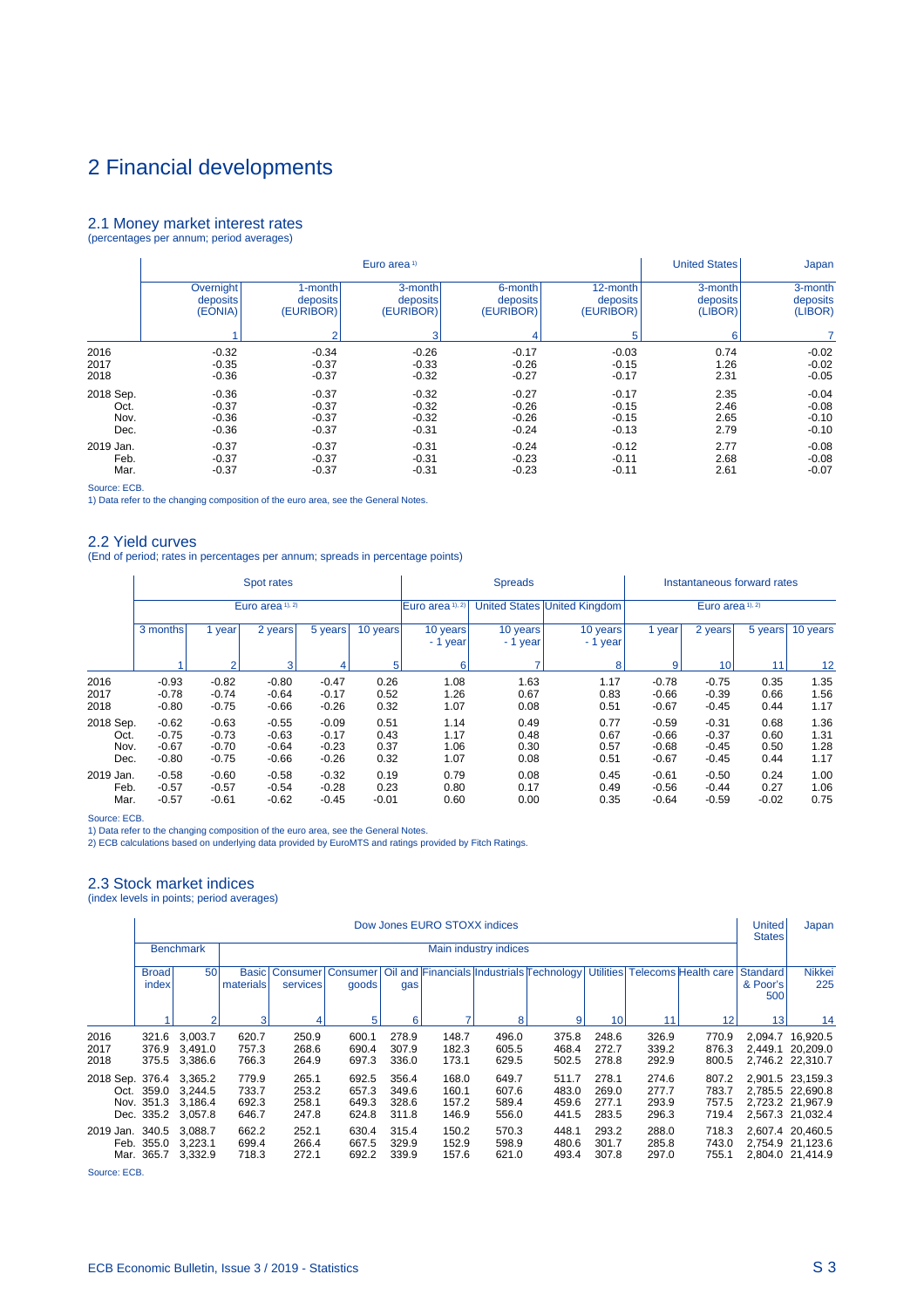#### 2.1 Money market interest rates (percentages per annum; period averages)

|           |           |           |           | <b>United States</b> | Japan     |          |          |
|-----------|-----------|-----------|-----------|----------------------|-----------|----------|----------|
|           | Overnight | 1-month   | 3-month   | 6-month              | 12-month  | 3-month  | 3-month  |
|           | deposits  | deposits  | deposits  | deposits             | deposits  | deposits | deposits |
|           | (EONIA)   | (EURIBOR) | (EURIBOR) | (EURIBOR)            | (EURIBOR) | (LIBOR)  | (LIBOR)  |
|           |           | $\sim$    | 3         | 4                    | 5         | 6        |          |
| 2016      | $-0.32$   | $-0.34$   | $-0.26$   | $-0.17$              | $-0.03$   | 0.74     | $-0.02$  |
| 2017      | $-0.35$   | $-0.37$   | $-0.33$   | $-0.26$              | $-0.15$   | 1.26     | $-0.02$  |
| 2018      | $-0.36$   | $-0.37$   | $-0.32$   | $-0.27$              | $-0.17$   | 2.31     | $-0.05$  |
| 2018 Sep. | $-0.36$   | $-0.37$   | $-0.32$   | $-0.27$              | $-0.17$   | 2.35     | $-0.04$  |
| Oct.      | $-0.37$   | $-0.37$   | $-0.32$   | $-0.26$              | $-0.15$   | 2.46     | $-0.08$  |
| Nov.      | $-0.36$   | $-0.37$   | $-0.32$   | $-0.26$              | $-0.15$   | 2.65     | $-0.10$  |
| Dec.      | $-0.36$   | $-0.37$   | $-0.31$   | $-0.24$              | $-0.13$   | 2.79     | $-0.10$  |
| 2019 Jan. | $-0.37$   | $-0.37$   | $-0.31$   | $-0.24$              | $-0.12$   | 2.77     | $-0.08$  |
| Feb.      | $-0.37$   | $-0.37$   | $-0.31$   | $-0.23$              | $-0.11$   | 2.68     | $-0.08$  |
| Mar.      | $-0.37$   | $-0.37$   | $-0.31$   | $-0.23$              | $-0.11$   | 2.61     | $-0.07$  |

Source: ECB.

1) Data refer to the changing composition of the euro area, see the General Notes.

#### 2.2 Yield curves

(End of period; rates in percentages per annum; spreads in percentage points)

|                                   |                                          |                                          | Spot rates                               |                                          |                              |                              | <b>Spreads</b>               |                              | Instantaneous forward rates              |                                          |                              |                              |  |
|-----------------------------------|------------------------------------------|------------------------------------------|------------------------------------------|------------------------------------------|------------------------------|------------------------------|------------------------------|------------------------------|------------------------------------------|------------------------------------------|------------------------------|------------------------------|--|
|                                   |                                          |                                          | Euro area 1), 2)                         |                                          |                              | Euro area <sup>1), 2)</sup>  |                              | United States United Kingdom | Euro area <sup>1), 2)</sup>              |                                          |                              |                              |  |
|                                   | 3 months<br>1 year                       |                                          | 2 years                                  | 5 years                                  | 10 years                     | 10 years<br>- 1 year         | 10 years<br>- 1 year         | 10 years<br>- 1 year         | 1 year                                   | 2 years                                  | 5 years                      | 10 years                     |  |
|                                   |                                          | $\mathfrak{p}$                           | 3                                        | 4                                        | 5 <sup>1</sup>               | 6                            | 7                            | 8                            | 9                                        | 10 <sup>1</sup>                          | 11                           | 12                           |  |
| 2016<br>2017<br>2018              | $-0.93$<br>$-0.78$<br>$-0.80$            | $-0.82$<br>$-0.74$<br>$-0.75$            | $-0.80$<br>$-0.64$<br>$-0.66$            | $-0.47$<br>$-0.17$<br>$-0.26$            | 0.26<br>0.52<br>0.32         | 1.08<br>1.26<br>1.07         | 1.63<br>0.67<br>0.08         | 1.17<br>0.83<br>0.51         | $-0.78$<br>$-0.66$<br>$-0.67$            | $-0.75$<br>$-0.39$<br>$-0.45$            | 0.35<br>0.66<br>0.44         | 1.35<br>1.56<br>1.17         |  |
| 2018 Sep.<br>Oct.<br>Nov.<br>Dec. | $-0.62$<br>$-0.75$<br>$-0.67$<br>$-0.80$ | $-0.63$<br>$-0.73$<br>$-0.70$<br>$-0.75$ | $-0.55$<br>$-0.63$<br>$-0.64$<br>$-0.66$ | $-0.09$<br>$-0.17$<br>$-0.23$<br>$-0.26$ | 0.51<br>0.43<br>0.37<br>0.32 | 1.14<br>1.17<br>1.06<br>1.07 | 0.49<br>0.48<br>0.30<br>0.08 | 0.77<br>0.67<br>0.57<br>0.51 | $-0.59$<br>$-0.66$<br>$-0.68$<br>$-0.67$ | $-0.31$<br>$-0.37$<br>$-0.45$<br>$-0.45$ | 0.68<br>0.60<br>0.50<br>0.44 | 1.36<br>1.31<br>1.28<br>1.17 |  |
| 2019 Jan.<br>Feb.<br>Mar.         | $-0.58$<br>$-0.57$<br>$-0.57$            | $-0.60$<br>$-0.57$<br>$-0.61$            | $-0.58$<br>$-0.54$<br>$-0.62$            | $-0.32$<br>$-0.28$<br>$-0.45$            | 0.19<br>0.23<br>$-0.01$      | 0.79<br>0.80<br>0.60         | 0.08<br>0.17<br>0.00         | 0.45<br>0.49<br>0.35         | $-0.61$<br>$-0.56$<br>$-0.64$            | $-0.50$<br>$-0.44$<br>$-0.59$            | 0.24<br>0.27<br>$-0.02$      | 1.00<br>1.06<br>0.75         |  |

Source: ECB.

1) Data refer to the changing composition of the euro area, see the General Notes. 2) ECB calculations based on underlying data provided by EuroMTS and ratings provided by Fitch Ratings.

#### 2.3 Stock market indices

(index levels in points; period averages)

|                         | Dow Jones EURO STOXX indices |                                                                |                                  |                                  |                                  |                                  |                                  |                                  |                                           |                                  |                                  |                                  |                                    | Japan                                                                        |
|-------------------------|------------------------------|----------------------------------------------------------------|----------------------------------|----------------------------------|----------------------------------|----------------------------------|----------------------------------|----------------------------------|-------------------------------------------|----------------------------------|----------------------------------|----------------------------------|------------------------------------|------------------------------------------------------------------------------|
|                         |                              | <b>Benchmark</b>                                               |                                  |                                  |                                  |                                  |                                  | Main industry indices            |                                           |                                  |                                  |                                  |                                    |                                                                              |
|                         | <b>Broad</b><br>index        | 50                                                             | <b>Basic</b><br>materials        | services                         | Consumer Consumer<br>goods       | gas                              |                                  |                                  | Oil and Financials Industrials Technology |                                  |                                  | Utilities Telecoms Health care   | <b>Standard</b><br>& Poor's<br>500 | <b>Nikkei</b><br>225                                                         |
|                         |                              | $\overline{2}$                                                 | 3                                | $\overline{4}$                   | 5                                | 6                                | 7                                | 8                                | 9                                         | 10 <sup>1</sup>                  | 11                               | 12                               | 13                                 | 14                                                                           |
| 2016<br>2017<br>2018    | 321.6<br>376.9<br>375.5      | 3.003.7<br>3,491.0<br>3,386.6                                  | 620.7<br>757.3<br>766.3          | 250.9<br>268.6<br>264.9          | 600.1<br>690.4<br>697.3          | 278.9<br>307.9<br>336.0          | 148.7<br>182.3<br>173.1          | 496.0<br>605.5<br>629.5          | 375.8<br>468.4<br>502.5                   | 248.6<br>272.7<br>278.8          | 326.9<br>339.2<br>292.9          | 770.9<br>876.3<br>800.5          | 2.449.1                            | 2,094.7 16,920.5<br>20,209.0<br>2,746.2 22,310.7                             |
| 2018 Sep. 376.4 3,365.2 |                              | Oct. 359.0 3.244.5<br>Nov. 351.3 3.186.4<br>Dec. 335.2 3,057.8 | 779.9<br>733.7<br>692.3<br>646.7 | 265.1<br>253.2<br>258.1<br>247.8 | 692.5<br>657.3<br>649.3<br>624.8 | 356.4<br>349.6<br>328.6<br>311.8 | 168.0<br>160.1<br>157.2<br>146.9 | 649.7<br>607.6<br>589.4<br>556.0 | 511.7<br>483.0<br>459.6<br>441.5          | 278.1<br>269.0<br>277.1<br>283.5 | 274.6<br>277.7<br>293.9<br>296.3 | 807.2<br>783.7<br>757.5<br>719.4 |                                    | 2,901.5 23,159.3<br>2,785.5 22,690.8<br>2.723.2 21.967.9<br>2,567.3 21,032.4 |
| 2019 Jan. 340.5<br>Feb. | 355.0<br>Mar. 365.7          | 3.088.7<br>3.223.1<br>3,332.9                                  | 662.2<br>699.4<br>718.3          | 252.1<br>266.4<br>272.1          | 630.4<br>667.5<br>692.2          | 315.4<br>329.9<br>339.9          | 150.2<br>152.9<br>157.6          | 570.3<br>598.9<br>621.0          | 448.1<br>480.6<br>493.4                   | 293.2<br>301.7<br>307.8          | 288.0<br>285.8<br>297.0          | 718.3<br>743.0<br>755.1          |                                    | 2,607.4 20,460.5<br>2,754.9 21,123.6<br>2,804.0 21,414.9                     |

Source: ECB.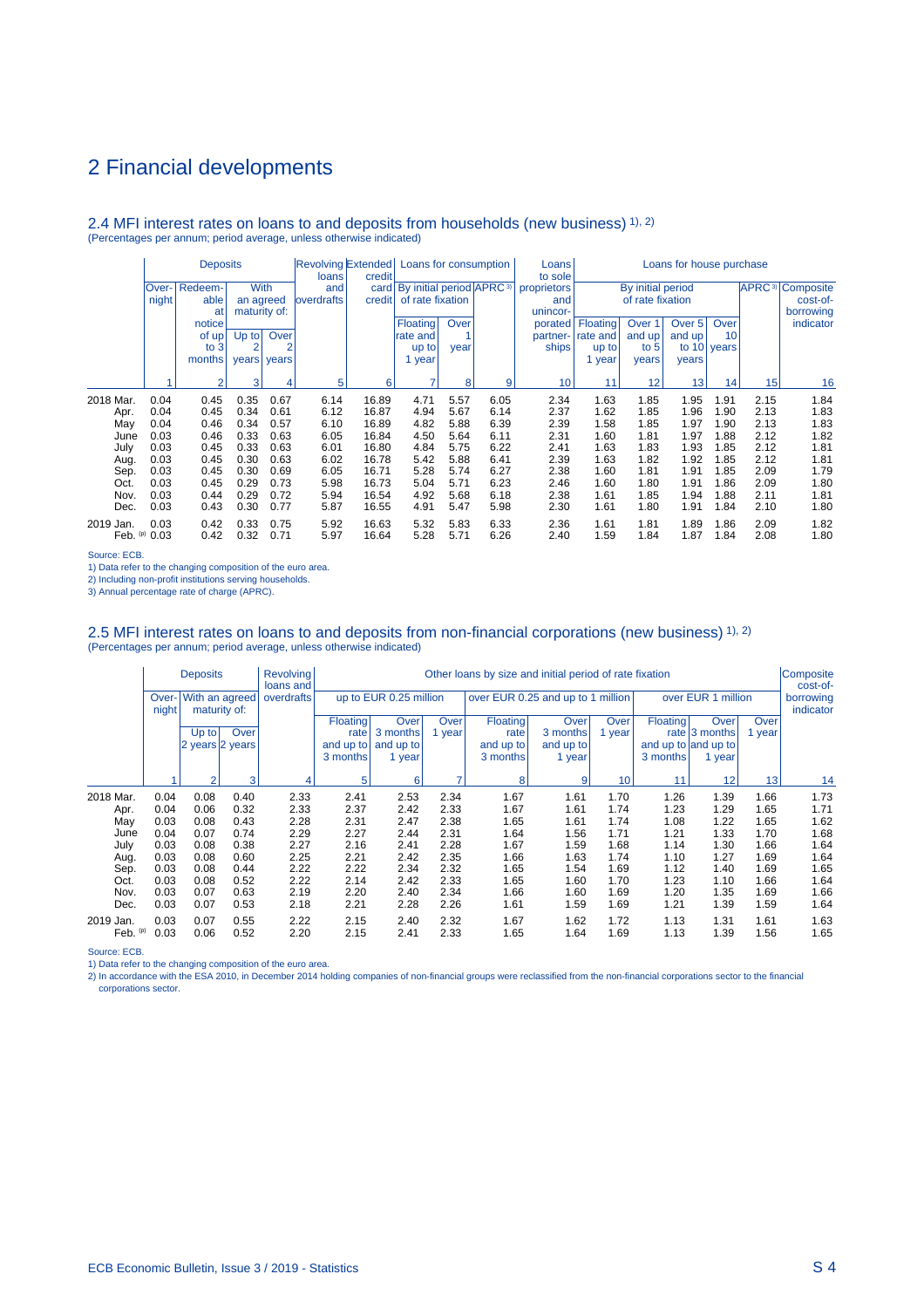#### 2.4 MFI interest rates on loans to and deposits from households (new business) 1), 2) (Percentages per annum; period average, unless otherwise indicated)

|            | <b>Deposits</b> |                |                |       | Revolving Extended Loans for consumption<br>loans | credit | Loans for house purchase<br>Loans<br>to sole  |      |      |             |          |                   |        |             |      |                                    |
|------------|-----------------|----------------|----------------|-------|---------------------------------------------------|--------|-----------------------------------------------|------|------|-------------|----------|-------------------|--------|-------------|------|------------------------------------|
|            | Over-           | Redeem-        | <b>With</b>    |       | and                                               |        | card   By initial period   APRC <sup>3)</sup> |      |      | proprietors |          | By initial period |        |             |      | <b>APRC</b> <sup>3</sup> Composite |
|            | night           | able           | an agreed      |       | <b>loverdrafts</b>                                | credit | of rate fixation                              |      |      | and         |          | of rate fixation  |        |             |      | cost-of-                           |
|            |                 | at             | maturity of:   |       |                                                   |        |                                               |      |      | unincor-    |          |                   |        |             |      | borrowing                          |
|            |                 | notice         |                |       |                                                   |        | Floating                                      | Over |      | porated     | Floating | Over <sub>1</sub> | Over 5 | Over        |      | indicator                          |
|            |                 | of up!         | $Up$ to        | Over  |                                                   |        | rate and                                      |      |      | partner-    | rate and | and up            | and up | 10          |      |                                    |
|            |                 | to $3$         | $\overline{2}$ | 2     |                                                   |        | up to                                         | year |      | ships       | up to    | to $5$            |        | to 10 years |      |                                    |
|            |                 | months         | years          | years |                                                   |        | 1 year                                        |      |      |             | year     | years             | years  |             |      |                                    |
|            |                 | $\mathfrak{p}$ | 3              |       | 5                                                 | 6      | ۰,                                            | 8    | 9    | 10          | 11       | 12                | 13     | 14          | 15   |                                    |
|            |                 |                |                | 4     |                                                   |        |                                               |      |      |             |          |                   |        |             |      | 16                                 |
| 2018 Mar.  | 0.04            | 0.45           | 0.35           | 0.67  | 6.14                                              | 16.89  | 4.71                                          | 5.57 | 6.05 | 2.34        | 1.63     | 1.85              | 1.95   | 1.91        | 2.15 | 1.84                               |
| Apr.       | 0.04            | 0.45           | 0.34           | 0.61  | 6.12                                              | 16.87  | 4.94                                          | 5.67 | 6.14 | 2.37        | 1.62     | 1.85              | 1.96   | 1.90        | 2.13 | 1.83                               |
| May        | 0.04            | 0.46           | 0.34           | 0.57  | 6.10                                              | 16.89  | 4.82                                          | 5.88 | 6.39 | 2.39        | 1.58     | 1.85              | 1.97   | 1.90        | 2.13 | 1.83                               |
| June       | 0.03            | 0.46           | 0.33           | 0.63  | 6.05                                              | 16.84  | 4.50                                          | 5.64 | 6.11 | 2.31        | 1.60     | 1.81              | 1.97   | 1.88        | 2.12 | 1.82                               |
| July       | 0.03            | 0.45           | 0.33           | 0.63  | 6.01                                              | 16.80  | 4.84                                          | 5.75 | 6.22 | 2.41        | 1.63     | 1.83              | 1.93   | 1.85        | 2.12 | 1.81                               |
| Aug.       | 0.03            | 0.45           | 0.30           | 0.63  | 6.02                                              | 16.78  | 5.42                                          | 5.88 | 6.41 | 2.39        | 1.63     | 1.82              | 1.92   | 1.85        | 2.12 | 1.81                               |
| Sep.       | 0.03            | 0.45           | 0.30           | 0.69  | 6.05                                              | 16.71  | 5.28                                          | 5.74 | 6.27 | 2.38        | 1.60     | 1.81              | 1.91   | 1.85        | 2.09 | 1.79                               |
| Oct.       | 0.03            | 0.45           | 0.29           | 0.73  | 5.98                                              | 16.73  | 5.04                                          | 5.71 | 6.23 | 2.46        | 1.60     | 1.80              | 1.91   | 1.86        | 2.09 | 1.80                               |
| Nov.       | 0.03            | 0.44           | 0.29           | 0.72  | 5.94                                              | 16.54  | 4.92                                          | 5.68 | 6.18 | 2.38        | 1.61     | 1.85              | 1.94   | 1.88        | 2.11 | 1.81                               |
| Dec.       | 0.03            | 0.43           | 0.30           | 0.77  | 5.87                                              | 16.55  | 4.91                                          | 5.47 | 5.98 | 2.30        | 1.61     | 1.80              | 1.91   | 1.84        | 2.10 | 1.80                               |
| 2019 Jan.  | 0.03            | 0.42           | 0.33           | 0.75  | 5.92                                              | 16.63  | 5.32                                          | 5.83 | 6.33 | 2.36        | 1.61     | 1.81              | 1.89   | 1.86        | 2.09 | 1.82                               |
| Feb. $(p)$ | 0.03            | 0.42           | 0.32           | 0.71  | 5.97                                              | 16.64  | 5.28                                          | 5.71 | 6.26 | 2.40        | 1.59     | 1.84              | 1.87   | 1.84        | 2.08 | 1.80                               |

Source: ECB.

1) Data refer to the changing composition of the euro area.

2) Including non-profit institutions serving households.

3) Annual percentage rate of charge (APRC).

## 2.5 MFI interest rates on loans to and deposits from non-financial corporations (new business) 1), 2)<br>(Percentages per annum; period average, unless otherwise indicated)

|                         |                | <b>Deposits</b> |                                | <b>Revolving</b><br>loans and | Other loans by size and initial period of rate fixation |                        |              |                                   |              |              |                     |                    |                   |                        |
|-------------------------|----------------|-----------------|--------------------------------|-------------------------------|---------------------------------------------------------|------------------------|--------------|-----------------------------------|--------------|--------------|---------------------|--------------------|-------------------|------------------------|
|                         | Over-<br>night |                 | With an agreed<br>maturity of: | overdrafts                    |                                                         | up to EUR 0.25 million |              | over EUR 0.25 and up to 1 million |              |              |                     | over EUR 1 million |                   | borrowing<br>indicator |
|                         |                |                 |                                |                               | <b>Floating</b>                                         | Over                   | <b>Over</b>  | Floating                          | <b>Over</b>  | Over         | Floating            | Over               | Over <sup>'</sup> |                        |
|                         |                | $Up$ to         | Over                           |                               | rate                                                    | 3 months               | 1 year       | rate                              | 3 months     | 1 year       |                     | rate $ 3$ months   | 1 year            |                        |
|                         |                | 2 years 2 years |                                |                               | and up to                                               | and up to              |              | and up to                         | and up to    |              | and up to and up to |                    |                   |                        |
|                         |                |                 |                                |                               | 3 months                                                | 1 year                 |              | 3 months                          | 1 year       |              | 3 months            | 1 year             |                   |                        |
|                         |                | 2               | 3                              | 4                             | 5                                                       | 6                      |              | 8<br>9                            |              | 10           | 11                  | 12                 |                   | 14                     |
| 2018 Mar.               | 0.04           | 0.08            | 0.40                           | 2.33                          | 2.41                                                    | 2.53                   | 2.34         | 1.67                              | 1.61         | 1.70         | 1.26                | 1.39               | 1.66              | 1.73                   |
| Apr.                    | 0.04           | 0.06            | 0.32                           | 2.33                          | 2.37                                                    | 2.42                   | 2.33         | 1.67                              | 1.61         | 1.74         | 1.23                | 1.29               | 1.65              | 1.71                   |
| May                     | 0.03           | 0.08            | 0.43                           | 2.28                          | 2.31                                                    | 2.47                   | 2.38         | 1.65                              | 1.61         | 1.74         | 1.08                | 1.22               | 1.65              | 1.62                   |
| June                    | 0.04           | 0.07            | 0.74                           | 2.29                          | 2.27                                                    | 2.44                   | 2.31         | 1.64                              | 1.56         | 1.71         | 1.21                | 1.33               | 1.70              | 1.68                   |
| July                    | 0.03           | 0.08            | 0.38                           | 2.27                          | 2.16                                                    | 2.41                   | 2.28         | 1.67                              | 1.59         | 1.68         | 1.14                | 1.30               | 1.66              | 1.64                   |
| Aug.                    | 0.03           | 0.08            | 0.60                           | 2.25                          | 2.21                                                    | 2.42                   | 2.35         | 1.66                              | 1.63         | 1.74         | 1.10                | 1.27               | 1.69              | 1.64                   |
| Sep.                    | 0.03           | 0.08            | 0.44                           | 2.22                          | 2.22                                                    | 2.34                   | 2.32         | 1.65                              | 1.54         | 1.69         | 1.12                | 1.40               | 1.69              | 1.65                   |
| Oct.                    | 0.03           | 0.08            | 0.52                           | 2.22                          | 2.14                                                    | 2.42                   | 2.33         | 1.65                              | 1.60         | 1.70         | 1.23                | 1.10               | 1.66              | 1.64                   |
| Nov.                    | 0.03           | 0.07            | 0.63                           | 2.19                          | 2.20                                                    | 2.40                   | 2.34         | 1.66                              | 1.60         | 1.69         | 1.20                | 1.35               | 1.69              | 1.66                   |
| Dec.                    | 0.03           | 0.07            | 0.53                           | 2.18                          | 2.21                                                    | 2.28                   | 2.26         | 1.61                              | 1.59         | 1.69         | 1.21                | 1.39               | 1.59              | 1.64                   |
| 2019 Jan.<br>Feb. $(p)$ | 0.03<br>0.03   | 0.07<br>0.06    | 0.55<br>0.52                   | 2.22<br>2.20                  | 2.15<br>2.15                                            | 2.40<br>2.41           | 2.32<br>2.33 | 1.67<br>1.65                      | 1.62<br>1.64 | 1.72<br>1.69 | 1.13<br>1.13        | 1.31<br>1.39       | 1.61<br>1.56      | 1.63<br>1.65           |
|                         |                |                 |                                |                               |                                                         |                        |              |                                   |              |              |                     |                    |                   |                        |

Source: ECB.

1) Data refer to the changing composition of the euro area.<br>2) In accordance with the ESA 2010, in December 2014 holding companies of non-financial groups were reclassified from the non-financial corporations sector to the corporations sector.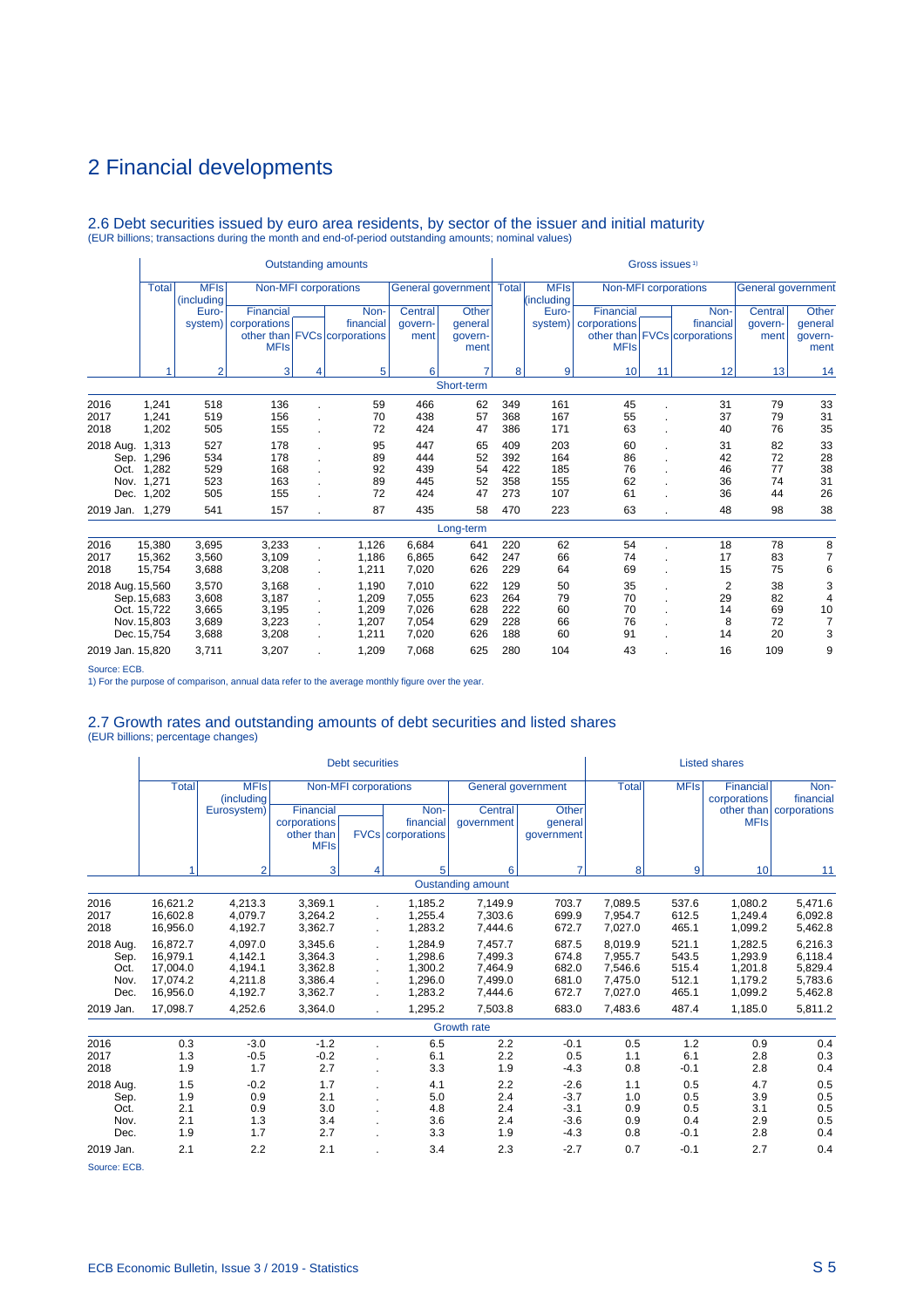# 2.6 Debt securities issued by euro area residents, by sector of the issuer and initial maturity (EUR billions; transactions during the month and end-of-period outstanding amounts; nominal values)

|                                           |                                                          |                                                    |                                                    |                         | <b>Outstanding amounts</b>                         |                                                    |                                            | Gross issues <sup>1)</sup>             |                                   |                                          |    |                                                   |                                   |                                                       |  |
|-------------------------------------------|----------------------------------------------------------|----------------------------------------------------|----------------------------------------------------|-------------------------|----------------------------------------------------|----------------------------------------------------|--------------------------------------------|----------------------------------------|-----------------------------------|------------------------------------------|----|---------------------------------------------------|-----------------------------------|-------------------------------------------------------|--|
|                                           | <b>Total</b>                                             | <b>MFIs</b><br>(including                          |                                                    |                         | Non-MFI corporations                               |                                                    | General government   Total                 |                                        | <b>MFIs</b><br>(including         |                                          |    | Non-MFI corporations                              | <b>General government</b>         |                                                       |  |
|                                           |                                                          | Euro-<br>system)                                   | Financial<br>corporations<br><b>MFIs</b>           |                         | Non-<br>financial<br>other than FVCs corporations  | Central<br>govern-<br>ment                         | <b>Other</b><br>qeneral<br>govern-<br>ment |                                        | Euro-<br>system)                  | Financial<br>corporations<br><b>MFIs</b> |    | Non-<br>financial<br>other than FVCs corporations | Central<br>qovern-<br>ment        | Other<br>general<br>qovern-<br>ment                   |  |
|                                           |                                                          | $\overline{2}$                                     | 3                                                  | 4                       | 5                                                  | 6                                                  |                                            | 8                                      | 9                                 | 10                                       | 11 | 12                                                | 13                                | 14                                                    |  |
|                                           |                                                          |                                                    |                                                    |                         |                                                    |                                                    | Short-term                                 |                                        |                                   |                                          |    |                                                   |                                   |                                                       |  |
| 2016<br>2017<br>2018                      | 1,241<br>1,241<br>1,202                                  | 518<br>519<br>505                                  | 136<br>156<br>155                                  |                         | 59<br>70<br>72                                     | 466<br>438<br>424                                  | 62<br>57<br>47                             | 349<br>368<br>386                      | 161<br>167<br>171                 | 45<br>55<br>63                           |    | 31<br>37<br>40                                    | 79<br>79<br>76                    | 33<br>31<br>35                                        |  |
| 2018 Aug.<br>Sep.<br>Oct.<br>Nov.<br>Dec. | 1.313<br>1,296<br>1,282<br>1,271<br>1,202                | 527<br>534<br>529<br>523<br>505                    | 178<br>178<br>168<br>163<br>155                    |                         | 95<br>89<br>92<br>89<br>72                         | 447<br>444<br>439<br>445<br>424                    | 65<br>52<br>54<br>52<br>47                 | 409<br>392<br>422<br>358<br>273        | 203<br>164<br>185<br>155<br>107   | 60<br>86<br>76<br>62<br>61               |    | 31<br>42<br>46<br>36<br>36                        | 82<br>72<br>77<br>74<br>44        | 33<br>28<br>38<br>31<br>26                            |  |
| 2019 Jan. 1,279                           |                                                          | 541                                                | 157                                                |                         | 87                                                 | 435                                                | 58                                         | 470                                    | 223                               | 63                                       |    | 48                                                | 98                                | 38                                                    |  |
|                                           |                                                          |                                                    |                                                    |                         |                                                    |                                                    | Long-term                                  |                                        |                                   |                                          |    |                                                   |                                   |                                                       |  |
| 2016<br>2017<br>2018                      | 15,380<br>15,362<br>15,754                               | 3,695<br>3,560<br>3,688                            | 3,233<br>3,109<br>3,208                            |                         | 1,126<br>1,186<br>1,211                            | 6.684<br>6,865<br>7,020                            | 641<br>642<br>626                          | 220<br>247<br>229                      | 62<br>66<br>64                    | 54<br>74<br>69                           |    | 18<br>17<br>15                                    | 78<br>83<br>75                    | 8<br>$\overline{7}$<br>6                              |  |
| 2018 Aug. 15,560<br>2019 Jan. 15,820      | Sep. 15,683<br>Oct. 15,722<br>Nov. 15,803<br>Dec. 15,754 | 3,570<br>3,608<br>3,665<br>3,689<br>3,688<br>3,711 | 3,168<br>3,187<br>3,195<br>3,223<br>3,208<br>3,207 | ÷<br>÷.<br>$\mathbf{r}$ | 1,190<br>1,209<br>1,209<br>1,207<br>1,211<br>1,209 | 7,010<br>7,055<br>7,026<br>7,054<br>7,020<br>7,068 | 622<br>623<br>628<br>629<br>626<br>625     | 129<br>264<br>222<br>228<br>188<br>280 | 50<br>79<br>60<br>66<br>60<br>104 | 35<br>70<br>70<br>76<br>91<br>43         |    | $\overline{2}$<br>29<br>14<br>8<br>14<br>16       | 38<br>82<br>69<br>72<br>20<br>109 | 3<br>$\overline{4}$<br>10<br>$\overline{7}$<br>3<br>9 |  |
| Course: ECD                               |                                                          |                                                    |                                                    |                         |                                                    |                                                    |                                            |                                        |                                   |                                          |    |                                                   |                                   |                                                       |  |

Source: ECB. 1) For the purpose of comparison, annual data refer to the average monthly figure over the year.

### 2.7 Growth rates and outstanding amounts of debt securities and listed shares

(EUR billions; percentage changes)

|                                           |                                                          |                                                     |                                                        | <b>Debt securities</b>      |                                                     |                                                     |                                                |                                                     |                                           | <b>Listed shares</b>                                |                                                     |
|-------------------------------------------|----------------------------------------------------------|-----------------------------------------------------|--------------------------------------------------------|-----------------------------|-----------------------------------------------------|-----------------------------------------------------|------------------------------------------------|-----------------------------------------------------|-------------------------------------------|-----------------------------------------------------|-----------------------------------------------------|
|                                           | <b>Total</b>                                             | <b>MFIs</b><br>(including                           |                                                        | <b>Non-MFI</b> corporations |                                                     | General government                                  |                                                | <b>Total</b>                                        | <b>MFIs</b>                               | Financial<br>corporations                           | Non-<br>financial                                   |
|                                           |                                                          | Eurosystem)                                         | Financial<br>corporations<br>other than<br><b>MFIs</b> |                             | Non-<br>financial<br><b>FVCs</b> corporations       | Central<br>qovernment                               | Other<br>general<br>qovernment                 |                                                     |                                           | other than<br><b>MFIs</b>                           | corporations                                        |
|                                           | 4                                                        | $\overline{2}$                                      | 3                                                      | 4                           | 5                                                   | 6                                                   | $\overline{7}$                                 | 8                                                   | 9                                         | 10                                                  | 11                                                  |
|                                           |                                                          |                                                     |                                                        |                             |                                                     | <b>Oustanding amount</b>                            |                                                |                                                     |                                           |                                                     |                                                     |
| 2016<br>2017<br>2018                      | 16,621.2<br>16.602.8<br>16,956.0                         | 4,213.3<br>4,079.7<br>4,192.7                       | 3,369.1<br>3,264.2<br>3,362.7                          |                             | 1,185.2<br>1,255.4<br>1,283.2                       | 7,149.9<br>7,303.6<br>7,444.6                       | 703.7<br>699.9<br>672.7                        | 7,089.5<br>7,954.7<br>7,027.0                       | 537.6<br>612.5<br>465.1                   | 1.080.2<br>1,249.4<br>1,099.2                       | 5,471.6<br>6,092.8<br>5,462.8                       |
| 2018 Aug.<br>Sep.<br>Oct.<br>Nov.<br>Dec. | 16.872.7<br>16.979.1<br>17,004.0<br>17,074.2<br>16,956.0 | 4.097.0<br>4.142.1<br>4,194.1<br>4,211.8<br>4,192.7 | 3,345.6<br>3,364.3<br>3,362.8<br>3,386.4<br>3,362.7    |                             | 1.284.9<br>1.298.6<br>1,300.2<br>1.296.0<br>1,283.2 | 7,457.7<br>7,499.3<br>7,464.9<br>7,499.0<br>7,444.6 | 687.5<br>674.8<br>682.0<br>681.0<br>672.7      | 8.019.9<br>7.955.7<br>7,546.6<br>7.475.0<br>7,027.0 | 521.1<br>543.5<br>515.4<br>512.1<br>465.1 | 1.282.5<br>1.293.9<br>1,201.8<br>1.179.2<br>1,099.2 | 6,216.3<br>6,118.4<br>5,829.4<br>5,783.6<br>5,462.8 |
| 2019 Jan.                                 | 17,098.7                                                 | 4,252.6                                             | 3,364.0                                                |                             | 1,295.2                                             | 7,503.8                                             | 683.0                                          | 7,483.6                                             | 487.4                                     | 1,185.0                                             | 5,811.2                                             |
|                                           |                                                          |                                                     |                                                        |                             |                                                     | <b>Growth rate</b>                                  |                                                |                                                     |                                           |                                                     |                                                     |
| 2016<br>2017<br>2018                      | 0.3<br>1.3<br>1.9                                        | $-3.0$<br>$-0.5$<br>1.7                             | $-1.2$<br>$-0.2$<br>2.7                                |                             | 6.5<br>6.1<br>3.3                                   | 2.2<br>2.2<br>1.9                                   | $-0.1$<br>0.5<br>$-4.3$                        | 0.5<br>1.1<br>0.8                                   | 1.2<br>6.1<br>$-0.1$                      | 0.9<br>2.8<br>2.8                                   | 0.4<br>0.3<br>0.4                                   |
| 2018 Aug.<br>Sep.<br>Oct.<br>Nov.<br>Dec. | 1.5<br>1.9<br>2.1<br>2.1<br>1.9                          | $-0.2$<br>0.9<br>0.9<br>1.3<br>1.7                  | 1.7<br>2.1<br>3.0<br>3.4<br>2.7                        |                             | 4.1<br>5.0<br>4.8<br>3.6<br>3.3                     | 2.2<br>2.4<br>2.4<br>2.4<br>1.9                     | $-2.6$<br>$-3.7$<br>$-3.1$<br>$-3.6$<br>$-4.3$ | 1.1<br>1.0<br>0.9<br>0.9<br>0.8                     | 0.5<br>0.5<br>0.5<br>0.4<br>$-0.1$        | 4.7<br>3.9<br>3.1<br>2.9<br>2.8                     | 0.5<br>0.5<br>0.5<br>0.5<br>0.4                     |
| 2019 Jan.                                 | 2.1                                                      | 2.2                                                 | 2.1                                                    |                             | 3.4                                                 | 2.3                                                 | $-2.7$                                         | 0.7                                                 | $-0.1$                                    | 2.7                                                 | 0.4                                                 |
| Source: ECB.                              |                                                          |                                                     |                                                        |                             |                                                     |                                                     |                                                |                                                     |                                           |                                                     |                                                     |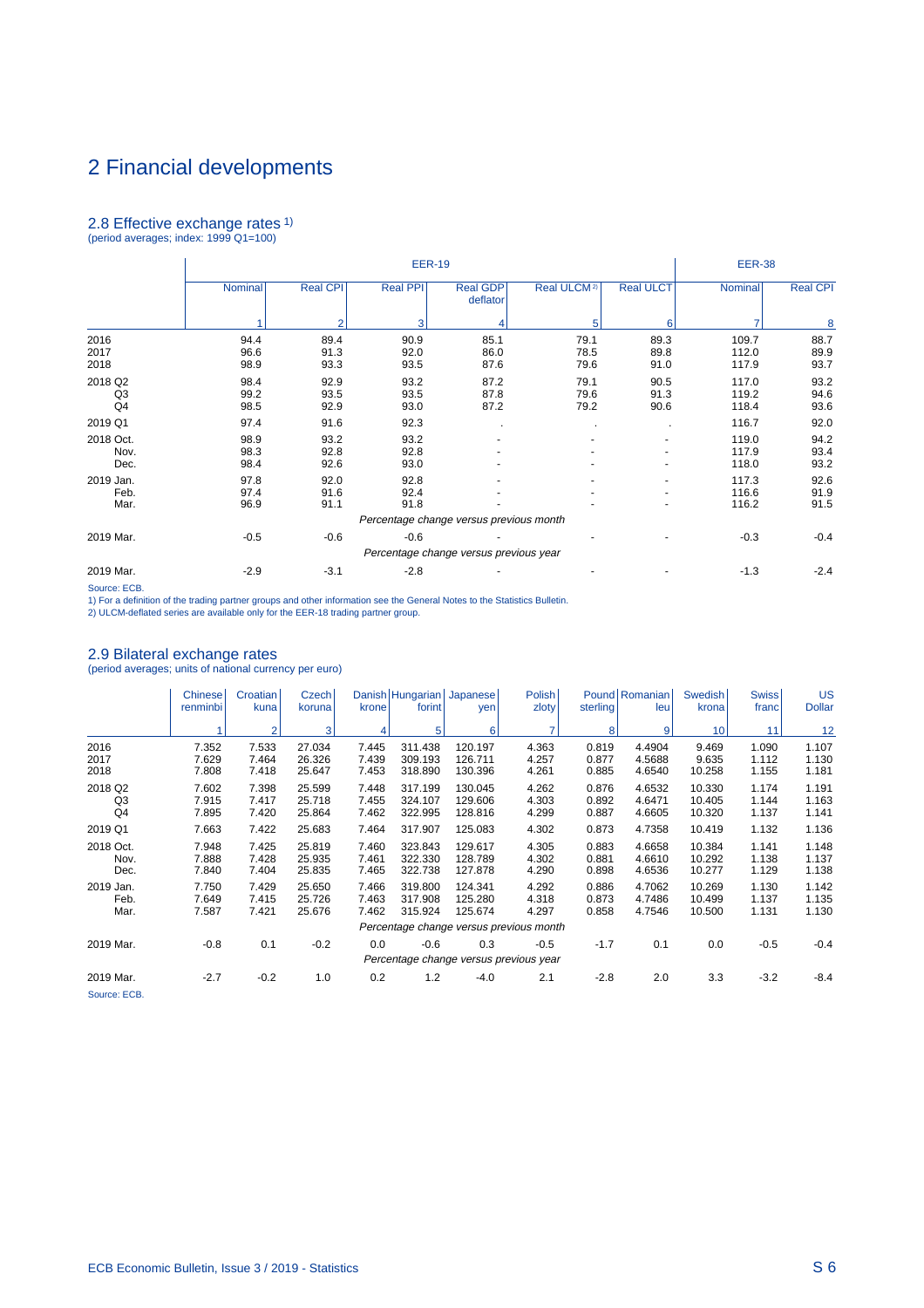# 2.8 Effective exchange rates 1) (period averages; index: 1999 Q1=100)

|                           |                      |                      | <b>EER-19</b>        |                                         |                         |                      | <b>EER-38</b>           |                      |
|---------------------------|----------------------|----------------------|----------------------|-----------------------------------------|-------------------------|----------------------|-------------------------|----------------------|
|                           | Nominal              | <b>Real CPI</b>      | Real PPI             | <b>Real GDP</b><br>deflator             | Real ULCM <sup>2)</sup> | <b>Real ULCT</b>     | Nominal                 | <b>Real CPI</b>      |
|                           |                      | $\overline{2}$       | 3                    | 4                                       | 5                       | 6                    |                         | 8                    |
| 2016<br>2017<br>2018      | 94.4<br>96.6<br>98.9 | 89.4<br>91.3<br>93.3 | 90.9<br>92.0<br>93.5 | 85.1<br>86.0<br>87.6                    | 79.1<br>78.5<br>79.6    | 89.3<br>89.8<br>91.0 | 109.7<br>112.0<br>117.9 | 88.7<br>89.9<br>93.7 |
| 2018 Q2<br>Q3<br>Q4       | 98.4<br>99.2<br>98.5 | 92.9<br>93.5<br>92.9 | 93.2<br>93.5<br>93.0 | 87.2<br>87.8<br>87.2                    | 79.1<br>79.6<br>79.2    | 90.5<br>91.3<br>90.6 | 117.0<br>119.2<br>118.4 | 93.2<br>94.6<br>93.6 |
| 2019 Q1                   | 97.4                 | 91.6                 | 92.3                 |                                         |                         |                      | 116.7                   | 92.0                 |
| 2018 Oct.<br>Nov.<br>Dec. | 98.9<br>98.3<br>98.4 | 93.2<br>92.8<br>92.6 | 93.2<br>92.8<br>93.0 |                                         |                         |                      | 119.0<br>117.9<br>118.0 | 94.2<br>93.4<br>93.2 |
| 2019 Jan.<br>Feb.<br>Mar. | 97.8<br>97.4<br>96.9 | 92.0<br>91.6<br>91.1 | 92.8<br>92.4<br>91.8 |                                         |                         |                      | 117.3<br>116.6<br>116.2 | 92.6<br>91.9<br>91.5 |
|                           |                      |                      |                      | Percentage change versus previous month |                         |                      |                         |                      |
| 2019 Mar.                 | $-0.5$               | $-0.6$               | $-0.6$               |                                         |                         |                      | $-0.3$                  | $-0.4$               |
|                           |                      |                      |                      | Percentage change versus previous year  |                         |                      |                         |                      |
| 2019 Mar.                 | $-2.9$               | $-3.1$               | $-2.8$               |                                         |                         |                      | $-1.3$                  | $-2.4$               |

Source: ECB.

1) For a definition of the trading partner groups and other information see the General Notes to the Statistics Bulletin. 2) ULCM-deflated series are available only for the EER-18 trading partner group.

2.9 Bilateral exchange rates (period averages; units of national currency per euro)

|                           | Chinese<br>renminbi     | Croatian<br>kuna        | Czech<br>koruna            | krone                   | forint                        | Danish   Hungarian   Japanese  <br>yen        | <b>Polish</b><br>zloty                  | sterling                | Pound   Romanian  <br>leu  | Swedish <sup>1</sup><br>krona | <b>Swiss</b><br>franc   | <b>US</b><br><b>Dollar</b> |
|---------------------------|-------------------------|-------------------------|----------------------------|-------------------------|-------------------------------|-----------------------------------------------|-----------------------------------------|-------------------------|----------------------------|-------------------------------|-------------------------|----------------------------|
|                           |                         | $\overline{2}$          | 3 <sup>1</sup>             |                         | 5                             | 6                                             | 7                                       | 8                       | $\vert 9 \vert$            | 10 <sup>1</sup>               | 11                      | 12                         |
| 2016<br>2017<br>2018      | 7.352<br>7.629<br>7.808 | 7.533<br>7.464<br>7.418 | 27.034<br>26.326<br>25.647 | 7.445<br>7.439<br>7.453 | 311.438<br>309.193<br>318.890 | 120.197<br>126.711<br>130.396                 | 4.363<br>4.257<br>4.261                 | 0.819<br>0.877<br>0.885 | 4.4904<br>4.5688<br>4.6540 | 9.469<br>9.635<br>10.258      | 1.090<br>1.112<br>1.155 | 1.107<br>1.130<br>1.181    |
| 2018 Q2<br>Q3<br>Q4       | 7.602<br>7.915<br>7.895 | 7.398<br>7.417<br>7.420 | 25.599<br>25.718<br>25.864 | 7.448<br>7.455<br>7.462 | 317.199<br>324.107<br>322.995 | 130.045<br>129.606<br>128.816                 | 4.262<br>4.303<br>4.299                 | 0.876<br>0.892<br>0.887 | 4.6532<br>4.6471<br>4.6605 | 10.330<br>10.405<br>10.320    | 1.174<br>1.144<br>1.137 | 1.191<br>1.163<br>1.141    |
| 2019 Q1                   | 7.663                   | 7.422                   | 25.683                     | 7.464                   | 317.907                       | 125.083                                       | 4.302                                   | 0.873                   | 4.7358                     | 10.419                        | 1.132                   | 1.136                      |
| 2018 Oct.<br>Nov.<br>Dec. | 7.948<br>7.888<br>7.840 | 7.425<br>7.428<br>7.404 | 25.819<br>25.935<br>25.835 | 7.460<br>7.461<br>7.465 | 323.843<br>322.330<br>322.738 | 129.617<br>128.789<br>127.878                 | 4.305<br>4.302<br>4.290                 | 0.883<br>0.881<br>0.898 | 4.6658<br>4.6610<br>4.6536 | 10.384<br>10.292<br>10.277    | 1.141<br>1.138<br>1.129 | 1.148<br>1.137<br>1.138    |
| 2019 Jan.<br>Feb.<br>Mar. | 7.750<br>7.649<br>7.587 | 7.429<br>7.415<br>7.421 | 25.650<br>25.726<br>25.676 | 7.466<br>7.463<br>7.462 | 319.800<br>317.908<br>315.924 | 124.341<br>125.280<br>125.674                 | 4.292<br>4.318<br>4.297                 | 0.886<br>0.873<br>0.858 | 4.7062<br>4.7486<br>4.7546 | 10.269<br>10.499<br>10.500    | 1.130<br>1.137<br>1.131 | 1.142<br>1.135<br>1.130    |
|                           |                         |                         |                            |                         |                               |                                               | Percentage change versus previous month |                         |                            |                               |                         |                            |
| 2019 Mar.                 | $-0.8$                  | 0.1                     | $-0.2$                     | 0.0                     | $-0.6$                        | 0.3<br>Percentage change versus previous year | $-0.5$                                  | $-1.7$                  | 0.1                        | 0.0                           | $-0.5$                  | $-0.4$                     |
| 2019 Mar.<br>Source: ECB. | $-2.7$                  | $-0.2$                  | 1.0                        | 0.2                     | 1.2                           | $-4.0$                                        | 2.1                                     | $-2.8$                  | 2.0                        | 3.3                           | $-3.2$                  | $-8.4$                     |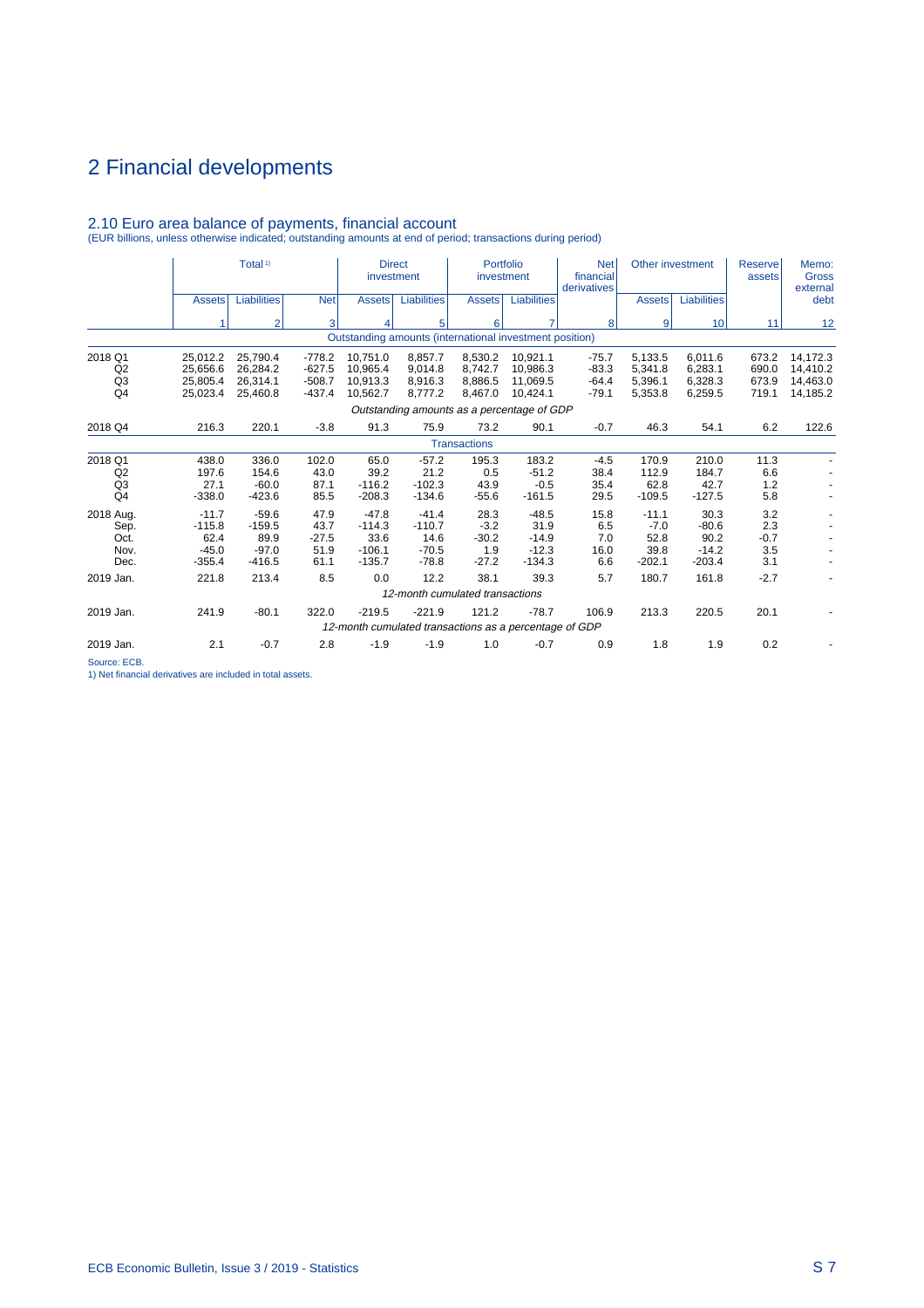|                                                   |                                                    | Total <sup>1)</sup>                                |                                         | <b>Direct</b><br>investment                                        |                                                   | investment                                  | Portfolio                                         | <b>Net</b><br>financial<br>derivatives | Other investment                              |                                                | Reserve<br>assets                  | Memo:<br><b>Gross</b><br>external |
|---------------------------------------------------|----------------------------------------------------|----------------------------------------------------|-----------------------------------------|--------------------------------------------------------------------|---------------------------------------------------|---------------------------------------------|---------------------------------------------------|----------------------------------------|-----------------------------------------------|------------------------------------------------|------------------------------------|-----------------------------------|
|                                                   | <b>Assets</b>                                      | <b>Liabilities</b>                                 | <b>Net</b>                              | <b>Assets</b>                                                      | <b>Liabilities</b>                                | <b>Assets</b>                               | <b>Liabilities</b>                                |                                        | <b>Assets</b>                                 | <b>Liabilities</b>                             |                                    | debt                              |
|                                                   |                                                    | $\overline{2}$                                     | 3                                       | 4                                                                  | 5                                                 | 6                                           | $\overline{7}$                                    | 8                                      | 9                                             | 10                                             | 11                                 | 12                                |
|                                                   |                                                    |                                                    |                                         | Outstanding amounts (international investment position)            |                                                   |                                             |                                                   |                                        |                                               |                                                |                                    |                                   |
| 2018 Q1<br>Q2<br>Q <sub>3</sub>                   | 25,012.2<br>25.656.6<br>25.805.4                   | 25,790.4<br>26,284.2<br>26.314.1                   | $-778.2$<br>$-627.5$<br>$-508.7$        | 10.751.0<br>10.965.4<br>10,913.3                                   | 8.857.7<br>9.014.8<br>8.916.3                     | 8,530.2<br>8.742.7<br>8.886.5               | 10.921.1<br>10.986.3<br>11.069.5                  | $-75.7$<br>$-83.3$<br>$-64.4$          | 5,133.5<br>5.341.8<br>5.396.1                 | 6.011.6<br>6,283.1<br>6.328.3                  | 673.2<br>690.0<br>673.9            | 14,172.3<br>14,410.2<br>14.463.0  |
| Q <sub>4</sub>                                    | 25,023.4                                           | 25,460.8                                           | $-437.4$                                | 10,562.7                                                           | 8,777.2                                           | 8,467.0                                     | 10,424.1                                          | $-79.1$                                | 5,353.8                                       | 6,259.5                                        | 719.1                              | 14,185.2                          |
|                                                   |                                                    |                                                    |                                         |                                                                    | Outstanding amounts as a percentage of GDP        |                                             |                                                   |                                        |                                               |                                                |                                    |                                   |
| 2018 Q4                                           | 216.3                                              | 220.1                                              | $-3.8$                                  | 91.3                                                               | 75.9                                              | 73.2                                        | 90.1                                              | $-0.7$                                 | 46.3                                          | 54.1                                           | 6.2                                | 122.6                             |
|                                                   |                                                    |                                                    |                                         |                                                                    |                                                   | <b>Transactions</b>                         |                                                   |                                        |                                               |                                                |                                    |                                   |
| 2018 Q1<br>Q2<br>Q <sub>3</sub><br>Q <sub>4</sub> | 438.0<br>197.6<br>27.1<br>$-338.0$                 | 336.0<br>154.6<br>$-60.0$<br>$-423.6$              | 102.0<br>43.0<br>87.1<br>85.5           | 65.0<br>39.2<br>$-116.2$<br>$-208.3$                               | $-57.2$<br>21.2<br>$-102.3$<br>$-134.6$           | 195.3<br>0.5<br>43.9<br>$-55.6$             | 183.2<br>$-51.2$<br>$-0.5$<br>$-161.5$            | $-4.5$<br>38.4<br>35.4<br>29.5         | 170.9<br>112.9<br>62.8<br>$-109.5$            | 210.0<br>184.7<br>42.7<br>$-127.5$             | 11.3<br>6.6<br>1.2<br>5.8          |                                   |
| 2018 Aug.<br>Sep.<br>Oct.<br>Nov.<br>Dec.         | $-11.7$<br>$-115.8$<br>62.4<br>$-45.0$<br>$-355.4$ | $-59.6$<br>$-159.5$<br>89.9<br>$-97.0$<br>$-416.5$ | 47.9<br>43.7<br>$-27.5$<br>51.9<br>61.1 | $-47.8$<br>$-114.3$<br>33.6<br>$-106.1$<br>$-135.7$                | $-41.4$<br>$-110.7$<br>14.6<br>$-70.5$<br>$-78.8$ | 28.3<br>$-3.2$<br>$-30.2$<br>1.9<br>$-27.2$ | $-48.5$<br>31.9<br>$-14.9$<br>$-12.3$<br>$-134.3$ | 15.8<br>6.5<br>7.0<br>16.0<br>6.6      | $-11.1$<br>$-7.0$<br>52.8<br>39.8<br>$-202.1$ | 30.3<br>$-80.6$<br>90.2<br>$-14.2$<br>$-203.4$ | 3.2<br>2.3<br>$-0.7$<br>3.5<br>3.1 |                                   |
| 2019 Jan.                                         | 221.8                                              | 213.4                                              | 8.5                                     | 0.0                                                                | 12.2                                              | 38.1                                        | 39.3                                              | 5.7                                    | 180.7                                         | 161.8                                          | $-2.7$                             |                                   |
|                                                   |                                                    |                                                    |                                         |                                                                    | 12-month cumulated transactions                   |                                             |                                                   |                                        |                                               |                                                |                                    |                                   |
| 2019 Jan.                                         | 241.9                                              | $-80.1$                                            | 322.0                                   | $-219.5$<br>12-month cumulated transactions as a percentage of GDP | $-221.9$                                          | 121.2                                       | $-78.7$                                           | 106.9                                  | 213.3                                         | 220.5                                          | 20.1                               |                                   |
| 2019 Jan.                                         | 2.1                                                | $-0.7$                                             | 2.8                                     | $-1.9$                                                             | $-1.9$                                            | 1.0                                         | $-0.7$                                            | 0.9                                    | 1.8                                           | 1.9                                            | 0.2                                |                                   |
|                                                   |                                                    |                                                    |                                         |                                                                    |                                                   |                                             |                                                   |                                        |                                               |                                                |                                    |                                   |

# 2.10 Euro area balance of payments, financial account (EUR billions, unless otherwise indicated; outstanding amounts at end of period; transactions during period)

Source: ECB.

1) Net financial derivatives are included in total assets.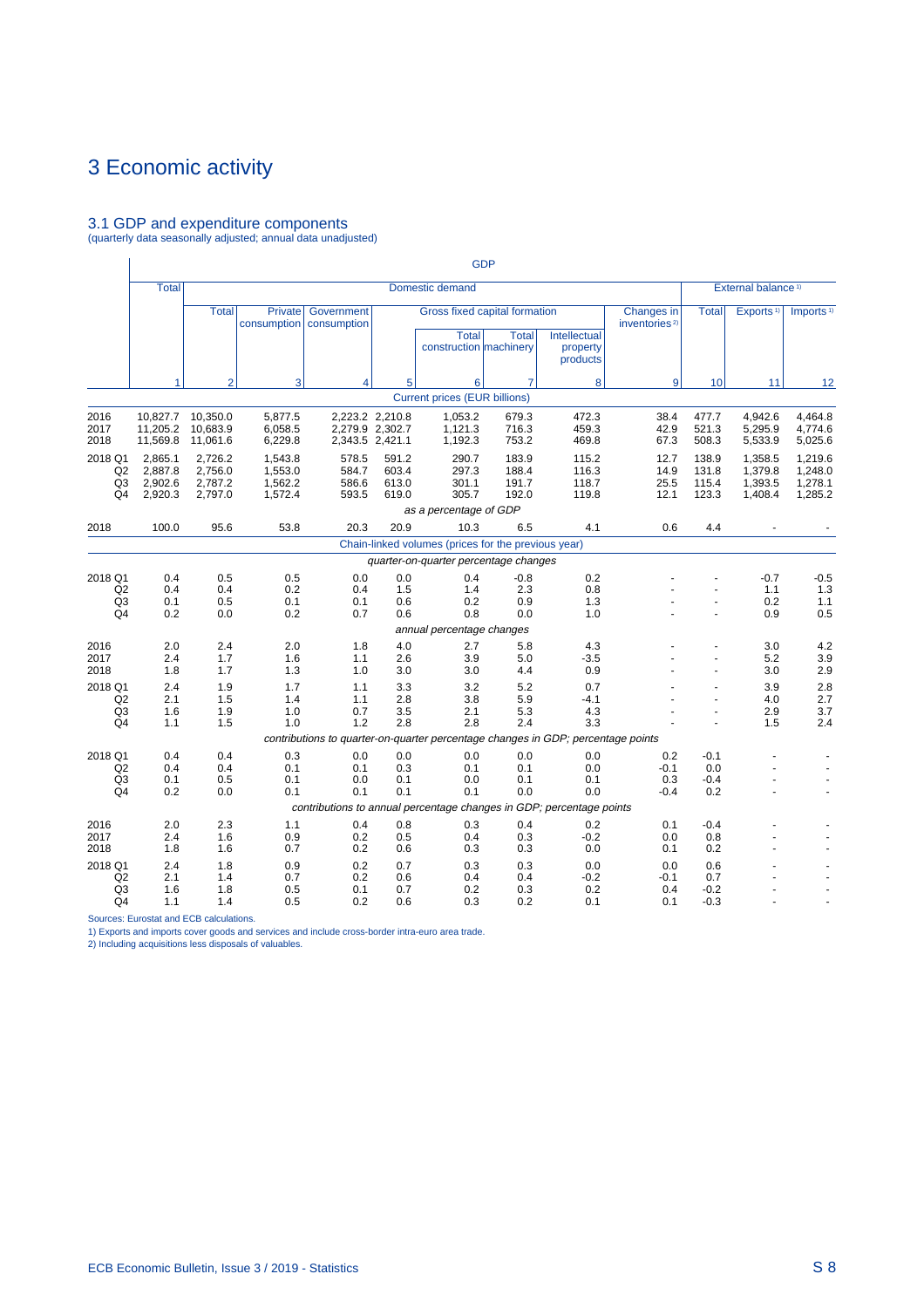## 3.1 GDP and expenditure components (quarterly data seasonally adjusted; annual data unadjusted)

|                                                   |                                          |                                          |                                             |                                                                                  |                                                       |                                                     | <b>GDP</b>                                    |                                      |                                         |                                  |                                          |                                                                    |
|---------------------------------------------------|------------------------------------------|------------------------------------------|---------------------------------------------|----------------------------------------------------------------------------------|-------------------------------------------------------|-----------------------------------------------------|-----------------------------------------------|--------------------------------------|-----------------------------------------|----------------------------------|------------------------------------------|--------------------------------------------------------------------|
|                                                   | <b>Total</b>                             |                                          |                                             |                                                                                  |                                                       | Domestic demand                                     |                                               |                                      |                                         |                                  | External balance <sup>1)</sup>           |                                                                    |
|                                                   |                                          | <b>Total</b>                             | <b>Private</b><br>consumption   consumption | Government                                                                       |                                                       | <b>Total</b><br>construction machinery              | Gross fixed capital formation<br><b>Total</b> | Intellectual<br>property<br>products | Changes in<br>inventories <sup>2)</sup> | <b>Total</b>                     | Exports <sup>1)</sup>                    | Imports <sup>1)</sup>                                              |
|                                                   | 1                                        | $\overline{2}$                           | 3                                           | 4                                                                                | 5                                                     | 6                                                   | $\overline{7}$                                | 8                                    | 9                                       | 10                               | 11                                       | 12                                                                 |
|                                                   |                                          |                                          |                                             |                                                                                  |                                                       | <b>Current prices (EUR billions)</b>                |                                               |                                      |                                         |                                  |                                          |                                                                    |
| 2016<br>2017<br>2018                              | 10,827.7<br>11,205.2<br>11,569.8         | 10,350.0<br>10,683.9<br>11,061.6         | 5,877.5<br>6,058.5<br>6,229.8               |                                                                                  | 2,223.2 2,210.8<br>2,279.9 2,302.7<br>2,343.5 2,421.1 | 1,053.2<br>1,121.3<br>1,192.3                       | 679.3<br>716.3<br>753.2                       | 472.3<br>459.3<br>469.8              | 38.4<br>42.9<br>67.3                    | 477.7<br>521.3<br>508.3          | 4,942.6<br>5,295.9<br>5,533.9            | 4,464.8<br>4,774.6<br>5,025.6                                      |
| 2018 Q1<br>Q2<br>Q3<br>Q4                         | 2,865.1<br>2,887.8<br>2,902.6<br>2,920.3 | 2,726.2<br>2,756.0<br>2,787.2<br>2,797.0 | 1,543.8<br>1,553.0<br>1,562.2<br>1,572.4    | 578.5<br>584.7<br>586.6<br>593.5                                                 | 591.2<br>603.4<br>613.0<br>619.0                      | 290.7<br>297.3<br>301.1<br>305.7                    | 183.9<br>188.4<br>191.7<br>192.0              | 115.2<br>116.3<br>118.7<br>119.8     | 12.7<br>14.9<br>25.5<br>12.1            | 138.9<br>131.8<br>115.4<br>123.3 | 1,358.5<br>1,379.8<br>1,393.5<br>1,408.4 | 1,219.6<br>1,248.0<br>1,278.1<br>1,285.2                           |
|                                                   |                                          |                                          |                                             |                                                                                  |                                                       | as a percentage of GDP                              |                                               |                                      |                                         |                                  |                                          |                                                                    |
| 2018                                              | 100.0                                    | 95.6                                     | 53.8                                        | 20.3                                                                             | 20.9                                                  | 10.3                                                | 6.5                                           | 4.1                                  | 0.6                                     | 4.4                              |                                          |                                                                    |
|                                                   |                                          |                                          |                                             |                                                                                  |                                                       | Chain-linked volumes (prices for the previous year) |                                               |                                      |                                         |                                  |                                          |                                                                    |
|                                                   |                                          |                                          |                                             |                                                                                  |                                                       | quarter-on-quarter percentage changes               |                                               |                                      |                                         |                                  |                                          |                                                                    |
| 2018 Q1<br>Q2<br>Q <sub>3</sub><br>Q4             | 0.4<br>0.4<br>0.1<br>0.2                 | 0.5<br>0.4<br>0.5<br>0.0                 | 0.5<br>0.2<br>0.1<br>0.2                    | 0.0<br>0.4<br>0.1<br>0.7                                                         | 0.0<br>1.5<br>0.6<br>0.6                              | 0.4<br>1.4<br>0.2<br>0.8                            | $-0.8$<br>2.3<br>0.9<br>0.0                   | 0.2<br>0.8<br>1.3<br>1.0             |                                         |                                  | $-0.7$<br>1.1<br>0.2<br>0.9              | $-0.5$<br>1.3<br>1.1<br>0.5                                        |
|                                                   |                                          |                                          |                                             |                                                                                  |                                                       | annual percentage changes                           |                                               |                                      |                                         |                                  |                                          |                                                                    |
| 2016<br>2017<br>2018                              | 2.0<br>2.4<br>1.8                        | 2.4<br>1.7<br>1.7                        | 2.0<br>1.6<br>1.3                           | 1.8<br>1.1<br>1.0                                                                | 4.0<br>2.6<br>3.0                                     | 2.7<br>3.9<br>3.0                                   | 5.8<br>5.0<br>4.4                             | 4.3<br>$-3.5$<br>0.9                 |                                         | $\overline{a}$                   | 3.0<br>5.2<br>3.0                        | 4.2<br>3.9<br>2.9                                                  |
| 2018 Q1<br>Q2<br>Q <sub>3</sub><br>Q4             | 2.4<br>2.1<br>1.6<br>1.1                 | 1.9<br>1.5<br>1.9<br>1.5                 | 1.7<br>1.4<br>1.0<br>1.0                    | 1.1<br>1.1<br>0.7<br>1.2                                                         | 3.3<br>2.8<br>3.5<br>2.8                              | 3.2<br>3.8<br>2.1<br>2.8                            | 5.2<br>5.9<br>5.3<br>2.4                      | 0.7<br>$-4.1$<br>4.3<br>3.3          |                                         | $\overline{a}$                   | 3.9<br>4.0<br>2.9<br>1.5                 | 2.8<br>2.7<br>3.7<br>2.4                                           |
|                                                   |                                          |                                          |                                             | contributions to quarter-on-quarter percentage changes in GDP; percentage points |                                                       |                                                     |                                               |                                      |                                         |                                  |                                          |                                                                    |
| 2018 Q1<br>Q2<br>Q <sub>3</sub><br>Q4             | 0.4<br>0.4<br>0.1<br>0.2                 | 0.4<br>0.4<br>0.5<br>0.0                 | 0.3<br>0.1<br>0.1<br>0.1                    | 0.0<br>0.1<br>0.0<br>0.1                                                         | 0.0<br>0.3<br>0.1<br>0.1                              | 0.0<br>0.1<br>0.0<br>0.1                            | 0.0<br>0.1<br>0.1<br>0.0                      | 0.0<br>0.0<br>0.1<br>0.0             | 0.2<br>$-0.1$<br>0.3<br>$-0.4$          | $-0.1$<br>0.0<br>$-0.4$<br>0.2   |                                          | $\ddot{\phantom{1}}$<br>$\overline{\phantom{a}}$<br>$\blacksquare$ |
|                                                   |                                          |                                          |                                             | contributions to annual percentage changes in GDP; percentage points             |                                                       |                                                     |                                               |                                      |                                         |                                  |                                          |                                                                    |
| 2016<br>2017<br>2018                              | 2.0<br>2.4<br>1.8                        | 2.3<br>1.6<br>1.6                        | 1.1<br>0.9<br>0.7                           | 0.4<br>0.2<br>0.2                                                                | 0.8<br>0.5<br>0.6                                     | 0.3<br>0.4<br>0.3                                   | 0.4<br>0.3<br>0.3                             | 0.2<br>$-0.2$<br>0.0                 | 0.1<br>0.0<br>0.1                       | $-0.4$<br>0.8<br>0.2             |                                          | ÷.                                                                 |
| 2018 Q1<br>Q2<br>Q <sub>3</sub><br>Q <sub>4</sub> | 2.4<br>2.1<br>1.6<br>1.1                 | 1.8<br>1.4<br>1.8<br>1.4                 | 0.9<br>0.7<br>0.5<br>0.5                    | 0.2<br>0.2<br>0.1<br>0.2                                                         | 0.7<br>0.6<br>0.7<br>0.6                              | 0.3<br>0.4<br>0.2<br>0.3                            | 0.3<br>0.4<br>0.3<br>0.2                      | 0.0<br>$-0.2$<br>0.2<br>0.1          | 0.0<br>$-0.1$<br>0.4<br>0.1             | 0.6<br>0.7<br>$-0.2$<br>$-0.3$   |                                          |                                                                    |

Sources: Eurostat and ECB calculations.

1) Exports and imports cover goods and services and include cross-border intra-euro area trade. 2) Including acquisitions less disposals of valuables.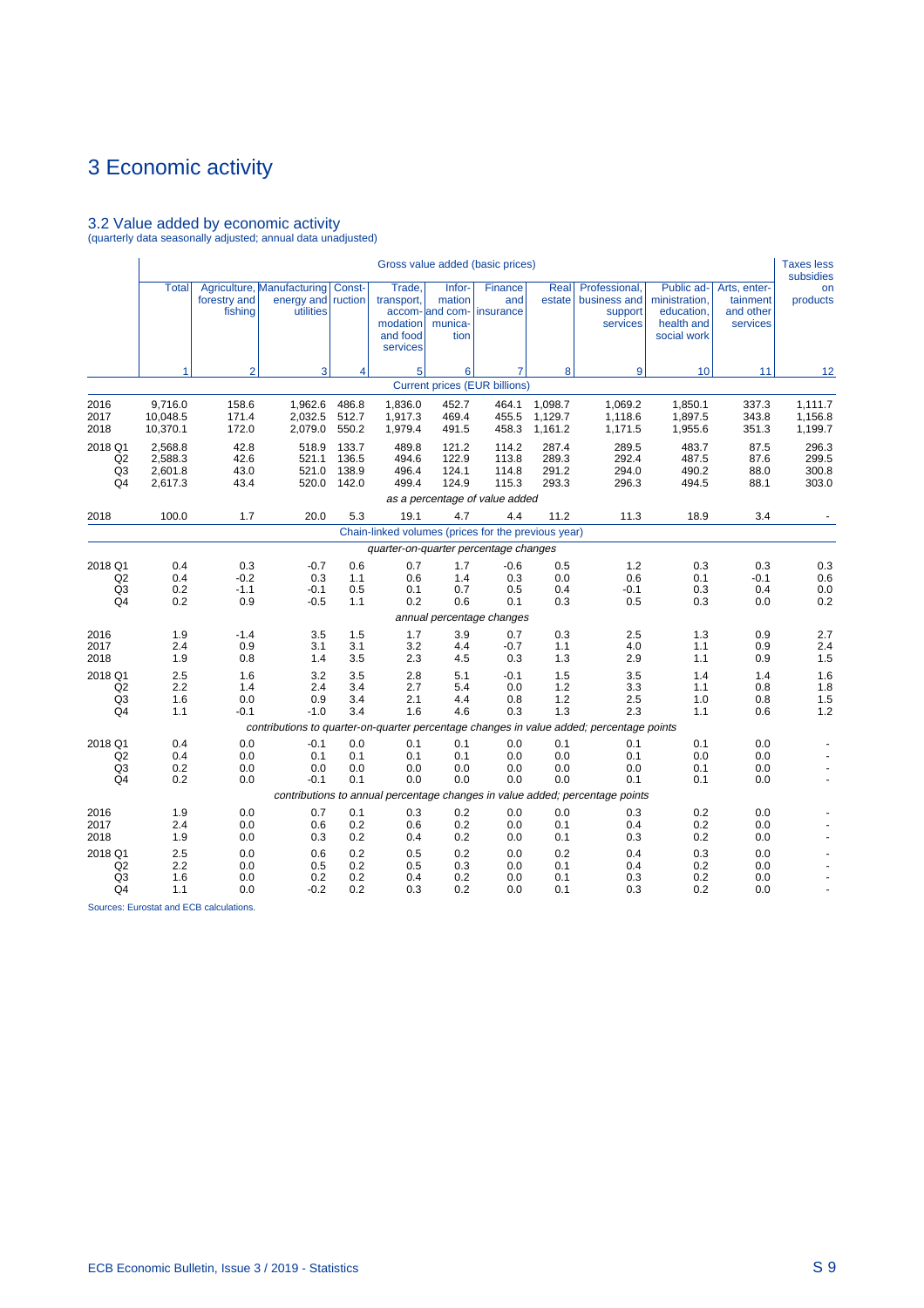## 3.2 Value added by economic activity (quarterly data seasonally adjusted; annual data unadjusted)

|                                       |                                          |                                |                                                                      |                                  |                                                          |                                                        | Gross value added (basic prices)                                   |                                  |                                                                                                          |                                                                        |                                                   | <b>Taxes less</b><br>subsidies   |
|---------------------------------------|------------------------------------------|--------------------------------|----------------------------------------------------------------------|----------------------------------|----------------------------------------------------------|--------------------------------------------------------|--------------------------------------------------------------------|----------------------------------|----------------------------------------------------------------------------------------------------------|------------------------------------------------------------------------|---------------------------------------------------|----------------------------------|
|                                       | <b>Total</b>                             | forestry and<br>fishing        | Agriculture, Manufacturing Const-<br>energy and ruction<br>utilities |                                  | Trade,<br>transport,<br>modation<br>and food<br>services | Infor-<br>mation<br>accom- and com-<br>munica-<br>tion | Finance<br>and<br>insurance                                        | Real<br>estate                   | Professional,<br>business and<br>support<br>services                                                     | Public ad-<br>ministration,<br>education,<br>health and<br>social work | Arts, enter-<br>tainment<br>and other<br>services | on<br>products                   |
|                                       | 1                                        | $\overline{2}$                 | $\overline{3}$                                                       | 4                                | 5 <sup>1</sup>                                           | 6                                                      | $\overline{7}$                                                     | 8                                | 9                                                                                                        | 10                                                                     | 11                                                | 12                               |
|                                       |                                          |                                |                                                                      |                                  |                                                          |                                                        | <b>Current prices (EUR billions)</b>                               |                                  |                                                                                                          |                                                                        |                                                   |                                  |
| 2016<br>2017<br>2018                  | 9.716.0<br>10,048.5<br>10,370.1          | 158.6<br>171.4<br>172.0        | 1,962.6<br>2,032.5<br>2,079.0                                        | 486.8<br>512.7<br>550.2          | 1,836.0<br>1,917.3<br>1,979.4                            | 452.7<br>469.4<br>491.5                                | 464.1<br>455.5<br>458.3                                            | 1,098.7<br>1,129.7<br>1,161.2    | 1,069.2<br>1,118.6<br>1,171.5                                                                            | 1,850.1<br>1,897.5<br>1,955.6                                          | 337.3<br>343.8<br>351.3                           | 1,111.7<br>1,156.8<br>1,199.7    |
| 2018 Q1<br>Q2<br>Q3<br>Q4             | 2,568.8<br>2,588.3<br>2,601.8<br>2,617.3 | 42.8<br>42.6<br>43.0<br>43.4   | 518.9<br>521.1<br>521.0<br>520.0                                     | 133.7<br>136.5<br>138.9<br>142.0 | 489.8<br>494.6<br>496.4<br>499.4                         | 121.2<br>122.9<br>124.1<br>124.9                       | 114.2<br>113.8<br>114.8<br>115.3<br>as a percentage of value added | 287.4<br>289.3<br>291.2<br>293.3 | 289.5<br>292.4<br>294.0<br>296.3                                                                         | 483.7<br>487.5<br>490.2<br>494.5                                       | 87.5<br>87.6<br>88.0<br>88.1                      | 296.3<br>299.5<br>300.8<br>303.0 |
| 2018                                  | 100.0                                    | 1.7                            | 20.0                                                                 | 5.3                              | 19.1                                                     | 4.7                                                    | 4.4                                                                | 11.2                             | 11.3                                                                                                     | 18.9                                                                   | 3.4                                               |                                  |
|                                       |                                          |                                |                                                                      |                                  | Chain-linked volumes (prices for the previous year)      |                                                        |                                                                    |                                  |                                                                                                          |                                                                        |                                                   |                                  |
|                                       |                                          |                                |                                                                      |                                  | quarter-on-quarter percentage changes                    |                                                        |                                                                    |                                  |                                                                                                          |                                                                        |                                                   |                                  |
| 2018 Q1<br>Q2<br>Q3<br>Q4             | 0.4<br>0.4<br>0.2<br>0.2                 | 0.3<br>$-0.2$<br>$-1.1$<br>0.9 | $-0.7$<br>0.3<br>$-0.1$<br>$-0.5$                                    | 0.6<br>1.1<br>0.5<br>1.1         | 0.7<br>0.6<br>0.1<br>0.2                                 | 1.7<br>1.4<br>0.7<br>0.6                               | $-0.6$<br>0.3<br>0.5<br>0.1                                        | 0.5<br>0.0<br>0.4<br>0.3         | 1.2<br>0.6<br>-0.1<br>0.5                                                                                | 0.3<br>0.1<br>0.3<br>0.3                                               | 0.3<br>$-0.1$<br>0.4<br>0.0                       | 0.3<br>0.6<br>0.0<br>0.2         |
|                                       |                                          |                                |                                                                      |                                  |                                                          |                                                        | annual percentage changes                                          |                                  |                                                                                                          |                                                                        |                                                   |                                  |
| 2016<br>2017<br>2018                  | 1.9<br>2.4<br>1.9                        | $-1.4$<br>0.9<br>0.8           | 3.5<br>3.1<br>1.4                                                    | 1.5<br>3.1<br>3.5                | 1.7<br>3.2<br>2.3                                        | 3.9<br>4.4<br>4.5                                      | 0.7<br>$-0.7$<br>0.3                                               | 0.3<br>1.1<br>1.3                | 2.5<br>4.0<br>2.9                                                                                        | 1.3<br>1.1<br>1.1                                                      | 0.9<br>0.9<br>0.9                                 | 2.7<br>2.4<br>1.5                |
| 2018 Q1<br>Q2<br>Q3<br>Q4             | 2.5<br>2.2<br>1.6<br>1.1                 | 1.6<br>1.4<br>0.0<br>$-0.1$    | 3.2<br>2.4<br>0.9<br>$-1.0$                                          | 3.5<br>3.4<br>3.4<br>3.4         | 2.8<br>2.7<br>2.1<br>1.6                                 | 5.1<br>5.4<br>4.4<br>4.6                               | $-0.1$<br>0.0<br>0.8<br>0.3                                        | 1.5<br>1.2<br>1.2<br>1.3         | 3.5<br>3.3<br>2.5<br>2.3                                                                                 | 1.4<br>1.1<br>1.0<br>1.1                                               | 1.4<br>0.8<br>0.8<br>0.6                          | 1.6<br>1.8<br>1.5<br>1.2         |
|                                       |                                          |                                |                                                                      |                                  |                                                          |                                                        |                                                                    |                                  | contributions to quarter-on-quarter percentage changes in value added; percentage points                 |                                                                        |                                                   |                                  |
| 2018 Q1<br>Q2<br>Q3<br>Q4             | 0.4<br>0.4<br>0.2<br>0.2                 | 0.0<br>0.0<br>0.0<br>0.0       | $-0.1$<br>0.1<br>0.0<br>$-0.1$                                       | 0.0<br>0.1<br>0.0<br>0.1         | 0.1<br>0.1<br>0.0<br>0.0                                 | 0.1<br>0.1<br>0.0<br>0.0                               | 0.0<br>0.0<br>0.0<br>0.0                                           | 0.1<br>0.0<br>0.0<br>0.0         | 0.1<br>0.1<br>0.0<br>0.1<br>contributions to annual percentage changes in value added; percentage points | 0.1<br>0.0<br>0.1<br>0.1                                               | 0.0<br>0.0<br>0.0<br>0.0                          |                                  |
| 2016<br>2017<br>2018                  | 1.9<br>2.4<br>1.9                        | 0.0<br>0.0<br>0.0              | 0.7<br>0.6<br>0.3                                                    | 0.1<br>0.2<br>0.2                | 0.3<br>0.6<br>0.4                                        | 0.2<br>0.2<br>0.2                                      | 0.0<br>0.0<br>0.0                                                  | 0.0<br>0.1<br>0.1                | 0.3<br>0.4<br>0.3                                                                                        | 0.2<br>0.2<br>0.2                                                      | 0.0<br>0.0<br>0.0                                 |                                  |
| 2018 Q1<br>Q2<br>Q3<br>Q <sub>4</sub> | 2.5<br>2.2<br>1.6<br>1.1                 | 0.0<br>0.0<br>0.0<br>0.0       | 0.6<br>0.5<br>0.2<br>$-0.2$                                          | 0.2<br>0.2<br>0.2<br>0.2         | 0.5<br>0.5<br>0.4<br>0.3                                 | 0.2<br>0.3<br>0.2<br>0.2                               | 0.0<br>0.0<br>0.0<br>0.0                                           | 0.2<br>0.1<br>0.1<br>0.1         | 0.4<br>0.4<br>0.3<br>0.3                                                                                 | 0.3<br>0.2<br>0.2<br>0.2                                               | 0.0<br>0.0<br>0.0<br>0.0                          |                                  |

Sources: Eurostat and ECB calculations.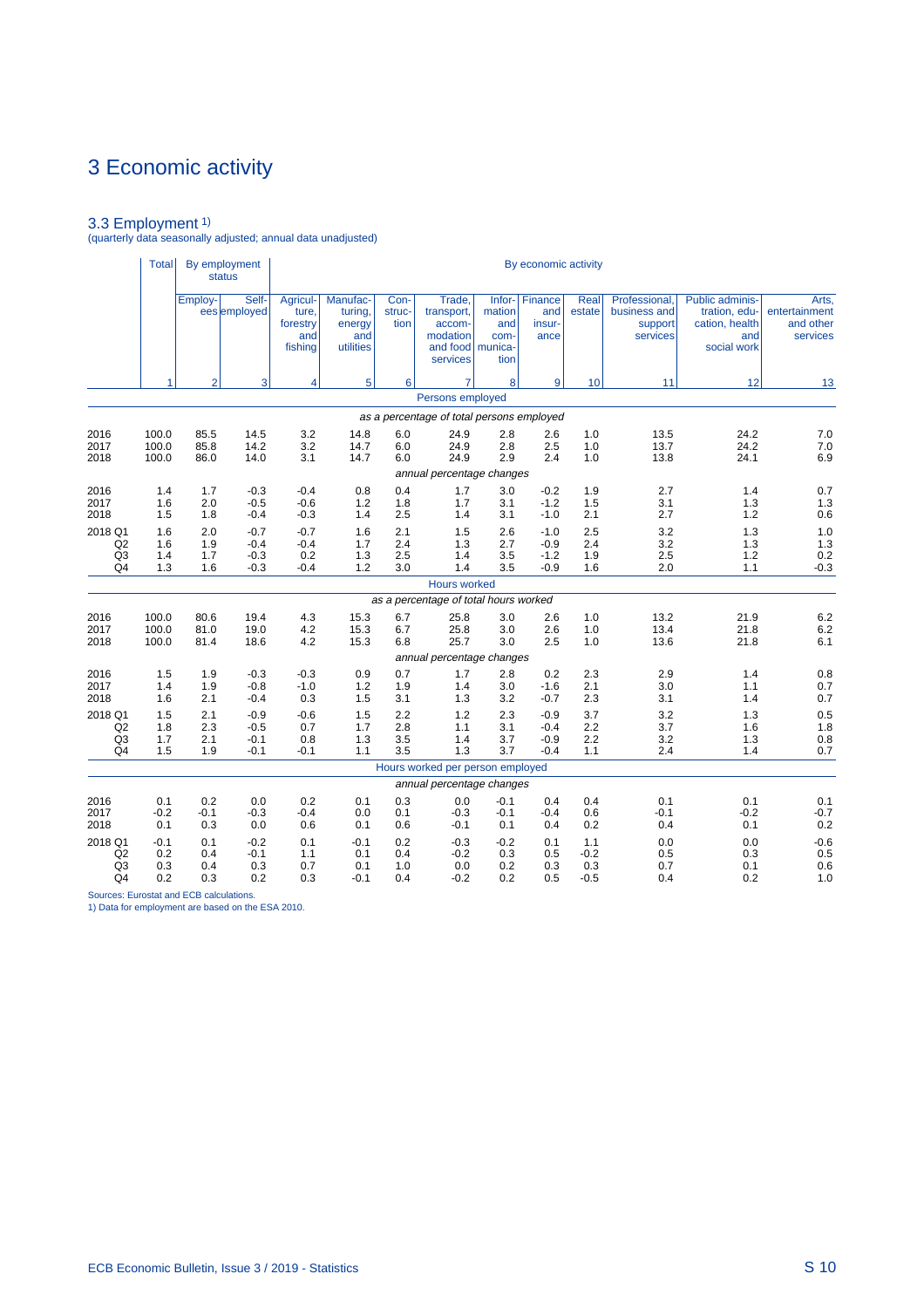3.3 Employment 1) (quarterly data seasonally adjusted; annual data unadjusted)

|                                                               | <b>Total</b>                |                          | By employment<br>status              |                                                 |                                                   |                          |                                                                            |                                         | By economic activity                 |                                |                                                      |                                                                          |                                                 |
|---------------------------------------------------------------|-----------------------------|--------------------------|--------------------------------------|-------------------------------------------------|---------------------------------------------------|--------------------------|----------------------------------------------------------------------------|-----------------------------------------|--------------------------------------|--------------------------------|------------------------------------------------------|--------------------------------------------------------------------------|-------------------------------------------------|
|                                                               |                             | Employ-                  | Self-<br>ees employed                | Agricul-<br>ture.<br>forestry<br>and<br>fishing | Manufac-<br>turing,<br>energy<br>and<br>utilities | Con-<br>struc-<br>tion   | Trade,<br>transport,<br>accom-<br>modation<br>and food munica-<br>services | Infor-<br>mation<br>and<br>com-<br>tion | Finance<br>and<br>insur-<br>ance     | <b>Real</b><br>estate          | Professional,<br>business and<br>support<br>services | Public adminis-<br>tration, edu-<br>cation, health<br>and<br>social work | Arts,<br>entertainment<br>and other<br>services |
|                                                               | 1                           | $\overline{2}$           | 3                                    | 4                                               | 5                                                 | 6                        |                                                                            | 8                                       | 9                                    | 10                             | 11                                                   | 12                                                                       | 13                                              |
|                                                               |                             |                          |                                      |                                                 |                                                   |                          | Persons employed                                                           |                                         |                                      |                                |                                                      |                                                                          |                                                 |
|                                                               |                             |                          |                                      |                                                 |                                                   |                          | as a percentage of total persons employed                                  |                                         |                                      |                                |                                                      |                                                                          |                                                 |
| 2016<br>2017<br>2018                                          | 100.0<br>100.0<br>100.0     | 85.5<br>85.8<br>86.0     | 14.5<br>14.2<br>14.0                 | 3.2<br>3.2<br>3.1                               | 14.8<br>14.7<br>14.7                              | 6.0<br>6.0<br>6.0        | 24.9<br>24.9<br>24.9                                                       | 2.8<br>2.8<br>2.9                       | 2.6<br>2.5<br>2.4                    | 1.0<br>1.0<br>1.0              | 13.5<br>13.7<br>13.8                                 | 24.2<br>24.2<br>24.1                                                     | 7.0<br>7.0<br>6.9                               |
|                                                               |                             |                          |                                      |                                                 |                                                   |                          | annual percentage changes                                                  |                                         |                                      |                                |                                                      |                                                                          |                                                 |
| 2016<br>2017<br>2018                                          | 1.4<br>1.6<br>1.5           | 1.7<br>2.0<br>1.8        | $-0.3$<br>$-0.5$<br>$-0.4$           | $-0.4$<br>$-0.6$<br>$-0.3$                      | 0.8<br>1.2<br>1.4                                 | 0.4<br>1.8<br>2.5        | 1.7<br>1.7<br>1.4                                                          | 3.0<br>3.1<br>3.1                       | $-0.2$<br>$-1.2$<br>$-1.0$           | 1.9<br>1.5<br>2.1              | 2.7<br>3.1<br>2.7                                    | 1.4<br>1.3<br>1.2                                                        | 0.7<br>1.3<br>0.6                               |
| 2018 Q1<br>Q2<br>Q <sub>3</sub><br>Q <sub>4</sub>             | 1.6<br>1.6<br>1.4<br>1.3    | 2.0<br>1.9<br>1.7<br>1.6 | $-0.7$<br>$-0.4$<br>$-0.3$<br>$-0.3$ | $-0.7$<br>$-0.4$<br>0.2<br>$-0.4$               | 1.6<br>1.7<br>1.3<br>1.2                          | 2.1<br>2.4<br>2.5<br>3.0 | 1.5<br>1.3<br>1.4<br>1.4                                                   | 2.6<br>2.7<br>3.5<br>3.5                | $-1.0$<br>$-0.9$<br>$-1.2$<br>$-0.9$ | 2.5<br>2.4<br>1.9<br>1.6       | 3.2<br>3.2<br>2.5<br>2.0                             | 1.3<br>1.3<br>1.2<br>1.1                                                 | 1.0<br>1.3<br>0.2<br>$-0.3$                     |
|                                                               |                             |                          |                                      |                                                 |                                                   |                          | <b>Hours worked</b>                                                        |                                         |                                      |                                |                                                      |                                                                          |                                                 |
|                                                               |                             |                          |                                      |                                                 |                                                   |                          | as a percentage of total hours worked                                      |                                         |                                      |                                |                                                      |                                                                          |                                                 |
| 2016<br>2017<br>2018                                          | 100.0<br>100.0<br>100.0     | 80.6<br>81.0<br>81.4     | 19.4<br>19.0<br>18.6                 | 4.3<br>4.2<br>4.2                               | 15.3<br>15.3<br>15.3                              | 6.7<br>6.7<br>6.8        | 25.8<br>25.8<br>25.7<br>annual percentage changes                          | 3.0<br>3.0<br>3.0                       | 2.6<br>2.6<br>2.5                    | 1.0<br>1.0<br>1.0              | 13.2<br>13.4<br>13.6                                 | 21.9<br>21.8<br>21.8                                                     | 6.2<br>6.2<br>6.1                               |
| 2016                                                          | 1.5                         | 1.9                      | $-0.3$                               | $-0.3$                                          | 0.9                                               | 0.7                      | 1.7                                                                        | 2.8                                     | 0.2                                  | 2.3                            | 2.9                                                  | 1.4                                                                      | 0.8                                             |
| 2017<br>2018                                                  | 1.4<br>1.6                  | 1.9<br>2.1               | $-0.8$<br>$-0.4$                     | $-1.0$<br>0.3                                   | 1.2<br>1.5                                        | 1.9<br>3.1               | 1.4<br>1.3                                                                 | 3.0<br>3.2                              | $-1.6$<br>$-0.7$                     | 2.1<br>2.3                     | 3.0<br>3.1                                           | 1.1<br>1.4                                                               | 0.7<br>0.7                                      |
| 2018 Q1<br>Q2<br>Q <sub>3</sub><br>Q <sub>4</sub>             | 1.5<br>1.8<br>1.7<br>1.5    | 2.1<br>2.3<br>2.1<br>1.9 | $-0.9$<br>$-0.5$<br>$-0.1$<br>$-0.1$ | $-0.6$<br>0.7<br>0.8<br>$-0.1$                  | 1.5<br>1.7<br>1.3<br>1.1                          | 2.2<br>2.8<br>3.5<br>3.5 | 1.2<br>1.1<br>1.4<br>1.3                                                   | 2.3<br>3.1<br>3.7<br>3.7                | $-0.9$<br>$-0.4$<br>$-0.9$<br>$-0.4$ | 3.7<br>2.2<br>2.2<br>1.1       | 3.2<br>3.7<br>3.2<br>2.4                             | 1.3<br>1.6<br>1.3<br>1.4                                                 | 0.5<br>1.8<br>0.8<br>0.7                        |
|                                                               |                             |                          |                                      |                                                 |                                                   |                          | Hours worked per person employed                                           |                                         |                                      |                                |                                                      |                                                                          |                                                 |
|                                                               |                             |                          |                                      |                                                 |                                                   |                          | annual percentage changes                                                  |                                         |                                      |                                |                                                      |                                                                          |                                                 |
| 2016<br>2017<br>2018                                          | 0.1<br>$-0.2$<br>0.1        | 0.2<br>$-0.1$<br>0.3     | 0.0<br>$-0.3$<br>0.0                 | 0.2<br>$-0.4$<br>0.6                            | 0.1<br>0.0<br>0.1                                 | 0.3<br>0.1<br>0.6        | 0.0<br>$-0.3$<br>$-0.1$                                                    | $-0.1$<br>$-0.1$<br>0.1                 | 0.4<br>$-0.4$<br>0.4                 | 0.4<br>0.6<br>0.2              | 0.1<br>$-0.1$<br>0.4                                 | 0.1<br>$-0.2$<br>0.1                                                     | 0.1<br>$-0.7$<br>0.2                            |
| 2018 Q1<br>Q <sub>2</sub><br>Q <sub>3</sub><br>Q <sub>4</sub> | $-0.1$<br>0.2<br>0.3<br>0.2 | 0.1<br>0.4<br>0.4<br>0.3 | $-0.2$<br>$-0.1$<br>0.3<br>0.2       | 0.1<br>1.1<br>0.7<br>0.3                        | $-0.1$<br>0.1<br>0.1<br>$-0.1$                    | 0.2<br>0.4<br>1.0<br>0.4 | $-0.3$<br>$-0.2$<br>0.0<br>$-0.2$                                          | $-0.2$<br>0.3<br>0.2<br>0.2             | 0.1<br>0.5<br>0.3<br>0.5             | 1.1<br>$-0.2$<br>0.3<br>$-0.5$ | 0.0<br>0.5<br>0.7<br>0.4                             | 0.0<br>0.3<br>0.1<br>0.2                                                 | $-0.6$<br>0.5<br>0.6<br>1.0                     |

Sources: Eurostat and ECB calculations. 1) Data for employment are based on the ESA 2010.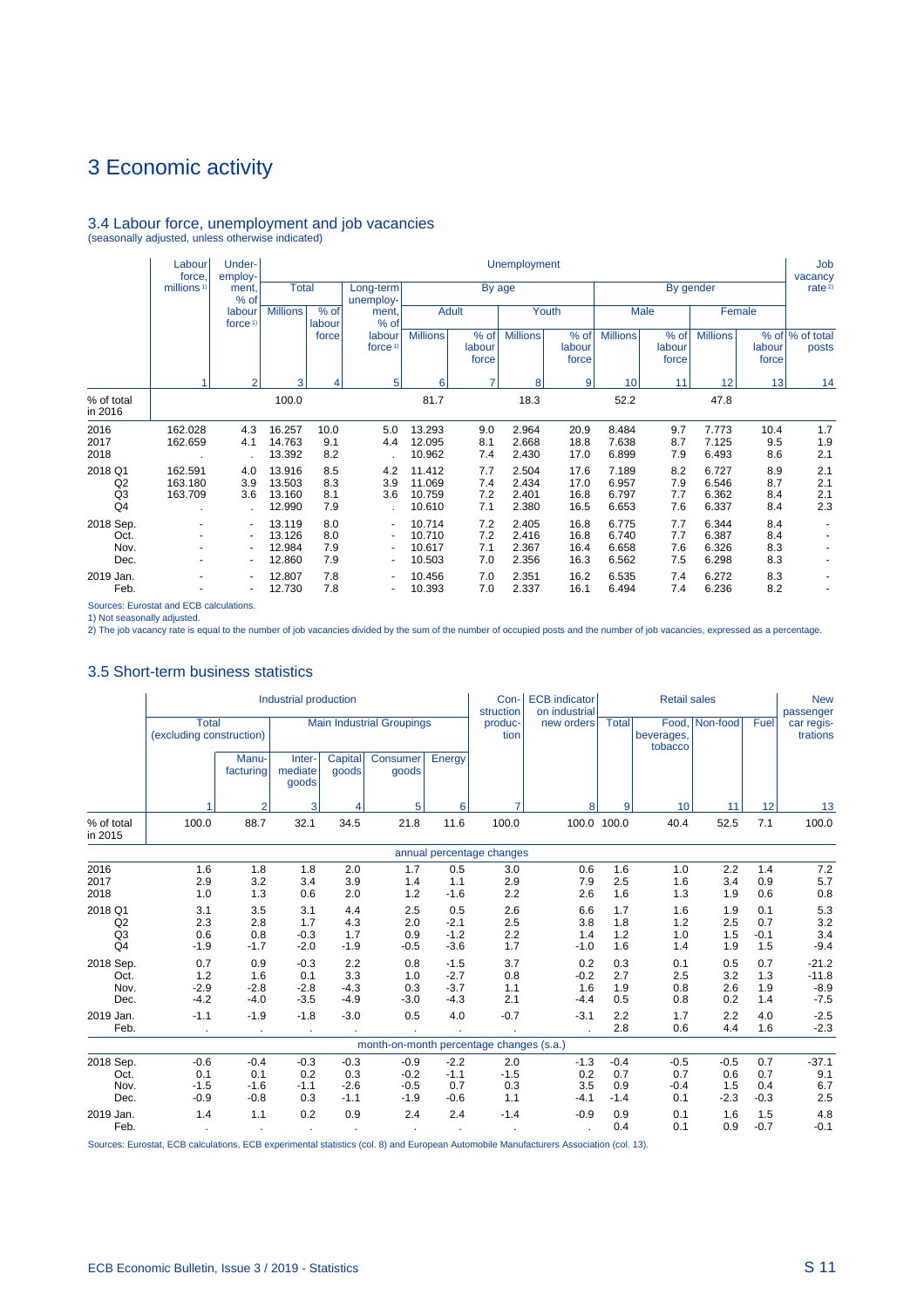# 3.4 Labour force, unemployment and job vacancies (seasonally adjusted, unless otherwise indicated)

|                                       | Labour<br>force               | Under-<br>employ-                                                           |                                      |                          |                                                         |                                      |                          | <b>Unemployment</b>              |                              |                                  |                          |                                  |                          | Job<br>vacancy           |
|---------------------------------------|-------------------------------|-----------------------------------------------------------------------------|--------------------------------------|--------------------------|---------------------------------------------------------|--------------------------------------|--------------------------|----------------------------------|------------------------------|----------------------------------|--------------------------|----------------------------------|--------------------------|--------------------------|
|                                       | millions <sup>1)</sup>        | ment,<br>$%$ of                                                             | <b>Total</b>                         |                          | Long-term<br>unemploy-                                  |                                      | By age                   |                                  |                              |                                  |                          | By gender                        |                          | rate <sup>2)</sup>       |
|                                       |                               | labour<br>force <sup>1</sup>                                                | <b>Millions</b>                      | % of<br>labour           | ment,<br>% of                                           |                                      | <b>Adult</b>             |                                  | Youth                        |                                  | Male                     |                                  | Female                   |                          |
|                                       |                               |                                                                             |                                      | force                    | labour<br>force <sup>1)</sup>                           | <b>Millions</b>                      | % of<br>labour<br>force  | <b>Millions</b>                  | % of<br>labour<br>force      | <b>Millions</b>                  | % of<br>labour<br>force  | <b>Millions</b>                  | labour<br>force          | % of % of total<br>posts |
|                                       |                               | $\overline{2}$                                                              | 3                                    | 4                        | 5                                                       | 6                                    | $\overline{7}$           | 8                                | 9                            | 10                               | 11                       | 12                               | 13                       | 14                       |
| % of total<br>in 2016                 |                               |                                                                             | 100.0                                |                          |                                                         | 81.7                                 |                          | 18.3                             |                              | 52.2                             |                          | 47.8                             |                          |                          |
| 2016<br>2017<br>2018                  | 162.028<br>162.659            | 4.3<br>4.1                                                                  | 16.257<br>14.763<br>13.392           | 10.0<br>9.1<br>8.2       | 5.0<br>4.4                                              | 13.293<br>12.095<br>10.962           | 9.0<br>8.1<br>7.4        | 2.964<br>2.668<br>2.430          | 20.9<br>18.8<br>17.0         | 8.484<br>7.638<br>6.899          | 9.7<br>8.7<br>7.9        | 7.773<br>7.125<br>6.493          | 10.4<br>9.5<br>8.6       | 1.7<br>1.9<br>2.1        |
| 2018 Q1<br>Q2<br>Q3<br>Q <sub>4</sub> | 162.591<br>163.180<br>163.709 | 4.0<br>3.9<br>3.6                                                           | 13.916<br>13.503<br>13.160<br>12.990 | 8.5<br>8.3<br>8.1<br>7.9 | 4.2<br>3.9<br>3.6                                       | 11.412<br>11.069<br>10.759<br>10.610 | 7.7<br>7.4<br>7.2<br>7.1 | 2.504<br>2.434<br>2.401<br>2.380 | 17.6<br>17.0<br>16.8<br>16.5 | 7.189<br>6.957<br>6.797<br>6.653 | 8.2<br>7.9<br>7.7<br>7.6 | 6.727<br>6.546<br>6.362<br>6.337 | 8.9<br>8.7<br>8.4<br>8.4 | 2.1<br>2.1<br>2.1<br>2.3 |
| 2018 Sep.<br>Oct.<br>Nov.<br>Dec.     |                               | $\blacksquare$<br>$\overline{\phantom{a}}$<br>٠<br>$\overline{\phantom{a}}$ | 13.119<br>13.126<br>12.984<br>12.860 | 8.0<br>8.0<br>7.9<br>7.9 | $\blacksquare$<br>$\blacksquare$<br>٠<br>$\blacksquare$ | 10.714<br>10.710<br>10.617<br>10.503 | 7.2<br>7.2<br>7.1<br>7.0 | 2.405<br>2.416<br>2.367<br>2.356 | 16.8<br>16.8<br>16.4<br>16.3 | 6.775<br>6.740<br>6.658<br>6.562 | 7.7<br>7.7<br>7.6<br>7.5 | 6.344<br>6.387<br>6.326<br>6.298 | 8.4<br>8.4<br>8.3<br>8.3 |                          |
| 2019 Jan.<br>Feb.                     | ۰                             | $\blacksquare$<br>$\overline{\phantom{a}}$                                  | 12.807<br>12.730                     | 7.8<br>7.8               | $\blacksquare$<br>٠                                     | 10.456<br>10.393                     | 7.0<br>7.0               | 2.351<br>2.337                   | 16.2<br>16.1                 | 6.535<br>6.494                   | 7.4<br>7.4               | 6.272<br>6.236                   | 8.3<br>8.2               |                          |

Sources: Eurostat and ECB calculations.

1) Not seasonally adjusted. 2) The job vacancy rate is equal to the number of job vacancies divided by the sum of the number of occupied posts and the number of job vacancies, expressed as a percentage.

### 3.5 Short-term business statistics

|                                                   |                                          |                                   | Industrial production             |                                   |                                          |                                      | Con-<br>struction           | <b>ECB</b> indicator<br>on industrial |                                | <b>Retail sales</b>            |                                |                             | <b>New</b><br>passenger                |
|---------------------------------------------------|------------------------------------------|-----------------------------------|-----------------------------------|-----------------------------------|------------------------------------------|--------------------------------------|-----------------------------|---------------------------------------|--------------------------------|--------------------------------|--------------------------------|-----------------------------|----------------------------------------|
|                                                   | <b>Total</b><br>(excluding construction) |                                   |                                   |                                   | <b>Main Industrial Groupings</b>         |                                      | produc-<br>tion             | new orders                            | Total                          | beverages,<br>tobacco          | Food, Non-food                 | Fuel                        | car regis-<br>trations                 |
|                                                   |                                          | Manu-<br>facturing                | Inter-<br>mediate<br>goods        | Capital<br>goods                  | Consumer<br>goods                        | Energy                               |                             |                                       |                                |                                |                                |                             |                                        |
|                                                   |                                          | $\overline{2}$                    | 3                                 | 4                                 | 5                                        | 6                                    | 7                           | 8                                     | 9                              | 10                             | 11                             | 12                          | 13                                     |
| % of total<br>in 2015                             | 100.0                                    | 88.7                              | 32.1                              | 34.5                              | 21.8                                     | 11.6                                 | 100.0                       | 100.0 100.0                           |                                | 40.4                           | 52.5                           | 7.1                         | 100.0                                  |
|                                                   |                                          |                                   |                                   |                                   |                                          |                                      | annual percentage changes   |                                       |                                |                                |                                |                             |                                        |
| 2016<br>2017<br>2018                              | 1.6<br>2.9<br>1.0                        | 1.8<br>3.2<br>1.3                 | 1.8<br>3.4<br>0.6                 | 2.0<br>3.9<br>2.0                 | 1.7<br>1.4<br>1.2                        | 0.5<br>1.1<br>$-1.6$                 | 3.0<br>2.9<br>2.2           | 0.6<br>7.9<br>2.6                     | 1.6<br>2.5<br>1.6              | 1.0<br>1.6<br>1.3              | 2.2<br>3.4<br>1.9              | 1.4<br>0.9<br>0.6           | 7.2<br>5.7<br>0.8                      |
| 2018 Q1<br>Q2<br>Q <sub>3</sub><br>Q <sub>4</sub> | 3.1<br>2.3<br>0.6<br>$-1.9$              | 3.5<br>2.8<br>0.8<br>$-1.7$       | 3.1<br>1.7<br>$-0.3$<br>$-2.0$    | 4.4<br>4.3<br>1.7<br>$-1.9$       | 2.5<br>2.0<br>0.9<br>$-0.5$              | 0.5<br>$-2.1$<br>$-1.2$<br>$-3.6$    | 2.6<br>2.5<br>2.2<br>1.7    | 6.6<br>3.8<br>1.4<br>$-1.0$           | 1.7<br>1.8<br>1.2<br>1.6       | 1.6<br>1.2<br>1.0<br>1.4       | 1.9<br>2.5<br>1.5<br>1.9       | 0.1<br>0.7<br>$-0.1$<br>1.5 | 5.3<br>3.2<br>3.4<br>$-9.4$            |
| 2018 Sep.<br>Oct.<br>Nov.<br>Dec.                 | 0.7<br>1.2<br>$-2.9$<br>$-4.2$           | 0.9<br>1.6<br>$-2.8$<br>$-4.0$    | $-0.3$<br>0.1<br>$-2.8$<br>$-3.5$ | 2.2<br>3.3<br>$-4.3$<br>$-4.9$    | 0.8<br>1.0<br>0.3<br>$-3.0$              | $-1.5$<br>$-2.7$<br>$-3.7$<br>$-4.3$ | 3.7<br>0.8<br>1.1<br>2.1    | 0.2<br>$-0.2$<br>1.6<br>$-4.4$        | 0.3<br>2.7<br>1.9<br>0.5       | 0.1<br>2.5<br>0.8<br>0.8       | 0.5<br>3.2<br>2.6<br>0.2       | 0.7<br>1.3<br>1.9<br>1.4    | $-21.2$<br>$-11.8$<br>$-8.9$<br>$-7.5$ |
| 2019 Jan.<br>Feb.                                 | $-1.1$                                   | $-1.9$<br>$\sim$                  | $-1.8$<br>$\cdot$                 | $-3.0$                            | 0.5                                      | 4.0                                  | $-0.7$                      | $-3.1$                                | 2.2<br>2.8                     | 1.7<br>0.6                     | 2.2<br>4.4                     | 4.0<br>1.6                  | $-2.5$<br>$-2.3$                       |
|                                                   |                                          |                                   |                                   |                                   | month-on-month percentage changes (s.a.) |                                      |                             |                                       |                                |                                |                                |                             |                                        |
| 2018 Sep.<br>Oct.<br>Nov.<br>Dec.                 | $-0.6$<br>0.1<br>$-1.5$<br>$-0.9$        | $-0.4$<br>0.1<br>$-1.6$<br>$-0.8$ | $-0.3$<br>0.2<br>$-1.1$<br>0.3    | $-0.3$<br>0.3<br>$-2.6$<br>$-1.1$ | $-0.9$<br>$-0.2$<br>$-0.5$<br>$-1.9$     | $-2.2$<br>$-1.1$<br>0.7<br>$-0.6$    | 2.0<br>$-1.5$<br>0.3<br>1.1 | $-1.3$<br>0.2<br>3.5<br>$-4.1$        | $-0.4$<br>0.7<br>0.9<br>$-1.4$ | $-0.5$<br>0.7<br>$-0.4$<br>0.1 | $-0.5$<br>0.6<br>1.5<br>$-2.3$ | 0.7<br>0.7<br>0.4<br>$-0.3$ | $-37.1$<br>9.1<br>6.7<br>2.5           |
| 2019 Jan.<br>Feb.                                 | 1.4                                      | 1.1<br>$\bullet$                  | 0.2                               | 0.9                               | 2.4                                      | 2.4                                  | $-1.4$                      | $-0.9$                                | 0.9<br>0.4                     | 0.1<br>0.1                     | 1.6<br>0.9                     | 1.5<br>$-0.7$               | 4.8<br>$-0.1$                          |

Sources: Eurostat, ECB calculations, ECB experimental statistics (col. 8) and European Automobile Manufacturers Association (col. 13).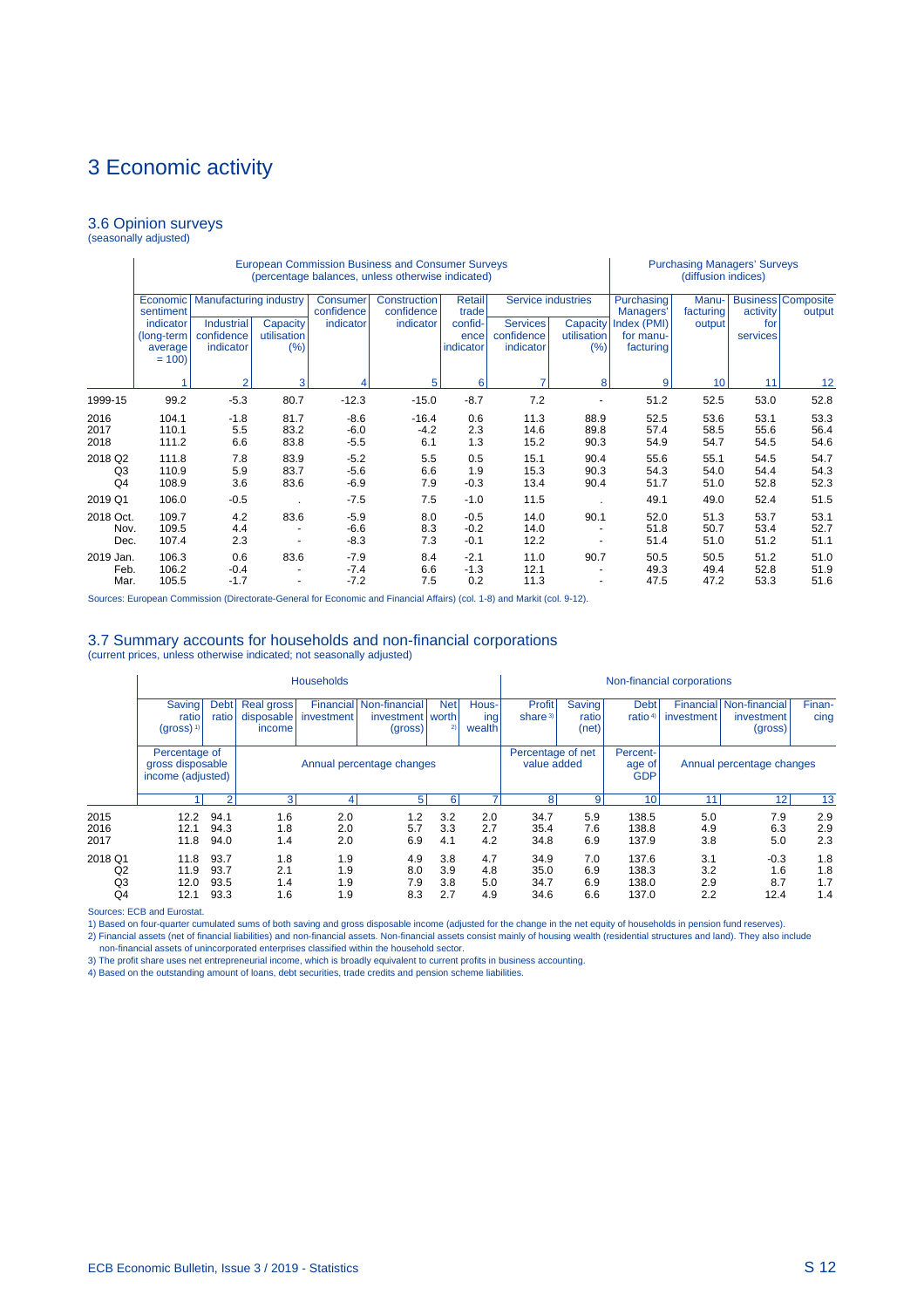#### 3.6 Opinion surveys (seasonally adjusted)

|                                 |                                               |                                              |                                  |                            | European Commission Business and Consumer Surveys<br>(percentage balances, unless otherwise indicated) |                              |                                     |                                |                                       | <b>Purchasing Managers' Surveys</b><br>(diffusion indices) |                      |                                     |
|---------------------------------|-----------------------------------------------|----------------------------------------------|----------------------------------|----------------------------|--------------------------------------------------------------------------------------------------------|------------------------------|-------------------------------------|--------------------------------|---------------------------------------|------------------------------------------------------------|----------------------|-------------------------------------|
|                                 | Economic<br>sentiment                         | <b>Manufacturing industry</b>                |                                  | Consumer<br>confidence     | Construction<br>confidence                                                                             | <b>Retail</b><br>trade       | Service industries                  |                                | Purchasing<br>Managers'               | Manu-<br>facturing                                         | activity             | <b>Business Composite</b><br>output |
|                                 | indicator<br>(long-term<br>average<br>$= 100$ | <b>Industrial</b><br>confidence<br>indicator | Capacity<br>utilisation<br>(%)   | indicator                  | indicator                                                                                              | confid-<br>ence<br>indicator | Services<br>confidence<br>indicator | Capacity<br>utilisation<br>(%) | Index (PMI)<br>for manu-<br>facturing | output                                                     | for<br>services      |                                     |
|                                 |                                               | っ                                            | 3                                | Δ                          | 5                                                                                                      | 6                            | 7                                   | 8                              | 9                                     | 10                                                         | 11                   | 12                                  |
| 1999-15                         | 99.2                                          | $-5.3$                                       | 80.7                             | $-12.3$                    | $-15.0$                                                                                                | $-8.7$                       | 7.2                                 |                                | 51.2                                  | 52.5                                                       | 53.0                 | 52.8                                |
| 2016<br>2017<br>2018            | 104.1<br>110.1<br>111.2                       | $-1.8$<br>5.5<br>6.6                         | 81.7<br>83.2<br>83.8             | $-8.6$<br>$-6.0$<br>$-5.5$ | $-16.4$<br>$-4.2$<br>6.1                                                                               | 0.6<br>2.3<br>1.3            | 11.3<br>14.6<br>15.2                | 88.9<br>89.8<br>90.3           | 52.5<br>57.4<br>54.9                  | 53.6<br>58.5<br>54.7                                       | 53.1<br>55.6<br>54.5 | 53.3<br>56.4<br>54.6                |
| 2018 Q2<br>Q3<br>Q <sub>4</sub> | 111.8<br>110.9<br>108.9                       | 7.8<br>5.9<br>3.6                            | 83.9<br>83.7<br>83.6             | $-5.2$<br>$-5.6$<br>$-6.9$ | 5.5<br>6.6<br>7.9                                                                                      | 0.5<br>1.9<br>$-0.3$         | 15.1<br>15.3<br>13.4                | 90.4<br>90.3<br>90.4           | 55.6<br>54.3<br>51.7                  | 55.1<br>54.0<br>51.0                                       | 54.5<br>54.4<br>52.8 | 54.7<br>54.3<br>52.3                |
| 2019 Q1                         | 106.0                                         | $-0.5$                                       |                                  | $-7.5$                     | 7.5                                                                                                    | $-1.0$                       | 11.5                                |                                | 49.1                                  | 49.0                                                       | 52.4                 | 51.5                                |
| 2018 Oct.<br>Nov.<br>Dec.       | 109.7<br>109.5<br>107.4                       | 4.2<br>4.4<br>2.3                            | 83.6<br>$\overline{\phantom{a}}$ | $-5.9$<br>$-6.6$<br>$-8.3$ | 8.0<br>8.3<br>7.3                                                                                      | $-0.5$<br>$-0.2$<br>$-0.1$   | 14.0<br>14.0<br>12.2                | 90.1                           | 52.0<br>51.8<br>51.4                  | 51.3<br>50.7<br>51.0                                       | 53.7<br>53.4<br>51.2 | 53.1<br>52.7<br>51.1                |
| 2019 Jan.<br>Feb.<br>Mar.       | 106.3<br>106.2<br>105.5                       | 0.6<br>$-0.4$<br>$-1.7$                      | 83.6                             | $-7.9$<br>$-7.4$<br>$-7.2$ | 8.4<br>6.6<br>7.5                                                                                      | $-2.1$<br>$-1.3$<br>0.2      | 11.0<br>12.1<br>11.3                | 90.7                           | 50.5<br>49.3<br>47.5                  | 50.5<br>49.4<br>47.2                                       | 51.2<br>52.8<br>53.3 | 51.0<br>51.9<br>51.6                |

Sources: European Commission (Directorate-General for Economic and Financial Affairs) (col. 1-8) and Markit (col. 9-12).

#### 3.7 Summary accounts for households and non-financial corporations

(current prices, unless otherwise indicated; not seasonally adjusted)

|                           |                                                         |                              |                                    | <b>Households</b>        |                                        |                           |                          |                                  |                                 |                                    | Non-financial corporations |                                        |                          |
|---------------------------|---------------------------------------------------------|------------------------------|------------------------------------|--------------------------|----------------------------------------|---------------------------|--------------------------|----------------------------------|---------------------------------|------------------------------------|----------------------------|----------------------------------------|--------------------------|
|                           | Saving <sup>1</sup><br>ratio<br>$(gross)$ <sup>1)</sup> | <b>Debt</b><br>ratio         | Real gross<br>disposable<br>income | Financial<br>investment  | Non-financial<br>investment<br>(gross) | <b>Net</b><br>worth<br>2) | Hous-<br>ing<br>wealth   | Profit<br>share <sup>3)</sup>    | <b>Saving</b><br>ratio<br>(net) | <b>Debt</b><br>ratio <sup>4)</sup> | Financial<br>investment    | Non-financial<br>investment<br>(gross) | Finan-<br>cing           |
|                           | Percentage of<br>gross disposable<br>income (adjusted)  |                              |                                    |                          | Annual percentage changes              |                           |                          | Percentage of net<br>value added |                                 | Percent-<br>age of<br><b>GDP</b>   |                            | Annual percentage changes              |                          |
|                           |                                                         | $\mathcal{P}$                | 3 <sup>1</sup>                     |                          | 5                                      | 6                         |                          | 8                                | 9                               | 10                                 | 11                         | 12                                     | 13                       |
| 2015<br>2016<br>2017      | 12.2<br>12.1<br>11.8                                    | 94.1<br>94.3<br>94.0         | 1.6<br>1.8<br>1.4                  | 2.0<br>2.0<br>2.0        | 1.2<br>5.7<br>6.9                      | 3.2<br>3.3<br>4.1         | 2.0<br>2.7<br>4.2        | 34.7<br>35.4<br>34.8             | 5.9<br>7.6<br>6.9               | 138.5<br>138.8<br>137.9            | 5.0<br>4.9<br>3.8          | 7.9<br>6.3<br>5.0                      | 2.9<br>2.9<br>2.3        |
| 2018 Q1<br>Q2<br>Q3<br>Q4 | 11.8<br>11.9<br>12.0<br>12.1                            | 93.7<br>93.7<br>93.5<br>93.3 | 1.8<br>2.1<br>1.4<br>1.6           | 1.9<br>1.9<br>1.9<br>1.9 | 4.9<br>8.0<br>7.9<br>8.3               | 3.8<br>3.9<br>3.8<br>2.7  | 4.7<br>4.8<br>5.0<br>4.9 | 34.9<br>35.0<br>34.7<br>34.6     | 7.0<br>6.9<br>6.9<br>6.6        | 137.6<br>138.3<br>138.0<br>137.0   | 3.1<br>3.2<br>2.9<br>2.2   | $-0.3$<br>1.6<br>8.7<br>12.4           | 1.8<br>1.8<br>1.7<br>1.4 |

Sources: ECB and Eurostat.

1) Based on four-quarter cumulated sums of both saving and gross disposable income (adjusted for the change in the net equity of households in pension fund reserves).

2) Financial assets (net of financial liabilities) and non-financial assets. Non-financial assets consist mainly of housing wealth (residential structures and land). They also include<br>- non-financial assets of unincorporat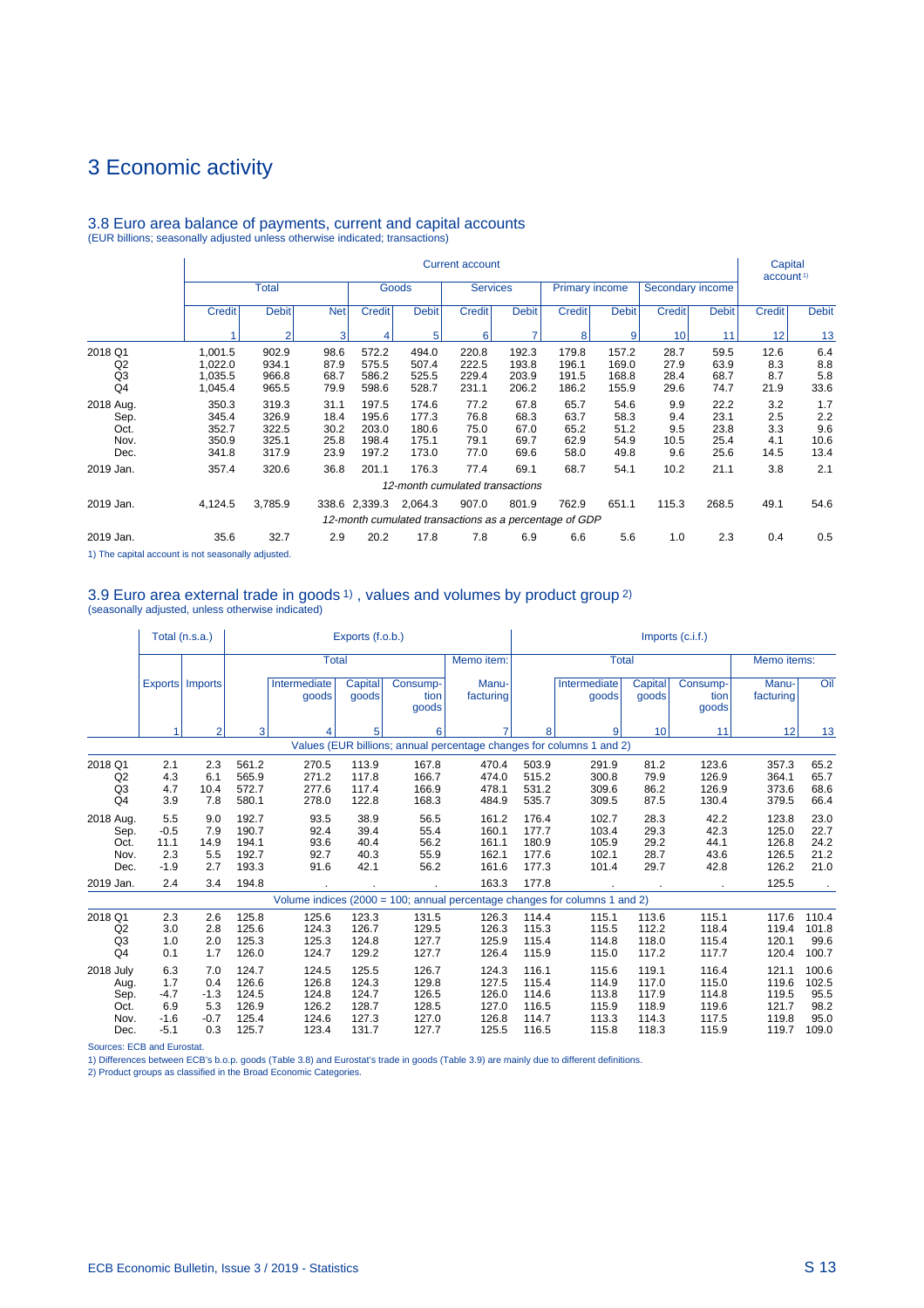#### Current account the community of the community of the Capital Capital Capital account  $1$  account  $1$  account  $1$  account  $1$ Total Goods Gervices Primary income Secondary income Credit Debit Net Credit Debit Credit Credit Debit Credit Debit Credit Debit Credit Credit Debit 1 2 3 4 5 6 7 8 9 10 11 12 13 2018 Q1 1,001.5 902.9 98.6 572.2 494.0 220.8 192.3 179.8 157.2 28.7 59.5 12.6 6.4 Q2 1,022.0 934.1 87.9 575.5 507.4 222.5 193.8 196.1 169.0 27.9 63.9 8.3 8.8 Q3 1,035.5 966.8 68.7 586.2 525.5 229.4 203.9 191.5 168.8 28.4 68.7 8.7 5.8 Q4 1,045.4 965.5 79.9 598.6 528.7 231.1 206.2 186.2 155.9 29.6 74.7 21.9 33.6 2018 Aug. 350.3 319.3 31.1 197.5 174.6 77.2 67.8 65.7 54.6 9.9 22.2 3.2 1.7 Sep. 345.4 326.9 18.4 195.6 177.3 76.8 68.3 63.7 58.3 9.4 23.1 2.5 2.2 Oct. 352.7 322.5 30.2 203.0 180.6 75.0 67.0 65.2 51.2 9.5 23.8 3.3 9.6 Nov. 350.9 325.1 25.8 198.4 175.1 79.1 69.7 62.9 54.9 10.5 25.4 4.1 10.6 Dec. 341.8 317.9 23.9 197.2 173.0 77.0 69.6 58.0 49.8 9.6 25.6 14.5 13.4 2019 Jan. 357.4 320.6 36.8 201.1 176.3 77.4 69.1 68.7 54.1 10.2 21.1 3.8 2.1 12-month cumulated transactions 2019 Jan. 4,124.5 3,785.9 338.6 2,339.3 2,064.3 907.0 801.9 762.9 651.1 115.3 268.5 49.1 54.6 12-month cumulated transactions as a percentage of GDP 2019 Jan. 35.6 32.7 2.9 20.2 17.8 7.8 6.9 6.6 5.6 1.0 2.3 0.4 0.5

#### 3.8 Euro area balance of payments, current and capital accounts (EUR billions; seasonally adjusted unless otherwise indicated; transactions)

1) The capital account is not seasonally adjusted.

#### 3.9 Euro area external trade in goods 1) , values and volumes by product group 2) (seasonally adjusted, unless otherwise indicated)

|                                                   |                                                 | Total (n.s.a.)                               |                                                    |                                                    | Exports (f.o.b.)                                   |                                                    |                                                    |                                                    |                                                                            |                                                    | $Imports$ (c.i.f.)                                 |                                                    |                                                 |
|---------------------------------------------------|-------------------------------------------------|----------------------------------------------|----------------------------------------------------|----------------------------------------------------|----------------------------------------------------|----------------------------------------------------|----------------------------------------------------|----------------------------------------------------|----------------------------------------------------------------------------|----------------------------------------------------|----------------------------------------------------|----------------------------------------------------|-------------------------------------------------|
|                                                   |                                                 |                                              |                                                    | <b>Total</b>                                       |                                                    |                                                    | Memo item:                                         |                                                    | <b>Total</b>                                                               |                                                    |                                                    | Memo items:                                        |                                                 |
|                                                   |                                                 | Exports   Imports                            |                                                    | Intermediate<br>goods                              | Capital<br>goods                                   | Consump-<br>tion<br>goods                          | Manu-<br>facturing                                 |                                                    | Intermediate<br>goods                                                      | Capital<br>goods                                   | Consump-<br>tion<br>goods                          | Manu-<br>facturing                                 | Oil                                             |
|                                                   | 1                                               | 2                                            | 3                                                  |                                                    | 5                                                  | 6                                                  |                                                    | 8                                                  | 9                                                                          | 10                                                 | 11                                                 | 12                                                 | 13                                              |
|                                                   |                                                 |                                              |                                                    |                                                    |                                                    |                                                    |                                                    |                                                    | Values (EUR billions; annual percentage changes for columns 1 and 2)       |                                                    |                                                    |                                                    |                                                 |
| 2018 Q1<br>Q <sub>2</sub><br>Q3<br>Q <sub>4</sub> | 2.1<br>4.3<br>4.7<br>3.9                        | 2.3<br>6.1<br>10.4<br>7.8                    | 561.2<br>565.9<br>572.7<br>580.1                   | 270.5<br>271.2<br>277.6<br>278.0                   | 113.9<br>117.8<br>117.4<br>122.8                   | 167.8<br>166.7<br>166.9<br>168.3                   | 470.4<br>474.0<br>478.1<br>484.9                   | 503.9<br>515.2<br>531.2<br>535.7                   | 291.9<br>300.8<br>309.6<br>309.5                                           | 81.2<br>79.9<br>86.2<br>87.5                       | 123.6<br>126.9<br>126.9<br>130.4                   | 357.3<br>364.1<br>373.6<br>379.5                   | 65.2<br>65.7<br>68.6<br>66.4                    |
| 2018 Aug.<br>Sep.<br>Oct.<br>Nov.<br>Dec.         | 5.5<br>$-0.5$<br>11.1<br>2.3<br>$-1.9$          | 9.0<br>7.9<br>14.9<br>5.5<br>2.7             | 192.7<br>190.7<br>194.1<br>192.7<br>193.3          | 93.5<br>92.4<br>93.6<br>92.7<br>91.6               | 38.9<br>39.4<br>40.4<br>40.3<br>42.1               | 56.5<br>55.4<br>56.2<br>55.9<br>56.2               | 161.2<br>160.1<br>161.1<br>162.1<br>161.6          | 176.4<br>177.7<br>180.9<br>177.6<br>177.3          | 102.7<br>103.4<br>105.9<br>102.1<br>101.4                                  | 28.3<br>29.3<br>29.2<br>28.7<br>29.7               | 42.2<br>42.3<br>44.1<br>43.6<br>42.8               | 123.8<br>125.0<br>126.8<br>126.5<br>126.2          | 23.0<br>22.7<br>24.2<br>21.2<br>21.0            |
| 2019 Jan.                                         | 2.4                                             | 3.4                                          | 194.8                                              |                                                    |                                                    |                                                    | 163.3                                              | 177.8                                              |                                                                            |                                                    |                                                    | 125.5                                              |                                                 |
|                                                   |                                                 |                                              |                                                    |                                                    |                                                    |                                                    |                                                    |                                                    | Volume indices (2000 = 100; annual percentage changes for columns 1 and 2) |                                                    |                                                    |                                                    |                                                 |
| 2018 Q1<br>Q2<br>Q3<br>Q <sub>4</sub>             | 2.3<br>3.0<br>1.0<br>0.1                        | 2.6<br>2.8<br>2.0<br>1.7                     | 125.8<br>125.6<br>125.3<br>126.0                   | 125.6<br>124.3<br>125.3<br>124.7                   | 123.3<br>126.7<br>124.8<br>129.2                   | 131.5<br>129.5<br>127.7<br>127.7                   | 126.3<br>126.3<br>125.9<br>126.4                   | 114.4<br>115.3<br>115.4<br>115.9                   | 115.1<br>115.5<br>114.8<br>115.0                                           | 113.6<br>112.2<br>118.0<br>117.2                   | 115.1<br>118.4<br>115.4<br>117.7                   | 117.6<br>119.4<br>120.1<br>120.4                   | 110.4<br>101.8<br>99.6<br>100.7                 |
| 2018 July<br>Aug.<br>Sep.<br>Oct.<br>Nov.<br>Dec. | 6.3<br>1.7<br>$-4.7$<br>6.9<br>$-1.6$<br>$-5.1$ | 7.0<br>0.4<br>$-1.3$<br>5.3<br>$-0.7$<br>0.3 | 124.7<br>126.6<br>124.5<br>126.9<br>125.4<br>125.7 | 124.5<br>126.8<br>124.8<br>126.2<br>124.6<br>123.4 | 125.5<br>124.3<br>124.7<br>128.7<br>127.3<br>131.7 | 126.7<br>129.8<br>126.5<br>128.5<br>127.0<br>127.7 | 124.3<br>127.5<br>126.0<br>127.0<br>126.8<br>125.5 | 116.1<br>115.4<br>114.6<br>116.5<br>114.7<br>116.5 | 115.6<br>114.9<br>113.8<br>115.9<br>113.3<br>115.8                         | 119.1<br>117.0<br>117.9<br>118.9<br>114.3<br>118.3 | 116.4<br>115.0<br>114.8<br>119.6<br>117.5<br>115.9 | 121.1<br>119.6<br>119.5<br>121.7<br>119.8<br>119.7 | 100.6<br>102.5<br>95.5<br>98.2<br>95.0<br>109.0 |

Sources: ECB and Eurostat.

1) Differences between ECB's b.o.p. goods (Table 3.8) and Eurostat's trade in goods (Table 3.9) are mainly due to different definitions.

2) Product groups as classified in the Broad Economic Categories.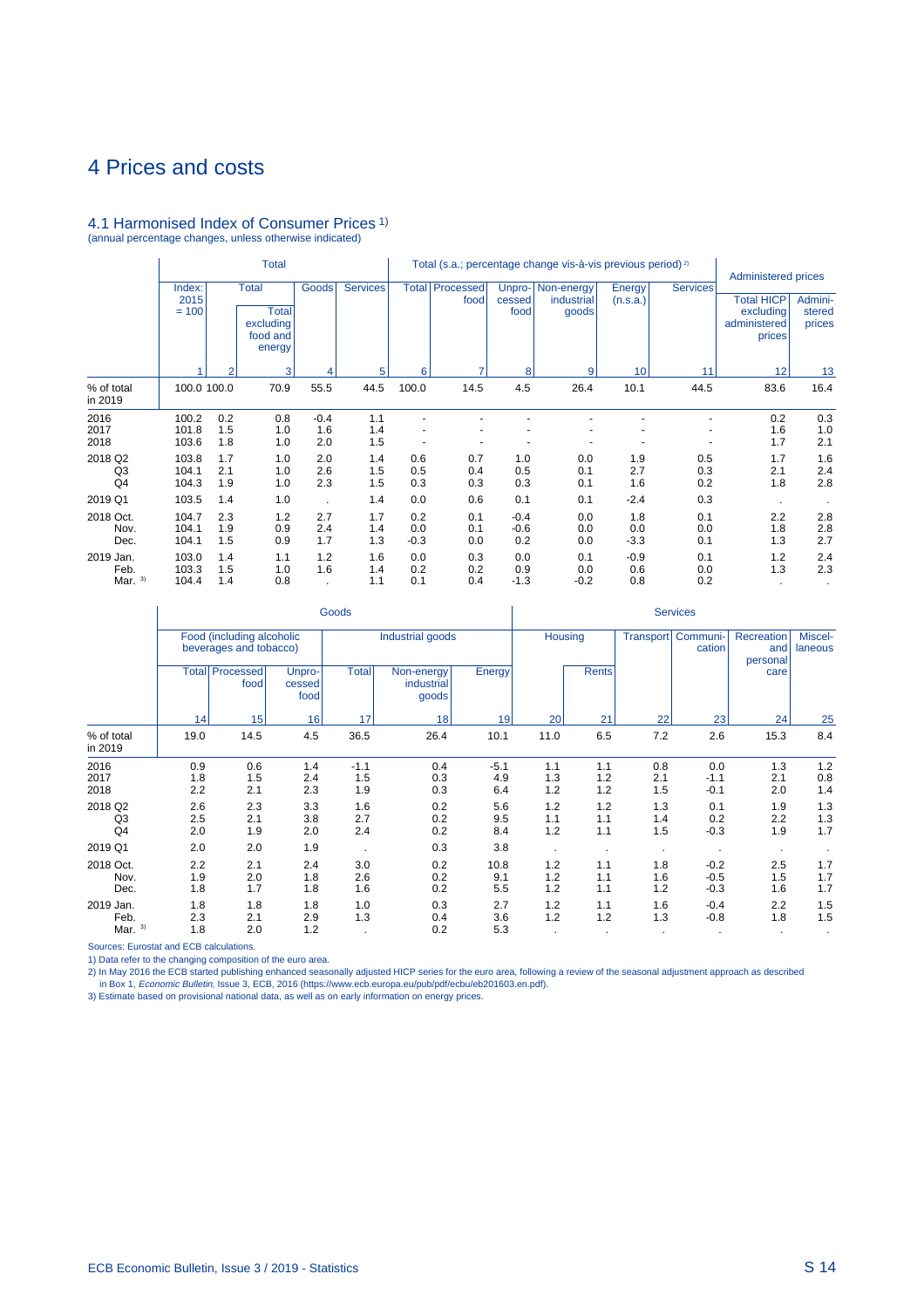#### 4.1 Harmonised Index of Consumer Prices 1) (annual percentage changes, unless otherwise indicated)

|                                |                           |                   | <b>Total</b>                                                    |                      |                   |                      |                   |                          | Total (s.a.; percentage change vis-à-vis previous period) <sup>2)</sup> |                      |                   | <b>Administered prices</b>                               |                             |
|--------------------------------|---------------------------|-------------------|-----------------------------------------------------------------|----------------------|-------------------|----------------------|-------------------|--------------------------|-------------------------------------------------------------------------|----------------------|-------------------|----------------------------------------------------------|-----------------------------|
|                                | Index:<br>2015<br>$= 100$ |                   | <b>Total</b><br><b>Total</b><br>excluding<br>food and<br>energy | Goods                | <b>Services</b>   | <b>Total</b>         | Processed<br>food | Unpro-<br>cessed<br>food | Non-energy<br>industrial<br>goods                                       | Energy<br>(n.s.a.)   | <b>Services</b>   | <b>Total HICP</b><br>excluding<br>administered<br>prices | Admini-<br>stered<br>prices |
|                                |                           | $\overline{2}$    | 3                                                               |                      | 5                 | 6                    | ۰,                | 8                        | 9                                                                       | 10                   | 11                | 12                                                       | 13                          |
| % of total<br>in 2019          | 100.0 100.0               |                   | 70.9                                                            | 55.5                 | 44.5              | 100.0                | 14.5              | 4.5                      | 26.4                                                                    | 10.1                 | 44.5              | 83.6                                                     | 16.4                        |
| 2016<br>2017<br>2018           | 100.2<br>101.8<br>103.6   | 0.2<br>1.5<br>1.8 | 0.8<br>1.0<br>1.0                                               | $-0.4$<br>1.6<br>2.0 | 1.1<br>1.4<br>1.5 |                      |                   |                          |                                                                         |                      |                   | 0.2<br>1.6<br>1.7                                        | 0.3<br>1.0<br>2.1           |
| 2018 Q2<br>Q3<br>Q4            | 103.8<br>104.1<br>104.3   | 1.7<br>2.1<br>1.9 | 1.0<br>1.0<br>1.0                                               | 2.0<br>2.6<br>2.3    | 1.4<br>1.5<br>1.5 | 0.6<br>0.5<br>0.3    | 0.7<br>0.4<br>0.3 | 1.0<br>0.5<br>0.3        | 0.0<br>0.1<br>0.1                                                       | 1.9<br>2.7<br>1.6    | 0.5<br>0.3<br>0.2 | 1.7<br>2.1<br>1.8                                        | 1.6<br>2.4<br>2.8           |
| 2019 Q1                        | 103.5                     | 1.4               | 1.0                                                             |                      | 1.4               | 0.0                  | 0.6               | 0.1                      | 0.1                                                                     | $-2.4$               | 0.3               |                                                          |                             |
| 2018 Oct.<br>Nov.<br>Dec.      | 104.7<br>104.1<br>104.1   | 2.3<br>1.9<br>1.5 | 1.2<br>0.9<br>0.9                                               | 2.7<br>2.4<br>1.7    | 1.7<br>1.4<br>1.3 | 0.2<br>0.0<br>$-0.3$ | 0.1<br>0.1<br>0.0 | $-0.4$<br>$-0.6$<br>0.2  | 0.0<br>0.0<br>0.0                                                       | 1.8<br>0.0<br>$-3.3$ | 0.1<br>0.0<br>0.1 | 2.2<br>1.8<br>1.3                                        | 2.8<br>2.8<br>2.7           |
| 2019 Jan.<br>Feb.<br>Mar. $3)$ | 103.0<br>103.3<br>104.4   | 1.4<br>1.5<br>1.4 | 1.1<br>1.0<br>0.8                                               | 1.2<br>1.6           | 1.6<br>1.4<br>1.1 | 0.0<br>0.2<br>0.1    | 0.3<br>0.2<br>0.4 | 0.0<br>0.9<br>$-1.3$     | 0.1<br>0.0<br>$-0.2$                                                    | $-0.9$<br>0.6<br>0.8 | 0.1<br>0.0<br>0.2 | 1.2<br>1.3                                               | 2.4<br>2.3                  |

|                                 |                   |                                                     |                          | Goods                |                                   |                      |                   |                   |                   | <b>Services</b>            |                               |                     |
|---------------------------------|-------------------|-----------------------------------------------------|--------------------------|----------------------|-----------------------------------|----------------------|-------------------|-------------------|-------------------|----------------------------|-------------------------------|---------------------|
|                                 |                   | Food (including alcoholic<br>beverages and tobacco) |                          |                      | Industrial goods                  |                      | <b>Housing</b>    |                   | <b>Transport</b>  | Communi-<br>cation         | Recreation<br>and<br>personal | Miscel-<br>laneous  |
|                                 |                   | <b>Total Processed</b><br>food                      | Unpro-<br>cessed<br>food | <b>Total</b>         | Non-energy<br>industrial<br>goods | Energy               |                   | <b>Rents</b>      |                   |                            | care                          |                     |
|                                 | 14                | 15                                                  | 16                       | 17                   | 18                                | 19                   | 20                | 21                | 22                | 23                         | 24                            | 25                  |
| % of total<br>in 2019           | 19.0              | 14.5                                                | 4.5                      | 36.5                 | 26.4                              | 10.1                 | 11.0              | 6.5               | 7.2               | 2.6                        | 15.3                          | 8.4                 |
| 2016<br>2017<br>2018            | 0.9<br>1.8<br>2.2 | 0.6<br>1.5<br>2.1                                   | 1.4<br>2.4<br>2.3        | $-1.1$<br>1.5<br>1.9 | 0.4<br>0.3<br>0.3                 | $-5.1$<br>4.9<br>6.4 | 1.1<br>1.3<br>1.2 | 1.1<br>1.2<br>1.2 | 0.8<br>2.1<br>1.5 | 0.0<br>$-1.1$<br>$-0.1$    | 1.3<br>2.1<br>2.0             | $1.2$<br>0.8<br>1.4 |
| 2018 Q2<br>Q <sub>3</sub><br>Q4 | 2.6<br>2.5<br>2.0 | 2.3<br>2.1<br>1.9                                   | 3.3<br>3.8<br>2.0        | 1.6<br>2.7<br>2.4    | 0.2<br>0.2<br>0.2                 | 5.6<br>9.5<br>8.4    | 1.2<br>1.1<br>1.2 | 1.2<br>1.1<br>1.1 | 1.3<br>1.4<br>1.5 | 0.1<br>0.2<br>$-0.3$       | 1.9<br>2.2<br>1.9             | 1.3<br>1.3<br>1.7   |
| 2019 Q1                         | 2.0               | 2.0                                                 | 1.9                      | $\bullet$            | 0.3                               | 3.8                  |                   |                   | $\cdot$           | $\blacksquare$             | $\cdot$                       |                     |
| 2018 Oct.<br>Nov.<br>Dec.       | 2.2<br>1.9<br>1.8 | 2.1<br>2.0<br>1.7                                   | 2.4<br>1.8<br>1.8        | 3.0<br>2.6<br>1.6    | 0.2<br>0.2<br>0.2                 | 10.8<br>9.1<br>5.5   | 1.2<br>1.2<br>1.2 | 1.1<br>1.1<br>1.1 | 1.8<br>1.6<br>1.2 | $-0.2$<br>$-0.5$<br>$-0.3$ | 2.5<br>1.5<br>1.6             | 1.7<br>1.7<br>1.7   |
| 2019 Jan.<br>Feb.<br>Mar. $3)$  | 1.8<br>2.3<br>1.8 | 1.8<br>2.1<br>2.0                                   | 1.8<br>2.9<br>1.2        | 1.0<br>1.3           | 0.3<br>0.4<br>0.2                 | 2.7<br>3.6<br>5.3    | 1.2<br>1.2        | 1.1<br>1.2        | 1.6<br>1.3        | $-0.4$<br>$-0.8$           | 2.2<br>1.8                    | 1.5<br>1.5          |

Sources: Eurostat and ECB calculations.

1) Data refer to the changing composition of the euro area.<br>2) In May 2016 the ECB started publishing enhanced seasonally adjusted HICP series for the euro area, following a review of the seasonal adjustment approach as de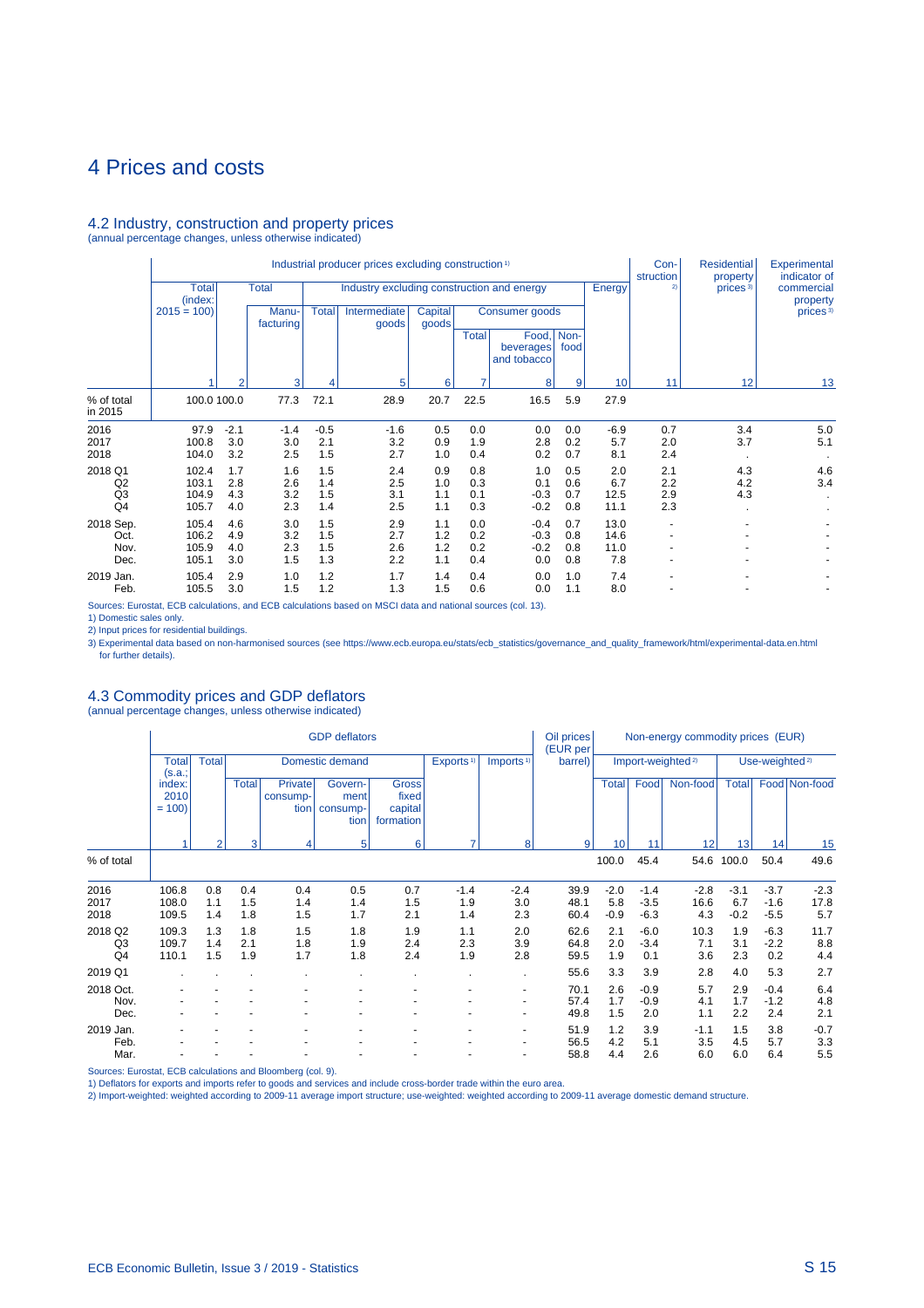### 4.2 Industry, construction and property prices

(annual percentage changes, unless otherwise indicated)

|                                                   |                                  |                          |                          |                          | Industrial producer prices excluding construction <sup>1)</sup> |                          |                          |                                   |                          |                             | Con-<br>struction        | <b>Residential</b><br>property | Experimental<br>indicator of |
|---------------------------------------------------|----------------------------------|--------------------------|--------------------------|--------------------------|-----------------------------------------------------------------|--------------------------|--------------------------|-----------------------------------|--------------------------|-----------------------------|--------------------------|--------------------------------|------------------------------|
|                                                   | <b>Total</b><br>(index:          |                          | <b>Total</b>             |                          | Industry excluding construction and energy                      |                          |                          |                                   |                          | Energy                      | 2)                       | prices <sup>3)</sup>           | commercial<br>property       |
|                                                   | $2015 = 100$                     |                          | Manu-<br>facturing       | <b>Total</b>             | Intermediate<br>goods                                           | <b>Capital</b><br>goods  |                          | Consumer goods                    |                          |                             |                          |                                | prices <sup>3)</sup>         |
|                                                   |                                  |                          |                          |                          |                                                                 |                          | <b>Total</b>             | Food,<br>beverages<br>and tobacco | Non-<br>food             |                             |                          |                                |                              |
|                                                   |                                  | 2                        | 3                        | 4                        | 5                                                               | 6                        |                          | 8                                 | 9                        | 10                          | 11                       | 12                             | 13                           |
| % of total<br>in 2015                             | 100.0 100.0                      |                          | 77.3                     | 72.1                     | 28.9                                                            | 20.7                     | 22.5                     | 16.5                              | 5.9                      | 27.9                        |                          |                                |                              |
| 2016                                              | 97.9                             | $-2.1$                   | $-1.4$                   | $-0.5$                   | $-1.6$                                                          | 0.5                      | 0.0                      | 0.0                               | 0.0                      | $-6.9$                      | 0.7                      | 3.4                            | 5.0                          |
| 2017<br>2018                                      | 100.8<br>104.0                   | 3.0<br>3.2               | 3.0<br>2.5               | 2.1<br>1.5               | 3.2<br>2.7                                                      | 0.9<br>1.0               | 1.9<br>0.4               | 2.8<br>0.2                        | 0.2<br>0.7               | 5.7<br>8.1                  | 2.0<br>2.4               | 3.7                            | 5.1                          |
| 2018 Q1<br>Q2<br>Q <sub>3</sub><br>Q <sub>4</sub> | 102.4<br>103.1<br>104.9<br>105.7 | 1.7<br>2.8<br>4.3<br>4.0 | 1.6<br>2.6<br>3.2<br>2.3 | 1.5<br>1.4<br>1.5<br>1.4 | 2.4<br>2.5<br>3.1<br>2.5                                        | 0.9<br>1.0<br>1.1<br>1.1 | 0.8<br>0.3<br>0.1<br>0.3 | 1.0<br>0.1<br>$-0.3$<br>$-0.2$    | 0.5<br>0.6<br>0.7<br>0.8 | 2.0<br>6.7<br>12.5<br>11.1  | 2.1<br>2.2<br>2.9<br>2.3 | 4.3<br>4.2<br>4.3              | 4.6<br>3.4                   |
| 2018 Sep.<br>Oct.<br>Nov.<br>Dec.                 | 105.4<br>106.2<br>105.9<br>105.1 | 4.6<br>4.9<br>4.0<br>3.0 | 3.0<br>3.2<br>2.3<br>1.5 | 1.5<br>1.5<br>1.5<br>1.3 | 2.9<br>2.7<br>2.6<br>2.2                                        | 1.1<br>1.2<br>1.2<br>1.1 | 0.0<br>0.2<br>0.2<br>0.4 | $-0.4$<br>$-0.3$<br>$-0.2$<br>0.0 | 0.7<br>0.8<br>0.8<br>0.8 | 13.0<br>14.6<br>11.0<br>7.8 |                          |                                |                              |
| 2019 Jan.<br>Feb.                                 | 105.4<br>105.5                   | 2.9<br>3.0               | 1.0<br>1.5               | 1.2<br>1.2               | 1.7<br>1.3                                                      | 1.4<br>1.5               | 0.4<br>0.6               | 0.0<br>0.0                        | 1.0<br>1.1               | 7.4<br>8.0                  |                          |                                |                              |

Sources: Eurostat, ECB calculations, and ECB calculations based on MSCI data and national sources (col. 13).

1) Domestic sales only.<br>2) Input prices for residential buildings.<br>3) Experimental data based on non-harmonised sources (see https://www.ecb.europa.eu/stats/ecb\_statistics/governance\_and\_quality\_framework/html/experimental

# 4.3 Commodity prices and GDP deflators (annual percentage changes, unless otherwise indicated)

|                                 |                           |                   |                   |                             | <b>GDP</b> deflators                |                                               |                       |                                                      | Oil prices<br>(EUR per |                         |                            | Non-energy commodity prices (EUR) |                         |                            |                       |
|---------------------------------|---------------------------|-------------------|-------------------|-----------------------------|-------------------------------------|-----------------------------------------------|-----------------------|------------------------------------------------------|------------------------|-------------------------|----------------------------|-----------------------------------|-------------------------|----------------------------|-----------------------|
|                                 | <b>Total</b><br>(s.a.;    | <b>Total</b>      |                   |                             | Domestic demand                     |                                               | Exports <sup>1)</sup> | Imports <sup>1)</sup>                                | barrel)                |                         |                            | Import-weighted <sup>2)</sup>     |                         | Use-weighted <sup>2)</sup> |                       |
|                                 | index:<br>2010<br>$= 100$ |                   | <b>Total</b>      | Private<br>consump-<br>tion | Govern-<br>ment<br>consump-<br>tion | <b>Gross</b><br>fixed<br>capital<br>formation |                       |                                                      |                        | <b>Total</b>            | Food                       | Non-food                          | <b>Total</b>            |                            | Food Non-food         |
|                                 |                           | $\overline{2}$    | 3                 | 4                           | 5                                   | 6 <sub>1</sub>                                | 7                     | 8 <sup>1</sup>                                       | 9                      | 10 <sup>1</sup>         | 11                         | 12                                | 13                      | 14                         | 15                    |
| % of total                      |                           |                   |                   |                             |                                     |                                               |                       |                                                      |                        | 100.0                   | 45.4                       |                                   | 54.6 100.0              | 50.4                       | 49.6                  |
| 2016<br>2017<br>2018            | 106.8<br>108.0<br>109.5   | 0.8<br>1.1<br>1.4 | 0.4<br>1.5<br>1.8 | 0.4<br>1.4<br>1.5           | 0.5<br>1.4<br>1.7                   | 0.7<br>1.5<br>2.1                             | $-1.4$<br>1.9<br>1.4  | $-2.4$<br>3.0<br>2.3                                 | 39.9<br>48.1<br>60.4   | $-2.0$<br>5.8<br>$-0.9$ | $-1.4$<br>$-3.5$<br>$-6.3$ | $-2.8$<br>16.6<br>4.3             | $-3.1$<br>6.7<br>$-0.2$ | $-3.7$<br>$-1.6$<br>$-5.5$ | $-2.3$<br>17.8<br>5.7 |
| 2018 Q2<br>Q3<br>Q <sub>4</sub> | 109.3<br>109.7<br>110.1   | 1.3<br>1.4<br>1.5 | 1.8<br>2.1<br>1.9 | 1.5<br>1.8<br>1.7           | 1.8<br>1.9<br>1.8                   | 1.9<br>2.4<br>2.4                             | 1.1<br>2.3<br>1.9     | 2.0<br>3.9<br>2.8                                    | 62.6<br>64.8<br>59.5   | 2.1<br>2.0<br>1.9       | $-6.0$<br>$-3.4$<br>0.1    | 10.3<br>7.1<br>3.6                | 1.9<br>3.1<br>2.3       | $-6.3$<br>$-2.2$<br>0.2    | 11.7<br>8.8<br>4.4    |
| 2019 Q1                         |                           |                   |                   |                             |                                     |                                               |                       | $\bullet$                                            | 55.6                   | 3.3                     | 3.9                        | 2.8                               | 4.0                     | 5.3                        | 2.7                   |
| 2018 Oct.<br>Nov.<br>Dec.       |                           |                   |                   |                             |                                     |                                               |                       | $\overline{\phantom{a}}$<br>$\overline{\phantom{a}}$ | 70.1<br>57.4<br>49.8   | 2.6<br>1.7<br>1.5       | $-0.9$<br>$-0.9$<br>2.0    | 5.7<br>4.1<br>1.1                 | 2.9<br>1.7<br>2.2       | $-0.4$<br>$-1.2$<br>2.4    | 6.4<br>4.8<br>2.1     |
| 2019 Jan.<br>Feb.<br>Mar.       |                           |                   |                   |                             |                                     |                                               |                       | $\overline{\phantom{a}}$                             | 51.9<br>56.5<br>58.8   | 1.2<br>4.2<br>4.4       | 3.9<br>5.1<br>2.6          | $-1.1$<br>3.5<br>6.0              | 1.5<br>4.5<br>6.0       | 3.8<br>5.7<br>6.4          | $-0.7$<br>3.3<br>5.5  |

Sources: Eurostat, ECB calculations and Bloomberg (col. 9).

1) Deflators for exports and imports refer to goods and services and include cross-border trade within the euro area.<br>2) Import-weighted: weighted according to 2009-11 average import structure; use-weighted: weighted accor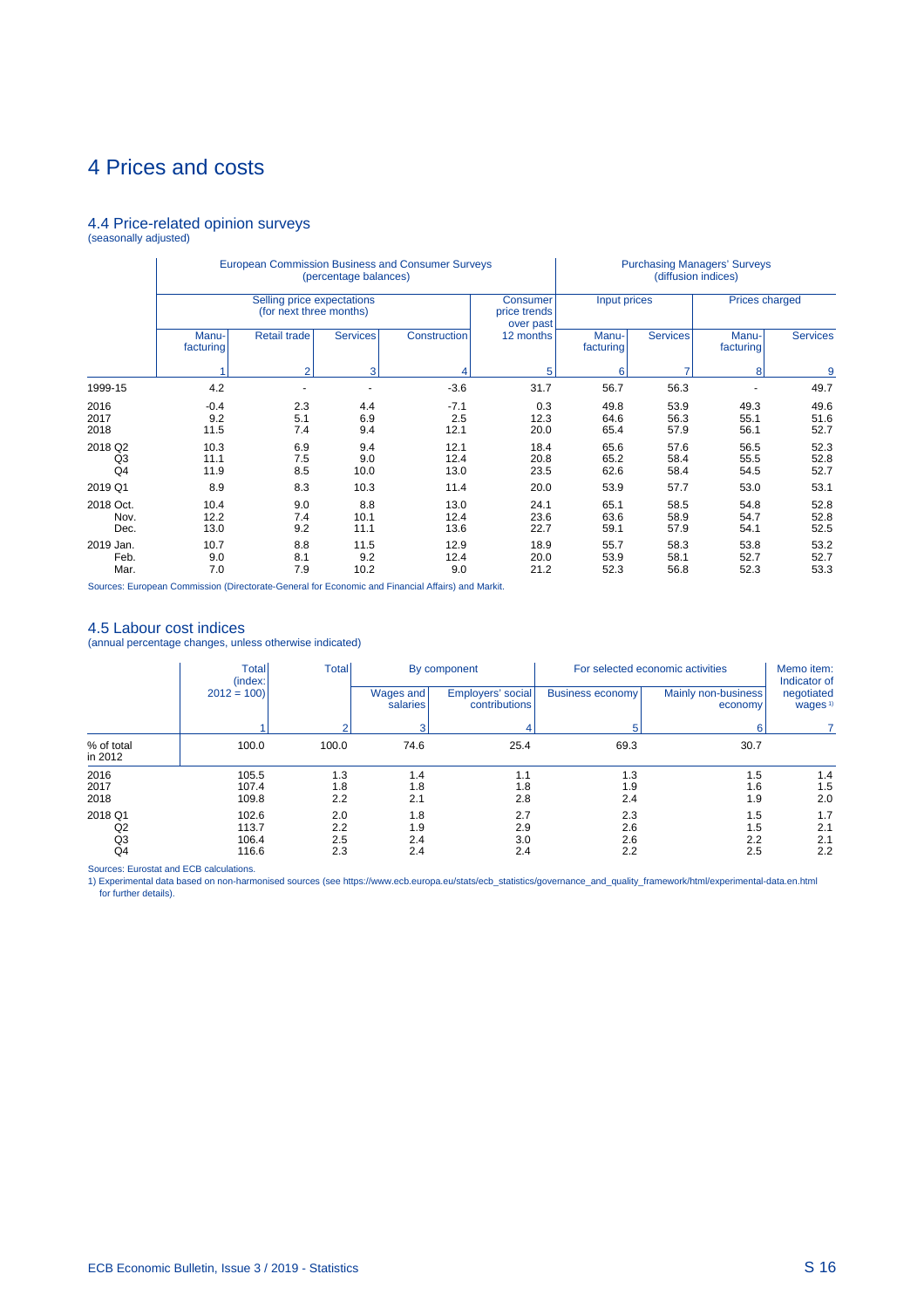### 4.4 Price-related opinion surveys (seasonally adjusted)

|                                 |                       |                                                       | (percentage balances)    | <b>European Commission Business and Consumer Surveys</b> |                                       |                      | (diffusion indices)  | <b>Purchasing Managers' Surveys</b> |                      |
|---------------------------------|-----------------------|-------------------------------------------------------|--------------------------|----------------------------------------------------------|---------------------------------------|----------------------|----------------------|-------------------------------------|----------------------|
|                                 |                       | Selling price expectations<br>(for next three months) |                          |                                                          | Consumer<br>price trends<br>over past | Input prices         |                      | <b>Prices charged</b>               |                      |
|                                 | Manu-<br>facturing    | Retail trade                                          | <b>Services</b>          | Construction                                             | 12 months                             | Manu-<br>facturing   | <b>Services</b>      | Manu-<br>facturing                  | <b>Services</b>      |
|                                 |                       | $\overline{2}$                                        | 3                        |                                                          | 5                                     | 6                    |                      | 8                                   | 9                    |
| 1999-15                         | 4.2                   |                                                       | $\overline{\phantom{a}}$ | $-3.6$                                                   | 31.7                                  | 56.7                 | 56.3                 |                                     | 49.7                 |
| 2016<br>2017<br>2018            | $-0.4$<br>9.2<br>11.5 | 2.3<br>5.1<br>7.4                                     | 4.4<br>6.9<br>9.4        | $-7.1$<br>2.5<br>12.1                                    | 0.3<br>12.3<br>20.0                   | 49.8<br>64.6<br>65.4 | 53.9<br>56.3<br>57.9 | 49.3<br>55.1<br>56.1                | 49.6<br>51.6<br>52.7 |
| 2018 Q2<br>Q3<br>Q <sub>4</sub> | 10.3<br>11.1<br>11.9  | 6.9<br>7.5<br>8.5                                     | 9.4<br>9.0<br>10.0       | 12.1<br>12.4<br>13.0                                     | 18.4<br>20.8<br>23.5                  | 65.6<br>65.2<br>62.6 | 57.6<br>58.4<br>58.4 | 56.5<br>55.5<br>54.5                | 52.3<br>52.8<br>52.7 |
| 2019 Q1                         | 8.9                   | 8.3                                                   | 10.3                     | 11.4                                                     | 20.0                                  | 53.9                 | 57.7                 | 53.0                                | 53.1                 |
| 2018 Oct.<br>Nov.<br>Dec.       | 10.4<br>12.2<br>13.0  | 9.0<br>7.4<br>9.2                                     | 8.8<br>10.1<br>11.1      | 13.0<br>12.4<br>13.6                                     | 24.1<br>23.6<br>22.7                  | 65.1<br>63.6<br>59.1 | 58.5<br>58.9<br>57.9 | 54.8<br>54.7<br>54.1                | 52.8<br>52.8<br>52.5 |
| 2019 Jan.<br>Feb.<br>Mar.       | 10.7<br>9.0<br>7.0    | 8.8<br>8.1<br>7.9                                     | 11.5<br>9.2<br>10.2      | 12.9<br>12.4<br>9.0                                      | 18.9<br>20.0<br>21.2                  | 55.7<br>53.9<br>52.3 | 58.3<br>58.1<br>56.8 | 53.8<br>52.7<br>52.3                | 53.2<br>52.7<br>53.3 |

Sources: European Commission (Directorate-General for Economic and Financial Affairs) and Markit.

4.5 Labour cost indices (annual percentage changes, unless otherwise indicated)

|                                 | <b>Total</b><br>(index: | <b>Total</b>      |                       | By component                       |                   | For selected economic activities | Memo item:<br>Indicator of        |
|---------------------------------|-------------------------|-------------------|-----------------------|------------------------------------|-------------------|----------------------------------|-----------------------------------|
|                                 | $2012 = 100$            |                   | Wages and<br>salaries | Employers' social<br>contributions | Business economy  | Mainly non-business<br>economy   | negotiated<br>wages <sup>1)</sup> |
|                                 |                         |                   |                       |                                    |                   | 6.                               |                                   |
| % of total<br>in 2012           | 100.0                   | 100.0             | 74.6                  | 25.4                               | 69.3              | 30.7                             |                                   |
| 2016<br>2017<br>2018            | 105.5<br>107.4<br>109.8 | 1.3<br>1.8<br>2.2 | 1.4<br>1.8<br>2.1     | 1.1<br>1.8<br>2.8                  | 1.3<br>1.9<br>2.4 | 1.5<br>1.6<br>1.9                | 1.4<br>1.5<br>2.0                 |
| 2018 Q1<br>Q <sub>2</sub><br>Q3 | 102.6<br>113.7<br>106.4 | 2.0<br>2.2<br>2.5 | 1.8<br>1.9<br>2.4     | 2.7<br>2.9<br>3.0                  | 2.3<br>2.6<br>2.6 | 1.5<br>1.5<br>2.2                | 1.7<br>2.1<br>2.1                 |
| Q4                              | 116.6                   | 2.3               | 2.4                   | 2.4                                | 2.2               | 2.5                              | 2.2                               |

Sources: Eurostat and ECB calculations.<br>1) Experimental data based on non-harmonised sources (see https://www.ecb.europa.eu/stats/ecb\_statistics/governance\_and\_quality\_framework/html/experimental-data.en.html for further details).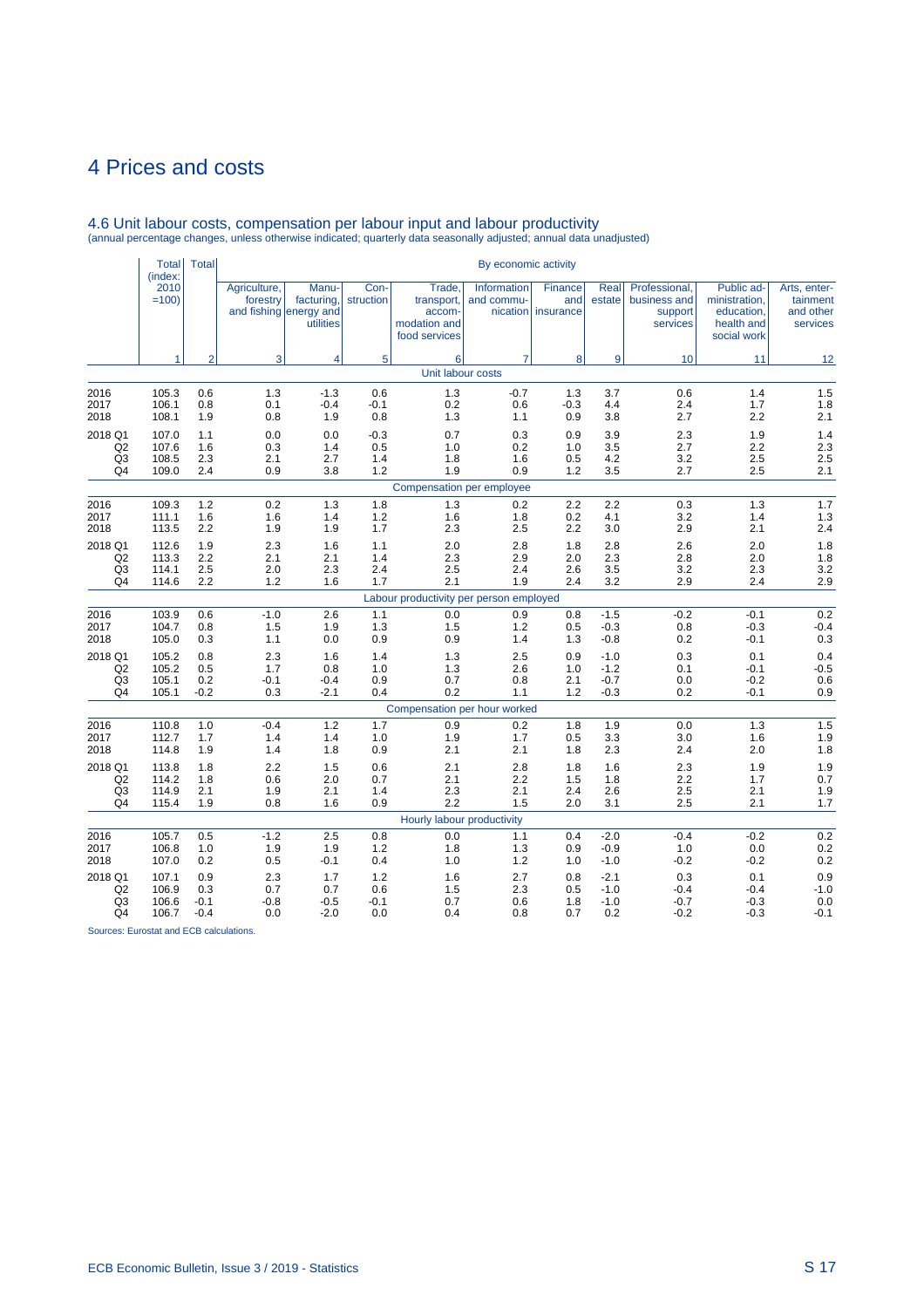|                                                               | <b>Total</b><br>(index:          | <b>Total</b>                   |                             |                                                            |                             |                                                                 | By economic activity                  |                             |                                      |                                                      |                                                                        |                                                   |
|---------------------------------------------------------------|----------------------------------|--------------------------------|-----------------------------|------------------------------------------------------------|-----------------------------|-----------------------------------------------------------------|---------------------------------------|-----------------------------|--------------------------------------|------------------------------------------------------|------------------------------------------------------------------------|---------------------------------------------------|
|                                                               | 2010<br>$=100$                   |                                | Agriculture,<br>forestry    | Manu-<br>facturing,<br>and fishing energy and<br>utilities | Con-<br>struction           | Trade.<br>transport,<br>accom-<br>modation and<br>food services | Information<br>and commu-<br>nication | Finance<br>and<br>insurance | Real<br>estate                       | Professional.<br>business and<br>support<br>services | Public ad-<br>ministration,<br>education,<br>health and<br>social work | Arts, enter-<br>tainment<br>and other<br>services |
|                                                               | 1                                | $\overline{2}$                 | 3                           | 4                                                          | 5                           | 6                                                               | $\overline{7}$                        | 8                           | 9                                    | 10                                                   | 11                                                                     | 12                                                |
|                                                               |                                  |                                |                             |                                                            |                             | Unit labour costs                                               |                                       |                             |                                      |                                                      |                                                                        |                                                   |
| 2016<br>2017<br>2018                                          | 105.3<br>106.1<br>108.1          | 0.6<br>0.8<br>1.9              | 1.3<br>0.1<br>0.8           | $-1.3$<br>$-0.4$<br>1.9                                    | 0.6<br>$-0.1$<br>0.8        | 1.3<br>0.2<br>1.3                                               | $-0.7$<br>0.6<br>1.1                  | 1.3<br>$-0.3$<br>0.9        | 3.7<br>4.4<br>3.8                    | 0.6<br>2.4<br>2.7                                    | 1.4<br>1.7<br>2.2                                                      | 1.5<br>1.8<br>2.1                                 |
| 2018 Q1<br>Q <sub>2</sub><br>Q <sub>3</sub><br>Q <sub>4</sub> | 107.0<br>107.6<br>108.5<br>109.0 | 1.1<br>1.6<br>2.3<br>2.4       | 0.0<br>0.3<br>2.1<br>0.9    | 0.0<br>1.4<br>2.7<br>3.8                                   | $-0.3$<br>0.5<br>1.4<br>1.2 | 0.7<br>1.0<br>1.8<br>1.9                                        | 0.3<br>0.2<br>1.6<br>0.9              | 0.9<br>1.0<br>0.5<br>1.2    | 3.9<br>3.5<br>4.2<br>3.5             | 2.3<br>2.7<br>3.2<br>2.7                             | 1.9<br>2.2<br>2.5<br>2.5                                               | 1.4<br>2.3<br>2.5<br>2.1                          |
|                                                               |                                  |                                |                             |                                                            |                             | Compensation per employee                                       |                                       |                             |                                      |                                                      |                                                                        |                                                   |
| 2016<br>2017<br>2018                                          | 109.3<br>111.1<br>113.5          | 1.2<br>1.6<br>2.2              | 0.2<br>1.6<br>1.9           | 1.3<br>1.4<br>1.9                                          | 1.8<br>1.2<br>1.7           | 1.3<br>1.6<br>2.3                                               | 0.2<br>1.8<br>2.5                     | 2.2<br>0.2<br>2.2           | 2.2<br>4.1<br>3.0                    | 0.3<br>3.2<br>2.9                                    | 1.3<br>1.4<br>2.1                                                      | 1.7<br>1.3<br>2.4                                 |
| 2018 Q1<br>Q <sub>2</sub><br>Q <sub>3</sub><br>Q4             | 112.6<br>113.3<br>114.1<br>114.6 | 1.9<br>2.2<br>2.5<br>2.2       | 2.3<br>2.1<br>2.0<br>1.2    | 1.6<br>2.1<br>2.3<br>1.6                                   | 1.1<br>1.4<br>2.4<br>1.7    | 2.0<br>2.3<br>2.5<br>2.1                                        | 2.8<br>2.9<br>2.4<br>1.9              | 1.8<br>2.0<br>2.6<br>2.4    | 2.8<br>2.3<br>3.5<br>3.2             | 2.6<br>2.8<br>3.2<br>2.9                             | 2.0<br>2.0<br>2.3<br>2.4                                               | 1.8<br>1.8<br>3.2<br>2.9                          |
|                                                               |                                  |                                |                             |                                                            |                             | Labour productivity per person employed                         |                                       |                             |                                      |                                                      |                                                                        |                                                   |
| 2016<br>2017<br>2018                                          | 103.9<br>104.7<br>105.0          | 0.6<br>0.8<br>0.3              | $-1.0$<br>1.5<br>1.1        | 2.6<br>1.9<br>0.0                                          | 1.1<br>1.3<br>0.9           | 0.0<br>1.5<br>0.9                                               | 0.9<br>1.2<br>1.4                     | 0.8<br>0.5<br>1.3           | $-1.5$<br>$-0.3$<br>$-0.8$           | $-0.2$<br>0.8<br>0.2                                 | $-0.1$<br>$-0.3$<br>$-0.1$                                             | 0.2<br>$-0.4$<br>0.3                              |
| 2018 Q1<br>Q2<br>Q <sub>3</sub><br>Q <sub>4</sub>             | 105.2<br>105.2<br>105.1<br>105.1 | 0.8<br>0.5<br>0.2<br>$-0.2$    | 2.3<br>1.7<br>$-0.1$<br>0.3 | 1.6<br>0.8<br>$-0.4$<br>$-2.1$                             | 1.4<br>1.0<br>0.9<br>0.4    | 1.3<br>1.3<br>0.7<br>0.2                                        | 2.5<br>2.6<br>0.8<br>1.1              | 0.9<br>1.0<br>2.1<br>1.2    | $-1.0$<br>$-1.2$<br>$-0.7$<br>$-0.3$ | 0.3<br>0.1<br>0.0<br>0.2                             | 0.1<br>$-0.1$<br>$-0.2$<br>$-0.1$                                      | $0.4$<br>$-0.5$<br>0.6<br>0.9                     |
|                                                               |                                  |                                |                             |                                                            |                             | Compensation per hour worked                                    |                                       |                             |                                      |                                                      |                                                                        |                                                   |
| 2016<br>2017<br>2018                                          | 110.8<br>112.7<br>114.8          | 1.0<br>1.7<br>1.9              | $-0.4$<br>1.4<br>1.4        | 1.2<br>1.4<br>1.8                                          | 1.7<br>1.0<br>0.9           | 0.9<br>1.9<br>2.1                                               | 0.2<br>1.7<br>2.1                     | 1.8<br>0.5<br>1.8           | 1.9<br>3.3<br>2.3                    | 0.0<br>3.0<br>2.4                                    | 1.3<br>1.6<br>2.0                                                      | 1.5<br>1.9<br>1.8                                 |
| 2018 Q1<br>Q <sub>2</sub><br>Q <sub>3</sub><br>Q4             | 113.8<br>114.2<br>114.9<br>115.4 | 1.8<br>1.8<br>2.1<br>1.9       | 2.2<br>0.6<br>1.9<br>0.8    | 1.5<br>2.0<br>2.1<br>1.6                                   | 0.6<br>0.7<br>1.4<br>0.9    | 2.1<br>2.1<br>2.3<br>2.2                                        | 2.8<br>2.2<br>2.1<br>1.5              | 1.8<br>1.5<br>2.4<br>2.0    | 1.6<br>1.8<br>2.6<br>3.1             | 2.3<br>2.2<br>2.5<br>2.5                             | 1.9<br>1.7<br>2.1<br>2.1                                               | 1.9<br>0.7<br>1.9<br>1.7                          |
|                                                               |                                  |                                |                             |                                                            |                             | Hourly labour productivity                                      |                                       |                             |                                      |                                                      |                                                                        |                                                   |
| 2016<br>2017<br>2018                                          | 105.7<br>106.8<br>107.0          | 0.5<br>1.0<br>0.2              | $-1.2$<br>1.9<br>0.5        | 2.5<br>1.9<br>-0.1                                         | 0.8<br>$1.2$<br>0.4         | 0.0<br>1.8<br>1.0                                               | 1.1<br>1.3<br>1.2                     | 0.4<br>0.9<br>1.0           | $-2.0$<br>$-0.9$<br>$-1.0$           | $-0.4$<br>1.0<br>$-0.2$                              | $-0.2$<br>0.0<br>$-0.2$                                                | 0.2<br>0.2<br>0.2                                 |
| 2018 Q1<br>Q <sub>2</sub><br>Q <sub>3</sub><br>Q4             | 107.1<br>106.9<br>106.6<br>106.7 | 0.9<br>0.3<br>$-0.1$<br>$-0.4$ | 2.3<br>0.7<br>$-0.8$<br>0.0 | 1.7<br>0.7<br>$-0.5$<br>$-2.0$                             | 1.2<br>0.6<br>$-0.1$<br>0.0 | 1.6<br>1.5<br>0.7<br>0.4                                        | 2.7<br>2.3<br>0.6<br>0.8              | 0.8<br>0.5<br>1.8<br>0.7    | $-2.1$<br>$-1.0$<br>$-1.0$<br>0.2    | 0.3<br>$-0.4$<br>$-0.7$<br>$-0.2$                    | 0.1<br>$-0.4$<br>$-0.3$<br>$-0.3$                                      | $0.9 - 1.0$<br>0.0<br>$-0.1$                      |

# 4.6 Unit labour costs, compensation per labour input and labour productivity (annual percentage changes, unless otherwise indicated; quarterly data seasonally adjusted; annual data unadjusted)

Sources: Eurostat and ECB calculations.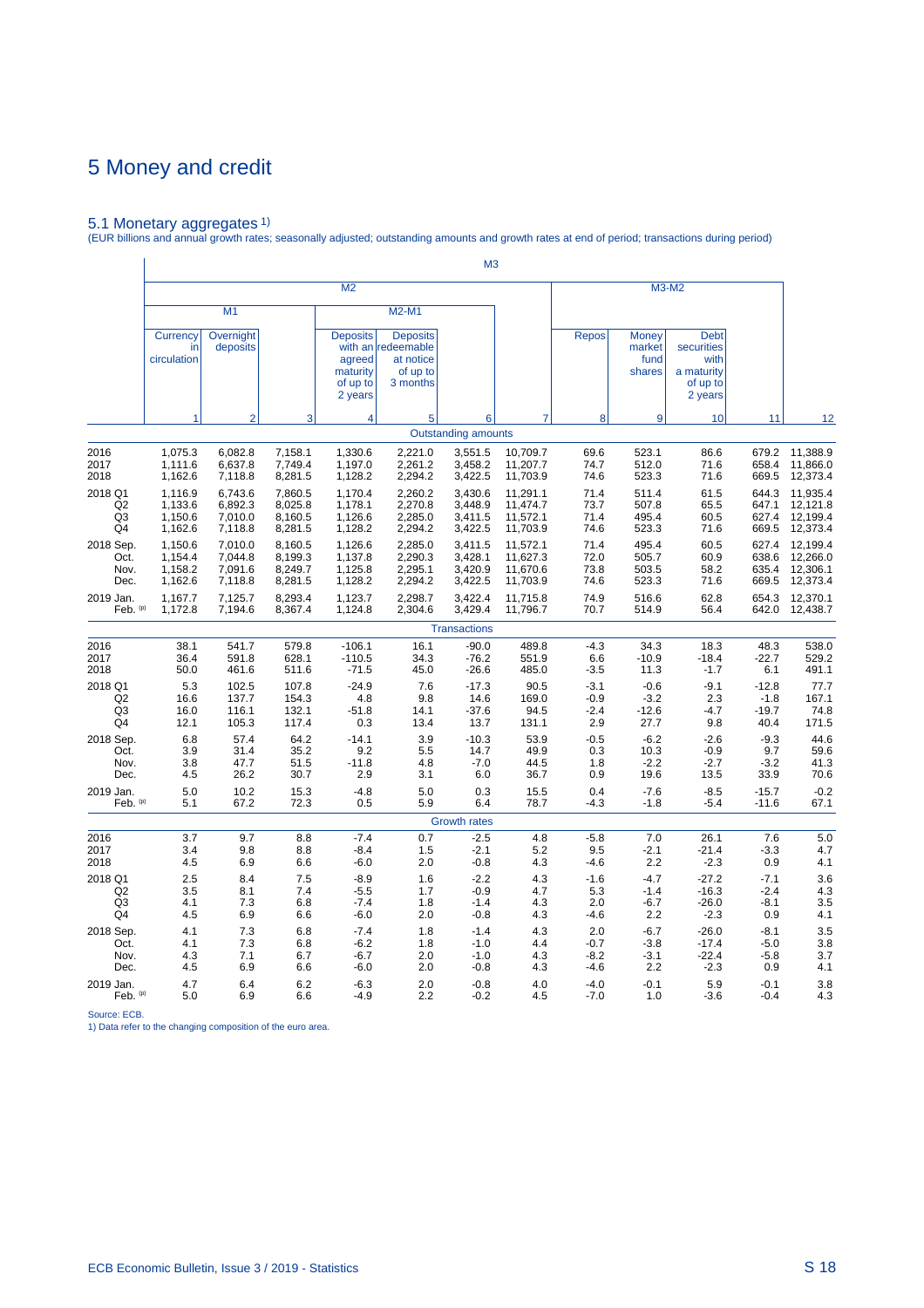5.1 Monetary aggregates 1) (EUR billions and annual growth rates; seasonally adjusted; outstanding amounts and growth rates at end of period; transactions during period)

|                |                               |                       |         | M <sub>2</sub>                                               |                                                                            |                            |          |              |                                          | M3-M2                                                                  |         |          |
|----------------|-------------------------------|-----------------------|---------|--------------------------------------------------------------|----------------------------------------------------------------------------|----------------------------|----------|--------------|------------------------------------------|------------------------------------------------------------------------|---------|----------|
|                |                               | M1                    |         |                                                              | M2-M1                                                                      |                            |          |              |                                          |                                                                        |         |          |
|                | Currency<br>in<br>circulation | Overnight<br>deposits |         | <b>Deposits</b><br>agreed<br>maturity<br>of up to<br>2 years | <b>Deposits</b><br>with an redeemable<br>at notice<br>of up to<br>3 months |                            |          | <b>Repos</b> | <b>Money</b><br>market<br>fund<br>shares | <b>Debt</b><br>securities<br>with<br>a maturity<br>of up to<br>2 years |         |          |
|                | 1                             | $\overline{2}$        | 3       | 4                                                            | 5                                                                          | 6                          |          | 8            | 9                                        | 10                                                                     | 11      | 12       |
|                |                               |                       |         |                                                              |                                                                            | <b>Outstanding amounts</b> |          |              |                                          |                                                                        |         |          |
| 2016           | 1,075.3                       | 6,082.8               | 7,158.1 | 1,330.6                                                      | 2,221.0                                                                    | 3,551.5                    | 10,709.7 | 69.6         | 523.1                                    | 86.6                                                                   | 679.2   | 11,388.9 |
| 2017           | 1,111.6                       | 6,637.8               | 7,749.4 | 1,197.0                                                      | 2,261.2                                                                    | 3,458.2                    | 11,207.7 | 74.7         | 512.0                                    | 71.6                                                                   | 658.4   | 11,866.0 |
| 2018           | 1,162.6                       | 7,118.8               | 8,281.5 | 1,128.2                                                      | 2,294.2                                                                    | 3,422.5                    | 11,703.9 | 74.6         | 523.3                                    | 71.6                                                                   | 669.5   | 12,373.4 |
| 2018 Q1        | 1,116.9                       | 6,743.6               | 7,860.5 | 1,170.4                                                      | 2,260.2                                                                    | 3,430.6                    | 11,291.1 | 71.4         | 511.4                                    | 61.5                                                                   | 644.3   | 11,935.4 |
| Q <sub>2</sub> | 1,133.6                       | 6,892.3               | 8,025.8 | 1,178.1                                                      | 2,270.8                                                                    | 3,448.9                    | 11,474.7 | 73.7         | 507.8                                    | 65.5                                                                   | 647.1   | 12,121.8 |
| Q <sub>3</sub> | 1,150.6                       | 7,010.0               | 8,160.5 | 1,126.6                                                      | 2,285.0                                                                    | 3,411.5                    | 11,572.1 | 71.4         | 495.4                                    | 60.5                                                                   | 627.4   | 12,199.4 |
| Q4             | 1,162.6                       | 7,118.8               | 8,281.5 | 1,128.2                                                      | 2,294.2                                                                    | 3,422.5                    | 11,703.9 | 74.6         | 523.3                                    | 71.6                                                                   | 669.5   | 12,373.4 |
| 2018 Sep.      | 1,150.6                       | 7,010.0               | 8,160.5 | 1,126.6                                                      | 2,285.0                                                                    | 3,411.5                    | 11,572.1 | 71.4         | 495.4                                    | 60.5                                                                   | 627.4   | 12,199.4 |
| Oct.           | 1,154.4                       | 7,044.8               | 8,199.3 | 1,137.8                                                      | 2,290.3                                                                    | 3,428.1                    | 11,627.3 | 72.0         | 505.7                                    | 60.9                                                                   | 638.6   | 12,266.0 |
| Nov.           | 1,158.2                       | 7,091.6               | 8,249.7 | 1,125.8                                                      | 2,295.1                                                                    | 3,420.9                    | 11,670.6 | 73.8         | 503.5                                    | 58.2                                                                   | 635.4   | 12,306.1 |
| Dec.           | 1,162.6                       | 7,118.8               | 8,281.5 | 1,128.2                                                      | 2,294.2                                                                    | 3,422.5                    | 11,703.9 | 74.6         | 523.3                                    | 71.6                                                                   | 669.5   | 12,373.4 |
| 2019 Jan.      | 1,167.7                       | 7,125.7               | 8,293.4 | 1,123.7                                                      | 2,298.7                                                                    | 3,422.4                    | 11,715.8 | 74.9         | 516.6                                    | 62.8                                                                   | 654.3   | 12,370.1 |
| Feb. $(p)$     | 1,172.8                       | 7,194.6               | 8,367.4 | 1,124.8                                                      | 2,304.6                                                                    | 3,429.4                    | 11,796.7 | 70.7         | 514.9                                    | 56.4                                                                   | 642.0   | 12,438.7 |
|                |                               |                       |         |                                                              |                                                                            | <b>Transactions</b>        |          |              |                                          |                                                                        |         |          |
| 2016           | 38.1                          | 541.7                 | 579.8   | $-106.1$                                                     | 16.1                                                                       | $-90.0$                    | 489.8    | $-4.3$       | 34.3                                     | 18.3                                                                   | 48.3    | 538.0    |
| 2017           | 36.4                          | 591.8                 | 628.1   | $-110.5$                                                     | 34.3                                                                       | $-76.2$                    | 551.9    | 6.6          | $-10.9$                                  | $-18.4$                                                                | -22.7   | 529.2    |
| 2018           | 50.0                          | 461.6                 | 511.6   | $-71.5$                                                      | 45.0                                                                       | $-26.6$                    | 485.0    | $-3.5$       | 11.3                                     | $-1.7$                                                                 | 6.1     | 491.1    |
| 2018 Q1        | 5.3                           | 102.5                 | 107.8   | $-24.9$                                                      | 7.6                                                                        | $-17.3$                    | 90.5     | $-3.1$       | $-0.6$                                   | $-9.1$                                                                 | $-12.8$ | 77.7     |
| Q2             | 16.6                          | 137.7                 | 154.3   | 4.8                                                          | 9.8                                                                        | 14.6                       | 169.0    | $-0.9$       | $-3.2$                                   | 2.3                                                                    | $-1.8$  | 167.1    |
| Q3             | 16.0                          | 116.1                 | 132.1   | $-51.8$                                                      | 14.1                                                                       | $-37.6$                    | 94.5     | $-2.4$       | $-12.6$                                  | $-4.7$                                                                 | $-19.7$ | 74.8     |
| Q4             | 12.1                          | 105.3                 | 117.4   | 0.3                                                          | 13.4                                                                       | 13.7                       | 131.1    | 2.9          | 27.7                                     | 9.8                                                                    | 40.4    | 171.5    |
| 2018 Sep.      | 6.8                           | 57.4                  | 64.2    | $-14.1$                                                      | 3.9                                                                        | $-10.3$                    | 53.9     | $-0.5$       | $-6.2$                                   | $-2.6$                                                                 | $-9.3$  | 44.6     |
| Oct.           | 3.9                           | 31.4                  | 35.2    | 9.2                                                          | 5.5                                                                        | 14.7                       | 49.9     | 0.3          | 10.3                                     | $-0.9$                                                                 | 9.7     | 59.6     |
| Nov.           | 3.8                           | 47.7                  | 51.5    | $-11.8$                                                      | 4.8                                                                        | $-7.0$                     | 44.5     | 1.8          | $-2.2$                                   | $-2.7$                                                                 | $-3.2$  | 41.3     |
| Dec.           | 4.5                           | 26.2                  | 30.7    | 2.9                                                          | 3.1                                                                        | 6.0                        | 36.7     | 0.9          | 19.6                                     | 13.5                                                                   | 33.9    | 70.6     |
| 2019 Jan.      | 5.0                           | 10.2                  | 15.3    | $-4.8$                                                       | 5.0                                                                        | 0.3                        | 15.5     | 0.4          | $-7.6$                                   | $-8.5$                                                                 | $-15.7$ | $-0.2$   |
| Feb. (p)       | 5.1                           | 67.2                  | 72.3    | 0.5                                                          | 5.9                                                                        | 6.4                        | 78.7     | -4.3         | $-1.8$                                   | $-5.4$                                                                 | $-11.6$ | 67.1     |
|                |                               |                       |         |                                                              |                                                                            | <b>Growth rates</b>        |          |              |                                          |                                                                        |         |          |
| 2016           | 3.7                           | 9.7                   | 8.8     | $-7.4$                                                       | 0.7                                                                        | $-2.5$                     | 4.8      | $-5.8$       | 7.0                                      | 26.1                                                                   | 7.6     | 5.0      |
| 2017           | 3.4                           | 9.8                   | 8.8     | -8.4                                                         | 1.5                                                                        | $-2.1$                     | 5.2      | 9.5          | $-2.1$                                   | $-21.4$                                                                | $-3.3$  | 4.7      |
| 2018           | 4.5                           | 6.9                   | 6.6     | $-6.0$                                                       | 2.0                                                                        | $-0.8$                     | 4.3      | $-4.6$       | 2.2                                      | $-2.3$                                                                 | 0.9     | 4.1      |
| 2018 Q1        | 2.5                           | 8.4                   | 7.5     | $-8.9$                                                       | 1.6                                                                        | $-2.2$                     | 4.3      | $-1.6$       | $-4.7$                                   | $-27.2$                                                                | $-7.1$  | 3.6      |
| Q <sub>2</sub> | 3.5                           | 8.1                   | 7.4     | $-5.5$                                                       | 1.7                                                                        | $-0.9$                     | 4.7      | 5.3          | $-1.4$                                   | $-16.3$                                                                | $-2.4$  | 4.3      |
| Q3             | 4.1                           | 7.3                   | 6.8     | $-7.4$                                                       | 1.8                                                                        | $-1.4$                     | 4.3      | 2.0          | $-6.7$                                   | $-26.0$                                                                | -8.1    | 3.5      |
| Q <sub>4</sub> | 4.5                           | 6.9                   | 6.6     | $-6.0$                                                       | 2.0                                                                        | $-0.8$                     | 4.3      | $-4.6$       | 2.2                                      | $-2.3$                                                                 | 0.9     | 4.1      |
| 2018 Sep.      | 4.1                           | 7.3                   | 6.8     | $-7.4$                                                       | 1.8                                                                        | $-1.4$                     | 4.3      | 2.0          | $-6.7$                                   | $-26.0$                                                                | $-8.1$  | 3.5      |
| Oct.           | 4.1                           | 7.3                   | 6.8     | $-6.2$                                                       | 1.8                                                                        | $-1.0$                     | 4.4      | $-0.7$       | $-3.8$                                   | $-17.4$                                                                | $-5.0$  | 3.8      |
| Nov.           | 4.3                           | 7.1                   | 6.7     | $-6.7$                                                       | 2.0                                                                        | $-1.0$                     | 4.3      | $-8.2$       | $-3.1$                                   | $-22.4$                                                                | $-5.8$  | 3.7      |
| Dec.           | 4.5                           | 6.9                   | 6.6     | $-6.0$                                                       | 2.0                                                                        | $-0.8$                     | 4.3      | $-4.6$       | 2.2                                      | $-2.3$                                                                 | 0.9     | 4.1      |
| 2019 Jan.      | 4.7                           | 6.4                   | 6.2     | $-6.3$                                                       | 2.0                                                                        | $-0.8$                     | 4.0      | $-4.0$       | $-0.1$                                   | 5.9                                                                    | $-0.1$  | 3.8      |
| Feb. (p)       | 5.0                           | 6.9                   | 6.6     | $-4.9$                                                       | 2.2                                                                        | $-0.2$                     | 4.5      | $-7.0$       | 1.0                                      | $-3.6$                                                                 | $-0.4$  | 4.3      |

Source: ECB. 1) Data refer to the changing composition of the euro area.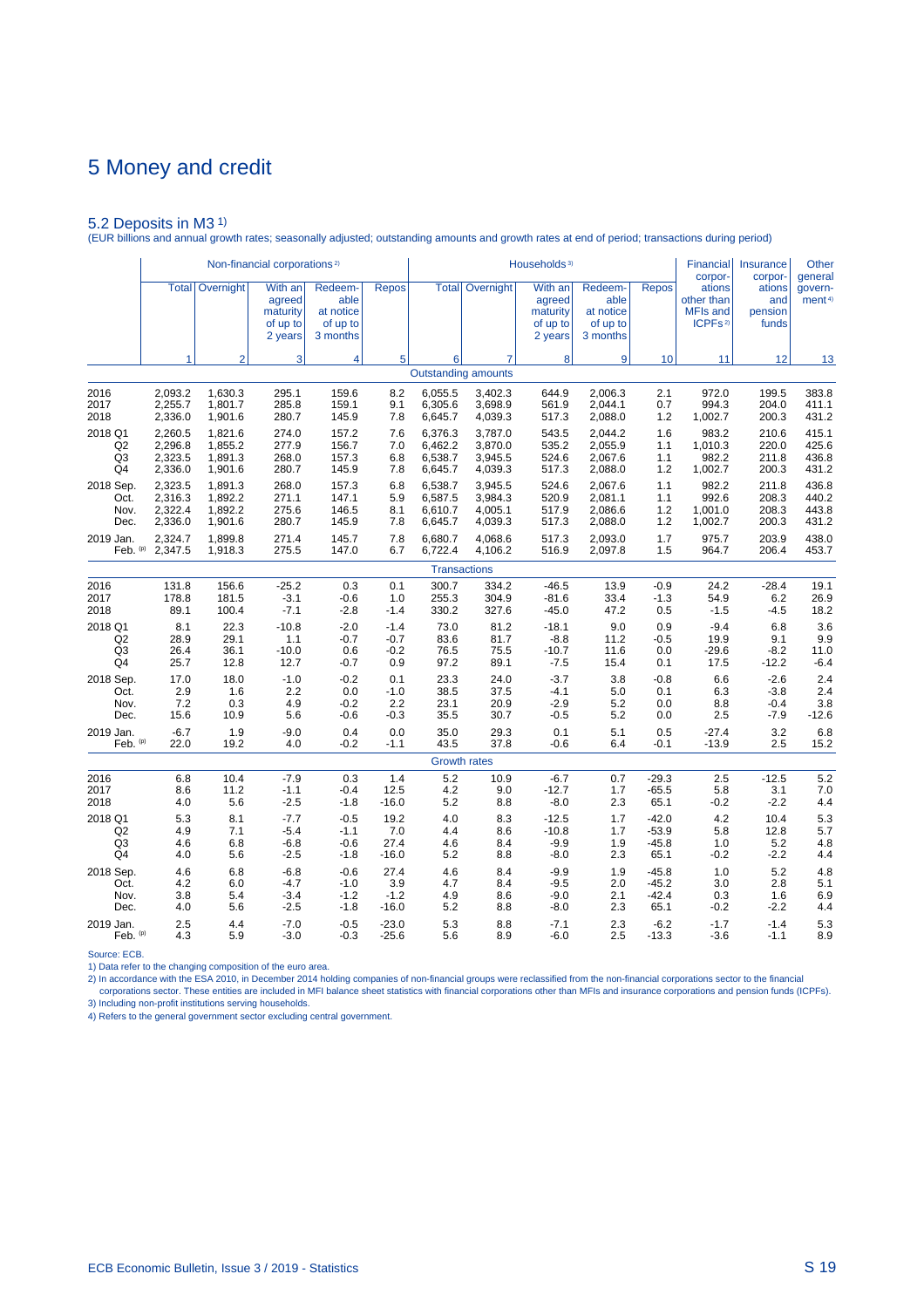5.2 Deposits in M3 1) (EUR billions and annual growth rates; seasonally adjusted; outstanding amounts and growth rates at end of period; transactions during period)

|                |         |                        | Non-financial corporations <sup>2)</sup>             |                                                      |              |         |                            | Households <sup>3)</sup>                             |                                                      |              | <b>Financial</b><br>corpor-                             | Insurance<br>corpor-              | <b>Other</b><br>general       |
|----------------|---------|------------------------|------------------------------------------------------|------------------------------------------------------|--------------|---------|----------------------------|------------------------------------------------------|------------------------------------------------------|--------------|---------------------------------------------------------|-----------------------------------|-------------------------------|
|                |         | <b>Total</b> Overnight | With an<br>agreed<br>maturity<br>of up to<br>2 years | Redeem-<br>able<br>at notice<br>of up to<br>3 months | <b>Repos</b> |         | <b>Total Overnight</b>     | With an<br>agreed<br>maturity<br>of up to<br>2 years | Redeem-<br>able<br>at notice<br>of up to<br>3 months | <b>Repos</b> | ations<br>other than<br>MFIs and<br>ICPFs <sup>2)</sup> | ations<br>and<br>pension<br>funds | govern-<br>ment <sup>4)</sup> |
|                | 1       | $\overline{2}$         | 3                                                    | $\overline{4}$                                       | 5            | 6       | 7                          | 8                                                    | 9                                                    | 10           | 11                                                      | 12                                | 13                            |
|                |         |                        |                                                      |                                                      |              |         | <b>Outstanding amounts</b> |                                                      |                                                      |              |                                                         |                                   |                               |
| 2016           | 2,093.2 | 1,630.3                | 295.1                                                | 159.6                                                | 8.2          | 6,055.5 | 3,402.3                    | 644.9                                                | 2,006.3                                              | 2.1          | 972.0                                                   | 199.5                             | 383.8                         |
| 2017           | 2,255.7 | 1,801.7                | 285.8                                                | 159.1                                                | 9.1          | 6,305.6 | 3,698.9                    | 561.9                                                | 2,044.1                                              | 0.7          | 994.3                                                   | 204.0                             | 411.1                         |
| 2018           | 2,336.0 | 1,901.6                | 280.7                                                | 145.9                                                | 7.8          | 6,645.7 | 4,039.3                    | 517.3                                                | 2,088.0                                              | $1.2$        | 1,002.7                                                 | 200.3                             | 431.2                         |
| 2018 Q1        | 2,260.5 | 1,821.6                | 274.0                                                | 157.2                                                | 7.6          | 6,376.3 | 3,787.0                    | 543.5                                                | 2,044.2                                              | 1.6          | 983.2                                                   | 210.6                             | 415.1                         |
| Q <sub>2</sub> | 2,296.8 | 1,855.2                | 277.9                                                | 156.7                                                | 7.0          | 6,462.2 | 3,870.0                    | 535.2                                                | 2,055.9                                              | 1.1          | 1,010.3                                                 | 220.0                             | 425.6                         |
| Q3             | 2,323.5 | 1,891.3                | 268.0                                                | 157.3                                                | 6.8          | 6,538.7 | 3,945.5                    | 524.6                                                | 2.067.6                                              | 1.1          | 982.2                                                   | 211.8                             | 436.8                         |
| Q4             | 2,336.0 | 1,901.6                | 280.7                                                | 145.9                                                | 7.8          | 6,645.7 | 4,039.3                    | 517.3                                                | 2,088.0                                              | 1.2          | 1,002.7                                                 | 200.3                             | 431.2                         |
| 2018 Sep.      | 2,323.5 | 1,891.3                | 268.0                                                | 157.3                                                | 6.8          | 6,538.7 | 3,945.5                    | 524.6                                                | 2,067.6                                              | 1.1          | 982.2                                                   | 211.8                             | 436.8                         |
| Oct.           | 2,316.3 | 1,892.2                | 271.1                                                | 147.1                                                | 5.9          | 6,587.5 | 3,984.3                    | 520.9                                                | 2,081.1                                              | 1.1          | 992.6                                                   | 208.3                             | 440.2                         |
| Nov.           | 2,322.4 | 1,892.2                | 275.6                                                | 146.5                                                | 8.1          | 6,610.7 | 4,005.1                    | 517.9                                                | 2,086.6                                              | $1.2$        | 1,001.0                                                 | 208.3                             | 443.8                         |
| Dec.           | 2,336.0 | 1,901.6                | 280.7                                                | 145.9                                                | 7.8          | 6,645.7 | 4,039.3                    | 517.3                                                | 2,088.0                                              | $1.2$        | 1,002.7                                                 | 200.3                             | 431.2                         |
| 2019 Jan.      | 2,324.7 | 1,899.8                | 271.4                                                | 145.7                                                | 7.8          | 6,680.7 | 4,068.6                    | 517.3                                                | 2,093.0                                              | 1.7          | 975.7                                                   | 203.9                             | 438.0                         |
| Feb. (p)       | 2,347.5 | 1,918.3                | 275.5                                                | 147.0                                                | 6.7          | 6,722.4 | 4,106.2                    | 516.9                                                | 2,097.8                                              | 1.5          | 964.7                                                   | 206.4                             | 453.7                         |
|                |         |                        |                                                      |                                                      |              |         | <b>Transactions</b>        |                                                      |                                                      |              |                                                         |                                   |                               |
| 2016           | 131.8   | 156.6                  | $-25.2$                                              | 0.3                                                  | 0.1          | 300.7   | 334.2                      | $-46.5$                                              | 13.9                                                 | $-0.9$       | 24.2                                                    | $-28.4$                           | 19.1                          |
| 2017           | 178.8   | 181.5                  | $-3.1$                                               | $-0.6$                                               | 1.0          | 255.3   | 304.9                      | $-81.6$                                              | 33.4                                                 | $-1.3$       | 54.9                                                    | 6.2                               | 26.9                          |
| 2018           | 89.1    | 100.4                  | $-7.1$                                               | $-2.8$                                               | $-1.4$       | 330.2   | 327.6                      | $-45.0$                                              | 47.2                                                 | 0.5          | $-1.5$                                                  | $-4.5$                            | 18.2                          |
| 2018 Q1        | 8.1     | 22.3                   | $-10.8$                                              | $-2.0$                                               | $-1.4$       | 73.0    | 81.2                       | $-18.1$                                              | 9.0                                                  | 0.9          | $-9.4$                                                  | 6.8                               | 3.6                           |
| Q2             | 28.9    | 29.1                   | 1.1                                                  | $-0.7$                                               | $-0.7$       | 83.6    | 81.7                       | $-8.8$                                               | 11.2                                                 | $-0.5$       | 19.9                                                    | 9.1                               | 9.9                           |
| Q3             | 26.4    | 36.1                   | $-10.0$                                              | 0.6                                                  | $-0.2$       | 76.5    | 75.5                       | $-10.7$                                              | 11.6                                                 | 0.0          | $-29.6$                                                 | $-8.2$                            | 11.0                          |
| Q4             | 25.7    | 12.8                   | 12.7                                                 | $-0.7$                                               | 0.9          | 97.2    | 89.1                       | $-7.5$                                               | 15.4                                                 | 0.1          | 17.5                                                    | $-12.2$                           | $-6.4$                        |
| 2018 Sep.      | 17.0    | 18.0                   | $-1.0$                                               | $-0.2$                                               | 0.1          | 23.3    | 24.0                       | $-3.7$                                               | 3.8                                                  | $-0.8$       | 6.6                                                     | $-2.6$                            | 2.4                           |
| Oct.           | 2.9     | 1.6                    | 2.2                                                  | 0.0                                                  | $-1.0$       | 38.5    | 37.5                       | $-4.1$                                               | 5.0                                                  | 0.1          | 6.3                                                     | $-3.8$                            | 2.4                           |
| Nov.           | 7.2     | 0.3                    | 4.9                                                  | $-0.2$                                               | 2.2          | 23.1    | 20.9                       | $-2.9$                                               | 5.2                                                  | 0.0          | 8.8                                                     | $-0.4$                            | 3.8                           |
| Dec.           | 15.6    | 10.9                   | 5.6                                                  | $-0.6$                                               | $-0.3$       | 35.5    | 30.7                       | $-0.5$                                               | 5.2                                                  | 0.0          | 2.5                                                     | $-7.9$                            | $-12.6$                       |
| 2019 Jan.      | $-6.7$  | 1.9                    | $-9.0$                                               | 0.4                                                  | 0.0          | 35.0    | 29.3                       | 0.1                                                  | 5.1                                                  | 0.5          | $-27.4$                                                 | 3.2                               | 6.8                           |
| Feb. (p)       | 22.0    | 19.2                   | 4.0                                                  | $-0.2$                                               | $-1.1$       | 43.5    | 37.8                       | $-0.6$                                               | 6.4                                                  | $-0.1$       | $-13.9$                                                 | 2.5                               | 15.2                          |
|                |         |                        |                                                      |                                                      |              |         | <b>Growth rates</b>        |                                                      |                                                      |              |                                                         |                                   |                               |
| 2016           | 6.8     | 10.4                   | $-7.9$                                               | 0.3                                                  | 1.4          | 5.2     | 10.9                       | $-6.7$                                               | 0.7                                                  | $-29.3$      | 2.5                                                     | $-12.5$                           | 5.2                           |
| 2017           | 8.6     | 11.2                   | $-1.1$                                               | -0.4                                                 | 12.5         | 4.2     | 9.0                        | $-12.7$                                              | 1.7                                                  | $-65.5$      | 5.8                                                     | 3.1                               | 7.0                           |
| 2018           | 4.0     | 5.6                    | $-2.5$                                               | $-1.8$                                               | -16.0        | 5.2     | 8.8                        | $-8.0$                                               | 2.3                                                  | 65.1         | $-0.2$                                                  | $-2.2$                            | 4.4                           |
| 2018 Q1        | 5.3     | 8.1                    | $-7.7$                                               | $-0.5$                                               | 19.2         | 4.0     | 8.3                        | $-12.5$                                              | 1.7                                                  | $-42.0$      | 4.2                                                     | 10.4                              | 5.3                           |
| Q2             | 4.9     | 7.1                    | $-5.4$                                               | $-1.1$                                               | 7.0          | 4.4     | 8.6                        | $-10.8$                                              | 1.7                                                  | $-53.9$      | 5.8                                                     | 12.8                              | 5.7                           |
| Q <sub>3</sub> | 4.6     | 6.8                    | $-6.8$                                               | $-0.6$                                               | 27.4         | 4.6     | 8.4                        | $-9.9$                                               | 1.9                                                  | $-45.8$      | 1.0                                                     | 5.2                               | 4.8                           |
| Q4             | 4.0     | 5.6                    | $-2.5$                                               | $-1.8$                                               | $-16.0$      | 5.2     | 8.8                        | $-8.0$                                               | 2.3                                                  | 65.1         | $-0.2$                                                  | $-2.2$                            | 4.4                           |
| 2018 Sep.      | 4.6     | 6.8                    | $-6.8$                                               | $-0.6$                                               | 27.4         | 4.6     | 8.4                        | $-9.9$                                               | 1.9                                                  | $-45.8$      | 1.0                                                     | 5.2                               | 4.8                           |
| Oct.           | 4.2     | 6.0                    | $-4.7$                                               | $-1.0$                                               | 3.9          | 4.7     | 8.4                        | $-9.5$                                               | 2.0                                                  | $-45.2$      | 3.0                                                     | 2.8                               | 5.1                           |
| Nov.           | 3.8     | 5.4                    | $-3.4$                                               | $-1.2$                                               | $-1.2$       | 4.9     | 8.6                        | $-9.0$                                               | 2.1                                                  | $-42.4$      | 0.3                                                     | 1.6                               | 6.9                           |
| Dec.           | 4.0     | 5.6                    | $-2.5$                                               | $-1.8$                                               | $-16.0$      | 5.2     | 8.8                        | $-8.0$                                               | 2.3                                                  | 65.1         | $-0.2$                                                  | $-2.2$                            | 4.4                           |
| 2019 Jan.      | 2.5     | 4.4                    | $-7.0$                                               | $-0.5$                                               | $-23.0$      | 5.3     | 8.8                        | $-7.1$                                               | 2.3                                                  | $-6.2$       | $-1.7$                                                  | $-1.4$                            | 5.3                           |
| Feb. (p)       | 4.3     | 5.9                    | -3.0                                                 | $-0.3$                                               | $-25.6$      | 5.6     | 8.9                        | $-6.0$                                               | 2.5                                                  | $-13.3$      | $-3.6$                                                  | $-1.1$                            | 8.9                           |

Source: ECB.

1) Data refer to the changing composition of the euro area.

2) In accordance with the ESA 2010, in December 2014 holding companies of non-financial groups were reclassified from the non-financial corporations sector to the financial<br>- corporations sector. These entities are include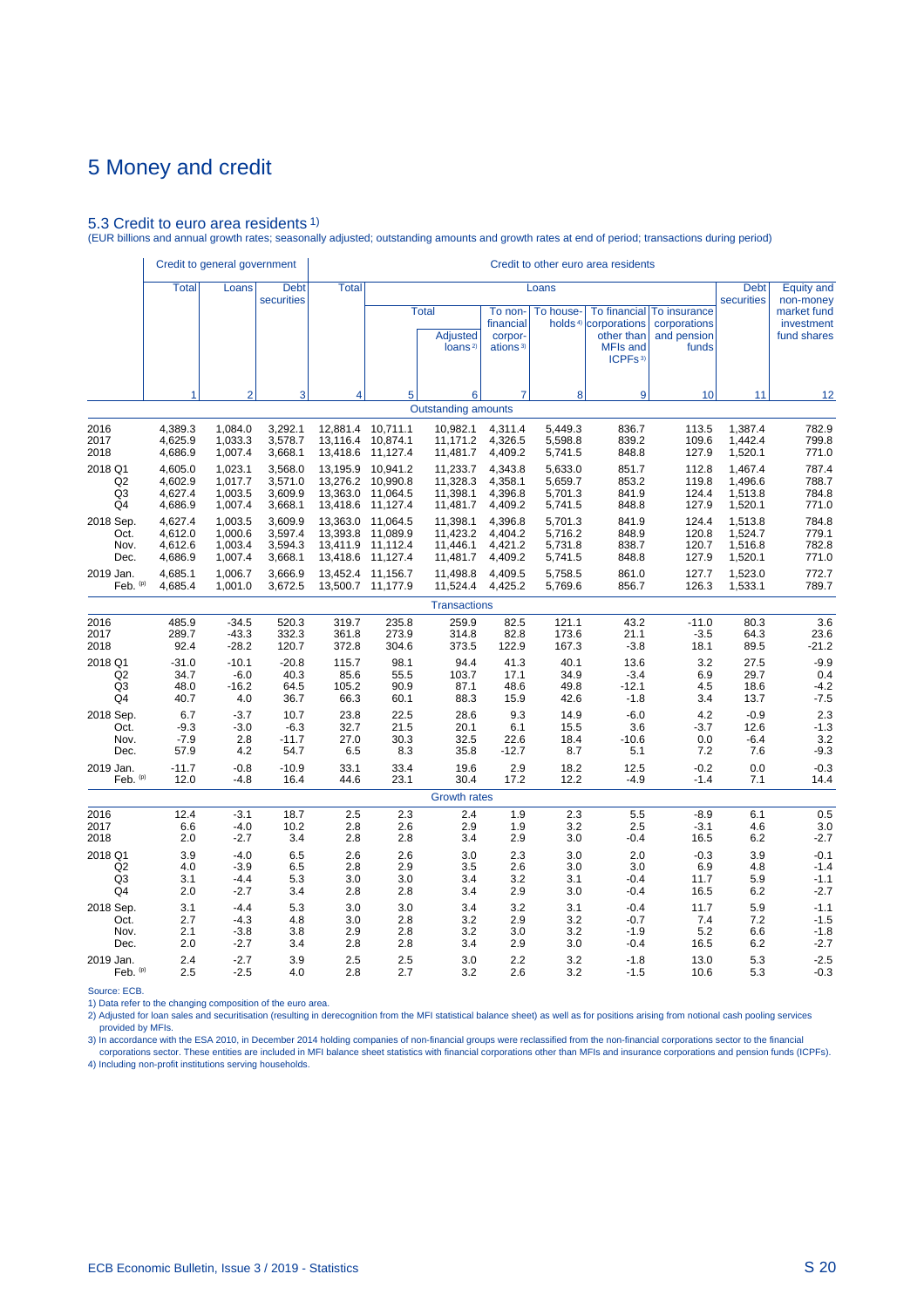#### 5.3 Credit to euro area residents 1)

(EUR billions and annual growth rates; seasonally adjusted; outstanding amounts and growth rates at end of period; transactions during period)

|                      | Credit to general government  |                               |                               |                                           |                      |                                                        |                                                         |                               | Credit to other euro area residents                                                                      |                                                      |                               |                                          |
|----------------------|-------------------------------|-------------------------------|-------------------------------|-------------------------------------------|----------------------|--------------------------------------------------------|---------------------------------------------------------|-------------------------------|----------------------------------------------------------------------------------------------------------|------------------------------------------------------|-------------------------------|------------------------------------------|
|                      | <b>Total</b>                  | Loans                         | <b>Debt</b><br>securities     | <b>Total</b>                              |                      |                                                        |                                                         | Loans                         |                                                                                                          |                                                      | <b>Debt</b><br>securities     | <b>Equity and</b><br>non-money           |
|                      |                               |                               |                               |                                           |                      | <b>Total</b><br><b>Adjusted</b><br>loans <sup>2)</sup> | To non-<br>financial<br>corpor-<br>ations <sup>3)</sup> | To house-                     | To financial<br>holds <sup>4)</sup> corporations<br>other than<br><b>MFIs and</b><br>ICPFs <sup>3)</sup> | To insurance<br>corporations<br>and pension<br>funds |                               | market fund<br>investment<br>fund shares |
|                      | 1                             | $\overline{2}$                | 3                             | 4                                         | 5                    | 6                                                      | 7                                                       | 8                             | 9                                                                                                        | 10                                                   | 11                            | 12                                       |
|                      |                               |                               |                               |                                           |                      | <b>Outstanding amounts</b>                             |                                                         |                               |                                                                                                          |                                                      |                               |                                          |
| 2016<br>2017<br>2018 | 4,389.3<br>4,625.9<br>4,686.9 | 1,084.0<br>1,033.3<br>1,007.4 | 3,292.1<br>3,578.7<br>3,668.1 | 12,881.4 10,711.1<br>13,116.4<br>13,418.6 | 10,874.1<br>11,127.4 | 10,982.1<br>11,171.2<br>11,481.7                       | 4,311.4<br>4,326.5<br>4,409.2                           | 5,449.3<br>5,598.8<br>5,741.5 | 836.7<br>839.2<br>848.8                                                                                  | 113.5<br>109.6<br>127.9                              | 1,387.4<br>1,442.4<br>1,520.1 | 782.9<br>799.8<br>771.0                  |
| 2018 Q1              | 4,605.0                       | 1,023.1                       | 3,568.0                       | 13,195.9                                  | 10,941.2             | 11,233.7                                               | 4,343.8                                                 | 5,633.0                       | 851.7                                                                                                    | 112.8                                                | 1,467.4                       | 787.4                                    |
| Q <sub>2</sub>       | 4,602.9                       | 1,017.7                       | 3,571.0                       | 13,276.2                                  | 10,990.8             | 11,328.3                                               | 4,358.1                                                 | 5,659.7                       | 853.2                                                                                                    | 119.8                                                | 1,496.6                       | 788.7                                    |
| Q3                   | 4,627.4                       | 1,003.5                       | 3,609.9                       | 13,363.0                                  | 11,064.5             | 11,398.1                                               | 4,396.8                                                 | 5,701.3                       | 841.9                                                                                                    | 124.4                                                | 1,513.8                       | 784.8                                    |
| Q4                   | 4,686.9                       | 1,007.4                       | 3,668.1                       | 13,418.6                                  | 11,127.4             | 11,481.7                                               | 4,409.2                                                 | 5,741.5                       | 848.8                                                                                                    | 127.9                                                | 1,520.1                       | 771.0                                    |
| 2018 Sep.            | 4,627.4                       | 1,003.5                       | 3.609.9                       | 13,363.0                                  | 11,064.5             | 11,398.1                                               | 4.396.8                                                 | 5,701.3                       | 841.9                                                                                                    | 124.4                                                | 1,513.8                       | 784.8                                    |
| Oct.                 | 4,612.0                       | 1,000.6                       | 3,597.4                       | 13,393.8                                  | 11,089.9             | 11,423.2                                               | 4,404.2                                                 | 5,716.2                       | 848.9                                                                                                    | 120.8                                                | 1,524.7                       | 779.1                                    |
| Nov.                 | 4,612.6                       | 1,003.4                       | 3,594.3                       | 13,411.9                                  | 11,112.4             | 11,446.1                                               | 4,421.2                                                 | 5,731.8                       | 838.7                                                                                                    | 120.7                                                | 1,516.8                       | 782.8                                    |
| Dec.                 | 4,686.9                       | 1,007.4                       | 3,668.1                       | 13,418.6                                  | 11,127.4             | 11,481.7                                               | 4,409.2                                                 | 5,741.5                       | 848.8                                                                                                    | 127.9                                                | 1,520.1                       | 771.0                                    |
| 2019 Jan.            | 4,685.1                       | 1,006.7                       | 3,666.9                       | 13,452.4                                  | 11,156.7             | 11.498.8                                               | 4.409.5                                                 | 5,758.5                       | 861.0                                                                                                    | 127.7                                                | 1,523.0                       | 772.7                                    |
| Feb. (p)             | 4,685.4                       | 1,001.0                       | 3,672.5                       | 13,500.7                                  | 11,177.9             | 11,524.4                                               | 4,425.2                                                 | 5,769.6                       | 856.7                                                                                                    | 126.3                                                | 1,533.1                       | 789.7                                    |
|                      |                               |                               |                               |                                           |                      | <b>Transactions</b>                                    |                                                         |                               |                                                                                                          |                                                      |                               |                                          |
| 2016                 | 485.9                         | $-34.5$                       | 520.3                         | 319.7                                     | 235.8                | 259.9                                                  | 82.5                                                    | 121.1                         | 43.2                                                                                                     | $-11.0$                                              | 80.3                          | 3.6                                      |
| 2017                 | 289.7                         | $-43.3$                       | 332.3                         | 361.8                                     | 273.9                | 314.8                                                  | 82.8                                                    | 173.6                         | 21.1                                                                                                     | $-3.5$                                               | 64.3                          | 23.6                                     |
| 2018                 | 92.4                          | $-28.2$                       | 120.7                         | 372.8                                     | 304.6                | 373.5                                                  | 122.9                                                   | 167.3                         | $-3.8$                                                                                                   | 18.1                                                 | 89.5                          | $-21.2$                                  |
| 2018 Q1              | $-31.0$                       | $-10.1$                       | $-20.8$                       | 115.7                                     | 98.1                 | 94.4                                                   | 41.3                                                    | 40.1                          | 13.6                                                                                                     | 3.2                                                  | 27.5                          | $-9.9$                                   |
| Q <sub>2</sub>       | 34.7                          | $-6.0$                        | 40.3                          | 85.6                                      | 55.5                 | 103.7                                                  | 17.1                                                    | 34.9                          | $-3.4$                                                                                                   | 6.9                                                  | 29.7                          | 0.4                                      |
| Q3                   | 48.0                          | $-16.2$                       | 64.5                          | 105.2                                     | 90.9                 | 87.1                                                   | 48.6                                                    | 49.8                          | $-12.1$                                                                                                  | 4.5                                                  | 18.6                          | $-4.2$                                   |
| Q4                   | 40.7                          | 4.0                           | 36.7                          | 66.3                                      | 60.1                 | 88.3                                                   | 15.9                                                    | 42.6                          | $-1.8$                                                                                                   | 3.4                                                  | 13.7                          | $-7.5$                                   |
| 2018 Sep.            | 6.7                           | $-3.7$                        | 10.7                          | 23.8                                      | 22.5                 | 28.6                                                   | 9.3                                                     | 14.9                          | $-6.0$                                                                                                   | 4.2                                                  | $-0.9$                        | 2.3                                      |
| Oct.                 | $-9.3$                        | $-3.0$                        | $-6.3$                        | 32.7                                      | 21.5                 | 20.1                                                   | 6.1                                                     | 15.5                          | 3.6                                                                                                      | $-3.7$                                               | 12.6                          | $-1.3$                                   |
| Nov.                 | $-7.9$                        | 2.8                           | $-11.7$                       | 27.0                                      | 30.3                 | 32.5                                                   | 22.6                                                    | 18.4                          | $-10.6$                                                                                                  | 0.0                                                  | $-6.4$                        | 3.2                                      |
| Dec.                 | 57.9                          | 4.2                           | 54.7                          | 6.5                                       | 8.3                  | 35.8                                                   | $-12.7$                                                 | 8.7                           | 5.1                                                                                                      | 7.2                                                  | 7.6                           | $-9.3$                                   |
| 2019 Jan.            | $-11.7$                       | $-0.8$                        | $-10.9$                       | 33.1                                      | 33.4                 | 19.6                                                   | 2.9                                                     | 18.2                          | 12.5                                                                                                     | $-0.2$                                               | 0.0                           | $-0.3$                                   |
| Feb. (p)             | 12.0                          | $-4.8$                        | 16.4                          | 44.6                                      | 23.1                 | 30.4                                                   | 17.2                                                    | 12.2                          | $-4.9$                                                                                                   | $-1.4$                                               | 7.1                           | 14.4                                     |
|                      |                               |                               |                               |                                           |                      | <b>Growth rates</b>                                    |                                                         |                               |                                                                                                          |                                                      |                               |                                          |
| 2016                 | 12.4                          | $-3.1$                        | 18.7                          | 2.5                                       | 2.3                  | 2.4                                                    | 1.9                                                     | 2.3                           | 5.5                                                                                                      | $-8.9$                                               | 6.1                           | 0.5                                      |
| 2017                 | 6.6                           | $-4.0$                        | 10.2                          | 2.8                                       | 2.6                  | 2.9                                                    | 1.9                                                     | 3.2                           | 2.5                                                                                                      | $-3.1$                                               | 4.6                           | 3.0                                      |
| 2018                 | 2.0                           | $-2.7$                        | 3.4                           | 2.8                                       | 2.8                  | 3.4                                                    | 2.9                                                     | 3.0                           | $-0.4$                                                                                                   | 16.5                                                 | 6.2                           | $-2.7$                                   |
| 2018 Q1              | 3.9                           | $-4.0$                        | 6.5                           | 2.6                                       | 2.6                  | 3.0                                                    | 2.3                                                     | 3.0                           | 2.0                                                                                                      | $-0.3$                                               | 3.9                           | $-0.1$                                   |
| Q <sub>2</sub>       | 4.0                           | $-3.9$                        | 6.5                           | 2.8                                       | 2.9                  | 3.5                                                    | 2.6                                                     | 3.0                           | 3.0                                                                                                      | 6.9                                                  | 4.8                           | $-1.4$                                   |
| Q3                   | 3.1                           | $-4.4$                        | 5.3                           | 3.0                                       | 3.0                  | 3.4                                                    | 3.2                                                     | 3.1                           | $-0.4$                                                                                                   | 11.7                                                 | 5.9                           | $-1.1$                                   |
| Q4                   | 2.0                           | $-2.7$                        | 3.4                           | 2.8                                       | 2.8                  | 3.4                                                    | 2.9                                                     | 3.0                           | $-0.4$                                                                                                   | 16.5                                                 | 6.2                           | $-2.7$                                   |
| 2018 Sep.            | 3.1                           | $-4.4$                        | 5.3                           | 3.0                                       | 3.0                  | 3.4                                                    | 3.2                                                     | 3.1                           | $-0.4$                                                                                                   | 11.7                                                 | 5.9                           | $-1.1$                                   |
| Oct.                 | 2.7                           | $-4.3$                        | 4.8                           | 3.0                                       | 2.8                  | 3.2                                                    | 2.9                                                     | 3.2                           | $-0.7$                                                                                                   | 7.4                                                  | 7.2                           | $-1.5$                                   |
| Nov.                 | 2.1                           | $-3.8$                        | 3.8                           | 2.9                                       | 2.8                  | 3.2                                                    | 3.0                                                     | 3.2                           | $-1.9$                                                                                                   | 5.2                                                  | 6.6                           | $-1.8$                                   |
| Dec.                 | 2.0                           | $-2.7$                        | 3.4                           | 2.8                                       | 2.8                  | 3.4                                                    | 2.9                                                     | 3.0                           | $-0.4$                                                                                                   | 16.5                                                 | 6.2                           | $-2.7$                                   |
| 2019 Jan.            | 2.4                           | $-2.7$                        | 3.9                           | 2.5                                       | 2.5                  | 3.0                                                    | 2.2                                                     | 3.2                           | $-1.8$                                                                                                   | 13.0                                                 | 5.3                           | $-2.5$                                   |
| Feb. (p)             | 2.5                           | $-2.5$                        | 4.0                           | 2.8                                       | 2.7                  | 3.2                                                    | 2.6                                                     | 3.2                           | $-1.5$                                                                                                   | 10.6                                                 | 5.3                           | $-0.3$                                   |

Source: ECB.

1) Data refer to the changing composition of the euro area.

2) Adjusted for loan sales and securitisation (resulting in derecognition from the MFI statistical balance sheet) as well as for positions arising from notional cash pooling services provided by MFIs.

3) In accordance with the ESA 2010, in December 2014 holding companies of non-financial groups were reclassified from the non-financial corporations sector to the financial<br>Corporations sector. These entities are included 4) Including non-profit institutions serving households.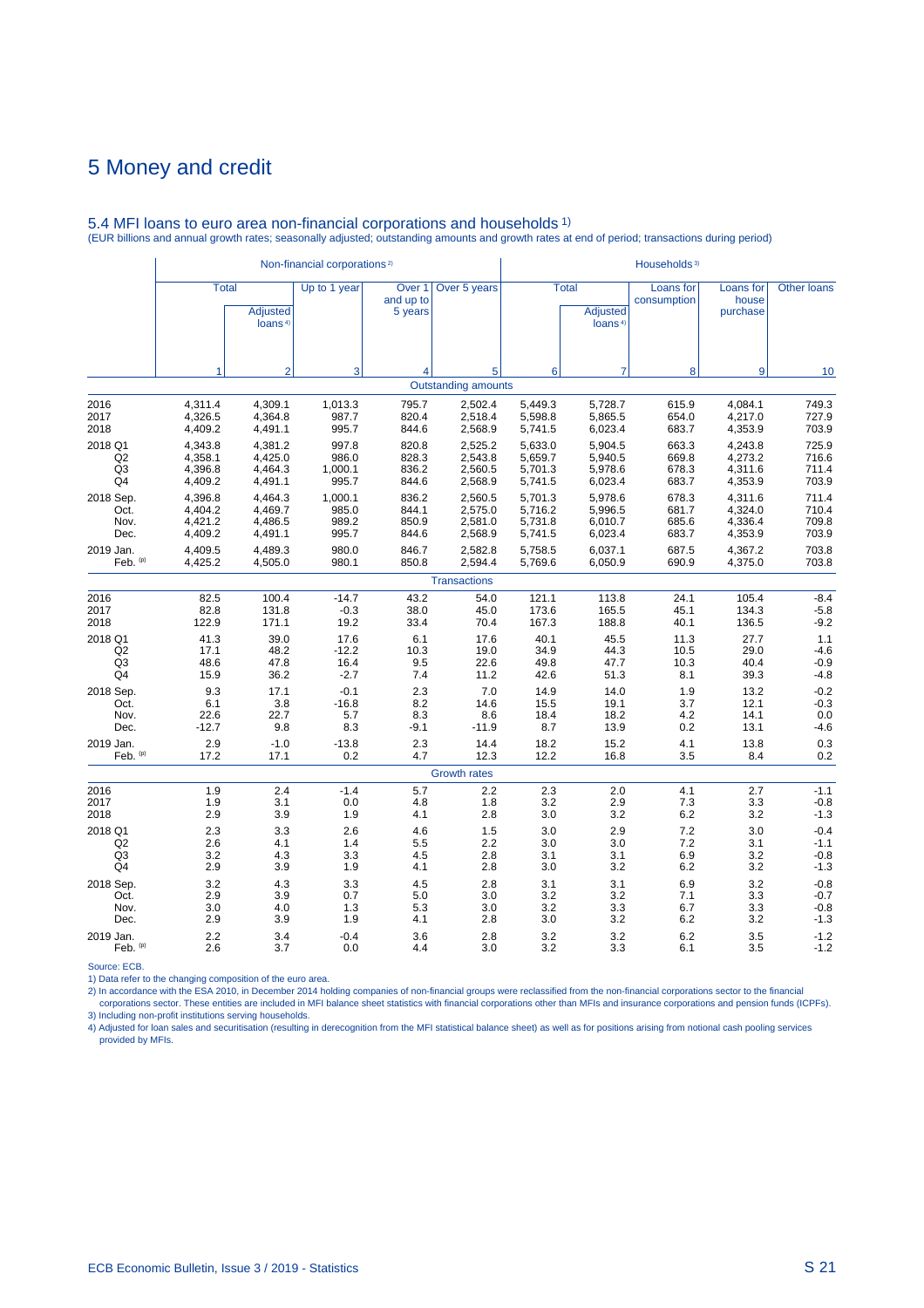|                |              |                                        | Non-financial corporations <sup>2)</sup> |                                |                            |         |                                                        | Households <sup>3)</sup> |                                |                    |
|----------------|--------------|----------------------------------------|------------------------------------------|--------------------------------|----------------------------|---------|--------------------------------------------------------|--------------------------|--------------------------------|--------------------|
|                | <b>Total</b> | <b>Adjusted</b><br>loans <sup>4)</sup> | $\overline{Up}$ to 1 year                | Over 1<br>and up to<br>5 years | Over 5 years               |         | <b>Total</b><br><b>Adjusted</b><br>loans <sup>4)</sup> | Loans for<br>consumption | Loans for<br>house<br>purchase | <b>Other loans</b> |
|                | 1            | $\overline{2}$                         | 3                                        | 4                              | 5                          | 6       | 7                                                      | 8                        | 9                              | 10                 |
|                |              |                                        |                                          |                                | <b>Outstanding amounts</b> |         |                                                        |                          |                                |                    |
| 2016           | 4,311.4      | 4,309.1                                | 1,013.3                                  | 795.7                          | 2,502.4                    | 5,449.3 | 5,728.7                                                | 615.9                    | 4,084.1                        | 749.3              |
| 2017           | 4,326.5      | 4,364.8                                | 987.7                                    | 820.4                          | 2,518.4                    | 5,598.8 | 5,865.5                                                | 654.0                    | 4,217.0                        | 727.9              |
| 2018           | 4,409.2      | 4,491.1                                | 995.7                                    | 844.6                          | 2,568.9                    | 5,741.5 | 6,023.4                                                | 683.7                    | 4,353.9                        | 703.9              |
| 2018 Q1        | 4,343.8      | 4,381.2                                | 997.8                                    | 820.8                          | 2,525.2                    | 5,633.0 | 5,904.5                                                | 663.3                    | 4,243.8                        | 725.9              |
| Q2             | 4,358.1      | 4,425.0                                | 986.0                                    | 828.3                          | 2,543.8                    | 5,659.7 | 5,940.5                                                | 669.8                    | 4,273.2                        | 716.6              |
| Q <sub>3</sub> | 4,396.8      | 4.464.3                                | 1,000.1                                  | 836.2                          | 2,560.5                    | 5.701.3 | 5,978.6                                                | 678.3                    | 4,311.6                        | 711.4              |
| Q <sub>4</sub> | 4,409.2      | 4,491.1                                | 995.7                                    | 844.6                          | 2,568.9                    | 5,741.5 | 6,023.4                                                | 683.7                    | 4,353.9                        | 703.9              |
| 2018 Sep.      | 4,396.8      | 4,464.3                                | 1,000.1                                  | 836.2                          | 2,560.5                    | 5,701.3 | 5,978.6                                                | 678.3                    | 4,311.6                        | 711.4              |
| Oct.           | 4,404.2      | 4,469.7                                | 985.0                                    | 844.1                          | 2,575.0                    | 5,716.2 | 5,996.5                                                | 681.7                    | 4,324.0                        | 710.4              |
| Nov.           | 4,421.2      | 4,486.5                                | 989.2                                    | 850.9                          | 2,581.0                    | 5,731.8 | 6,010.7                                                | 685.6                    | 4,336.4                        | 709.8              |
| Dec.           | 4,409.2      | 4,491.1                                | 995.7                                    | 844.6                          | 2,568.9                    | 5,741.5 | 6,023.4                                                | 683.7                    | 4,353.9                        | 703.9              |
| 2019 Jan.      | 4,409.5      | 4,489.3                                | 980.0                                    | 846.7                          | 2,582.8                    | 5,758.5 | 6,037.1                                                | 687.5                    | 4,367.2                        | 703.8              |
| Feb. $(p)$     | 4,425.2      | 4,505.0                                | 980.1                                    | 850.8                          | 2,594.4                    | 5,769.6 | 6,050.9                                                | 690.9                    | 4,375.0                        | 703.8              |
|                |              |                                        |                                          |                                | <b>Transactions</b>        |         |                                                        |                          |                                |                    |
| 2016           | 82.5         | 100.4                                  | $-14.7$                                  | 43.2                           | 54.0                       | 121.1   | 113.8                                                  | 24.1                     | 105.4                          | $-8.4$             |
| 2017           | 82.8         | 131.8                                  | $-0.3$                                   | 38.0                           | 45.0                       | 173.6   | 165.5                                                  | 45.1                     | 134.3                          | $-5.8$             |
| 2018           | 122.9        | 171.1                                  | 19.2                                     | 33.4                           | 70.4                       | 167.3   | 188.8                                                  | 40.1                     | 136.5                          | $-9.2$             |
| 2018 Q1        | 41.3         | 39.0                                   | 17.6                                     | 6.1                            | 17.6                       | 40.1    | 45.5                                                   | 11.3                     | 27.7                           | 1.1                |
| Q2             | 17.1         | 48.2                                   | $-12.2$                                  | 10.3                           | 19.0                       | 34.9    | 44.3                                                   | 10.5                     | 29.0                           | $-4.6$             |
| Q <sub>3</sub> | 48.6         | 47.8                                   | 16.4                                     | 9.5                            | 22.6                       | 49.8    | 47.7                                                   | 10.3                     | 40.4                           | $-0.9$             |
| Q4             | 15.9         | 36.2                                   | $-2.7$                                   | 7.4                            | 11.2                       | 42.6    | 51.3                                                   | 8.1                      | 39.3                           | $-4.8$             |
| 2018 Sep.      | 9.3          | 17.1                                   | $-0.1$                                   | 2.3                            | 7.0                        | 14.9    | 14.0                                                   | 1.9                      | 13.2                           | $-0.2$             |
| Oct.           | 6.1          | 3.8                                    | $-16.8$                                  | 8.2                            | 14.6                       | 15.5    | 19.1                                                   | 3.7                      | 12.1                           | $-0.3$             |
| Nov.           | 22.6         | 22.7                                   | 5.7                                      | 8.3                            | 8.6                        | 18.4    | 18.2                                                   | 4.2                      | 14.1                           | 0.0                |
| Dec.           | $-12.7$      | 9.8                                    | 8.3                                      | $-9.1$                         | $-11.9$                    | 8.7     | 13.9                                                   | 0.2                      | 13.1                           | $-4.6$             |
| 2019 Jan.      | 2.9          | $-1.0$                                 | $-13.8$                                  | 2.3                            | 14.4                       | 18.2    | 15.2                                                   | 4.1                      | 13.8                           | 0.3                |
| Feb. (p)       | 17.2         | 17.1                                   | 0.2                                      | 4.7                            | 12.3                       | 12.2    | 16.8                                                   | 3.5                      | 8.4                            | 0.2                |
|                |              |                                        |                                          |                                | <b>Growth rates</b>        |         |                                                        |                          |                                |                    |
| 2016           | 1.9          | 2.4                                    | $-1.4$                                   | 5.7                            | 2.2                        | 2.3     | 2.0                                                    | 4.1                      | 2.7                            | $-1.1$             |
| 2017           | 1.9          | 3.1                                    | 0.0                                      | 4.8                            | 1.8                        | 3.2     | 2.9                                                    | 7.3                      | 3.3                            | $-0.8$             |
| 2018           | 2.9          | 3.9                                    | 1.9                                      | 4.1                            | 2.8                        | 3.0     | 3.2                                                    | 6.2                      | 3.2                            | $-1.3$             |
| 2018 Q1        | 2.3          | 3.3                                    | 2.6                                      | 4.6                            | 1.5                        | 3.0     | 2.9                                                    | 7.2                      | 3.0                            | $-0.4$             |
| Q2             | 2.6          | 4.1                                    | 1.4                                      | 5.5                            | 2.2                        | 3.0     | 3.0                                                    | 7.2                      | 3.1                            | $-1.1$             |
| Q3             | 3.2          | 4.3                                    | 3.3                                      | 4.5                            | 2.8                        | 3.1     | 3.1                                                    | 6.9                      | 3.2                            | $-0.8$             |
| Q4             | 2.9          | 3.9                                    | 1.9                                      | 4.1                            | 2.8                        | 3.0     | 3.2                                                    | 6.2                      | 3.2                            | $-1.3$             |
| 2018 Sep.      | 3.2          | 4.3                                    | 3.3                                      | 4.5                            | 2.8                        | 3.1     | 3.1                                                    | 6.9                      | 3.2                            | $-0.8$             |
| Oct.           | 2.9          | 3.9                                    | 0.7                                      | 5.0                            | 3.0                        | 3.2     | 3.2                                                    | 7.1                      | 3.3                            | $-0.7$             |
| Nov.           | 3.0          | 4.0                                    | 1.3                                      | 5.3                            | 3.0                        | 3.2     | 3.3                                                    | 6.7                      | 3.3                            | $-0.8$             |
| Dec.           | 2.9          | 3.9                                    | 1.9                                      | 4.1                            | 2.8                        | 3.0     | 3.2                                                    | 6.2                      | 3.2                            | $-1.3$             |
| 2019 Jan.      | 2.2          | 3.4                                    | $-0.4$                                   | 3.6                            | 2.8                        | 3.2     | 3.2                                                    | 6.2                      | 3.5                            | $-1.2$             |
| Feb. (p)       | 2.6          | 3.7                                    | 0.0                                      | 4.4                            | 3.0                        | 3.2     | 3.3                                                    | 6.1                      | 3.5                            | $-1.2$             |

#### 5.4 MFI loans to euro area non-financial corporations and households 1) (EUR billions and annual growth rates; seasonally adjusted; outstanding amounts and growth rates at end of period; transactions during period)

Source: ECB.<br>2) Data refer to the changing composition of the euro area.<br>2) In accordance with the ESA 2010, in December 2014 holding companies of non-financial groups were reclassified from the non-financial corporations 3) Including non-profit institutions serving households.

4) Adjusted for loan sales and securitisation (resulting in derecognition from the MFI statistical balance sheet) as well as for positions arising from notional cash pooling services provided by MFIs.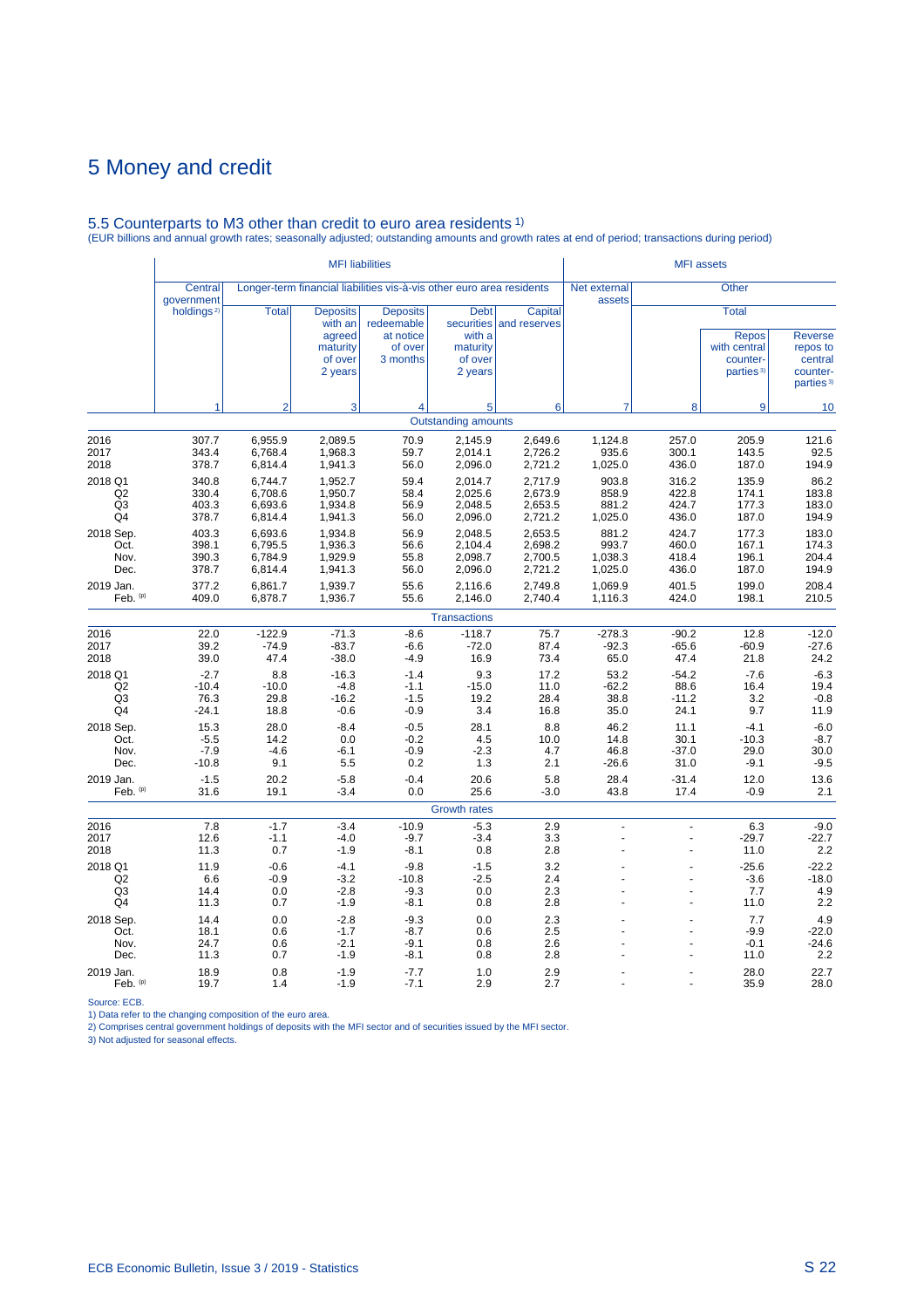# 5.5 Counterparts to M3 other than credit to euro area residents 1) (EUR billions and annual growth rates; seasonally adjusted; outstanding amounts and growth rates at end of period; transactions during period)

|                                       |                                      |                                          | <b>MFI</b> liabilities                                                 |                                                                       |                                                                       |                                          |                                      | <b>MFI</b> assets                  |                                                                                   |                                                                            |
|---------------------------------------|--------------------------------------|------------------------------------------|------------------------------------------------------------------------|-----------------------------------------------------------------------|-----------------------------------------------------------------------|------------------------------------------|--------------------------------------|------------------------------------|-----------------------------------------------------------------------------------|----------------------------------------------------------------------------|
|                                       | Central<br>government                |                                          |                                                                        | Longer-term financial liabilities vis-à-vis other euro area residents |                                                                       |                                          | Net external<br>assets               |                                    | <b>Other</b>                                                                      |                                                                            |
|                                       | holdings <sup>2)</sup>               | <b>Total</b>                             | <b>Deposits</b><br>with an<br>agreed<br>maturity<br>of over<br>2 years | <b>Deposits</b><br>redeemable<br>at notice<br>of over<br>3 months     | <b>Debt</b><br>securities<br>with a<br>maturity<br>of over<br>2 years | Capital<br>and reserves                  |                                      |                                    | <b>Total</b><br><b>Repos</b><br>with central<br>counter-<br>parties <sup>3)</sup> | <b>Reverse</b><br>repos to<br>central<br>counter-<br>parties <sup>3)</sup> |
|                                       | 1                                    | $\overline{2}$                           | 3                                                                      | 4                                                                     | 5                                                                     | 6                                        | $\overline{7}$                       | 8                                  | 9                                                                                 | 10                                                                         |
|                                       |                                      |                                          |                                                                        |                                                                       | <b>Outstanding amounts</b>                                            |                                          |                                      |                                    |                                                                                   |                                                                            |
| 2016<br>2017<br>2018                  | 307.7<br>343.4<br>378.7              | 6,955.9<br>6.768.4<br>6,814.4            | 2,089.5<br>1,968.3<br>1,941.3                                          | 70.9<br>59.7<br>56.0                                                  | 2,145.9<br>2,014.1<br>2,096.0                                         | 2,649.6<br>2,726.2<br>2,721.2            | 1,124.8<br>935.6<br>1,025.0          | 257.0<br>300.1<br>436.0            | 205.9<br>143.5<br>187.0                                                           | 121.6<br>92.5<br>194.9                                                     |
| 2018 Q1<br>Q2<br>Q <sub>3</sub><br>Q4 | 340.8<br>330.4<br>403.3<br>378.7     | 6,744.7<br>6,708.6<br>6,693.6<br>6,814.4 | 1,952.7<br>1,950.7<br>1,934.8<br>1,941.3                               | 59.4<br>58.4<br>56.9<br>56.0                                          | 2,014.7<br>2,025.6<br>2,048.5<br>2,096.0                              | 2,717.9<br>2,673.9<br>2,653.5<br>2,721.2 | 903.8<br>858.9<br>881.2<br>1,025.0   | 316.2<br>422.8<br>424.7<br>436.0   | 135.9<br>174.1<br>177.3<br>187.0                                                  | 86.2<br>183.8<br>183.0<br>194.9                                            |
| 2018 Sep.<br>Oct.<br>Nov.<br>Dec.     | 403.3<br>398.1<br>390.3<br>378.7     | 6,693.6<br>6,795.5<br>6,784.9<br>6,814.4 | 1,934.8<br>1,936.3<br>1,929.9<br>1,941.3                               | 56.9<br>56.6<br>55.8<br>56.0                                          | 2,048.5<br>2,104.4<br>2,098.7<br>2,096.0                              | 2,653.5<br>2,698.2<br>2,700.5<br>2,721.2 | 881.2<br>993.7<br>1,038.3<br>1,025.0 | 424.7<br>460.0<br>418.4<br>436.0   | 177.3<br>167.1<br>196.1<br>187.0                                                  | 183.0<br>174.3<br>204.4<br>194.9                                           |
| 2019 Jan.<br>Feb. (p)                 | 377.2<br>409.0                       | 6,861.7<br>6,878.7                       | 1,939.7<br>1,936.7                                                     | 55.6<br>55.6                                                          | 2,116.6<br>2,146.0                                                    | 2,749.8<br>2,740.4                       | 1,069.9<br>1,116.3                   | 401.5<br>424.0                     | 199.0<br>198.1                                                                    | 208.4<br>210.5                                                             |
|                                       |                                      |                                          |                                                                        |                                                                       | <b>Transactions</b>                                                   |                                          |                                      |                                    |                                                                                   |                                                                            |
| 2016<br>2017<br>2018                  | 22.0<br>39.2<br>39.0                 | $-122.9$<br>$-74.9$<br>47.4              | $-71.3$<br>$-83.7$<br>$-38.0$                                          | $-8.6$<br>$-6.6$<br>$-4.9$                                            | $-118.7$<br>$-72.0$<br>16.9                                           | 75.7<br>87.4<br>73.4                     | $-278.3$<br>$-92.3$<br>65.0          | $-90.2$<br>$-65.6$<br>47.4         | 12.8<br>$-60.9$<br>21.8                                                           | $-12.0$<br>$-27.6$<br>24.2                                                 |
| 2018 Q1<br>Q2<br>Q <sub>3</sub><br>Q4 | $-2.7$<br>$-10.4$<br>76.3<br>$-24.1$ | 8.8<br>$-10.0$<br>29.8<br>18.8           | $-16.3$<br>$-4.8$<br>$-16.2$<br>$-0.6$                                 | $-1.4$<br>$-1.1$<br>$-1.5$<br>$-0.9$                                  | 9.3<br>$-15.0$<br>19.2<br>3.4                                         | 17.2<br>11.0<br>28.4<br>16.8             | 53.2<br>$-62.2$<br>38.8<br>35.0      | $-54.2$<br>88.6<br>$-11.2$<br>24.1 | $-7.6$<br>16.4<br>3.2<br>9.7                                                      | $-6.3$<br>19.4<br>$-0.8$<br>11.9                                           |
| 2018 Sep.<br>Oct.<br>Nov.<br>Dec.     | 15.3<br>$-5.5$<br>$-7.9$<br>$-10.8$  | 28.0<br>14.2<br>$-4.6$<br>9.1            | $-8.4$<br>0.0<br>$-6.1$<br>5.5                                         | $-0.5$<br>$-0.2$<br>$-0.9$<br>0.2                                     | 28.1<br>4.5<br>$-2.3$<br>1.3                                          | 8.8<br>10.0<br>4.7<br>2.1                | 46.2<br>14.8<br>46.8<br>$-26.6$      | 11.1<br>30.1<br>$-37.0$<br>31.0    | $-4.1$<br>$-10.3$<br>29.0<br>$-9.1$                                               | $-6.0$<br>$-8.7$<br>30.0<br>$-9.5$                                         |
| 2019 Jan.<br>Feb. (p)                 | $-1.5$<br>31.6                       | 20.2<br>19.1                             | $-5.8$<br>$-3.4$                                                       | $-0.4$<br>0.0                                                         | 20.6<br>25.6                                                          | 5.8<br>$-3.0$                            | 28.4<br>43.8                         | $-31.4$<br>17.4                    | 12.0<br>$-0.9$                                                                    | 13.6<br>2.1                                                                |
|                                       |                                      |                                          |                                                                        |                                                                       | <b>Growth rates</b>                                                   |                                          |                                      |                                    |                                                                                   |                                                                            |
| 2016<br>2017<br>2018                  | 7.8<br>12.6<br>11.3                  | $-1.7$<br>$-1.1$<br>0.7                  | $-3.4$<br>$-4.0$<br>$-1.9$                                             | $-10.9$<br>$-9.7$<br>$-8.1$                                           | $-5.3$<br>$-3.4$<br>0.8                                               | 2.9<br>3.3<br>2.8                        | L.<br>L,                             | ÷<br>L,                            | 6.3<br>$-29.7$<br>11.0                                                            | $-9.0$<br>$-22.7$<br>2.2                                                   |
| 2018 Q1<br>Q2<br>Q <sub>3</sub><br>Q4 | 11.9<br>6.6<br>14.4<br>11.3          | $-0.6$<br>$-0.9$<br>0.0<br>0.7           | $-4.1$<br>$-3.2$<br>$-2.8$<br>$-1.9$                                   | $-9.8$<br>$-10.8$<br>$-9.3$<br>$-8.1$                                 | $-1.5$<br>$-2.5$<br>0.0<br>0.8                                        | 3.2<br>2.4<br>2.3<br>2.8                 |                                      |                                    | $-25.6$<br>$-3.6$<br>7.7<br>11.0                                                  | $-22.2$<br>$-18.0$<br>4.9<br>$2.2\,$                                       |
| 2018 Sep.<br>Oct.<br>Nov.<br>Dec.     | 14.4<br>18.1<br>24.7<br>11.3         | 0.0<br>0.6<br>0.6<br>0.7                 | $-2.8$<br>$-1.7$<br>$-2.1$<br>$-1.9$                                   | $-9.3$<br>$-8.7$<br>$-9.1$<br>$-8.1$                                  | 0.0<br>0.6<br>0.8<br>0.8                                              | 2.3<br>2.5<br>2.6<br>2.8                 |                                      |                                    | 7.7<br>$-9.9$<br>$-0.1$<br>11.0                                                   | 4.9<br>$-22.0$<br>$-24.6$<br>2.2                                           |
| 2019 Jan.<br>Feb. (p)                 | 18.9<br>19.7                         | 0.8<br>1.4                               | $-1.9$<br>$-1.9$                                                       | $-7.7$<br>$-7.1$                                                      | 1.0<br>2.9                                                            | 2.9<br>2.7                               |                                      |                                    | 28.0<br>35.9                                                                      | 22.7<br>28.0                                                               |

Source: ECB.<br>1) Data refer to the changing composition of the euro area.<br>2) Comprises central government holdings of deposits with the MFI sector and of securities issued by the MFI sector.<br>3) Not adjusted for seasonal eff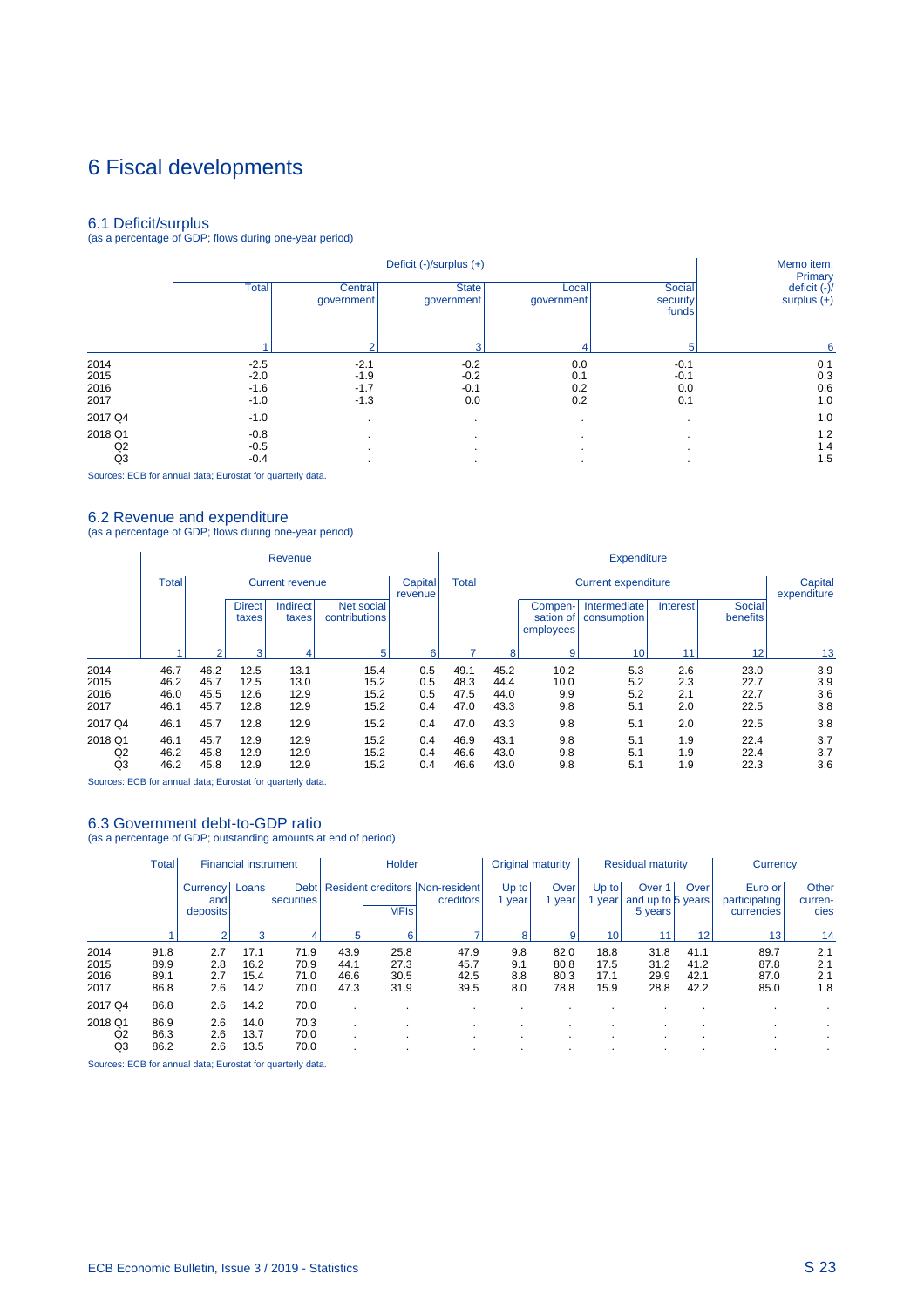# 6 Fiscal developments

6.1 Deficit/surplus (as a percentage of GDP; flows during one-year period)

|         |              |                       | Memo item:<br>Primary      |                     |                             |                               |
|---------|--------------|-----------------------|----------------------------|---------------------|-----------------------------|-------------------------------|
|         | <b>Total</b> | Central<br>qovernment | <b>State</b><br>government | Local<br>government | Social<br>security<br>funds | deficit (-)/<br>surplus $(+)$ |
|         |              | 2                     | 3                          | 4                   | 5                           | 6                             |
| 2014    | $-2.5$       | $-2.1$                | $-0.2$                     | 0.0                 | $-0.1$                      | 0.1                           |
| 2015    | $-2.0$       | $-1.9$                | $-0.2$                     | 0.1                 | $-0.1$                      | 0.3                           |
| 2016    | $-1.6$       | $-1.7$                | $-0.1$                     | 0.2                 | 0.0                         | 0.6                           |
| 2017    | $-1.0$       | $-1.3$                | 0.0                        | 0.2                 | 0.1                         | 1.0                           |
| 2017 Q4 | $-1.0$       | $\cdot$               |                            |                     |                             | 1.0                           |
| 2018 Q1 | $-0.8$       | $\cdot$               |                            | $\cdot$             |                             | 1.2                           |
| Q2      | $-0.5$       |                       |                            |                     |                             | 1.4                           |
| Q3      | $-0.4$       | ٠                     |                            |                     |                             | 1.5                           |

Sources: ECB for annual data; Eurostat for quarterly data.

6.2 Revenue and expenditure (as a percentage of GDP; flows during one-year period)

|                                 | Revenue                      |                              |                              |                              |                              |                          |                              | <b>Expenditure</b>           |                                   |                             |                          |                              |                          |  |  |
|---------------------------------|------------------------------|------------------------------|------------------------------|------------------------------|------------------------------|--------------------------|------------------------------|------------------------------|-----------------------------------|-----------------------------|--------------------------|------------------------------|--------------------------|--|--|
|                                 | <b>Total</b>                 | <b>Current revenue</b>       |                              |                              |                              |                          | <b>Total</b>                 |                              | Capital<br>expenditure            |                             |                          |                              |                          |  |  |
|                                 |                              |                              | <b>Direct</b><br>taxes       | <b>Indirect</b><br>taxes     | Net social<br>contributions  |                          |                              |                              | Compen-<br>sation of<br>employees | Intermediate<br>consumption | <b>Interest</b>          | Social<br>benefits           |                          |  |  |
|                                 |                              | ื                            | з                            |                              | 5                            | 6                        | ۰,                           | 8                            | 9                                 | 10                          | 11                       | 12                           | 13                       |  |  |
| 2014<br>2015<br>2016<br>2017    | 46.7<br>46.2<br>46.0<br>46.1 | 46.2<br>45.7<br>45.5<br>45.7 | 12.5<br>12.5<br>12.6<br>12.8 | 13.1<br>13.0<br>12.9<br>12.9 | 15.4<br>15.2<br>15.2<br>15.2 | 0.5<br>0.5<br>0.5<br>0.4 | 49.1<br>48.3<br>47.5<br>47.0 | 45.2<br>44.4<br>44.0<br>43.3 | 10.2<br>10.0<br>9.9<br>9.8        | 5.3<br>5.2<br>5.2<br>5.1    | 2.6<br>2.3<br>2.1<br>2.0 | 23.0<br>22.7<br>22.7<br>22.5 | 3.9<br>3.9<br>3.6<br>3.8 |  |  |
| 2017 Q4                         | 46.1                         | 45.7                         | 12.8                         | 12.9                         | 15.2                         | 0.4                      | 47.0                         | 43.3                         | 9.8                               | 5.1                         | 2.0                      | 22.5                         | 3.8                      |  |  |
| 2018 Q1<br>Q <sub>2</sub><br>Q3 | 46.1<br>46.2<br>46.2         | 45.7<br>45.8<br>45.8         | 12.9<br>12.9<br>12.9         | 12.9<br>12.9<br>12.9         | 15.2<br>15.2<br>15.2         | 0.4<br>0.4<br>0.4        | 46.9<br>46.6<br>46.6         | 43.1<br>43.0<br>43.0         | 9.8<br>9.8<br>9.8                 | 5.1<br>5.1<br>5.1           | 1.9<br>1.9<br>1.9        | 22.4<br>22.4<br>22.3         | 3.7<br>3.7<br>3.6        |  |  |

Sources: ECB for annual data; Eurostat for quarterly data.

#### 6.3 Government debt-to-GDP ratio

(as a percentage of GDP; outstanding amounts at end of period)

|                              | <b>Total</b>                 | <b>Financial instrument</b> |                              |                              | <b>Holder</b>                |                              |                                                     | Original maturity        |                              | <b>Residual maturity</b>     |                                                   |                              | Currency                               |                          |
|------------------------------|------------------------------|-----------------------------|------------------------------|------------------------------|------------------------------|------------------------------|-----------------------------------------------------|--------------------------|------------------------------|------------------------------|---------------------------------------------------|------------------------------|----------------------------------------|--------------------------|
|                              |                              | Currency<br>and<br>deposits | Loans                        | <b>Debt</b><br>securities    |                              | <b>MFIs</b>                  | <b>Resident creditors Non-resident</b><br>creditors | Up to<br>year            | Over<br>vear                 | Up to<br>year                | Over <sup>1</sup><br>and up to 5 years<br>5 years | Over                         | Euro or<br>participating<br>currencies | Other<br>curren-<br>cies |
|                              |                              |                             | 3                            | 4                            | 5                            | 6                            |                                                     | 8                        | 9                            | 10                           |                                                   | 12                           | 13                                     | 14                       |
| 2014<br>2015<br>2016<br>2017 | 91.8<br>89.9<br>89.1<br>86.8 | 2.7<br>2.8<br>2.7<br>2.6    | 17.1<br>16.2<br>15.4<br>14.2 | 71.9<br>70.9<br>71.0<br>70.0 | 43.9<br>44.1<br>46.6<br>47.3 | 25.8<br>27.3<br>30.5<br>31.9 | 47.9<br>45.7<br>42.5<br>39.5                        | 9.8<br>9.1<br>8.8<br>8.0 | 82.0<br>80.8<br>80.3<br>78.8 | 18.8<br>17.5<br>17.1<br>15.9 | 31.8<br>31.2<br>29.9<br>28.8                      | 41.1<br>41.2<br>42.1<br>42.2 | 89.7<br>87.8<br>87.0<br>85.0           | 2.1<br>2.1<br>2.1<br>1.8 |
| 2017 Q4                      | 86.8                         | 2.6                         | 14.2                         | 70.0                         |                              |                              |                                                     |                          |                              |                              |                                                   |                              |                                        |                          |
| 2018 Q1<br>Q2<br>Q3          | 86.9<br>86.3<br>86.2         | 2.6<br>2.6<br>2.6           | 14.0<br>13.7<br>13.5         | 70.3<br>70.0<br>70.0         |                              |                              |                                                     |                          |                              | $\cdot$<br>$\cdot$           |                                                   |                              |                                        |                          |

Sources: ECB for annual data; Eurostat for quarterly data.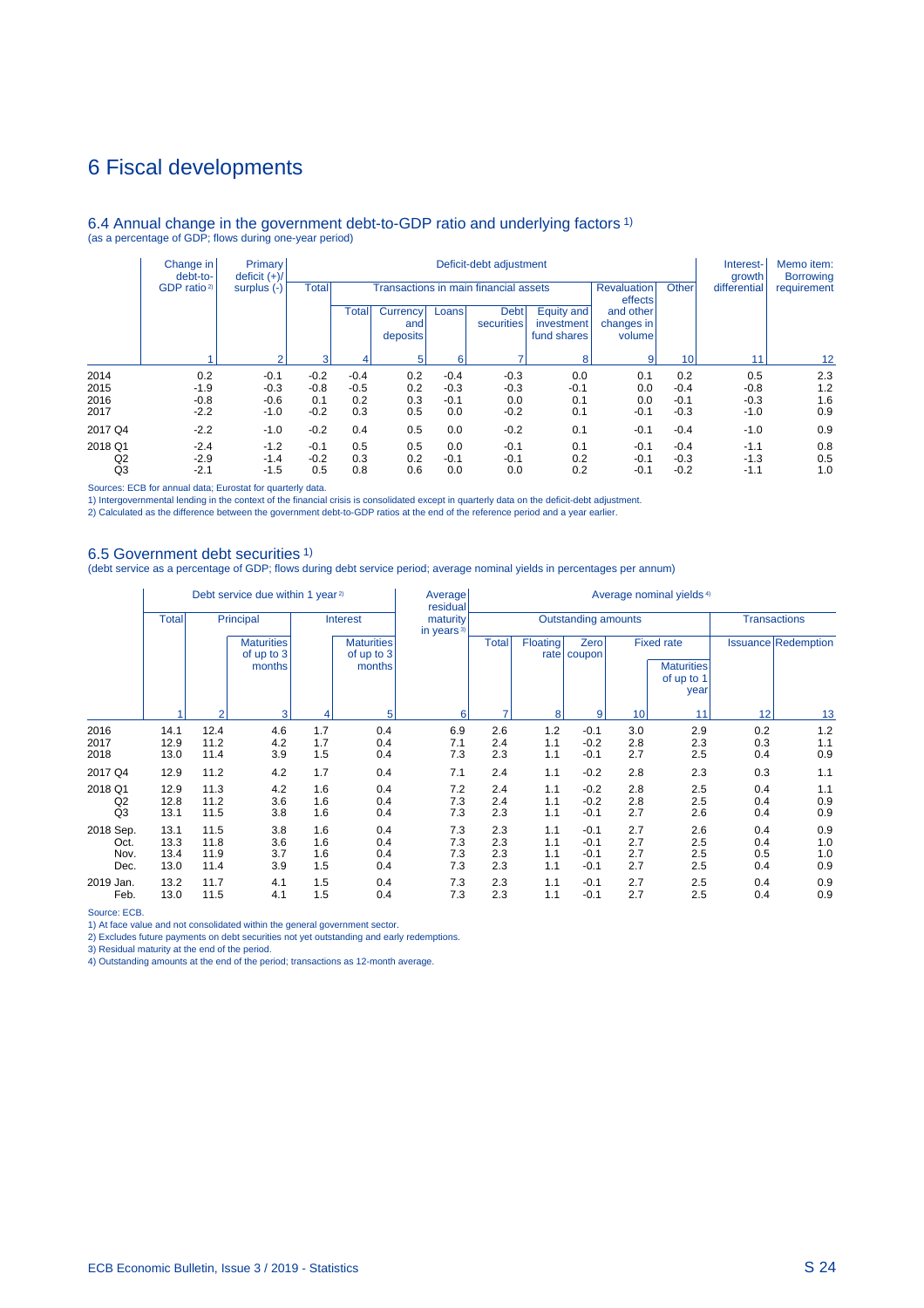## 6 Fiscal developments

### 6.4 Annual change in the government debt-to-GDP ratio and underlying factors 1) (as a percentage of GDP; flows during one-year period)

|                | Change in<br>debt-to-<br>GDP ratio <sup>2)</sup> | <b>Primary</b><br>deficit $(+)/$ | Deficit-debt adjustment |              |                                    |        |                           |                                         |                                   |                               | Interest-<br>growth | Memo item:<br><b>Borrowing</b> |             |  |   |                |    |    |    |
|----------------|--------------------------------------------------|----------------------------------|-------------------------|--------------|------------------------------------|--------|---------------------------|-----------------------------------------|-----------------------------------|-------------------------------|---------------------|--------------------------------|-------------|--|---|----------------|----|----|----|
|                |                                                  |                                  | surplus $(-)$           | <b>Total</b> |                                    |        |                           | Transactions in main financial assets   |                                   | <b>Revaluation</b><br>effects | Other               | differential                   | requirement |  |   |                |    |    |    |
|                |                                                  |                                  |                         | Total        | <b>Currency</b><br>and<br>deposits | Loans  | <b>Debt</b><br>securities | Equity and<br>investment<br>fund shares | and other<br>changes in<br>volume |                               |                     |                                |             |  |   |                |    |    |    |
|                |                                                  | $\sim$                           |                         |              |                                    |        |                           |                                         |                                   | વ                             |                     |                                | 6           |  | 8 | $\overline{9}$ | 10 | 11 | 12 |
| 2014           | 0.2                                              | $-0.1$                           | $-0.2$                  | $-0.4$       | 0.2                                | $-0.4$ | $-0.3$                    | 0.0                                     | 0.1                               | 0.2                           | 0.5                 | 2.3                            |             |  |   |                |    |    |    |
| 2015           | $-1.9$                                           | $-0.3$                           | $-0.8$                  | $-0.5$       | 0.2                                | $-0.3$ | $-0.3$                    | $-0.1$                                  | 0.0                               | $-0.4$                        | $-0.8$              | 1.2                            |             |  |   |                |    |    |    |
| 2016           | $-0.8$                                           | $-0.6$                           | 0.1                     | 0.2          | 0.3                                | $-0.1$ | 0.0                       | 0.1                                     | 0.0                               | $-0.1$                        | $-0.3$              | 1.6                            |             |  |   |                |    |    |    |
| 2017           | $-2.2$                                           | $-1.0$                           | $-0.2$                  | 0.3          | 0.5                                | 0.0    | $-0.2$                    | 0.1                                     | $-0.1$                            | $-0.3$                        | $-1.0$              | 0.9                            |             |  |   |                |    |    |    |
| 2017 Q4        | $-2.2$                                           | $-1.0$                           | $-0.2$                  | 0.4          | 0.5                                | 0.0    | $-0.2$                    | 0.1                                     | $-0.1$                            | $-0.4$                        | $-1.0$              | 0.9                            |             |  |   |                |    |    |    |
| 2018 Q1        | $-2.4$                                           | $-1.2$                           | $-0.1$                  | 0.5          | 0.5                                | 0.0    | $-0.1$                    | 0.1                                     | $-0.1$                            | $-0.4$                        | $-1.1$              | 0.8                            |             |  |   |                |    |    |    |
| Q2             | $-2.9$                                           | $-1.4$                           | $-0.2$                  | 0.3          | 0.2                                | $-0.1$ | $-0.1$                    | 0.2                                     | $-0.1$                            | $-0.3$                        | $-1.3$              | 0.5                            |             |  |   |                |    |    |    |
| Q <sub>3</sub> | $-2.1$                                           | $-1.5$                           | 0.5                     | 0.8          | 0.6                                | 0.0    | 0.0                       | 0.2                                     | $-0.1$                            | $-0.2$                        | $-1.1$              | 1.0                            |             |  |   |                |    |    |    |

Sources: ECB for annual data; Eurostat for quarterly data.

1) Intergovernmental lending in the context of the financial crisis is consolidated except in quarterly data on the deficit-debt adjustment.<br>2) Calculated as the difference between the government debt-to-GDP ratios at the

#### 6.5 Government debt securities 1)

(debt service as a percentage of GDP; flows during debt service period; average nominal yields in percentages per annum)

|                                   | Debt service due within 1 year <sup>2)</sup> |                              |                                           |                          |                                           | Average<br>residual                | Average nominal yields <sup>4)</sup> |                            |                                      |                          |                                                              |                          |                            |  |
|-----------------------------------|----------------------------------------------|------------------------------|-------------------------------------------|--------------------------|-------------------------------------------|------------------------------------|--------------------------------------|----------------------------|--------------------------------------|--------------------------|--------------------------------------------------------------|--------------------------|----------------------------|--|
|                                   | <b>Total</b>                                 | Principal                    |                                           | Interest                 |                                           | maturity<br>in years <sup>3)</sup> |                                      | <b>Outstanding amounts</b> |                                      | <b>Transactions</b>      |                                                              |                          |                            |  |
|                                   |                                              |                              | <b>Maturities</b><br>of up to 3<br>months |                          | <b>Maturities</b><br>of up to 3<br>months |                                    | <b>Total</b>                         | Floating                   | Zero<br>rate   coupon                |                          | <b>Fixed rate</b><br><b>Maturities</b><br>of up to 1<br>year |                          | <b>Issuance Redemption</b> |  |
|                                   |                                              | $\overline{2}$               | 3                                         | 4                        | 5                                         | 6                                  |                                      | 8                          | 9                                    | 10                       | 11                                                           | 12                       | 13                         |  |
| 2016<br>2017<br>2018              | 14.1<br>12.9<br>13.0                         | 12.4<br>11.2<br>11.4         | 4.6<br>4.2<br>3.9                         | 1.7<br>1.7<br>1.5        | 0.4<br>0.4<br>0.4                         | 6.9<br>7.1<br>7.3                  | 2.6<br>2.4<br>2.3                    | 1.2<br>1.1<br>1.1          | $-0.1$<br>$-0.2$<br>$-0.1$           | 3.0<br>2.8<br>2.7        | 2.9<br>2.3<br>2.5                                            | 0.2<br>0.3<br>0.4        | 1.2<br>1.1<br>0.9          |  |
| 2017 Q4                           | 12.9                                         | 11.2                         | 4.2                                       | 1.7                      | 0.4                                       | 7.1                                | 2.4                                  | 1.1                        | $-0.2$                               | 2.8                      | 2.3                                                          | 0.3                      | 1.1                        |  |
| 2018 Q1<br>Q2<br>Q3               | 12.9<br>12.8<br>13.1                         | 11.3<br>11.2<br>11.5         | 4.2<br>3.6<br>3.8                         | 1.6<br>1.6<br>1.6        | 0.4<br>0.4<br>0.4                         | 7.2<br>7.3<br>7.3                  | 2.4<br>2.4<br>2.3                    | 1.1<br>1.1<br>1.1          | $-0.2$<br>$-0.2$<br>$-0.1$           | 2.8<br>2.8<br>2.7        | 2.5<br>2.5<br>2.6                                            | 0.4<br>0.4<br>0.4        | 1.1<br>0.9<br>0.9          |  |
| 2018 Sep.<br>Oct.<br>Nov.<br>Dec. | 13.1<br>13.3<br>13.4<br>13.0                 | 11.5<br>11.8<br>11.9<br>11.4 | 3.8<br>3.6<br>3.7<br>3.9                  | 1.6<br>1.6<br>1.6<br>1.5 | 0.4<br>0.4<br>0.4<br>0.4                  | 7.3<br>7.3<br>7.3<br>7.3           | 2.3<br>2.3<br>2.3<br>2.3             | 1.1<br>1.1<br>1.1<br>1.1   | $-0.1$<br>$-0.1$<br>$-0.1$<br>$-0.1$ | 2.7<br>2.7<br>2.7<br>2.7 | 2.6<br>2.5<br>2.5<br>2.5                                     | 0.4<br>0.4<br>0.5<br>0.4 | 0.9<br>1.0<br>1.0<br>0.9   |  |
| 2019 Jan.<br>Feb.                 | 13.2<br>13.0                                 | 11.7<br>11.5                 | 4.1<br>4.1                                | 1.5<br>1.5               | 0.4<br>0.4                                | 7.3<br>7.3                         | 2.3<br>2.3                           | 1.1<br>1.1                 | $-0.1$<br>$-0.1$                     | 2.7<br>2.7               | 2.5<br>2.5                                                   | 0.4<br>0.4               | 0.9<br>0.9                 |  |

Source: ECB.

1) At face value and not consolidated within the general government sector.

2) Excludes future payments on debt securities not yet outstanding and early redemptions.

3) Residual maturity at the end of the period.

4) Outstanding amounts at the end of the period; transactions as 12-month average.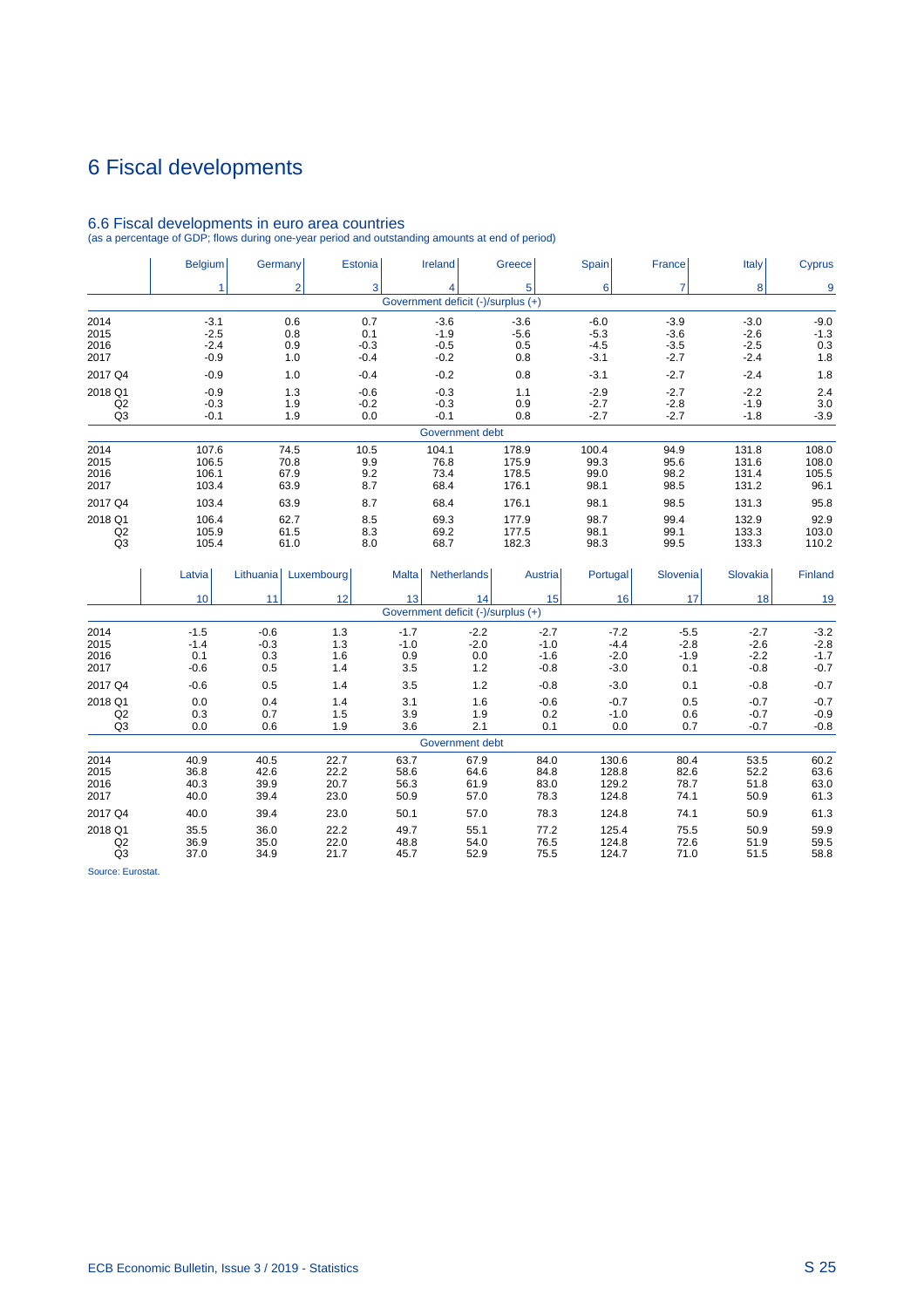# 6 Fiscal developments

|                | <b>Belgium</b> | Germany        | Estonia    | <b>Ireland</b>                     |                    | Greece  | Spain            | France         | Italy    | <b>Cyprus</b> |
|----------------|----------------|----------------|------------|------------------------------------|--------------------|---------|------------------|----------------|----------|---------------|
|                | 1              | $\overline{2}$ | 3          | 4                                  |                    | 5       | $6 \overline{6}$ | $\overline{7}$ | 8        | 9             |
|                |                |                |            | Government deficit (-)/surplus (+) |                    |         |                  |                |          |               |
| 2014           | $-3.1$         | 0.6            | 0.7        | $-3.6$                             |                    | $-3.6$  | $-6.0$           | $-3.9$         | $-3.0$   | $-9.0$        |
| 2015           | $-2.5$         | 0.8            | 0.1        | $-1.9$                             |                    | $-5.6$  | $-5.3$           | $-3.6$         | $-2.6$   | $-1.3$        |
| 2016           | $-2.4$         | 0.9            | $-0.3$     | $-0.5$                             |                    | 0.5     | $-4.5$           | $-3.5$         | $-2.5$   | 0.3           |
| 2017           | $-0.9$         | 1.0            | $-0.4$     | $-0.2$                             |                    | 0.8     | $-3.1$           | $-2.7$         | $-2.4$   | 1.8           |
| 2017 Q4        | $-0.9$         | 1.0            | $-0.4$     | $-0.2$                             |                    | 0.8     | $-3.1$           | $-2.7$         | $-2.4$   | 1.8           |
| 2018 Q1        | $-0.9$         | 1.3            | $-0.6$     | $-0.3$                             |                    | 1.1     | $-2.9$           | $-2.7$         | $-2.2$   | 2.4           |
| Q2             | $-0.3$         | 1.9            | $-0.2$     | $-0.3$                             |                    | 0.9     | $-2.7$           | $-2.8$         | $-1.9$   | 3.0           |
| Q <sub>3</sub> | $-0.1$         | 1.9            | 0.0        | $-0.1$                             |                    | 0.8     | $-2.7$           | $-2.7$         | $-1.8$   | $-3.9$        |
|                |                |                |            |                                    | Government debt    |         |                  |                |          |               |
| 2014           | 107.6          | 74.5           | 10.5       | 104.1                              |                    | 178.9   | 100.4            | 94.9           | 131.8    | 108.0         |
| 2015           | 106.5          | 70.8           | 9.9        | 76.8                               |                    | 175.9   | 99.3             | 95.6           | 131.6    | 108.0         |
| 2016           | 106.1          | 67.9           | 9.2        | 73.4                               |                    | 178.5   | 99.0             | 98.2           | 131.4    | 105.5         |
| 2017           | 103.4          | 63.9           | 8.7        | 68.4                               |                    | 176.1   | 98.1             | 98.5           | 131.2    | 96.1          |
| 2017 Q4        | 103.4          | 63.9           | 8.7        | 68.4                               |                    | 176.1   | 98.1             | 98.5           | 131.3    | 95.8          |
| 2018 Q1        | 106.4          | 62.7           | 8.5        | 69.3                               |                    | 177.9   | 98.7             | 99.4           | 132.9    | 92.9          |
| Q2             | 105.9          | 61.5           | 8.3        | 69.2                               |                    | 177.5   | 98.1             | 99.1           | 133.3    | 103.0         |
| Q <sub>3</sub> | 105.4          | 61.0           | 8.0        | 68.7                               |                    | 182.3   | 98.3             | 99.5           | 133.3    | 110.2         |
|                | Latvia         | Lithuania      | Luxembourg | <b>Malta</b>                       | <b>Netherlands</b> | Austria | Portugal         | Slovenia       | Slovakia | Finland       |
|                |                |                |            |                                    |                    |         |                  |                |          |               |
|                | 10             | 11             | 12         | 13                                 | 14                 | 15      | 16               | 17             | 18       | 19            |
|                |                |                |            | Government deficit (-)/surplus (+) |                    |         |                  |                |          |               |
| 2014           | $-1.5$         | $-0.6$         | 1.3        | $-1.7$                             | $-2.2$             | $-2.7$  | $-7.2$           | $-5.5$         | $-2.7$   | $-3.2$        |
| 2015           | $-1.4$         | $-0.3$         | 1.3        | $-1.0$                             | $-2.0$             | $-1.0$  | $-4.4$           | $-2.8$         | $-2.6$   | $-2.8$        |
| 2016           | 0.1            | 0.3            | 1.6        | 0.9                                | 0.0                | $-1.6$  | $-2.0$           | $-1.9$         | $-2.2$   | $-1.7$        |
| 2017           | $-0.6$         | 0.5            | 1.4        | 3.5                                | 1.2                | $-0.8$  | $-3.0$           | 0.1            | $-0.8$   | $-0.7$        |
| 2017 Q4        | $-0.6$         | 0.5            | 1.4        | 3.5                                | 1.2                | $-0.8$  | $-3.0$           | 0.1            | $-0.8$   | $-0.7$        |
| 2018 Q1        | 0.0            | 0.4            | 1.4        | 3.1                                | 1.6                | $-0.6$  | $-0.7$           | 0.5            | $-0.7$   | $-0.7$        |
| Q2             | 0.3            | 0.7            | 1.5        | 3.9                                | 1.9                | 0.2     | $-1.0$           | 0.6            | $-0.7$   | $-0.9$        |
| Q <sub>3</sub> | 0.0            | 0.6            | 1.9        | 3.6                                | 2.1                | 0.1     | 0.0              | 0.7            | $-0.7$   | $-0.8$        |

6.6 Fiscal developments in euro area countries (as a percentage of GDP; flows during one-year period and outstanding amounts at end of period)

| 2017 Q4                         | -0.6                         | U.5                          | 1.4                          | 3.5                          | 1.2                          | -0.8                         | -3.0                             | 0.1                          | -0.8                         | -0.7                         |
|---------------------------------|------------------------------|------------------------------|------------------------------|------------------------------|------------------------------|------------------------------|----------------------------------|------------------------------|------------------------------|------------------------------|
| 2018 Q1<br>Q <sub>2</sub><br>Q3 | 0.0<br>0.3<br>0.0            | 0.4<br>0.7<br>0.6            | 1.4<br>1.5<br>1.9            | 3.1<br>3.9<br>3.6            | 1.6<br>1.9<br>2.1            | $-0.6$<br>0.2<br>0.1         | $-0.7$<br>$-1.0$<br>0.0          | 0.5<br>0.6<br>0.7            | $-0.7$<br>$-0.7$<br>$-0.7$   | $-0.7$<br>$-0.9$<br>$-0.8$   |
|                                 |                              |                              |                              |                              | Government debt              |                              |                                  |                              |                              |                              |
| 2014<br>2015<br>2016<br>2017    | 40.9<br>36.8<br>40.3<br>40.0 | 40.5<br>42.6<br>39.9<br>39.4 | 22.7<br>22.2<br>20.7<br>23.0 | 63.7<br>58.6<br>56.3<br>50.9 | 67.9<br>64.6<br>61.9<br>57.0 | 84.0<br>84.8<br>83.0<br>78.3 | 130.6<br>128.8<br>129.2<br>124.8 | 80.4<br>82.6<br>78.7<br>74.1 | 53.5<br>52.2<br>51.8<br>50.9 | 60.2<br>63.6<br>63.0<br>61.3 |
| 2017 Q4                         | 40.0                         | 39.4                         | 23.0                         | 50.1                         | 57.0                         | 78.3                         | 124.8                            | 74.1                         | 50.9                         | 61.3                         |
| 2018 Q1<br>Q <sub>2</sub><br>Q3 | 35.5<br>36.9<br>37.0         | 36.0<br>35.0<br>34.9         | 22.2<br>22.0<br>21.7         | 49.7<br>48.8<br>45.7         | 55.1<br>54.0<br>52.9         | 77.2<br>76.5<br>75.5         | 125.4<br>124.8<br>124.7          | 75.5<br>72.6<br>71.0         | 50.9<br>51.9<br>51.5         | 59.9<br>59.5<br>58.8         |
| -                               |                              |                              |                              |                              |                              |                              |                                  |                              |                              |                              |

Source: Eurostat.